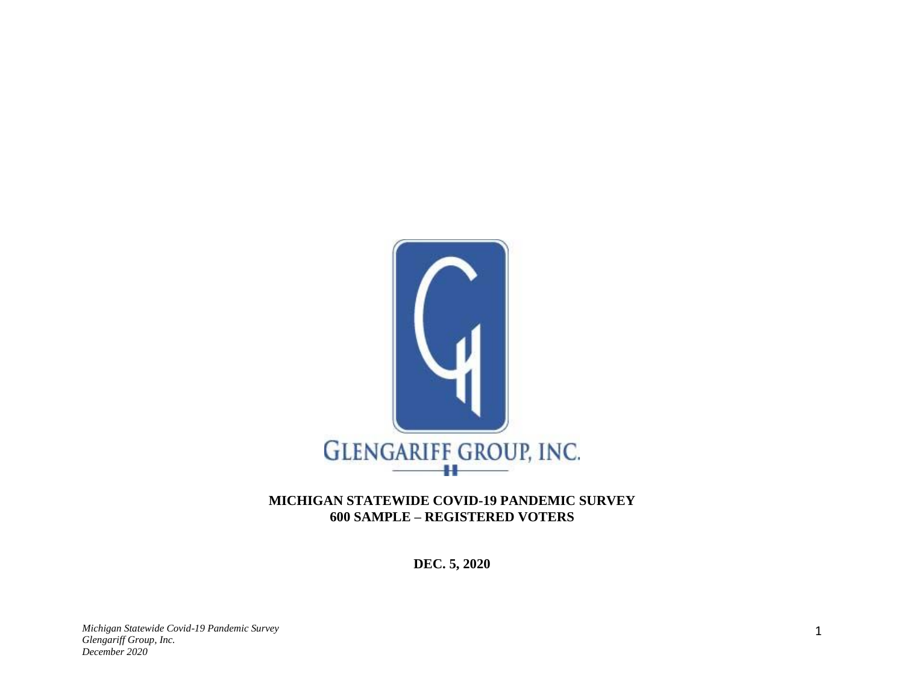

## **MICHIGAN STATEWIDE COVID-19 PANDEMIC SURVEY 600 SAMPLE – REGISTERED VOTERS**

**DEC. 5, 2020**

*Michigan Statewide Covid-19 Pandemic Survey Glengariff Group, Inc. December 2020*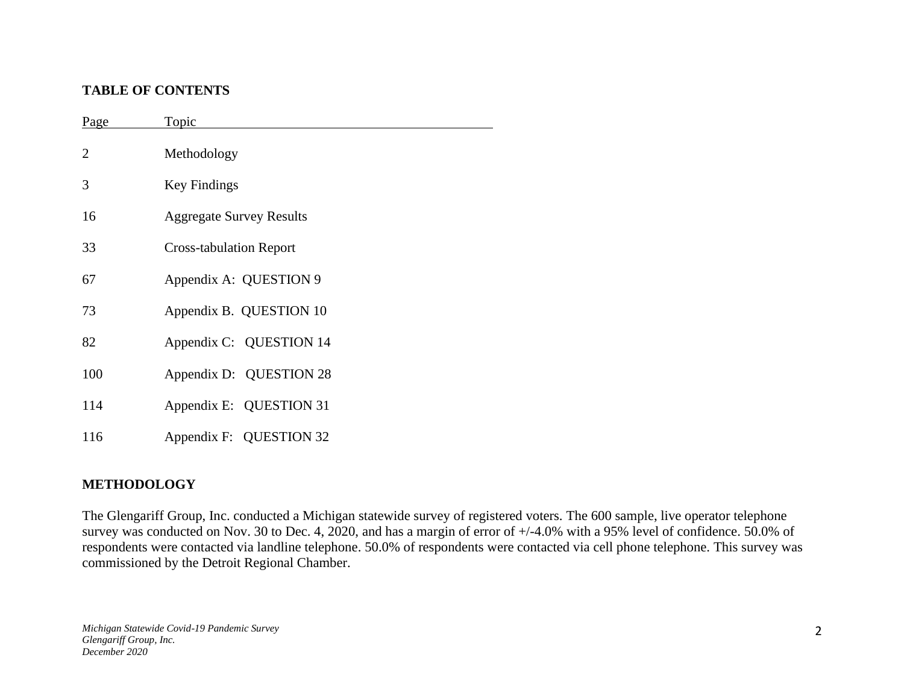#### **TABLE OF CONTENTS**

| Page           | Topic                           |
|----------------|---------------------------------|
| $\overline{2}$ | Methodology                     |
| 3              | <b>Key Findings</b>             |
| 16             | <b>Aggregate Survey Results</b> |
| 33             | <b>Cross-tabulation Report</b>  |
| 67             | Appendix A: QUESTION 9          |
| 73             | Appendix B. QUESTION 10         |
| 82             | Appendix C: QUESTION 14         |
| 100            | Appendix D: QUESTION 28         |
| 114            | Appendix E: QUESTION 31         |
| 116            | Appendix F: QUESTION 32         |

## **METHODOLOGY**

The Glengariff Group, Inc. conducted a Michigan statewide survey of registered voters. The 600 sample, live operator telephone survey was conducted on Nov. 30 to Dec. 4, 2020, and has a margin of error of +/-4.0% with a 95% level of confidence. 50.0% of respondents were contacted via landline telephone. 50.0% of respondents were contacted via cell phone telephone. This survey was commissioned by the Detroit Regional Chamber.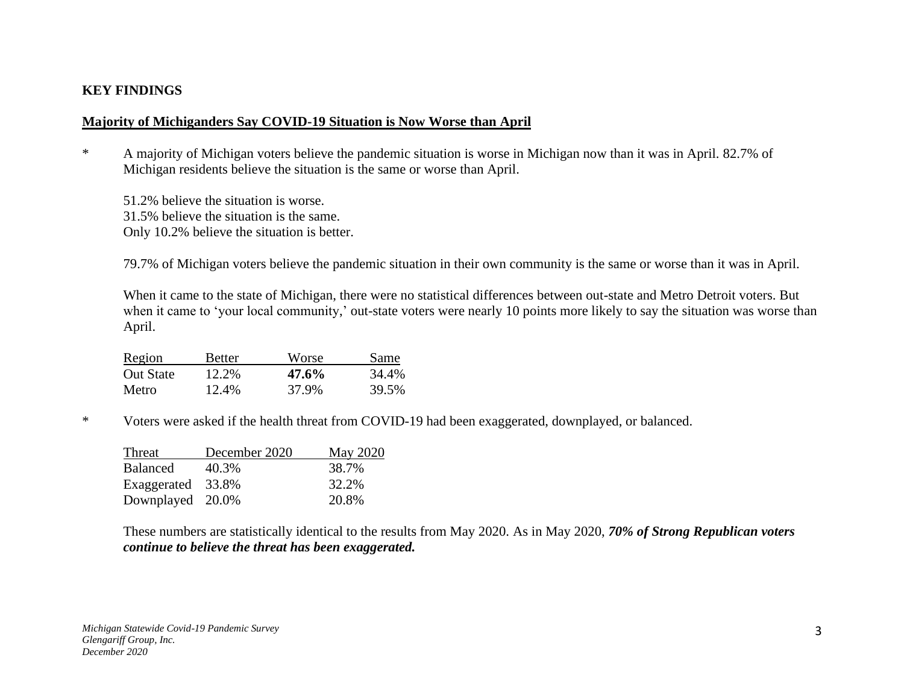#### **KEY FINDINGS**

#### **Majority of Michiganders Say COVID-19 Situation is Now Worse than April**

- \* A majority of Michigan voters believe the pandemic situation is worse in Michigan now than it was in April. 82.7% of Michigan residents believe the situation is the same or worse than April.
	- 51.2% believe the situation is worse. 31.5% believe the situation is the same. Only 10.2% believe the situation is better.

79.7% of Michigan voters believe the pandemic situation in their own community is the same or worse than it was in April.

When it came to the state of Michigan, there were no statistical differences between out-state and Metro Detroit voters. But when it came to 'your local community,' out-state voters were nearly 10 points more likely to say the situation was worse than April.

| Region           | <b>Better</b> | Worse | Same  |
|------------------|---------------|-------|-------|
| <b>Out State</b> | 12.2%         | 47.6% | 34.4% |
| Metro            | 12.4%         | 37.9% | 39.5% |

\* Voters were asked if the health threat from COVID-19 had been exaggerated, downplayed, or balanced.

| Threat            | December 2020 | <b>May 2020</b> |
|-------------------|---------------|-----------------|
| Balanced          | 40.3%         | 38.7%           |
| Exaggerated 33.8% |               | 32.2%           |
| Downplayed 20.0%  |               | 20.8%           |

These numbers are statistically identical to the results from May 2020. As in May 2020, *70% of Strong Republican voters continue to believe the threat has been exaggerated.*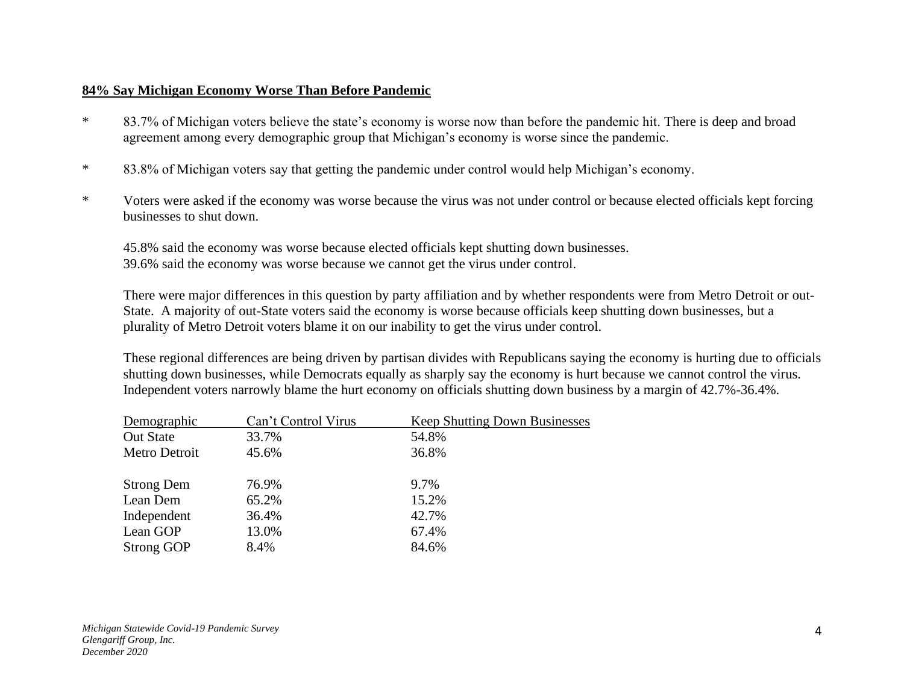#### **84% Say Michigan Economy Worse Than Before Pandemic**

- \* 83.7% of Michigan voters believe the state's economy is worse now than before the pandemic hit. There is deep and broad agreement among every demographic group that Michigan's economy is worse since the pandemic.
- \* 83.8% of Michigan voters say that getting the pandemic under control would help Michigan's economy.
- \* Voters were asked if the economy was worse because the virus was not under control or because elected officials kept forcing businesses to shut down.

45.8% said the economy was worse because elected officials kept shutting down businesses. 39.6% said the economy was worse because we cannot get the virus under control.

There were major differences in this question by party affiliation and by whether respondents were from Metro Detroit or out-State. A majority of out-State voters said the economy is worse because officials keep shutting down businesses, but a plurality of Metro Detroit voters blame it on our inability to get the virus under control.

These regional differences are being driven by partisan divides with Republicans saying the economy is hurting due to officials shutting down businesses, while Democrats equally as sharply say the economy is hurt because we cannot control the virus. Independent voters narrowly blame the hurt economy on officials shutting down business by a margin of 42.7%-36.4%.

| Demographic       | Can't Control Virus | <b>Keep Shutting Down Businesses</b> |
|-------------------|---------------------|--------------------------------------|
| <b>Out State</b>  | 33.7%               | 54.8%                                |
| Metro Detroit     | 45.6%               | 36.8%                                |
|                   |                     |                                      |
| <b>Strong Dem</b> | 76.9%               | 9.7%                                 |
| Lean Dem          | 65.2%               | 15.2%                                |
| Independent       | 36.4%               | 42.7%                                |
| Lean GOP          | 13.0%               | 67.4%                                |
| <b>Strong GOP</b> | 8.4%                | 84.6%                                |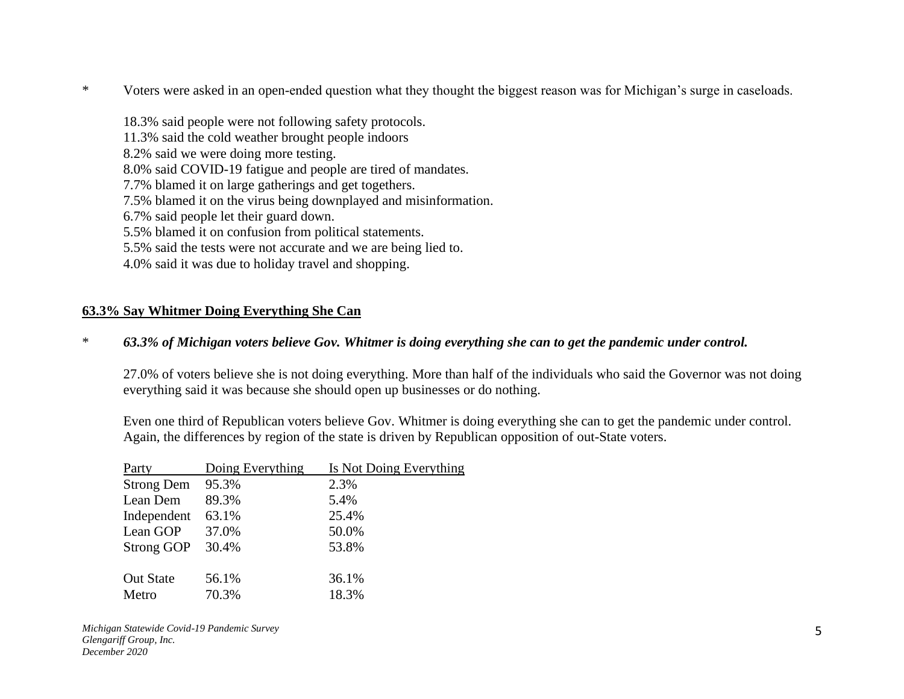\* Voters were asked in an open-ended question what they thought the biggest reason was for Michigan's surge in caseloads.

18.3% said people were not following safety protocols. 11.3% said the cold weather brought people indoors 8.2% said we were doing more testing. 8.0% said COVID-19 fatigue and people are tired of mandates. 7.7% blamed it on large gatherings and get togethers. 7.5% blamed it on the virus being downplayed and misinformation. 6.7% said people let their guard down. 5.5% blamed it on confusion from political statements. 5.5% said the tests were not accurate and we are being lied to. 4.0% said it was due to holiday travel and shopping.

## **63.3% Say Whitmer Doing Everything She Can**

\* *63.3% of Michigan voters believe Gov. Whitmer is doing everything she can to get the pandemic under control.*

27.0% of voters believe she is not doing everything. More than half of the individuals who said the Governor was not doing everything said it was because she should open up businesses or do nothing.

Even one third of Republican voters believe Gov. Whitmer is doing everything she can to get the pandemic under control. Again, the differences by region of the state is driven by Republican opposition of out-State voters.

| Party             | Doing Everything | Is Not Doing Everything |
|-------------------|------------------|-------------------------|
| <b>Strong Dem</b> | 95.3%            | 2.3%                    |
| Lean Dem          | 89.3%            | 5.4%                    |
| Independent       | 63.1%            | 25.4%                   |
| Lean GOP          | 37.0%            | 50.0%                   |
| <b>Strong GOP</b> | 30.4%            | 53.8%                   |
|                   |                  |                         |
| <b>Out State</b>  | 56.1%            | 36.1%                   |
| Metro             | 70.3%            | 18.3%                   |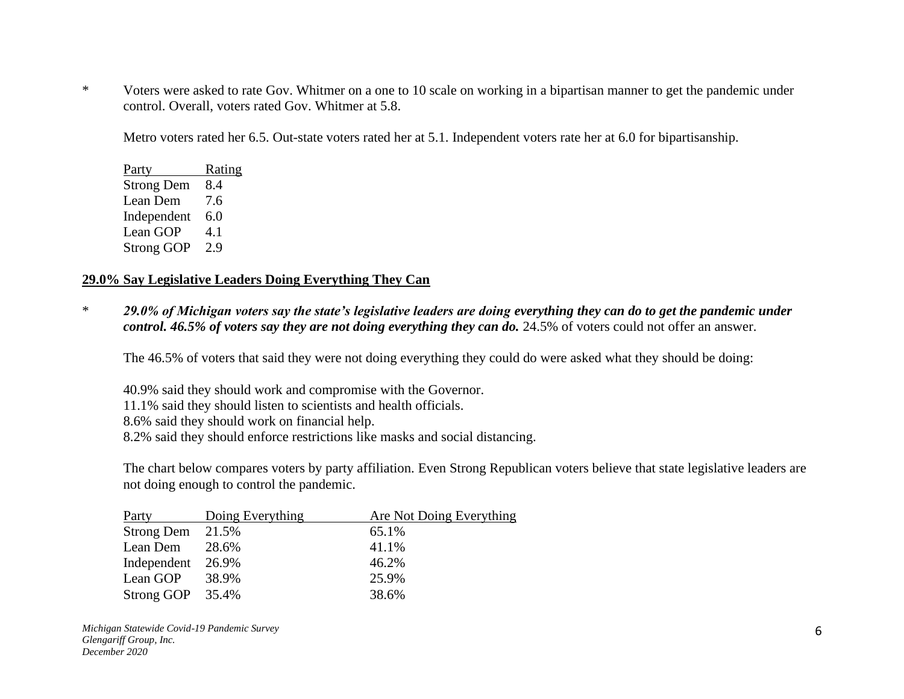\* Voters were asked to rate Gov. Whitmer on a one to 10 scale on working in a bipartisan manner to get the pandemic under control. Overall, voters rated Gov. Whitmer at 5.8.

Metro voters rated her 6.5. Out-state voters rated her at 5.1. Independent voters rate her at 6.0 for bipartisanship.

Party Rating Strong Dem 8.4 Lean Dem 7.6 Independent 6.0 Lean GOP 4.1 Strong GOP 2.9

#### **29.0% Say Legislative Leaders Doing Everything They Can**

\* *29.0% of Michigan voters say the state's legislative leaders are doing everything they can do to get the pandemic under control. 46.5% of voters say they are not doing everything they can do.* 24.5% of voters could not offer an answer.

The 46.5% of voters that said they were not doing everything they could do were asked what they should be doing:

40.9% said they should work and compromise with the Governor. 11.1% said they should listen to scientists and health officials. 8.6% said they should work on financial help. 8.2% said they should enforce restrictions like masks and social distancing.

The chart below compares voters by party affiliation. Even Strong Republican voters believe that state legislative leaders are not doing enough to control the pandemic.

| Party             | Doing Everything | Are Not Doing Everything |
|-------------------|------------------|--------------------------|
| Strong Dem 21.5%  |                  | 65.1%                    |
| Lean Dem          | 28.6%            | 41.1%                    |
| Independent 26.9% |                  | 46.2%                    |
| Lean GOP          | 38.9%            | 25.9%                    |
| Strong GOP 35.4%  |                  | 38.6%                    |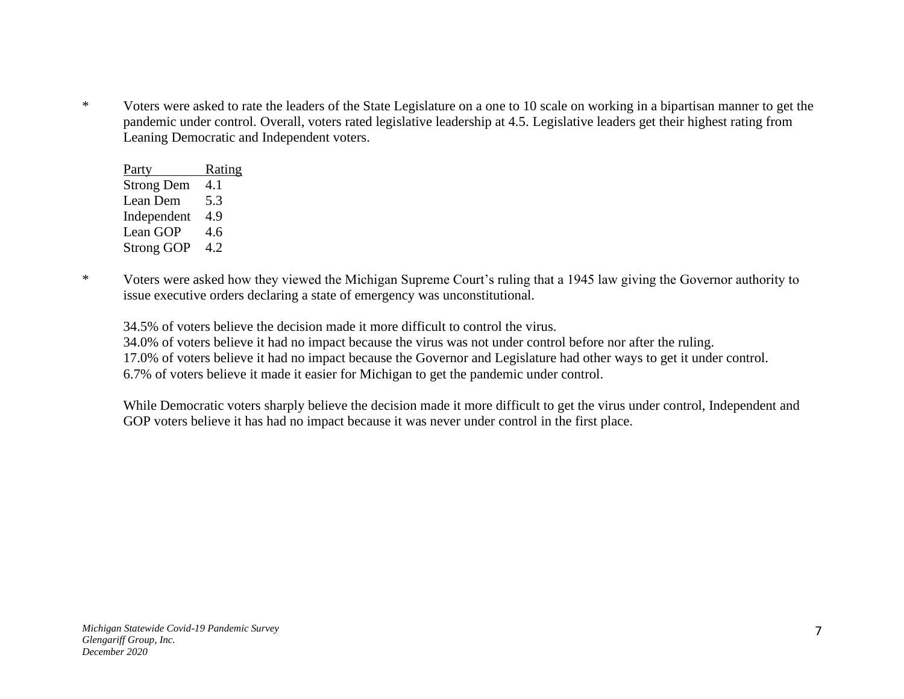\* Voters were asked to rate the leaders of the State Legislature on a one to 10 scale on working in a bipartisan manner to get the pandemic under control. Overall, voters rated legislative leadership at 4.5. Legislative leaders get their highest rating from Leaning Democratic and Independent voters.

| Party             | <u>Rating</u> |
|-------------------|---------------|
| <b>Strong Dem</b> | 4.1           |
| Lean Dem          | 5.3           |
| Independent       | 4.9           |
| Lean GOP          | 4.6           |
| <b>Strong GOP</b> | 4.2           |

\* Voters were asked how they viewed the Michigan Supreme Court's ruling that a 1945 law giving the Governor authority to issue executive orders declaring a state of emergency was unconstitutional.

34.5% of voters believe the decision made it more difficult to control the virus.

34.0% of voters believe it had no impact because the virus was not under control before nor after the ruling.

17.0% of voters believe it had no impact because the Governor and Legislature had other ways to get it under control.

6.7% of voters believe it made it easier for Michigan to get the pandemic under control.

While Democratic voters sharply believe the decision made it more difficult to get the virus under control, Independent and GOP voters believe it has had no impact because it was never under control in the first place.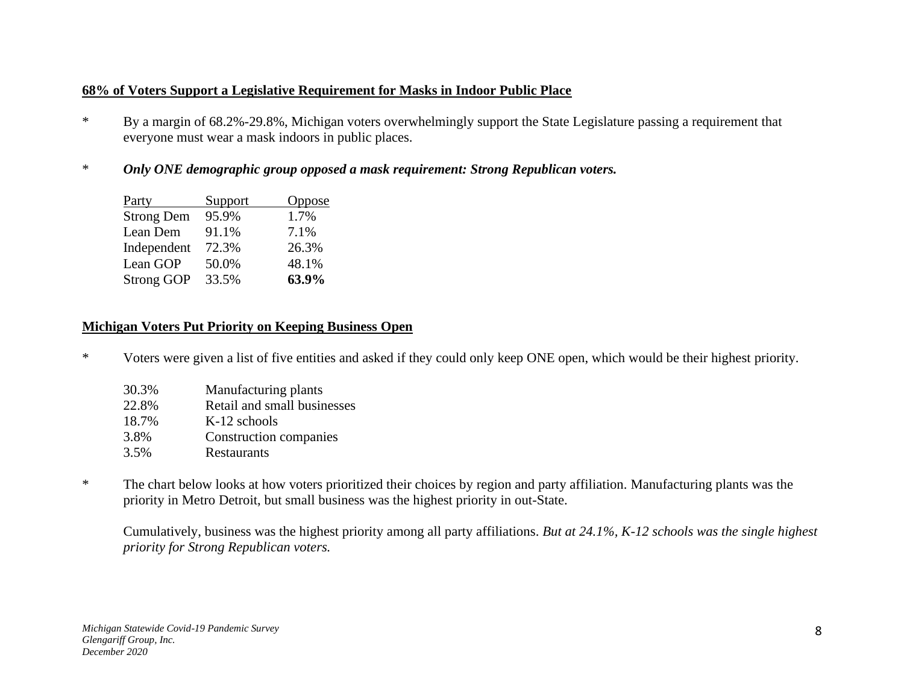## **68% of Voters Support a Legislative Requirement for Masks in Indoor Public Place**

- \* By a margin of 68.2%-29.8%, Michigan voters overwhelmingly support the State Legislature passing a requirement that everyone must wear a mask indoors in public places.
- \* *Only ONE demographic group opposed a mask requirement: Strong Republican voters.*

| Party             | Support | Oppose |
|-------------------|---------|--------|
| <b>Strong Dem</b> | 95.9%   | 1.7%   |
| Lean Dem          | 91.1%   | 7.1%   |
| Independent       | 72.3%   | 26.3%  |
| Lean GOP          | 50.0%   | 48.1%  |
| <b>Strong GOP</b> | 33.5%   | 63.9%  |

## **Michigan Voters Put Priority on Keeping Business Open**

\* Voters were given a list of five entities and asked if they could only keep ONE open, which would be their highest priority.

| 30.3% | Manufacturing plants        |
|-------|-----------------------------|
| 22.8% | Retail and small businesses |
| 18.7% | K-12 schools                |
| 3.8%  | Construction companies      |
| 3.5%  | Restaurants                 |
|       |                             |

\* The chart below looks at how voters prioritized their choices by region and party affiliation. Manufacturing plants was the priority in Metro Detroit, but small business was the highest priority in out-State.

Cumulatively, business was the highest priority among all party affiliations. *But at 24.1%, K-12 schools was the single highest priority for Strong Republican voters.*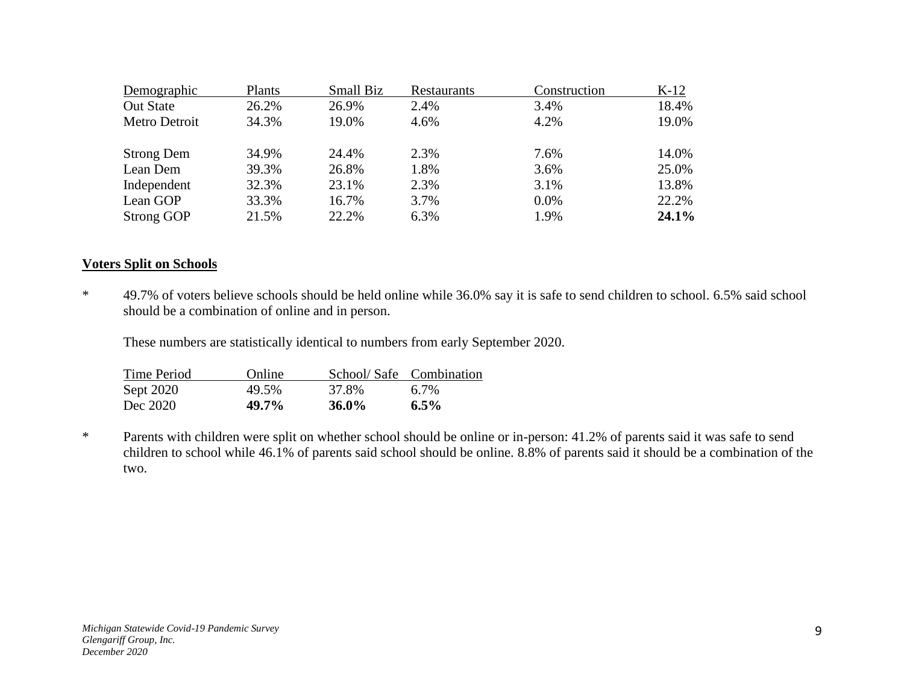| Demographic       | Plants | Small Biz | <b>Restaurants</b> | Construction | $K-12$ |
|-------------------|--------|-----------|--------------------|--------------|--------|
| <b>Out State</b>  | 26.2%  | 26.9%     | 2.4%               | 3.4%         | 18.4%  |
| Metro Detroit     | 34.3%  | 19.0%     | 4.6%               | 4.2%         | 19.0%  |
| <b>Strong Dem</b> | 34.9%  | 24.4%     | 2.3%               | 7.6%         | 14.0%  |
| Lean Dem          | 39.3%  | 26.8%     | 1.8%               | 3.6%         | 25.0%  |
| Independent       | 32.3%  | 23.1%     | 2.3%               | 3.1%         | 13.8%  |
| Lean GOP          | 33.3%  | 16.7%     | 3.7%               | 0.0%         | 22.2%  |
| <b>Strong GOP</b> | 21.5%  | 22.2%     | 6.3%               | 1.9%         | 24.1%  |

#### **Voters Split on Schools**

\* 49.7% of voters believe schools should be held online while 36.0% say it is safe to send children to school. 6.5% said school should be a combination of online and in person.

These numbers are statistically identical to numbers from early September 2020.

| <b>Time Period</b> | Online |          | School/Safe Combination |
|--------------------|--------|----------|-------------------------|
| Sept 2020          | 49.5%  | 37.8%    | 6.7%                    |
| Dec 2020           | 49.7%  | $36.0\%$ | $6.5\%$                 |

\* Parents with children were split on whether school should be online or in-person: 41.2% of parents said it was safe to send children to school while 46.1% of parents said school should be online. 8.8% of parents said it should be a combination of the two.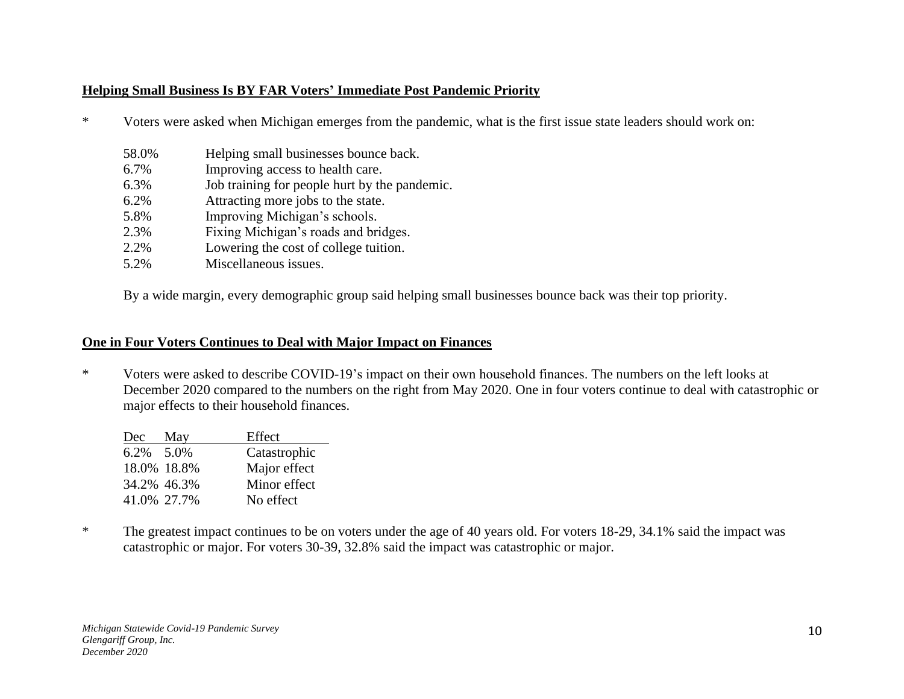## **Helping Small Business Is BY FAR Voters' Immediate Post Pandemic Priority**

- \* Voters were asked when Michigan emerges from the pandemic, what is the first issue state leaders should work on:
	- 58.0% Helping small businesses bounce back.
	- 6.7% Improving access to health care.
	- 6.3% Job training for people hurt by the pandemic.
	- 6.2% Attracting more jobs to the state.
	- 5.8% Improving Michigan's schools.
	- 2.3% Fixing Michigan's roads and bridges.
	- 2.2% Lowering the cost of college tuition.
	- 5.2% Miscellaneous issues.

By a wide margin, every demographic group said helping small businesses bounce back was their top priority.

#### **One in Four Voters Continues to Deal with Major Impact on Finances**

\* Voters were asked to describe COVID-19's impact on their own household finances. The numbers on the left looks at December 2020 compared to the numbers on the right from May 2020. One in four voters continue to deal with catastrophic or major effects to their household finances.

| Dec       | May         | Effect       |
|-----------|-------------|--------------|
| 6.2% 5.0% |             | Catastrophic |
|           | 18.0% 18.8% | Major effect |
|           | 34.2% 46.3% | Minor effect |
|           | 41.0% 27.7% | No effect    |

\* The greatest impact continues to be on voters under the age of 40 years old. For voters 18-29, 34.1% said the impact was catastrophic or major. For voters 30-39, 32.8% said the impact was catastrophic or major.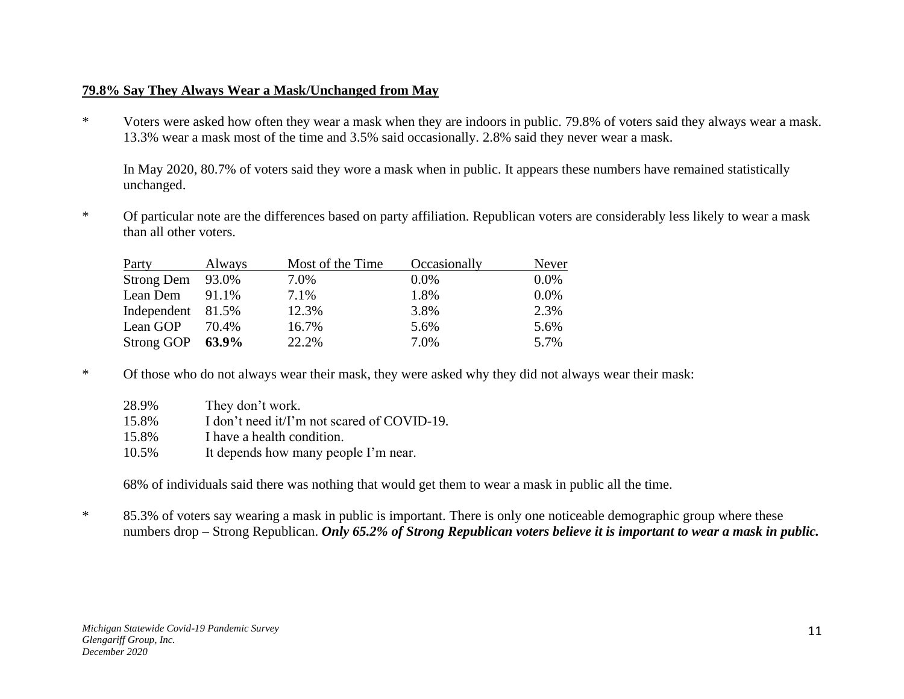## **79.8% Say They Always Wear a Mask/Unchanged from May**

\* Voters were asked how often they wear a mask when they are indoors in public. 79.8% of voters said they always wear a mask. 13.3% wear a mask most of the time and 3.5% said occasionally. 2.8% said they never wear a mask.

In May 2020, 80.7% of voters said they wore a mask when in public. It appears these numbers have remained statistically unchanged.

\* Of particular note are the differences based on party affiliation. Republican voters are considerably less likely to wear a mask than all other voters.

| Party             | Always | Most of the Time | Occasionally | Never   |
|-------------------|--------|------------------|--------------|---------|
| Strong Dem 93.0%  |        | 7.0%             | $0.0\%$      | $0.0\%$ |
| Lean Dem          | 91.1%  | 7.1%             | 1.8%         | $0.0\%$ |
| Independent 81.5% |        | 12.3%            | 3.8%         | 2.3%    |
| Lean GOP          | 70.4%  | 16.7%            | 5.6%         | 5.6%    |
| Strong GOP        | 63.9%  | 22.2%            | 7.0%         | 5.7%    |

\* Of those who do not always wear their mask, they were asked why they did not always wear their mask:

| 28.9% | They don't work.                            |
|-------|---------------------------------------------|
| 15.8% | I don't need it/I'm not scared of COVID-19. |
| 15.8% | I have a health condition.                  |
| 10.5% | It depends how many people I'm near.        |

68% of individuals said there was nothing that would get them to wear a mask in public all the time.

\* 85.3% of voters say wearing a mask in public is important. There is only one noticeable demographic group where these numbers drop – Strong Republican. *Only 65.2% of Strong Republican voters believe it is important to wear a mask in public.*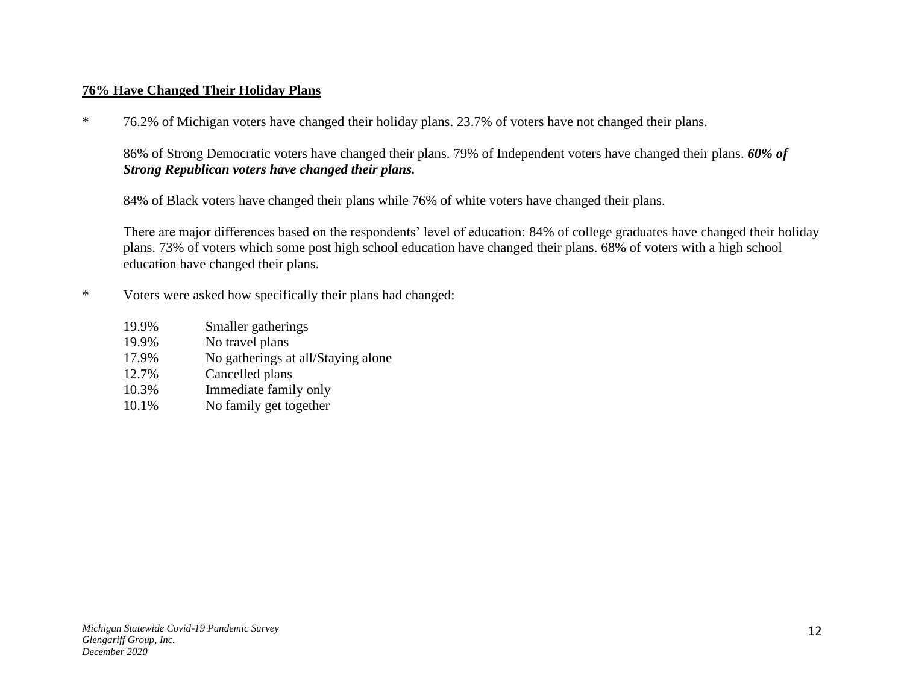#### **76% Have Changed Their Holiday Plans**

\* 76.2% of Michigan voters have changed their holiday plans. 23.7% of voters have not changed their plans.

86% of Strong Democratic voters have changed their plans. 79% of Independent voters have changed their plans. *60% of Strong Republican voters have changed their plans.* 

84% of Black voters have changed their plans while 76% of white voters have changed their plans.

There are major differences based on the respondents' level of education: 84% of college graduates have changed their holiday plans. 73% of voters which some post high school education have changed their plans. 68% of voters with a high school education have changed their plans.

- \* Voters were asked how specifically their plans had changed:
	- 19.9% Smaller gatherings 19.9% No travel plans 17.9% No gatherings at all/Staying alone 12.7% Cancelled plans 10.3% Immediate family only 10.1% No family get together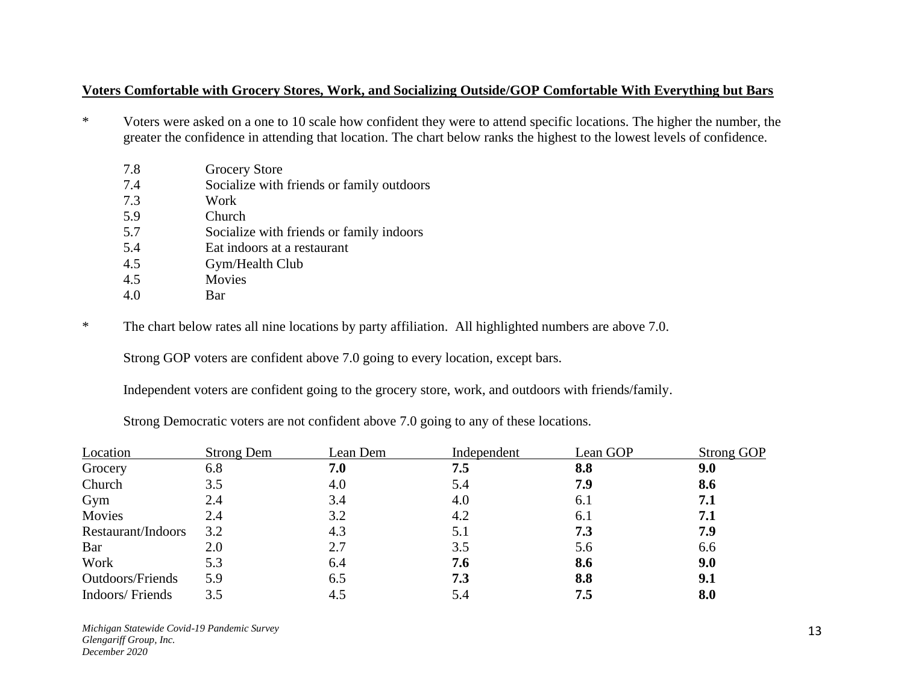#### **Voters Comfortable with Grocery Stores, Work, and Socializing Outside/GOP Comfortable With Everything but Bars**

- \* Voters were asked on a one to 10 scale how confident they were to attend specific locations. The higher the number, the greater the confidence in attending that location. The chart below ranks the highest to the lowest levels of confidence.
	- 7.8 Grocery Store
	- 7.4 Socialize with friends or family outdoors
	- 7.3 Work
	- 5.9 Church
	- 5.7 Socialize with friends or family indoors
	- 5.4 Eat indoors at a restaurant
	- 4.5 Gym/Health Club
	- 4.5 Movies
	- 4.0 Bar

\* The chart below rates all nine locations by party affiliation. All highlighted numbers are above 7.0.

Strong GOP voters are confident above 7.0 going to every location, except bars.

Independent voters are confident going to the grocery store, work, and outdoors with friends/family.

Strong Democratic voters are not confident above 7.0 going to any of these locations.

| Location           | <b>Strong Dem</b> | Lean Dem | Independent | Lean GOP | Strong GOP |
|--------------------|-------------------|----------|-------------|----------|------------|
| Grocery            | 6.8               | 7.0      | 7.5         | 8.8      | 9.0        |
| Church             | 3.5               | 4.0      | 5.4         | 7.9      | 8.6        |
| Gym                | 2.4               | 3.4      | 4.0         | 6.1      | 7.1        |
| Movies             | 2.4               | 3.2      | 4.2         | 6.1      | 7.1        |
| Restaurant/Indoors | 3.2               | 4.3      | 5.1         | 7.3      | 7.9        |
| Bar                | 2.0               | 2.7      | 3.5         | 5.6      | 6.6        |
| Work               | 5.3               | 6.4      | 7.6         | 8.6      | 9.0        |
| Outdoors/Friends   | 5.9               | 6.5      | 7.3         | 8.8      | 9.1        |
| Indoors/Friends    | 3.5               | 4.5      | 5.4         | 7.5      | 8.0        |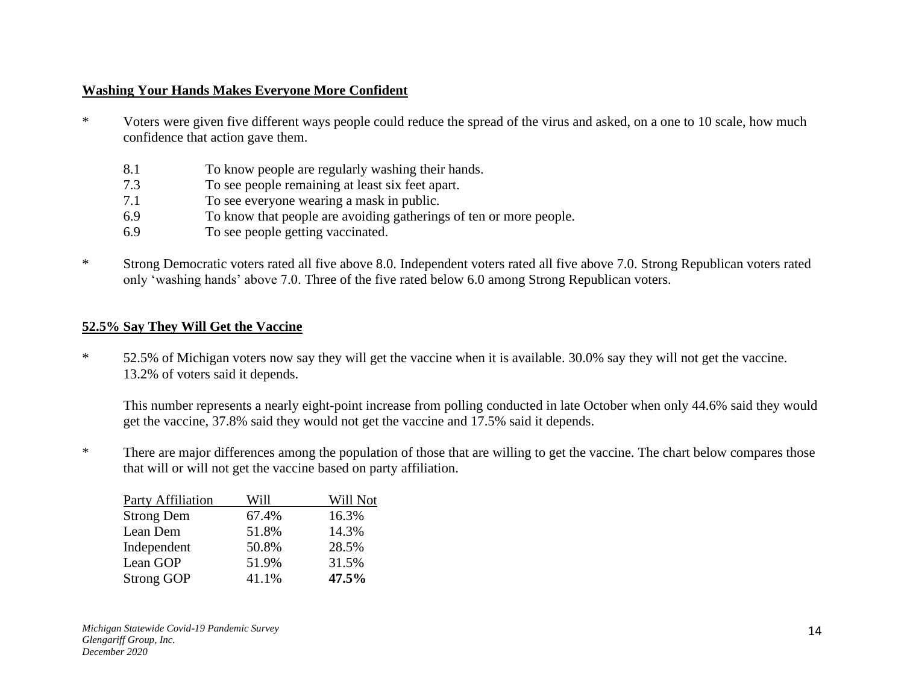#### **Washing Your Hands Makes Everyone More Confident**

- \* Voters were given five different ways people could reduce the spread of the virus and asked, on a one to 10 scale, how much confidence that action gave them.
	- 8.1 To know people are regularly washing their hands.
	- 7.3 To see people remaining at least six feet apart.
	- 7.1 To see everyone wearing a mask in public.
	- 6.9 To know that people are avoiding gatherings of ten or more people.
	- 6.9 To see people getting vaccinated.
- \* Strong Democratic voters rated all five above 8.0. Independent voters rated all five above 7.0. Strong Republican voters rated only 'washing hands' above 7.0. Three of the five rated below 6.0 among Strong Republican voters.

## **52.5% Say They Will Get the Vaccine**

\* 52.5% of Michigan voters now say they will get the vaccine when it is available. 30.0% say they will not get the vaccine. 13.2% of voters said it depends.

This number represents a nearly eight-point increase from polling conducted in late October when only 44.6% said they would get the vaccine, 37.8% said they would not get the vaccine and 17.5% said it depends.

\* There are major differences among the population of those that are willing to get the vaccine. The chart below compares those that will or will not get the vaccine based on party affiliation.

| <b>Party Affiliation</b> | Will  | Will Not |
|--------------------------|-------|----------|
| <b>Strong Dem</b>        | 67.4% | 16.3%    |
| Lean Dem                 | 51.8% | 14.3%    |
| Independent              | 50.8% | 28.5%    |
| Lean GOP                 | 51.9% | 31.5%    |
| <b>Strong GOP</b>        | 41.1% | 47.5%    |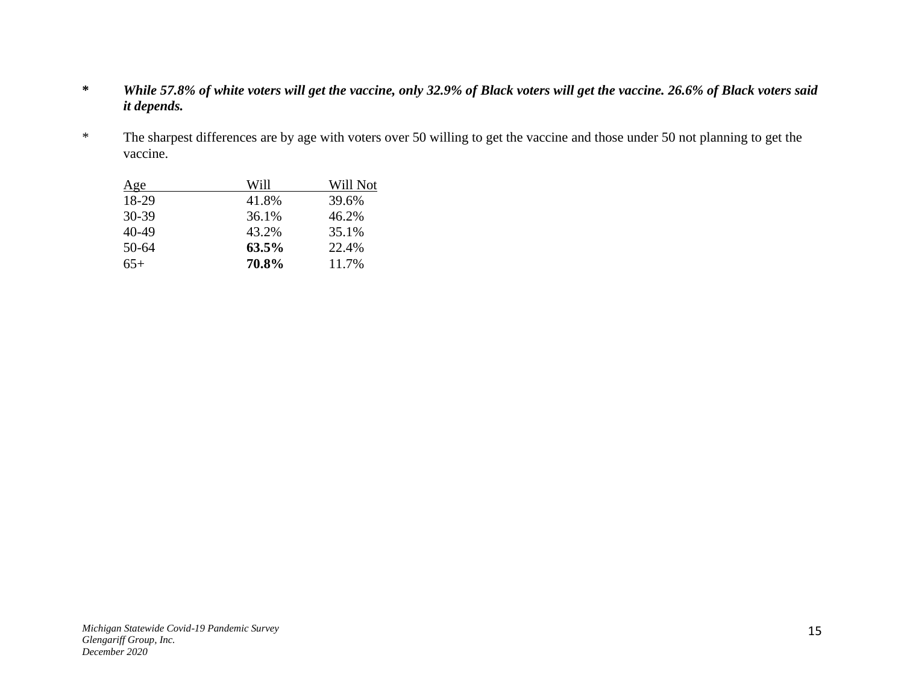- **\*** *While 57.8% of white voters will get the vaccine, only 32.9% of Black voters will get the vaccine. 26.6% of Black voters said it depends.*
- \* The sharpest differences are by age with voters over 50 willing to get the vaccine and those under 50 not planning to get the vaccine.

| Age       | Will  | Will Not |
|-----------|-------|----------|
| 18-29     | 41.8% | 39.6%    |
| $30-39$   | 36.1% | 46.2%    |
| 40-49     | 43.2% | 35.1%    |
| $50 - 64$ | 63.5% | 22.4%    |
| $65+$     | 70.8% | 11.7%    |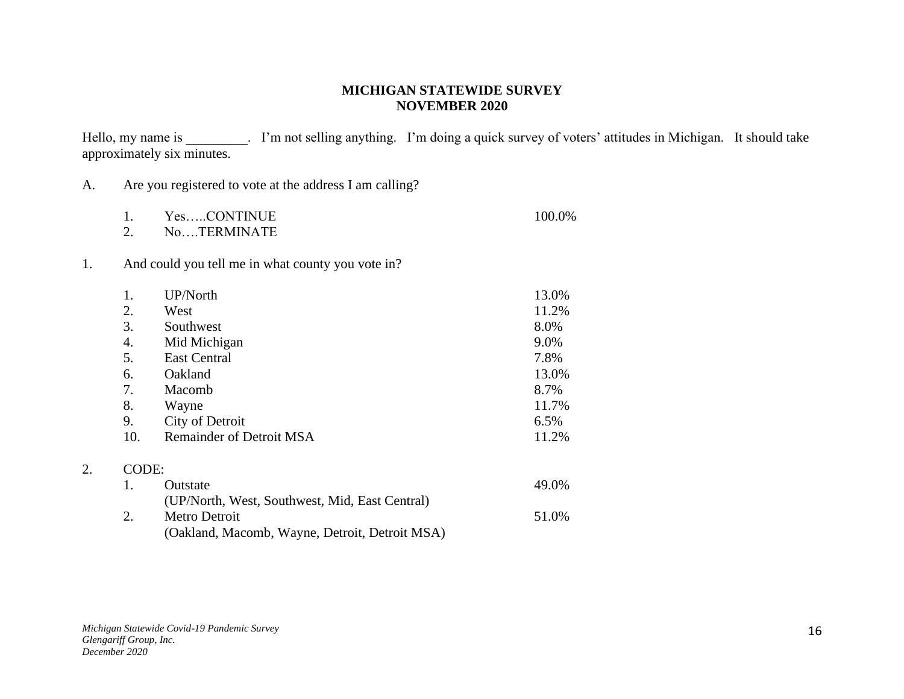#### **MICHIGAN STATEWIDE SURVEY NOVEMBER 2020**

Hello, my name is \_\_\_\_\_\_\_\_. I'm not selling anything. I'm doing a quick survey of voters' attitudes in Michigan. It should take approximately six minutes.

| A. |                                                         |  |  |  |
|----|---------------------------------------------------------|--|--|--|
|    | Are you registered to vote at the address I am calling? |  |  |  |

| YesCONTINUE   | 100.0% |
|---------------|--------|
| No. TERMINATE |        |

1. And could you tell me in what county you vote in?

| 1.    | UP/North                                       | 13.0% |
|-------|------------------------------------------------|-------|
| 2.    | West                                           | 11.2% |
| 3.    | Southwest                                      | 8.0%  |
| 4.    | Mid Michigan                                   | 9.0%  |
| 5.    | <b>East Central</b>                            | 7.8%  |
| 6.    | Oakland                                        | 13.0% |
| 7.    | Macomb                                         | 8.7%  |
| 8.    | Wayne                                          | 11.7% |
| 9.    | City of Detroit                                | 6.5%  |
| 10.   | <b>Remainder of Detroit MSA</b>                | 11.2% |
| CODE: |                                                |       |
| 1.    | Outstate                                       | 49.0% |
|       | (UP/North, West, Southwest, Mid, East Central) |       |
| 2.    | Metro Detroit                                  | 51.0% |
|       | (Oakland, Macomb, Wayne, Detroit, Detroit MSA) |       |

2.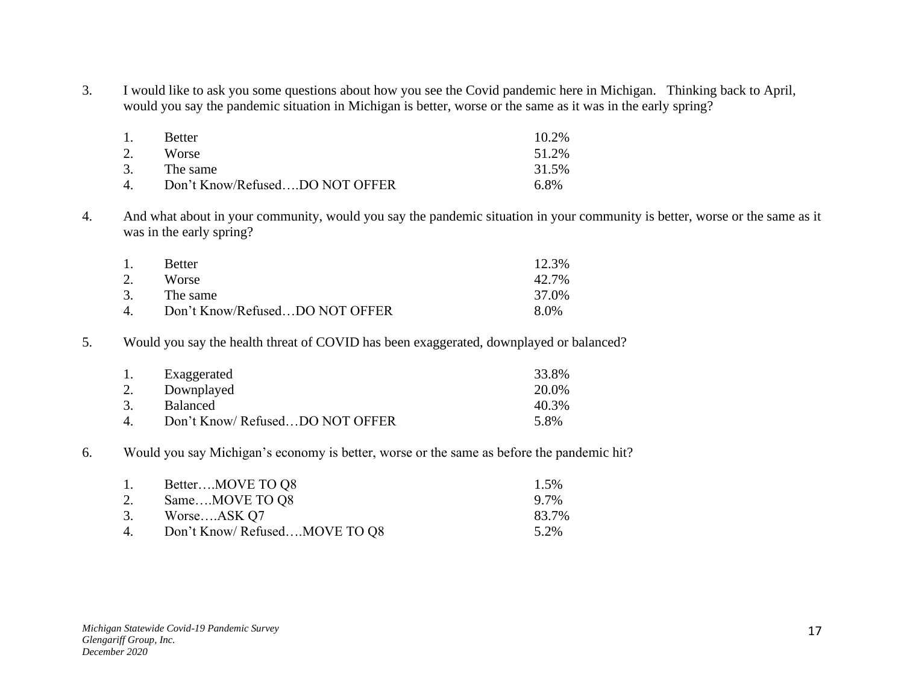3. I would like to ask you some questions about how you see the Covid pandemic here in Michigan. Thinking back to April, would you say the pandemic situation in Michigan is better, worse or the same as it was in the early spring?

| 1.                | <b>Better</b>                  | $10.2\%$ |
|-------------------|--------------------------------|----------|
| 2.                | Worse                          | 51.2%    |
| 3.                | The same                       | 31.5%    |
| $\mathbf{\Delta}$ | Don't Know/RefusedDO NOT OFFER | 6.8%     |

4. And what about in your community, would you say the pandemic situation in your community is better, worse or the same as it was in the early spring?

| 1. | <b>Better</b>                  | 12.3% |
|----|--------------------------------|-------|
| 2. | <b>Worse</b>                   | 42.7% |
| 3. | The same                       | 37.0% |
| 4. | Don't Know/RefusedDO NOT OFFER | 8.0%  |

5. Would you say the health threat of COVID has been exaggerated, downplayed or balanced?

| $\mathbf{1}$ .     | Exaggerated                    | 33.8% |
|--------------------|--------------------------------|-------|
| 2.                 | Downplayed                     | 20.0% |
| 3.                 | <b>Balanced</b>                | 40.3% |
| $\mathbf{\Lambda}$ | Don't Know/RefusedDO NOT OFFER | 5.8%  |

6. Would you say Michigan's economy is better, worse or the same as before the pandemic hit?

| 1. | BetterMOVE TO Q8              | 1.5%  |
|----|-------------------------------|-------|
|    | 2. SameMOVE TO Q8             | 9.7%  |
|    | 3. WorseASK Q7                | 83.7% |
| 4. | Don't Know/ RefusedMOVE TO Q8 | 5.2%  |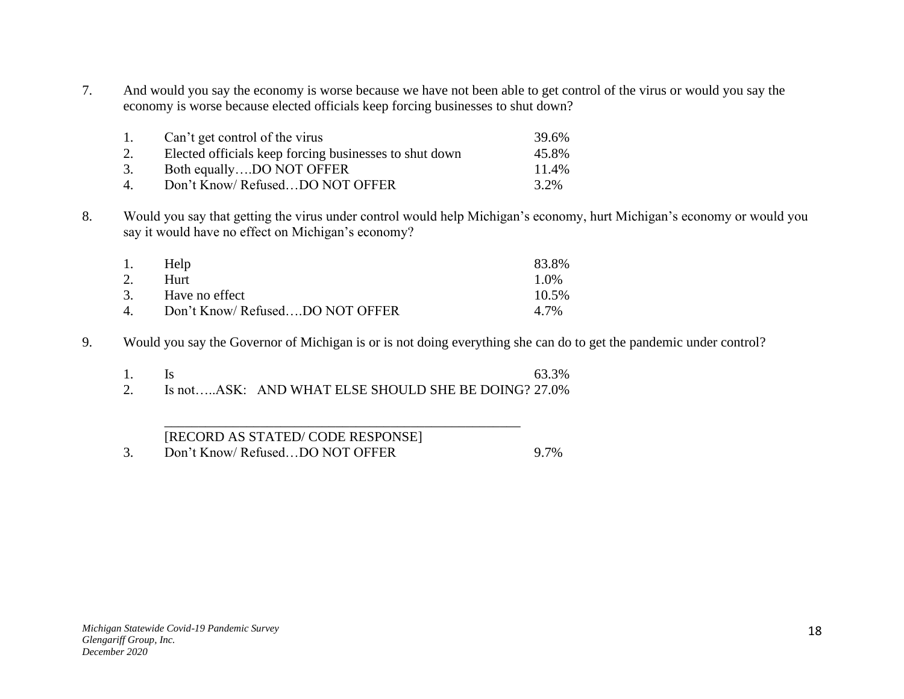7. And would you say the economy is worse because we have not been able to get control of the virus or would you say the economy is worse because elected officials keep forcing businesses to shut down?

| 1.             | Can't get control of the virus                         | 39.6% |
|----------------|--------------------------------------------------------|-------|
| 2.             | Elected officials keep forcing businesses to shut down | 45.8% |
| 3.             | Both equallyDO NOT OFFER                               | 11.4% |
| $\overline{4}$ | Don't Know/RefusedDO NOT OFFER                         | 3.2%  |

8. Would you say that getting the virus under control would help Michigan's economy, hurt Michigan's economy or would you say it would have no effect on Michigan's economy?

| 1. | Help                           | 83.8%   |
|----|--------------------------------|---------|
| 2. | Hurt                           | $1.0\%$ |
|    | 3. Have no effect              | 10.5%   |
| 4  | Don't Know/RefusedDO NOT OFFER | 4.7%    |

9. Would you say the Governor of Michigan is or is not doing everything she can do to get the pandemic under control?

|  | 63.3%                                                  |
|--|--------------------------------------------------------|
|  | 2. Is notASK: AND WHAT ELSE SHOULD SHE BE DOING? 27.0% |

\_\_\_\_\_\_\_\_\_\_\_\_\_\_\_\_\_\_\_\_\_\_\_\_\_\_\_\_\_\_\_\_\_\_\_\_\_\_\_\_\_\_\_\_\_\_\_\_\_\_\_\_

# [RECORD AS STATED/ CODE RESPONSE]

3. Don't Know/ Refused…DO NOT OFFER 9.7%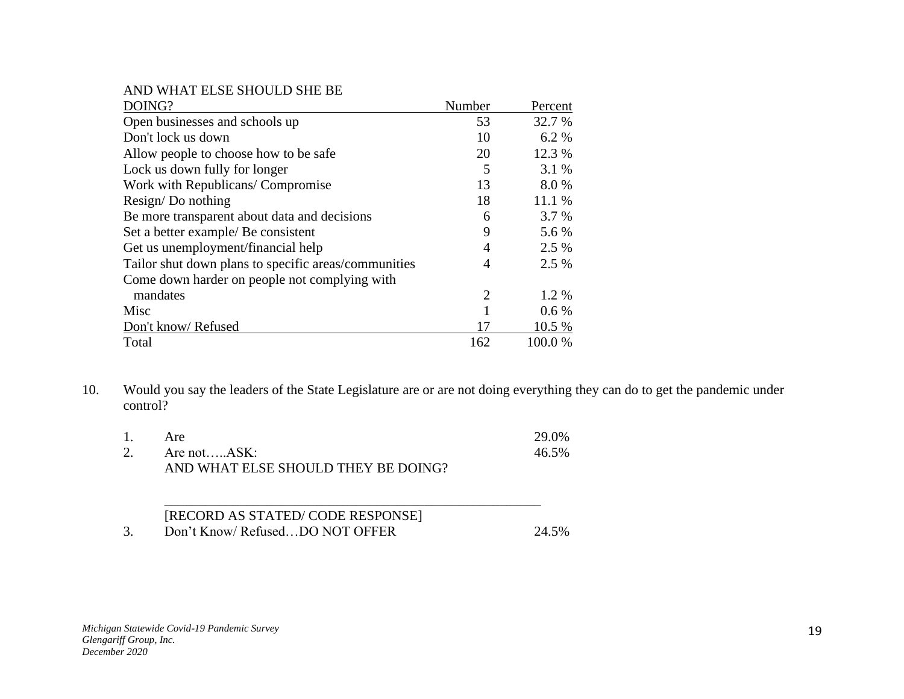AND WHAT ELSE SHOULD SHE BE

| DOING?                                               | Number         | Percent |
|------------------------------------------------------|----------------|---------|
| Open businesses and schools up                       | 53             | 32.7 %  |
| Don't lock us down                                   | 10             | 6.2 %   |
| Allow people to choose how to be safe                | 20             | 12.3 %  |
| Lock us down fully for longer                        | 5              | 3.1 %   |
| Work with Republicans/ Compromise                    | 13             | 8.0%    |
| Resign/Do nothing                                    | 18             | 11.1 %  |
| Be more transparent about data and decisions         | 6              | 3.7 %   |
| Set a better example/ Be consistent                  | 9              | 5.6 %   |
| Get us unemployment/financial help                   | 4              | 2.5 %   |
| Tailor shut down plans to specific areas/communities | 4              | 2.5 %   |
| Come down harder on people not complying with        |                |         |
| mandates                                             | $\overline{2}$ | 1.2 %   |
| Misc                                                 |                | $0.6\%$ |
| Don't know/Refused                                   | 17             | 10.5 %  |
| Total                                                | 162            | 100.0%  |

10. Would you say the leaders of the State Legislature are or are not doing everything they can do to get the pandemic under control?

| 1. | Are                                 | 29.0% |
|----|-------------------------------------|-------|
|    | 2. Are not $ASK:$                   | 46.5% |
|    | AND WHAT ELSE SHOULD THEY BE DOING? |       |

| [RECORD AS STATED/CODE RESPONSE] |       |
|----------------------------------|-------|
| Don't Know/RefusedDO NOT OFFER   | 24.5% |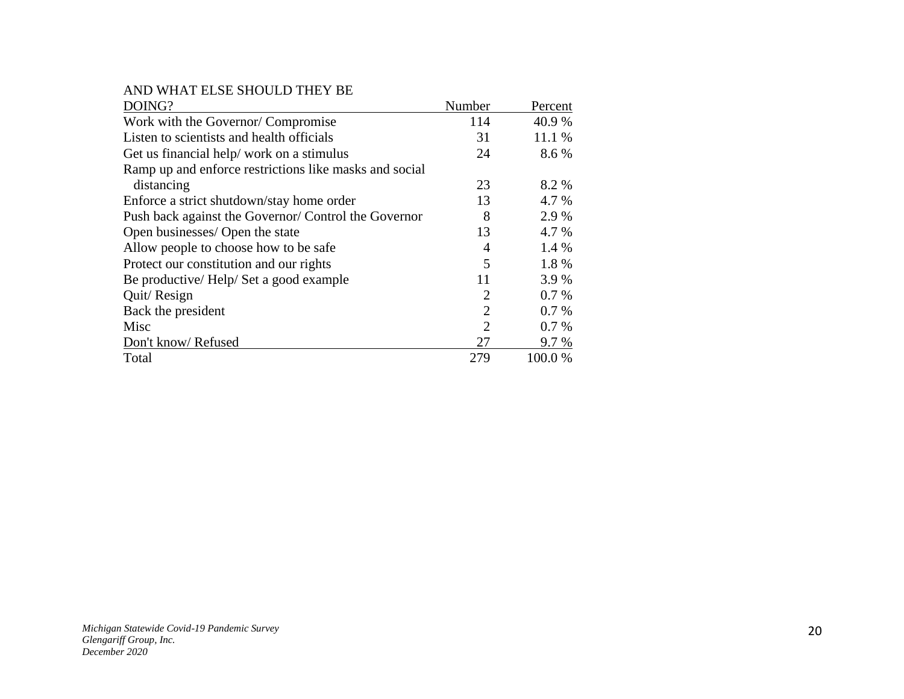AND WHAT ELSE SHOULD THEY BE

| DOING?                                                 | Number         | Percent |
|--------------------------------------------------------|----------------|---------|
| Work with the Governor/Compromise                      | 114            | 40.9 %  |
| Listen to scientists and health officials              | 31             | 11.1 %  |
| Get us financial help/work on a stimulus               | 24             | 8.6 %   |
| Ramp up and enforce restrictions like masks and social |                |         |
| distancing                                             | 23             | 8.2 %   |
| Enforce a strict shutdown/stay home order              | 13             | 4.7 %   |
| Push back against the Governor/ Control the Governor   | 8              | 2.9 %   |
| Open businesses/ Open the state                        | 13             | 4.7 %   |
| Allow people to choose how to be safe                  | 4              | 1.4 %   |
| Protect our constitution and our rights                | 5              | 1.8%    |
| Be productive/Help/Set a good example                  | 11             | 3.9 %   |
| Quit/Resign                                            | 2              | 0.7%    |
| Back the president                                     | $\overline{2}$ | 0.7%    |
| Misc                                                   | $\overline{2}$ | 0.7%    |
| Don't know/Refused                                     | 27             | 9.7 %   |
| Total                                                  | 279            | 100.0 % |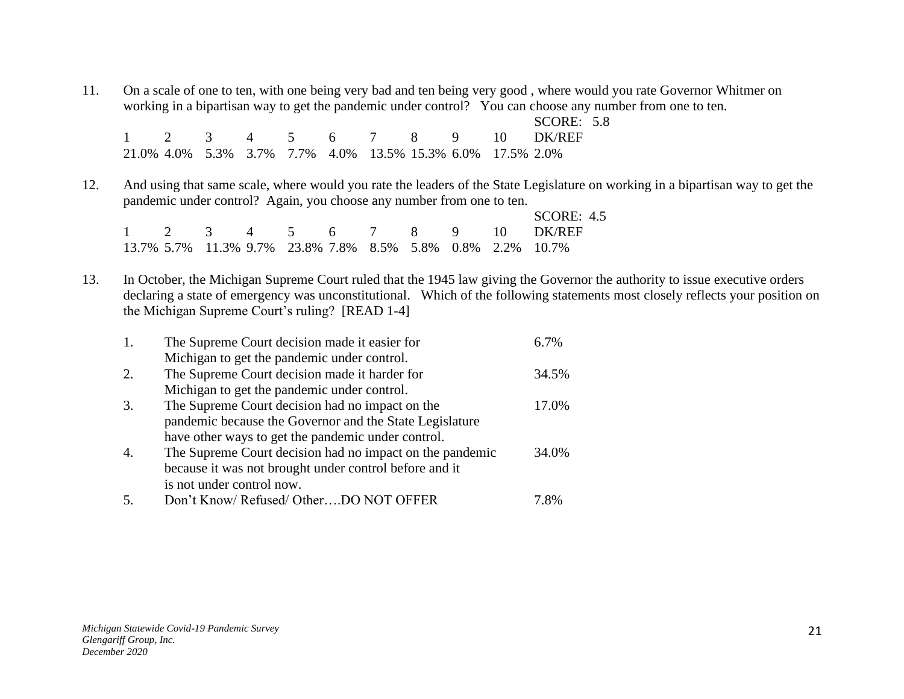11. On a scale of one to ten, with one being very bad and ten being very good , where would you rate Governor Whitmer on working in a bipartisan way to get the pandemic under control? You can choose any number from one to ten.

|  |  |                                                            |  |  | SCORE: $5.8$                |  |
|--|--|------------------------------------------------------------|--|--|-----------------------------|--|
|  |  |                                                            |  |  | 1 2 3 4 5 6 7 8 9 10 DK/REF |  |
|  |  | 21.0% 4.0% 5.3% 3.7% 7.7% 4.0% 13.5% 15.3% 6.0% 17.5% 2.0% |  |  |                             |  |

12. And using that same scale, where would you rate the leaders of the State Legislature on working in a bipartisan way to get the pandemic under control? Again, you choose any number from one to ten.

|  |  |  |  |  | SCORE: $4.5$                                               |
|--|--|--|--|--|------------------------------------------------------------|
|  |  |  |  |  | 1 2 3 4 5 6 7 8 9 10 DK/REF                                |
|  |  |  |  |  | 13.7% 5.7% 11.3% 9.7% 23.8% 7.8% 8.5% 5.8% 0.8% 2.2% 10.7% |

13. In October, the Michigan Supreme Court ruled that the 1945 law giving the Governor the authority to issue executive orders declaring a state of emergency was unconstitutional. Which of the following statements most closely reflects your position on the Michigan Supreme Court's ruling? [READ 1-4]

| 1.               | The Supreme Court decision made it easier for            | 6.7%  |
|------------------|----------------------------------------------------------|-------|
|                  | Michigan to get the pandemic under control.              |       |
| 2.               | The Supreme Court decision made it harder for            | 34.5% |
|                  | Michigan to get the pandemic under control.              |       |
| 3.               | The Supreme Court decision had no impact on the          | 17.0% |
|                  | pandemic because the Governor and the State Legislature  |       |
|                  | have other ways to get the pandemic under control.       |       |
| $\overline{4}$ . | The Supreme Court decision had no impact on the pandemic | 34.0% |
|                  | because it was not brought under control before and it   |       |
|                  | is not under control now.                                |       |
|                  | Don't Know/ Refused/ OtherDO NOT OFFER                   | 7.8%  |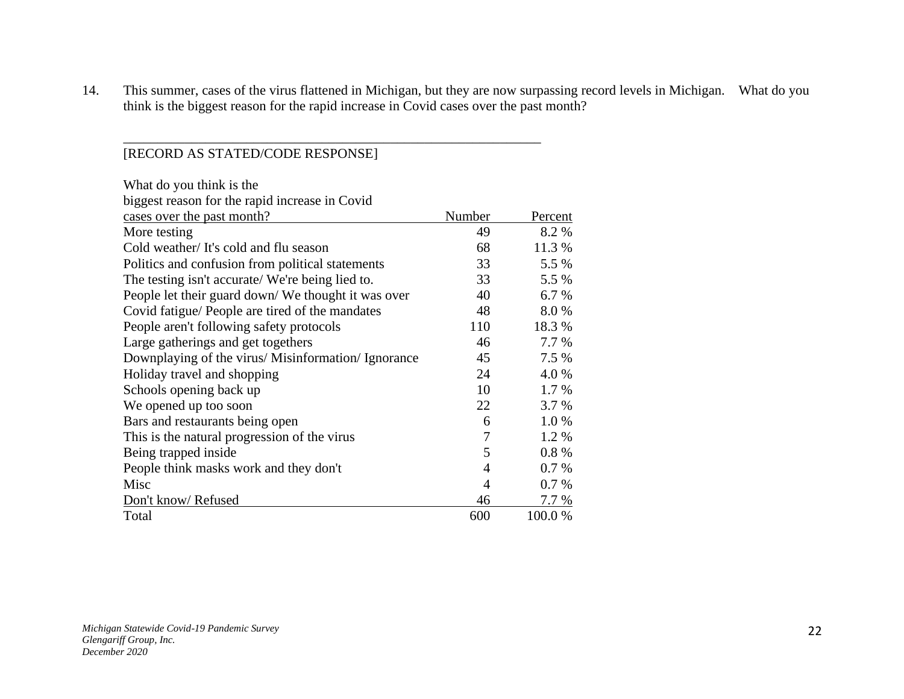14. This summer, cases of the virus flattened in Michigan, but they are now surpassing record levels in Michigan. What do you think is the biggest reason for the rapid increase in Covid cases over the past month?

## [RECORD AS STATED/CODE RESPONSE]

| What do you think is the                            |                |         |
|-----------------------------------------------------|----------------|---------|
| biggest reason for the rapid increase in Covid      |                |         |
| cases over the past month?                          | Number         | Percent |
| More testing                                        | 49             | 8.2 %   |
| Cold weather/It's cold and flu season               | 68             | 11.3 %  |
| Politics and confusion from political statements    | 33             | 5.5 %   |
| The testing isn't accurate/ We're being lied to.    | 33             | 5.5 %   |
| People let their guard down/ We thought it was over | 40             | 6.7 %   |
| Covid fatigue/ People are tired of the mandates     | 48             | 8.0%    |
| People aren't following safety protocols            | 110            | 18.3%   |
| Large gatherings and get togethers                  | 46             | 7.7 %   |
| Downplaying of the virus/ Misinformation/ Ignorance | 45             | 7.5 %   |
| Holiday travel and shopping                         | 24             | 4.0 %   |
| Schools opening back up                             | 10             | 1.7 %   |
| We opened up too soon                               | 22             | 3.7 %   |
| Bars and restaurants being open                     | 6              | 1.0%    |
| This is the natural progression of the virus        | 7              | 1.2%    |
| Being trapped inside                                | 5              | 0.8%    |
| People think masks work and they don't              | $\overline{4}$ | 0.7%    |
| Misc                                                | 4              | 0.7%    |
| Don't know/Refused                                  | 46             | 7.7 %   |
| Total                                               | 600            | 100.0%  |

\_\_\_\_\_\_\_\_\_\_\_\_\_\_\_\_\_\_\_\_\_\_\_\_\_\_\_\_\_\_\_\_\_\_\_\_\_\_\_\_\_\_\_\_\_\_\_\_\_\_\_\_\_\_\_\_\_\_\_\_\_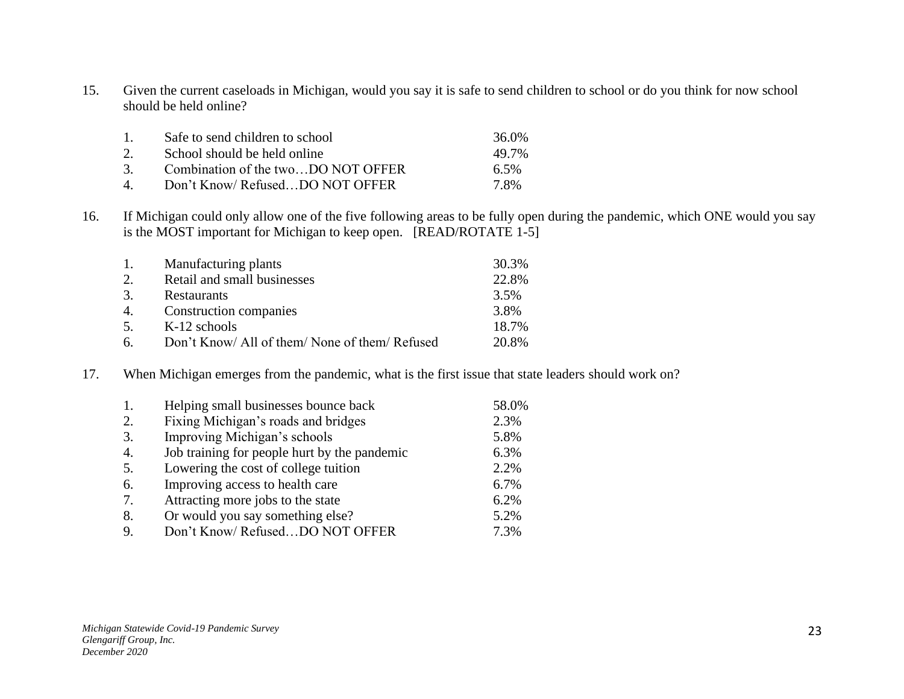15. Given the current caseloads in Michigan, would you say it is safe to send children to school or do you think for now school should be held online?

| $\mathbf{1}$       | Safe to send children to school    | 36.0%   |
|--------------------|------------------------------------|---------|
| 2.                 | School should be held online       | 49.7%   |
| 3 <sub>1</sub>     | Combination of the twoDO NOT OFFER | $6.5\%$ |
| $\mathbf{\Lambda}$ | Don't Know/RefusedDO NOT OFFER     | 7.8%    |

16. If Michigan could only allow one of the five following areas to be fully open during the pandemic, which ONE would you say is the MOST important for Michigan to keep open. [READ/ROTATE 1-5]

| 1. | Manufacturing plants                           | 30.3% |
|----|------------------------------------------------|-------|
| 2. | Retail and small businesses                    | 22.8% |
| 3. | Restaurants                                    | 3.5%  |
| 4. | Construction companies                         | 3.8%  |
| 5. | $K-12$ schools                                 | 18.7% |
| 6. | Don't Know/ All of them/ None of them/ Refused | 20.8% |

17. When Michigan emerges from the pandemic, what is the first issue that state leaders should work on?

| 1. | Helping small businesses bounce back         | 58.0% |
|----|----------------------------------------------|-------|
| 2. | Fixing Michigan's roads and bridges          | 2.3%  |
| 3. | Improving Michigan's schools                 | 5.8%  |
| 4. | Job training for people hurt by the pandemic | 6.3%  |
| 5. | Lowering the cost of college tuition         | 2.2%  |
| 6. | Improving access to health care              | 6.7%  |
| 7. | Attracting more jobs to the state            | 6.2%  |
| 8. | Or would you say something else?             | 5.2%  |
| 9. | Don't Know/ RefusedDO NOT OFFER              | 7.3%  |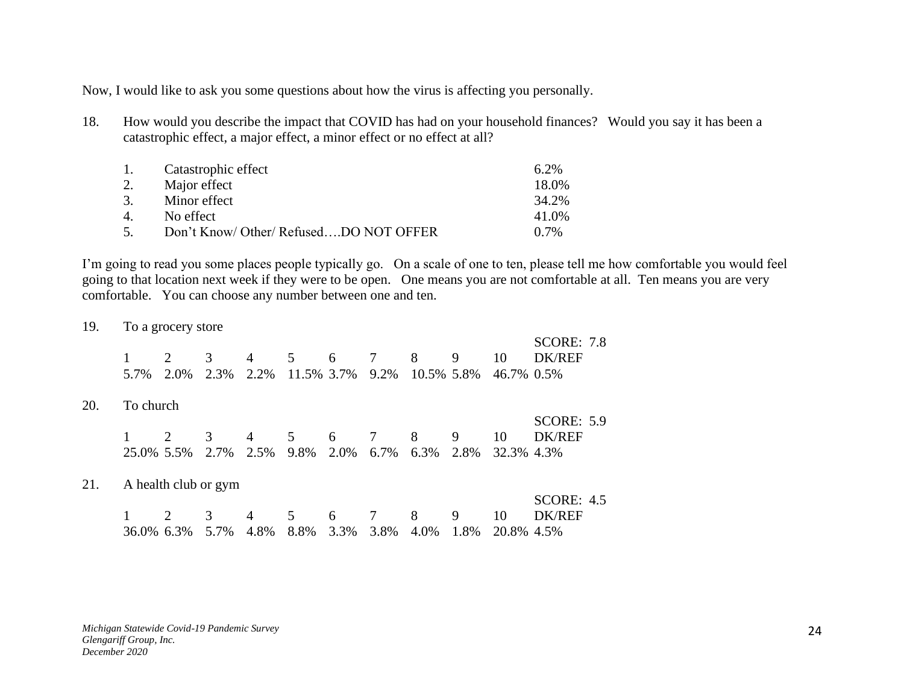Now, I would like to ask you some questions about how the virus is affecting you personally.

18. How would you describe the impact that COVID has had on your household finances? Would you say it has been a catastrophic effect, a major effect, a minor effect or no effect at all?

| $\mathbf{1}$ . | Catastrophic effect                    | $6.2\%$ |
|----------------|----------------------------------------|---------|
| 2.             | Major effect                           | 18.0%   |
| 3.             | Minor effect                           | 34.2%   |
| $\mathbf{4}$   | No effect                              | 41.0%   |
| 5 <sub>1</sub> | Don't Know/ Other/ RefusedDO NOT OFFER | $0.7\%$ |

I'm going to read you some places people typically go. On a scale of one to ten, please tell me how comfortable you would feel going to that location next week if they were to be open. One means you are not comfortable at all. Ten means you are very comfortable. You can choose any number between one and ten.

19. To a grocery store

|     | 1<br>5.7%  | 2.0%                 | 3<br>2.3% | 4<br>2.2%      | 5<br>11.5% 3.7% | 6    | 7<br>9.2% | 8<br>10.5% 5.8% | 9    | 10<br>46.7% 0.5% | <b>SCORE: 7.8</b><br><b>DK/REF</b> |  |
|-----|------------|----------------------|-----------|----------------|-----------------|------|-----------|-----------------|------|------------------|------------------------------------|--|
| 20. | To church  |                      |           |                |                 |      |           |                 |      |                  |                                    |  |
|     |            |                      |           |                |                 |      |           |                 |      |                  | <b>SCORE: 5.9</b>                  |  |
|     |            |                      | 3         | $\overline{4}$ | 5               | 6    | 7         | 8               | 9    | 10               | <b>DK/REF</b>                      |  |
|     | 25.0% 5.5% |                      | 2.7%      | 2.5%           | 9.8%            | 2.0% | 6.7%      | 6.3%            | 2.8% | 32.3% 4.3%       |                                    |  |
| 21. |            | A health club or gym |           |                |                 |      |           |                 |      |                  |                                    |  |
|     |            |                      |           |                |                 |      |           |                 |      |                  | <b>SCORE: 4.5</b>                  |  |
|     |            |                      | 3         | $\overline{4}$ | 5               | 6    | 7         | 8               | 9    | 10               | <b>DK/REF</b>                      |  |
|     | 36.0% 6.3% |                      | 5.7%      | 4.8%           | 8.8%            | 3.3% | 3.8%      | 4.0%            | 1.8% | 20.8% 4.5%       |                                    |  |

*Michigan Statewide Covid-19 Pandemic Survey Glengariff Group, Inc. December 2020*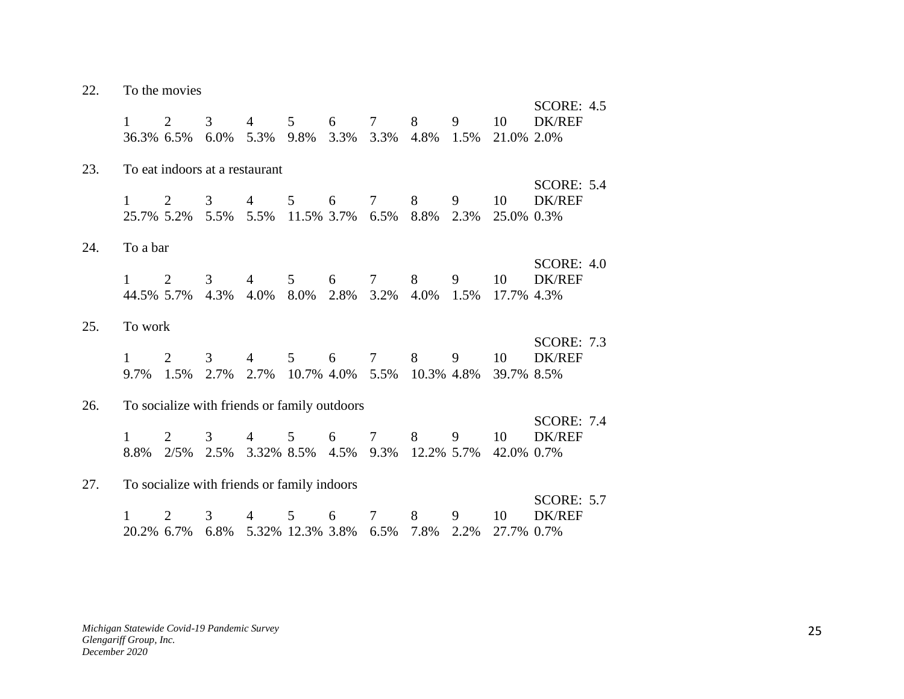| 22. |                            | To the movies |              |                                              |                                   |           |                              |                 |           |                  |                                    |
|-----|----------------------------|---------------|--------------|----------------------------------------------|-----------------------------------|-----------|------------------------------|-----------------|-----------|------------------|------------------------------------|
|     | $\mathbf{1}$<br>36.3% 6.5% | 2             | 3<br>$6.0\%$ | $\overline{4}$<br>5.3% 9.8%                  | 5 <sup>5</sup>                    | 6<br>3.3% | $7\overline{ }$<br>3.3% 4.8% | 8               | 9<br>1.5% | 10<br>21.0% 2.0% | SCORE: $4.5$<br><b>DK/REF</b>      |
| 23. |                            |               |              | To eat indoors at a restaurant               |                                   |           |                              |                 |           |                  |                                    |
|     | $\mathbf{1}$<br>25.7% 5.2% | 2             | 3<br>5.5%    | $\overline{4}$                               | 5 <sup>5</sup><br>5.5% 11.5% 3.7% | 6         | $7\overline{ }$<br>6.5%      | 8<br>8.8%       | 9<br>2.3% | 10<br>25.0% 0.3% | <b>SCORE: 5.4</b><br><b>DK/REF</b> |
| 24. | To a bar                   |               |              |                                              |                                   |           |                              |                 |           |                  |                                    |
|     | $\mathbf{1}$<br>44.5% 5.7% | 2             | 3<br>4.3%    | 4<br>4.0% 8.0%                               | 5 <sup>5</sup>                    | 6         | $7\overline{ }$<br>2.8% 3.2% | 8<br>4.0%       | 9<br>1.5% | 10<br>17.7% 4.3% | <b>SCORE: 4.0</b><br><b>DK/REF</b> |
| 25. | To work                    |               |              |                                              |                                   |           |                              |                 |           |                  |                                    |
|     | $\mathbf{1}$<br>9.7% 1.5%  | 2             | 3<br>2.7%    | $\overline{4}$                               | $5^{\circ}$<br>2.7% 10.7% 4.0%    | 6         | $7\degree$<br>5.5%           | 8<br>10.3% 4.8% | 9         | 10<br>39.7% 8.5% | <b>SCORE: 7.3</b><br><b>DK/REF</b> |
| 26. |                            |               |              | To socialize with friends or family outdoors |                                   |           |                              |                 |           |                  |                                    |
|     | 8.8% 2/5%                  | 2             | 3            | 4<br>2.5% 3.32% 8.5% 4.5% 9.3% 12.2% 5.7%    | 5 <sup>5</sup>                    | 6         | $7\overline{ }$              | 8               | 9         | 10<br>42.0% 0.7% | <b>SCORE: 7.4</b><br><b>DK/REF</b> |
| 27. |                            |               |              | To socialize with friends or family indoors  |                                   |           |                              |                 |           |                  |                                    |
|     | 20.2% 6.7%                 | 2             | 3<br>6.8%    | 4                                            | 5<br>5.32% 12.3% 3.8% 6.5%        | 6         | $7\phantom{.0}$              | 8<br>7.8%       | 9<br>2.2% | 10<br>27.7% 0.7% | <b>SCORE: 5.7</b><br>DK/REF        |

*Michigan Statewide Covid-19 Pandemic Survey Glengariff Group, Inc. December 2020*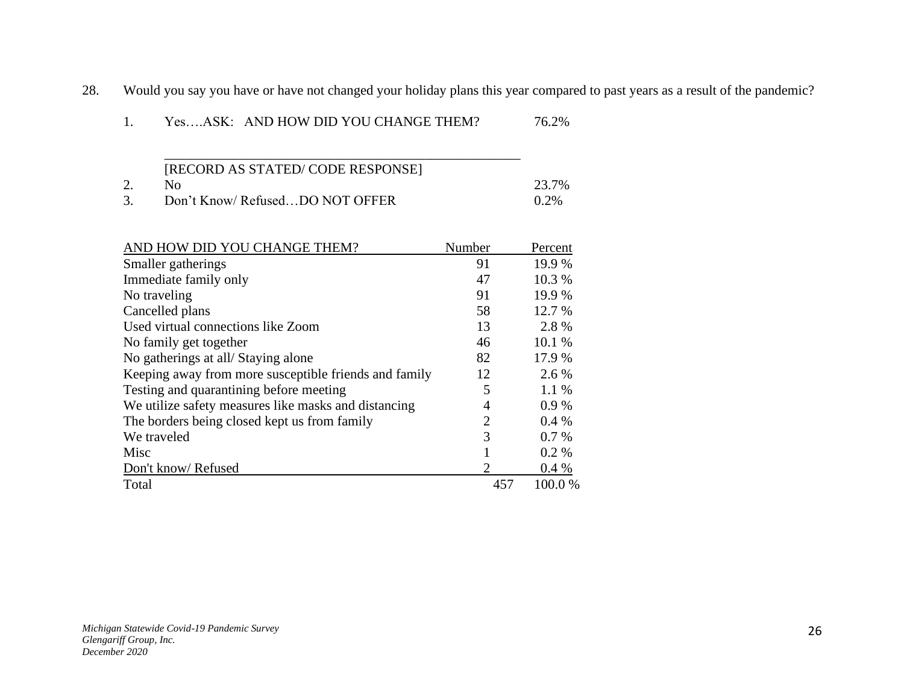28. Would you say you have or have not changed your holiday plans this year compared to past years as a result of the pandemic?

| [RECORD AS STATED/CODE RESPONSE] |         |
|----------------------------------|---------|
| Nο                               | 23.7%   |
| Don't Know/RefusedDO NOT OFFER   | $0.2\%$ |

| AND HOW DID YOU CHANGE THEM?                          | Number         | Percent |
|-------------------------------------------------------|----------------|---------|
| Smaller gatherings                                    | 91             | 19.9 %  |
| Immediate family only                                 | 47             | 10.3 %  |
| No traveling                                          | 91             | 19.9 %  |
| Cancelled plans                                       | 58             | 12.7 %  |
| Used virtual connections like Zoom                    | 13             | 2.8%    |
| No family get together                                | 46             | 10.1 %  |
| No gatherings at all/Staying alone                    | 82             | 17.9 %  |
| Keeping away from more susceptible friends and family | 12             | 2.6 %   |
| Testing and quarantining before meeting               | 5              | $1.1\%$ |
| We utilize safety measures like masks and distancing  | 4              | 0.9%    |
| The borders being closed kept us from family          | $\overline{2}$ | 0.4%    |
| We traveled                                           | 3              | $0.7\%$ |
| Misc                                                  |                | $0.2\%$ |
| Don't know/Refused                                    | 2              | 0.4%    |
| Total                                                 | 457            | 100.0%  |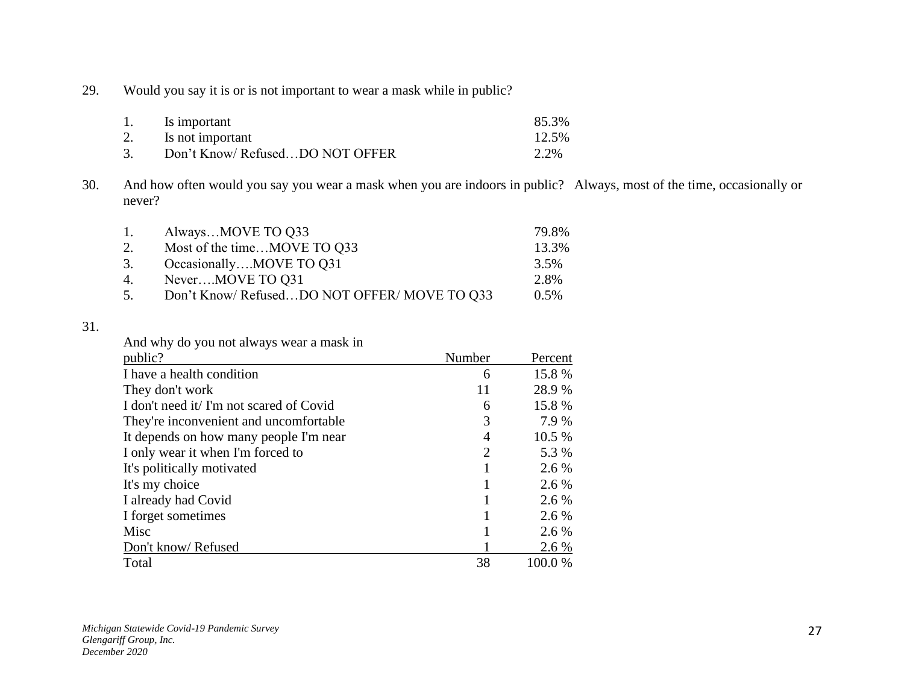29. Would you say it is or is not important to wear a mask while in public?

| 1. | Is important                   | 85.3% |
|----|--------------------------------|-------|
| 2. | Is not important               | 12.5% |
| 3. | Don't Know/RefusedDO NOT OFFER | 2.2%  |

30. And how often would you say you wear a mask when you are indoors in public? Always, most of the time, occasionally or never?

| $\mathbf{1}$ . | AlwaysMOVE TO Q33                          | 79.8%   |
|----------------|--------------------------------------------|---------|
| 2.             | Most of the timeMOVE TO Q33                | 13.3%   |
| 3.             | OccasionallyMOVE TO Q31                    | 3.5%    |
| 4.             | NeverMOVE TO Q31                           | 2.8%    |
| 5.             | Don't Know/RefusedDO NOT OFFER/MOVE TO 033 | $0.5\%$ |

## 31.

And why do you not always wear a mask in

| public?                                  | Number | Percent |
|------------------------------------------|--------|---------|
| I have a health condition                | 6      | 15.8%   |
| They don't work                          | 11     | 28.9 %  |
| I don't need it/ I'm not scared of Covid | 6      | 15.8 %  |
| They're inconvenient and uncomfortable   | 3      | 7.9 %   |
| It depends on how many people I'm near   | 4      | 10.5 %  |
| I only wear it when I'm forced to        | 2      | 5.3 %   |
| It's politically motivated               |        | 2.6 %   |
| It's my choice                           |        | 2.6 %   |
| I already had Covid                      |        | 2.6 %   |
| I forget sometimes                       |        | 2.6 %   |
| Misc                                     |        | 2.6 %   |
| Don't know/Refused                       |        | 2.6 %   |
| Total                                    | 38     | 100.0%  |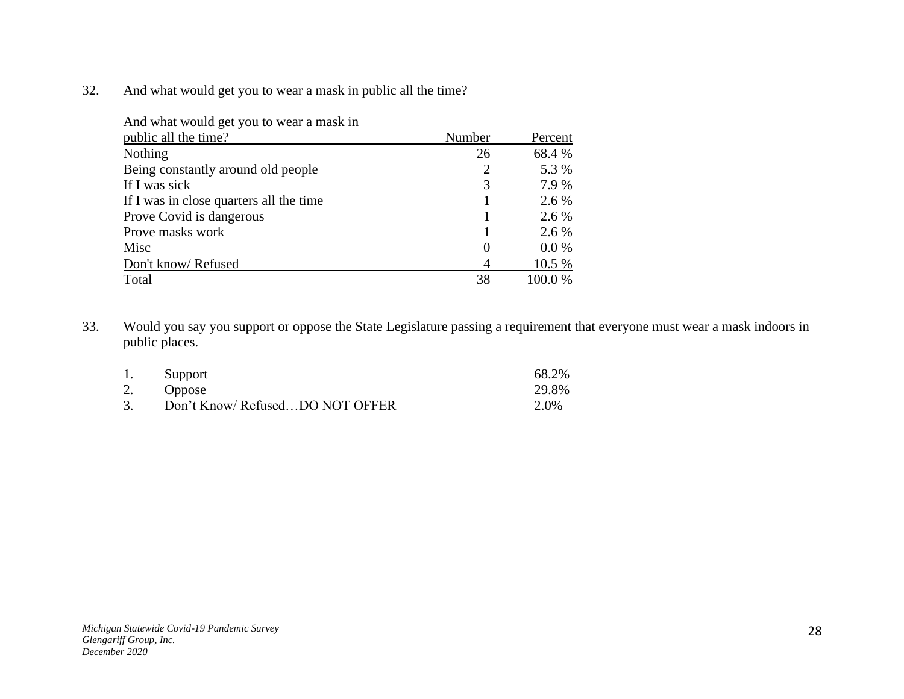32. And what would get you to wear a mask in public all the time?

| And what would get you to wear a mask in |                |         |
|------------------------------------------|----------------|---------|
| public all the time?                     | Number         | Percent |
| <b>Nothing</b>                           | 26             | 68.4 %  |
| Being constantly around old people       | $\overline{2}$ | 5.3 %   |
| If I was sick                            | 3              | 7.9 %   |
| If I was in close quarters all the time  |                | 2.6 %   |
| Prove Covid is dangerous                 |                | 2.6 %   |
| Prove masks work                         |                | 2.6 %   |
| Misc                                     | $\overline{0}$ | $0.0\%$ |
| Don't know/Refused                       | 4              | 10.5 %  |
| Total                                    | 38             | 100.0%  |

33. Would you say you support or oppose the State Legislature passing a requirement that everyone must wear a mask indoors in public places.

| 1. | Support                        | 68.2% |
|----|--------------------------------|-------|
|    | 2. Oppose                      | 29.8% |
| 3. | Don't Know/RefusedDO NOT OFFER | 2.0%  |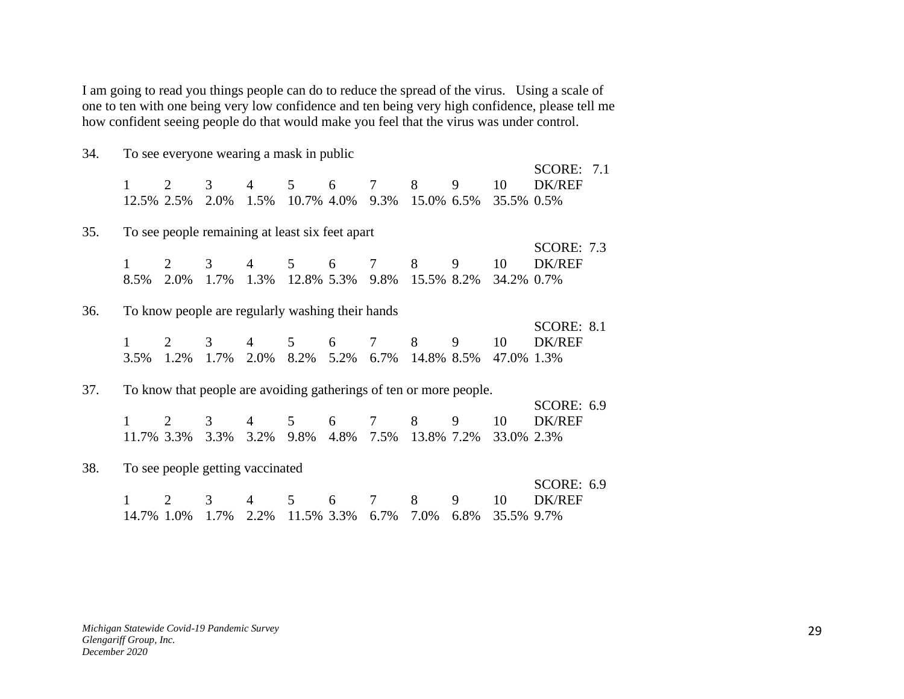I am going to read you things people can do to reduce the spread of the virus. Using a scale of one to ten with one being very low confidence and ten being very high confidence, please tell me how confident seeing people do that would make you feel that the virus was under control.

| 34. |                 |                                     |                       |                                                                    |                 | To see everyone wearing a mask in public |                |                                 |           |                  |                                    |  |
|-----|-----------------|-------------------------------------|-----------------------|--------------------------------------------------------------------|-----------------|------------------------------------------|----------------|---------------------------------|-----------|------------------|------------------------------------|--|
|     | 1<br>12.5% 2.5% | 2                                   | 3<br>2.0%             | 4<br>1.5%                                                          | 5               | 6                                        | $\tau$         | 8<br>10.7% 4.0% 9.3% 15.0% 6.5% | 9         | 10<br>35.5% 0.5% | <b>SCORE: 7.1</b><br>DK/REF        |  |
| 35. |                 |                                     |                       | To see people remaining at least six feet apart                    |                 |                                          |                |                                 |           |                  |                                    |  |
|     | 1<br>8.5%       | 2<br>2.0%                           | 3<br>1.7%             | $\overline{4}$<br>1.3%                                             | 5<br>12.8% 5.3% | 6                                        | $\tau$         | 8<br>9.8% 15.5% 8.2%            | 9         | 10<br>34.2% 0.7% | <b>SCORE: 7.3</b><br><b>DK/REF</b> |  |
| 36. |                 |                                     |                       | To know people are regularly washing their hands                   |                 |                                          |                |                                 |           |                  |                                    |  |
|     | 1<br>3.5%       | $\mathcal{D}_{\mathcal{L}}$<br>1.2% | $\mathcal{F}$<br>1.7% | 4<br>2.0%                                                          | 5<br>8.2%       | 6<br>5.2%                                | $\tau$<br>6.7% | 8<br>14.8% 8.5%                 | 9         | 10<br>47.0% 1.3% | <b>SCORE: 8.1</b><br><b>DK/REF</b> |  |
| 37. |                 |                                     |                       | To know that people are avoiding gatherings of ten or more people. |                 |                                          |                |                                 |           |                  |                                    |  |
|     | 11.7% 3.3%      | $\mathcal{D}_{\mathcal{L}}$         | 3<br>3.3%             | 4<br>3.2%                                                          | 5<br>9.8%       | 6<br>4.8%                                | $\tau$         | 8<br>7.5% 13.8% 7.2%            | 9         | 10<br>33.0% 2.3% | <b>SCORE: 6.9</b><br><b>DK/REF</b> |  |
| 38. |                 |                                     |                       | To see people getting vaccinated                                   |                 |                                          |                |                                 |           |                  |                                    |  |
|     |                 | 2                                   | 3                     | 4                                                                  | 5               | 6<br>11.5% 3.3% 6.7%                     | $\tau$         | 8<br>7.0%                       | 9<br>6.8% | 10               | <b>SCORE: 6.9</b><br><b>DK/REF</b> |  |
|     | 14.7% 1.0%      |                                     | 1.7%                  | 2.2%                                                               |                 |                                          |                |                                 |           | 35.5% 9.7%       |                                    |  |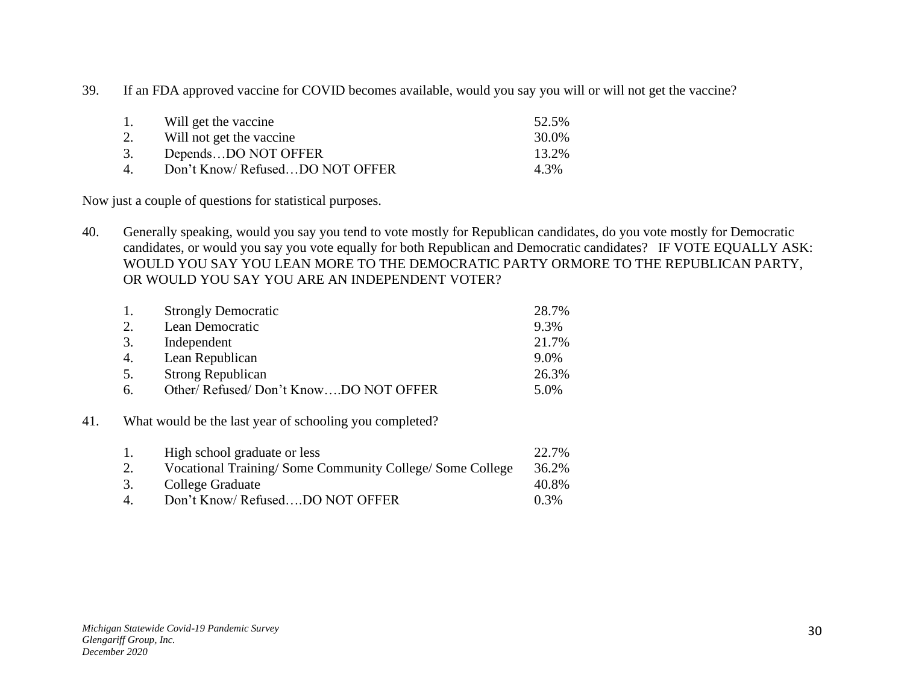39. If an FDA approved vaccine for COVID becomes available, would you say you will or will not get the vaccine?

| 1. | Will get the vaccine           | 52.5% |
|----|--------------------------------|-------|
| 2. | Will not get the vaccine       | 30.0% |
| 3. | DependsDO NOT OFFER            | 13.2% |
| 4  | Don't Know/RefusedDO NOT OFFER | 4.3%  |

Now just a couple of questions for statistical purposes.

40. Generally speaking, would you say you tend to vote mostly for Republican candidates, do you vote mostly for Democratic candidates, or would you say you vote equally for both Republican and Democratic candidates? IF VOTE EQUALLY ASK: WOULD YOU SAY YOU LEAN MORE TO THE DEMOCRATIC PARTY ORMORE TO THE REPUBLICAN PARTY, OR WOULD YOU SAY YOU ARE AN INDEPENDENT VOTER?

| 1. | <b>Strongly Democratic</b>           | 28.7% |
|----|--------------------------------------|-------|
| 2. | Lean Democratic                      | 9.3%  |
| 3. | Independent                          | 21.7% |
| 4. | Lean Republican                      | 9.0%  |
| 5. | <b>Strong Republican</b>             | 26.3% |
| 6. | Other/Refused/Don't KnowDO NOT OFFER | 5.0%  |

## 41. What would be the last year of schooling you completed?

| 1.             | High school graduate or less                            | 22.7%   |
|----------------|---------------------------------------------------------|---------|
| 2.             | Vocational Training/Some Community College/Some College | 36.2%   |
| 3.             | College Graduate                                        | 40.8%   |
| $\overline{4}$ | Don't Know/RefusedDO NOT OFFER                          | $0.3\%$ |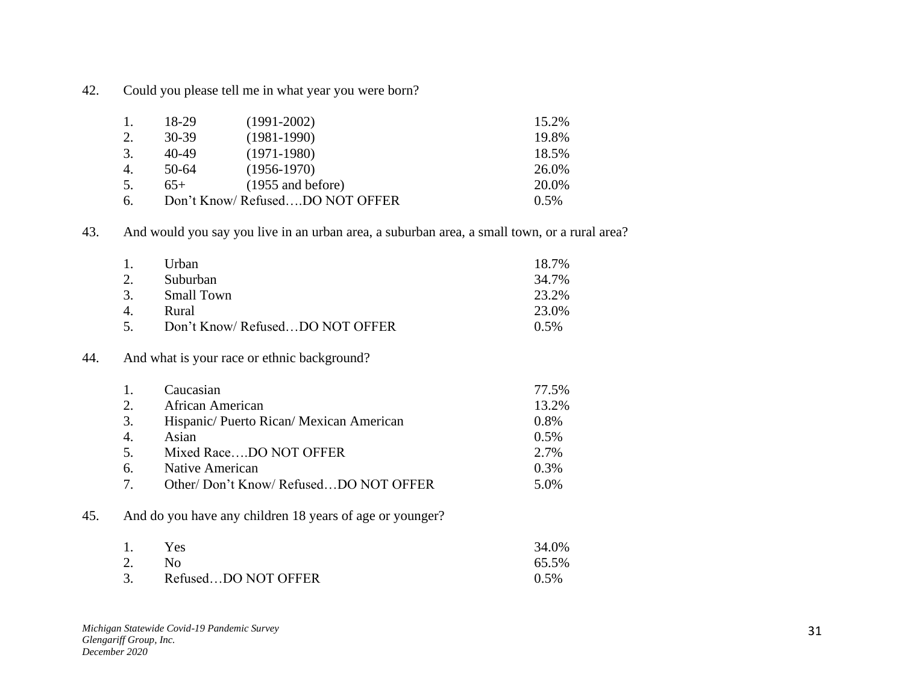42. Could you please tell me in what year you were born?

| $\overline{1}$ . | 18-29 | $(1991 - 2002)$                | 15.2% |
|------------------|-------|--------------------------------|-------|
| 2.               | 30-39 | $(1981-1990)$                  | 19.8% |
| 3.               | 40-49 | $(1971-1980)$                  | 18.5% |
| 4.               | 50-64 | $(1956-1970)$                  | 26.0% |
| 5.               | $65+$ | $(1955 \text{ and before})$    | 20.0% |
| 6.               |       | Don't Know/RefusedDO NOT OFFER | 0.5%  |

## 43. And would you say you live in an urban area, a suburban area, a small town, or a rural area?

|     |     | Urban                                       | 18.7%   |
|-----|-----|---------------------------------------------|---------|
|     | 2.  | Suburban                                    | 34.7%   |
|     | 3.  | <b>Small Town</b>                           | 23.2%   |
|     | 4.  | Rural                                       | 23.0%   |
|     | .5. | Don't Know/ RefusedDO NOT OFFER             | $0.5\%$ |
| 44. |     | And what is your race or ethnic background? |         |

|                | Caucasian                              | 77.5% |
|----------------|----------------------------------------|-------|
| 2.             | African American                       | 13.2% |
| 3.             | Hispanic/Puerto Rican/Mexican American | 0.8%  |
| 4.             | Asian                                  | 0.5%  |
| 5 <sub>1</sub> | Mixed RaceDO NOT OFFER                 | 2.7%  |
| 6.             | Native American                        | 0.3%  |
| 7              | Other/Don't Know/RefusedDO NOT OFFER   | 5.0%  |

# 45. And do you have any children 18 years of age or younger?

| 1.    | Yes                 | 34.0%   |
|-------|---------------------|---------|
| 2. No |                     | 65.5%   |
| 3.    | RefusedDO NOT OFFER | $0.5\%$ |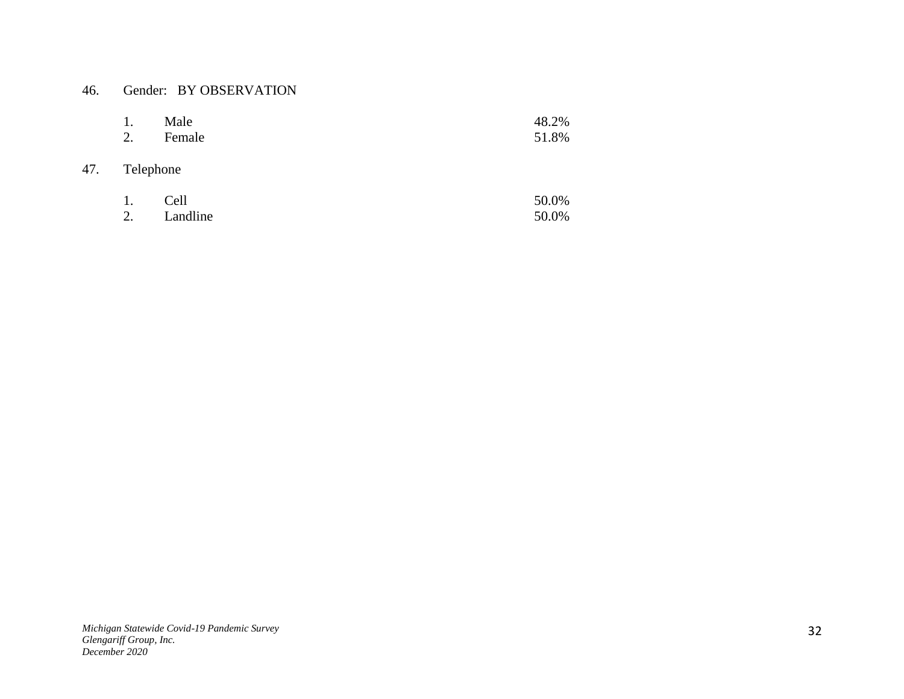## 46. Gender: BY OBSERVATION

|     | 1.<br>2.  | Male<br>Female | 48.2%<br>51.8% |
|-----|-----------|----------------|----------------|
| 47. | Telephone |                |                |
|     | 1.        | Cell           | 50.0%          |

2. Landline 50.0%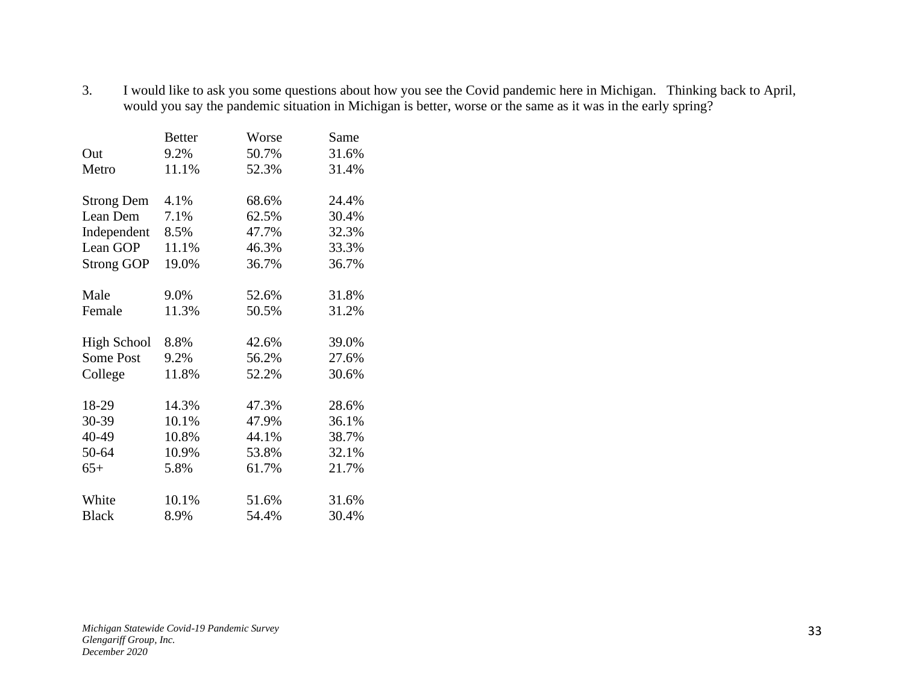3. I would like to ask you some questions about how you see the Covid pandemic here in Michigan. Thinking back to April, would you say the pandemic situation in Michigan is better, worse or the same as it was in the early spring?

|                    | <b>Better</b> | Worse | Same  |
|--------------------|---------------|-------|-------|
| Out                | 9.2%          | 50.7% | 31.6% |
| Metro              | 11.1%         | 52.3% | 31.4% |
|                    |               |       |       |
| <b>Strong Dem</b>  | 4.1%          | 68.6% | 24.4% |
| Lean Dem           | 7.1%          | 62.5% | 30.4% |
| Independent        | 8.5%          | 47.7% | 32.3% |
| Lean GOP           | 11.1%         | 46.3% | 33.3% |
| <b>Strong GOP</b>  | 19.0%         | 36.7% | 36.7% |
|                    |               |       |       |
| Male               | 9.0%          | 52.6% | 31.8% |
| Female             | 11.3%         | 50.5% | 31.2% |
|                    |               |       |       |
| <b>High School</b> | 8.8%          | 42.6% | 39.0% |
| Some Post          | 9.2%          | 56.2% | 27.6% |
| College            | 11.8%         | 52.2% | 30.6% |
|                    |               |       |       |
| 18-29              | 14.3%         | 47.3% | 28.6% |
| 30-39              | 10.1%         | 47.9% | 36.1% |
| 40-49              | 10.8%         | 44.1% | 38.7% |
| 50-64              | 10.9%         | 53.8% | 32.1% |
| $65+$              | 5.8%          | 61.7% | 21.7% |
|                    |               |       |       |
| White              | 10.1%         | 51.6% | 31.6% |
| <b>Black</b>       | 8.9%          | 54.4% | 30.4% |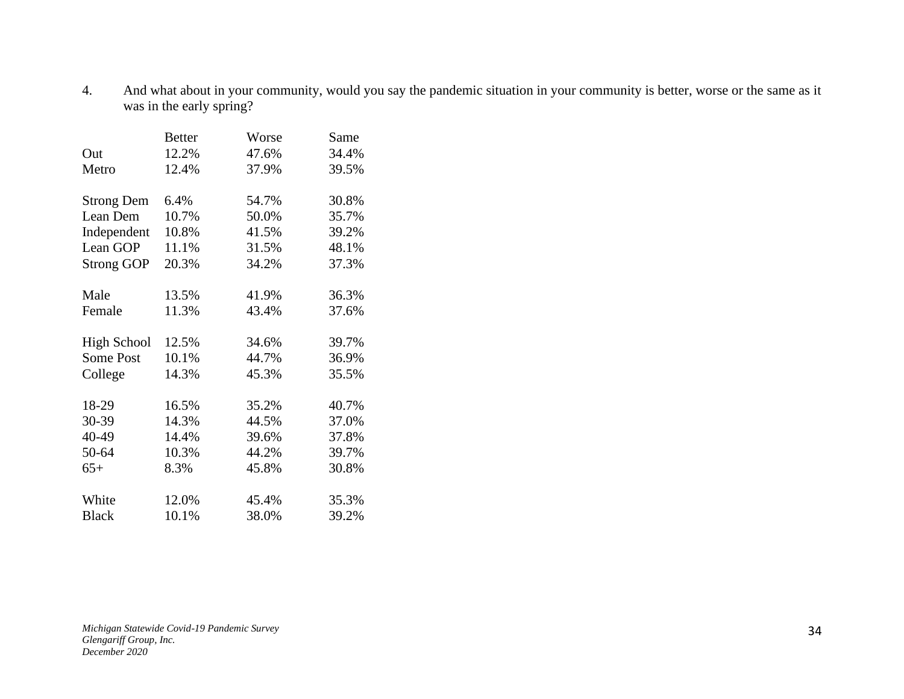4. And what about in your community, would you say the pandemic situation in your community is better, worse or the same as it was in the early spring?

|                    | <b>Better</b> | Worse | Same  |
|--------------------|---------------|-------|-------|
| Out                | 12.2%         | 47.6% | 34.4% |
| Metro              | 12.4%         | 37.9% | 39.5% |
|                    |               |       |       |
| <b>Strong Dem</b>  | 6.4%          | 54.7% | 30.8% |
| Lean Dem           | 10.7%         | 50.0% | 35.7% |
| Independent        | 10.8%         | 41.5% | 39.2% |
| Lean GOP           | 11.1%         | 31.5% | 48.1% |
| <b>Strong GOP</b>  | 20.3%         | 34.2% | 37.3% |
|                    |               |       |       |
| Male               | 13.5%         | 41.9% | 36.3% |
| Female             | 11.3%         | 43.4% | 37.6% |
|                    |               |       |       |
| <b>High School</b> | 12.5%         | 34.6% | 39.7% |
| <b>Some Post</b>   | 10.1%         | 44.7% | 36.9% |
| College            | 14.3%         | 45.3% | 35.5% |
|                    |               |       |       |
| 18-29              | 16.5%         | 35.2% | 40.7% |
| 30-39              | 14.3%         | 44.5% | 37.0% |
| 40-49              | 14.4%         | 39.6% | 37.8% |
| 50-64              | 10.3%         | 44.2% | 39.7% |
| $65+$              | 8.3%          | 45.8% | 30.8% |
|                    |               |       |       |
| White              | 12.0%         | 45.4% | 35.3% |
| <b>Black</b>       | 10.1%         | 38.0% | 39.2% |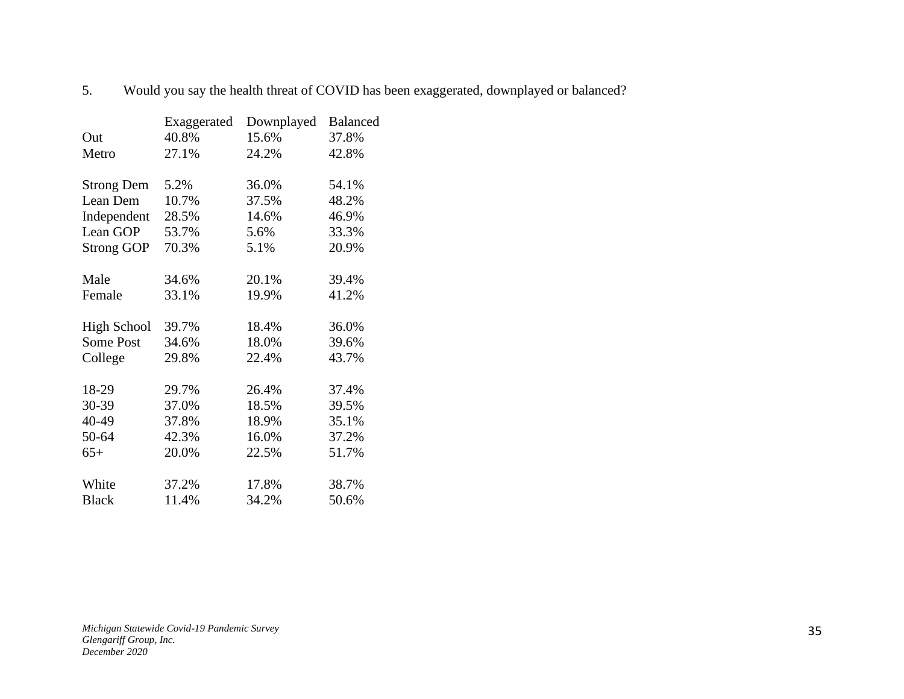|                    | Exaggerated | Downplayed | <b>Balanced</b> |
|--------------------|-------------|------------|-----------------|
| Out                | 40.8%       | 15.6%      | 37.8%           |
| Metro              | 27.1%       | 24.2%      | 42.8%           |
| <b>Strong Dem</b>  | 5.2%        | 36.0%      | 54.1%           |
| Lean Dem           | 10.7%       | 37.5%      | 48.2%           |
| Independent        | 28.5%       | 14.6%      | 46.9%           |
| Lean GOP           | 53.7%       | 5.6%       | 33.3%           |
| <b>Strong GOP</b>  | 70.3%       | 5.1%       | 20.9%           |
| Male               | 34.6%       | 20.1%      | 39.4%           |
| Female             | 33.1%       | 19.9%      | 41.2%           |
| <b>High School</b> | 39.7%       | 18.4%      | 36.0%           |
| Some Post          | 34.6%       | 18.0%      | 39.6%           |
| College            | 29.8%       | 22.4%      | 43.7%           |
| 18-29              | 29.7%       | 26.4%      | 37.4%           |
| 30-39              | 37.0%       | 18.5%      | 39.5%           |
| 40-49              | 37.8%       | 18.9%      | 35.1%           |
| 50-64              | 42.3%       | 16.0%      | 37.2%           |
| $65+$              | 20.0%       | 22.5%      | 51.7%           |
| White              | 37.2%       | 17.8%      | 38.7%           |
| <b>Black</b>       | 11.4%       | 34.2%      | 50.6%           |

5. Would you say the health threat of COVID has been exaggerated, downplayed or balanced?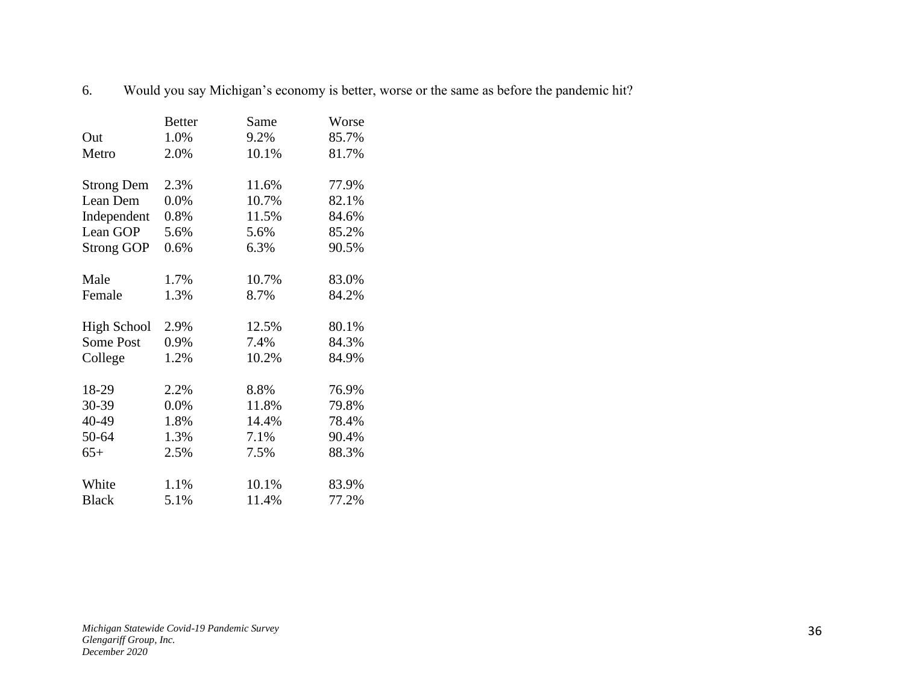6. Would you say Michigan's economy is better, worse or the same as before the pandemic hit?

|                    | <b>Better</b> | Same  | Worse |
|--------------------|---------------|-------|-------|
| Out                | 1.0%          | 9.2%  | 85.7% |
| Metro              | 2.0%          | 10.1% | 81.7% |
|                    |               |       |       |
| <b>Strong Dem</b>  | 2.3%          | 11.6% | 77.9% |
| Lean Dem           | $0.0\%$       | 10.7% | 82.1% |
| Independent        | 0.8%          | 11.5% | 84.6% |
| Lean GOP           | 5.6%          | 5.6%  | 85.2% |
| <b>Strong GOP</b>  | 0.6%          | 6.3%  | 90.5% |
| Male               | 1.7%          | 10.7% | 83.0% |
| Female             | 1.3%          | 8.7%  | 84.2% |
|                    |               |       |       |
| <b>High School</b> | 2.9%          | 12.5% | 80.1% |
| Some Post          | 0.9%          | 7.4%  | 84.3% |
| College            | 1.2%          | 10.2% | 84.9% |
| 18-29              | 2.2%          | 8.8%  | 76.9% |
| 30-39              | 0.0%          | 11.8% | 79.8% |
|                    |               |       |       |
| 40-49              | 1.8%          | 14.4% | 78.4% |
| 50-64              | 1.3%          | 7.1%  | 90.4% |
| $65+$              | 2.5%          | 7.5%  | 88.3% |
| White              | 1.1%          | 10.1% | 83.9% |
| <b>Black</b>       | 5.1%          | 11.4% | 77.2% |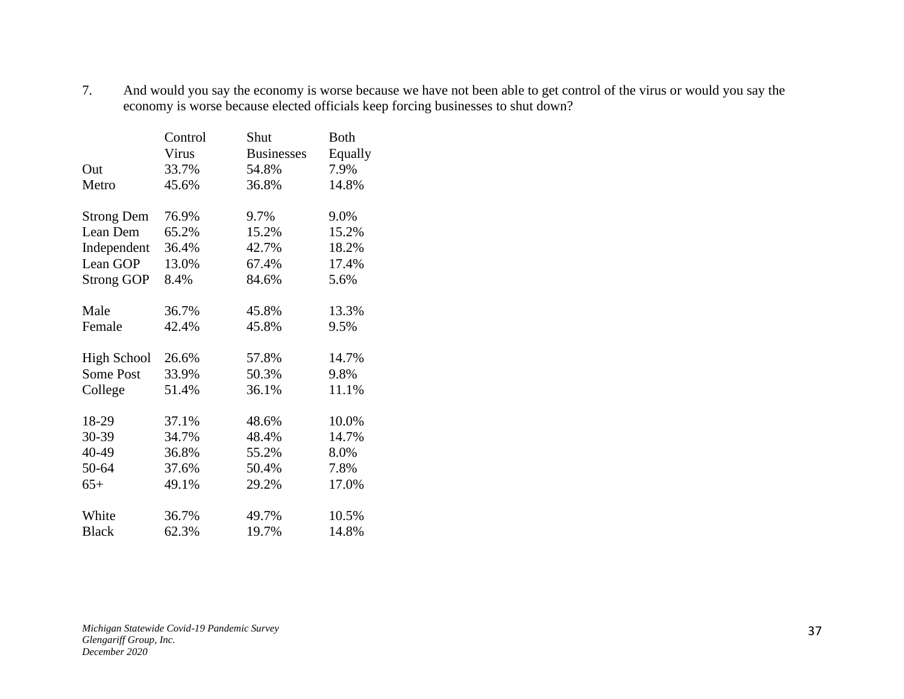7. And would you say the economy is worse because we have not been able to get control of the virus or would you say the economy is worse because elected officials keep forcing businesses to shut down?

|                    | Control | Shut              | <b>Both</b> |
|--------------------|---------|-------------------|-------------|
|                    | Virus   | <b>Businesses</b> | Equally     |
| Out                | 33.7%   | 54.8%             | 7.9%        |
| Metro              | 45.6%   | 36.8%             | 14.8%       |
|                    |         |                   |             |
| <b>Strong Dem</b>  | 76.9%   | 9.7%              | 9.0%        |
| Lean Dem           | 65.2%   | 15.2%             | 15.2%       |
| Independent        | 36.4%   | 42.7%             | 18.2%       |
| Lean GOP           | 13.0%   | 67.4%             | 17.4%       |
| <b>Strong GOP</b>  | 8.4%    | 84.6%             | 5.6%        |
|                    |         |                   |             |
| Male               | 36.7%   | 45.8%             | 13.3%       |
| Female             | 42.4%   | 45.8%             | 9.5%        |
| <b>High School</b> | 26.6%   | 57.8%             | 14.7%       |
| <b>Some Post</b>   | 33.9%   | 50.3%             | 9.8%        |
| College            | 51.4%   | 36.1%             | 11.1%       |
|                    |         |                   |             |
| 18-29              | 37.1%   | 48.6%             | 10.0%       |
| 30-39              | 34.7%   | 48.4%             | 14.7%       |
| 40-49              | 36.8%   | 55.2%             | 8.0%        |
| 50-64              | 37.6%   | 50.4%             | 7.8%        |
| $65+$              | 49.1%   | 29.2%             | 17.0%       |
|                    |         |                   |             |
| White              | 36.7%   | 49.7%             | 10.5%       |
| <b>Black</b>       | 62.3%   | 19.7%             | 14.8%       |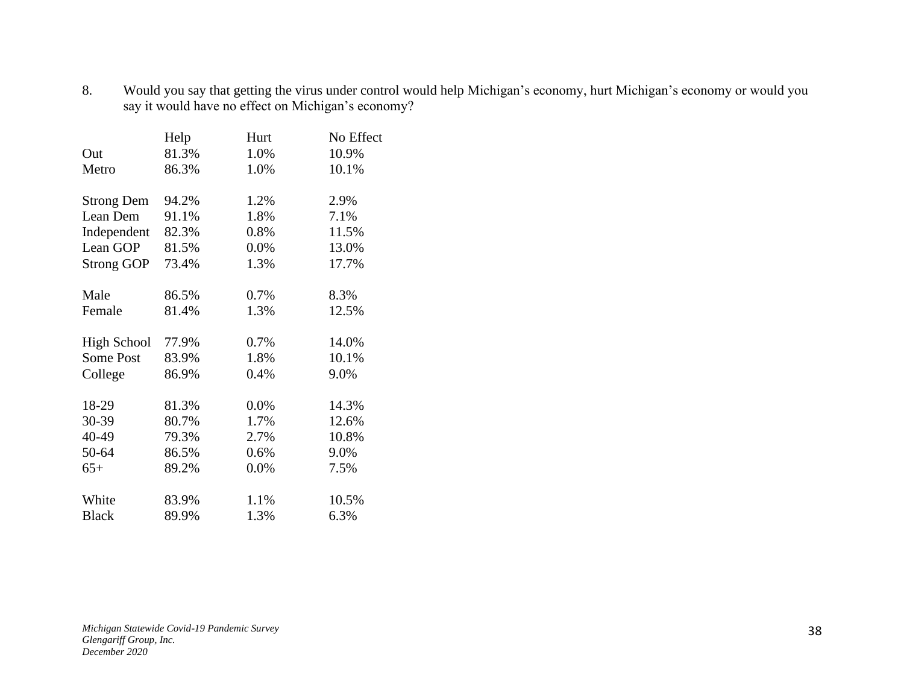8. Would you say that getting the virus under control would help Michigan's economy, hurt Michigan's economy or would you say it would have no effect on Michigan's economy?

|                    | Help  | Hurt | No Effect |
|--------------------|-------|------|-----------|
| Out                | 81.3% | 1.0% | 10.9%     |
| Metro              | 86.3% | 1.0% | 10.1%     |
| <b>Strong Dem</b>  | 94.2% | 1.2% | 2.9%      |
| Lean Dem           | 91.1% | 1.8% | 7.1%      |
| Independent        | 82.3% | 0.8% | 11.5%     |
| Lean GOP           | 81.5% | 0.0% | 13.0%     |
| <b>Strong GOP</b>  | 73.4% | 1.3% | 17.7%     |
| Male               | 86.5% | 0.7% | 8.3%      |
| Female             | 81.4% | 1.3% | 12.5%     |
| <b>High School</b> | 77.9% | 0.7% | 14.0%     |
| <b>Some Post</b>   | 83.9% | 1.8% | 10.1%     |
| College            | 86.9% | 0.4% | 9.0%      |
| 18-29              | 81.3% | 0.0% | 14.3%     |
| 30-39              | 80.7% | 1.7% | 12.6%     |
| 40-49              | 79.3% | 2.7% | 10.8%     |
| 50-64              | 86.5% | 0.6% | 9.0%      |
| $65+$              | 89.2% | 0.0% | 7.5%      |
| White              | 83.9% | 1.1% | 10.5%     |
| <b>Black</b>       | 89.9% | 1.3% | 6.3%      |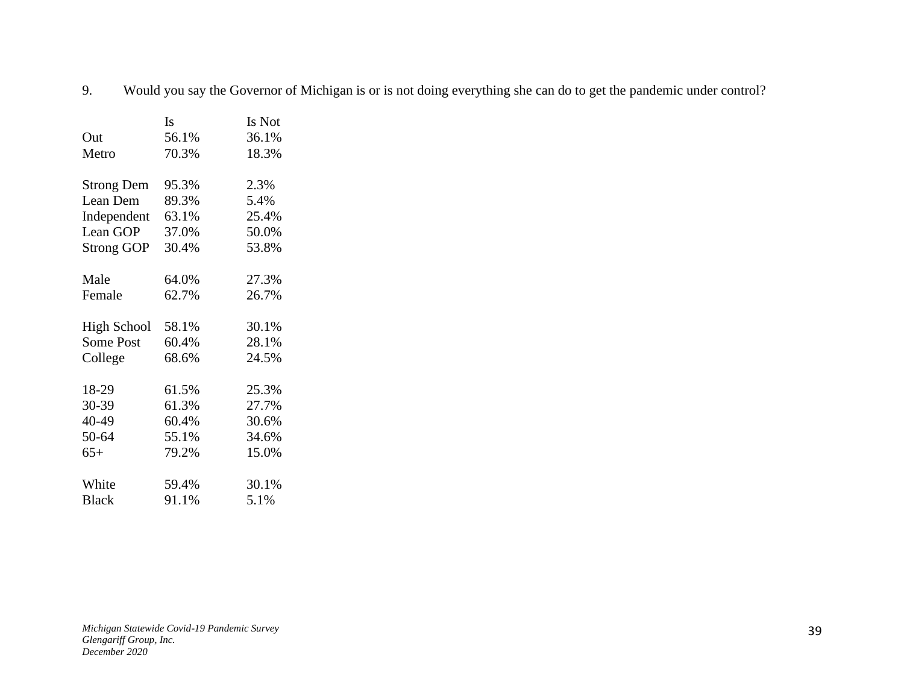9. Would you say the Governor of Michigan is or is not doing everything she can do to get the pandemic under control?

|                    | Is    | Is Not |
|--------------------|-------|--------|
| Out                | 56.1% | 36.1%  |
| Metro              | 70.3% | 18.3%  |
|                    |       |        |
| <b>Strong Dem</b>  | 95.3% | 2.3%   |
| Lean Dem           | 89.3% | 5.4%   |
| Independent        | 63.1% | 25.4%  |
| Lean GOP           | 37.0% | 50.0%  |
| <b>Strong GOP</b>  | 30.4% | 53.8%  |
|                    |       |        |
| Male               | 64.0% | 27.3%  |
| Female             | 62.7% | 26.7%  |
|                    |       |        |
| <b>High School</b> | 58.1% | 30.1%  |
| <b>Some Post</b>   | 60.4% | 28.1%  |
| College            | 68.6% | 24.5%  |
|                    |       |        |
| 18-29              | 61.5% | 25.3%  |
| 30-39              | 61.3% | 27.7%  |
| 40-49              | 60.4% | 30.6%  |
| 50-64              | 55.1% | 34.6%  |
| $65+$              | 79.2% | 15.0%  |
|                    |       |        |
| White              | 59.4% | 30.1%  |
| <b>Black</b>       | 91.1% | 5.1%   |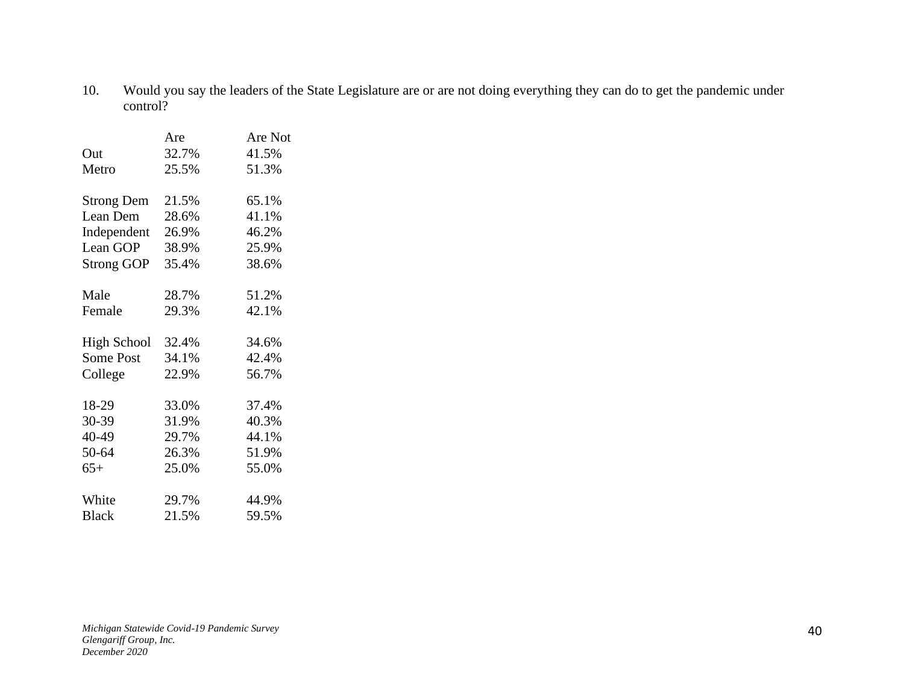10. Would you say the leaders of the State Legislature are or are not doing everything they can do to get the pandemic under control?

|                    | Are   | Are Not |
|--------------------|-------|---------|
| Out                | 32.7% | 41.5%   |
| Metro              | 25.5% | 51.3%   |
| <b>Strong Dem</b>  | 21.5% | 65.1%   |
| Lean Dem           | 28.6% | 41.1%   |
| Independent        | 26.9% | 46.2%   |
| Lean GOP           | 38.9% | 25.9%   |
| <b>Strong GOP</b>  | 35.4% | 38.6%   |
| Male               | 28.7% | 51.2%   |
| Female             | 29.3% | 42.1%   |
| <b>High School</b> | 32.4% | 34.6%   |
| <b>Some Post</b>   | 34.1% | 42.4%   |
| College            | 22.9% | 56.7%   |
| 18-29              | 33.0% | 37.4%   |
| 30-39              | 31.9% | 40.3%   |
| 40-49              | 29.7% | 44.1%   |
| 50-64              | 26.3% | 51.9%   |
| $65+$              | 25.0% | 55.0%   |
| White              | 29.7% | 44.9%   |
| <b>Black</b>       | 21.5% | 59.5%   |
|                    |       |         |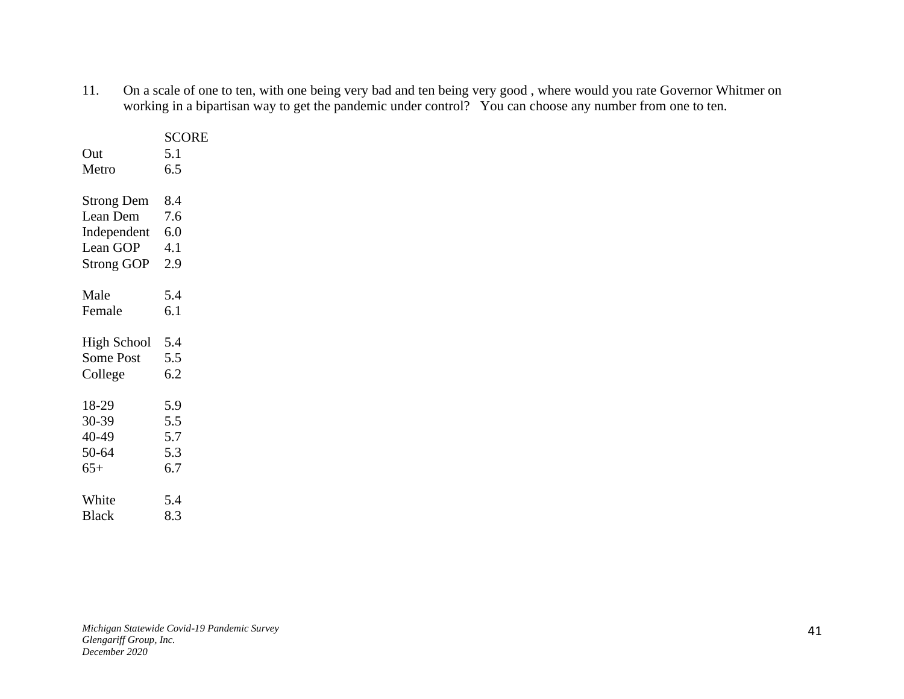11. On a scale of one to ten, with one being very bad and ten being very good , where would you rate Governor Whitmer on working in a bipartisan way to get the pandemic under control? You can choose any number from one to ten.

|                    | <b>SCORE</b> |
|--------------------|--------------|
| Out                | 5.1          |
| Metro              | 6.5          |
|                    |              |
| <b>Strong Dem</b>  | 8.4          |
| Lean Dem           | 7.6          |
| Independent        | 6.0          |
| Lean GOP           | 4.1          |
| <b>Strong GOP</b>  | 2.9          |
|                    |              |
| Male               | 5.4          |
| Female             | 6.1          |
|                    |              |
| <b>High School</b> | 5.4          |
| <b>Some Post</b>   | 5.5          |
| College            | 6.2          |
|                    |              |
| 18-29              | 5.9          |
| 30-39              | 5.5          |
| 40-49              | 5.7          |
| 50-64              | 5.3          |
| $65+$              | 6.7          |
|                    |              |
| White              | 5.4          |
| <b>Black</b>       | 8.3          |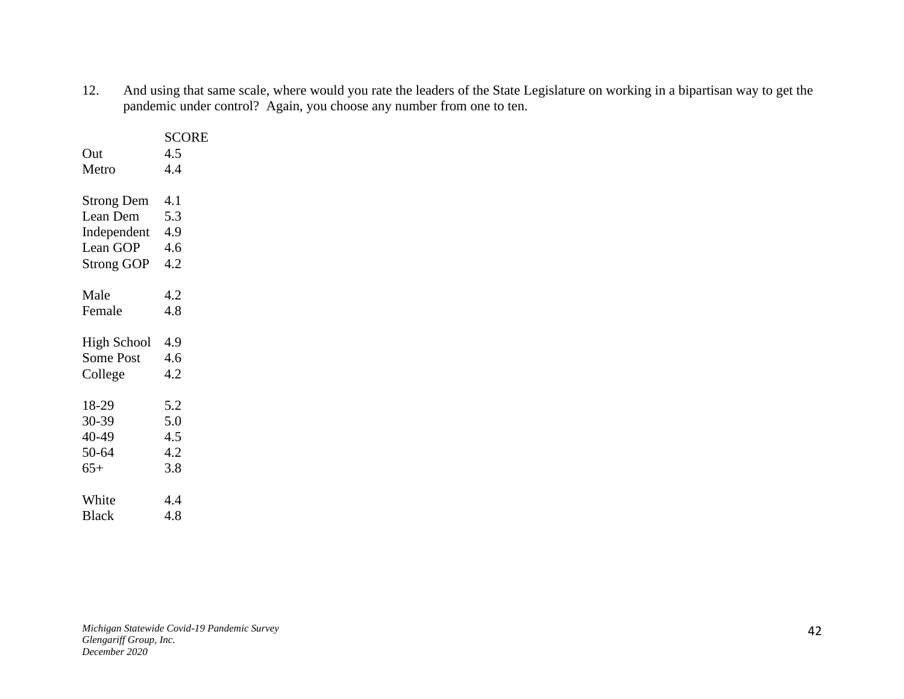12. And using that same scale, where would you rate the leaders of the State Legislature on working in a bipartisan way to get the pandemic under control? Again, you choose any number from one to ten.

|                    | <b>SCORE</b> |
|--------------------|--------------|
| Out                | 4.5          |
| Metro              | 4.4          |
|                    |              |
| <b>Strong Dem</b>  | 4.1          |
| Lean Dem           | 5.3          |
| Independent 4.9    |              |
| Lean GOP           | 4.6          |
| <b>Strong GOP</b>  | 4.2          |
|                    |              |
| Male               | 4.2          |
| Female             | 4.8          |
|                    |              |
| <b>High School</b> | 4.9          |
| <b>Some Post</b>   | 4.6          |
| College            | 4.2          |
|                    |              |
| 18-29              | 5.2          |
| 30-39              | 5.0          |
| 40-49              | 4.5          |
| 50-64              | 4.2          |
| $65+$              | 3.8          |
|                    |              |
| White              | 4.4          |
| <b>Black</b>       | 4.8          |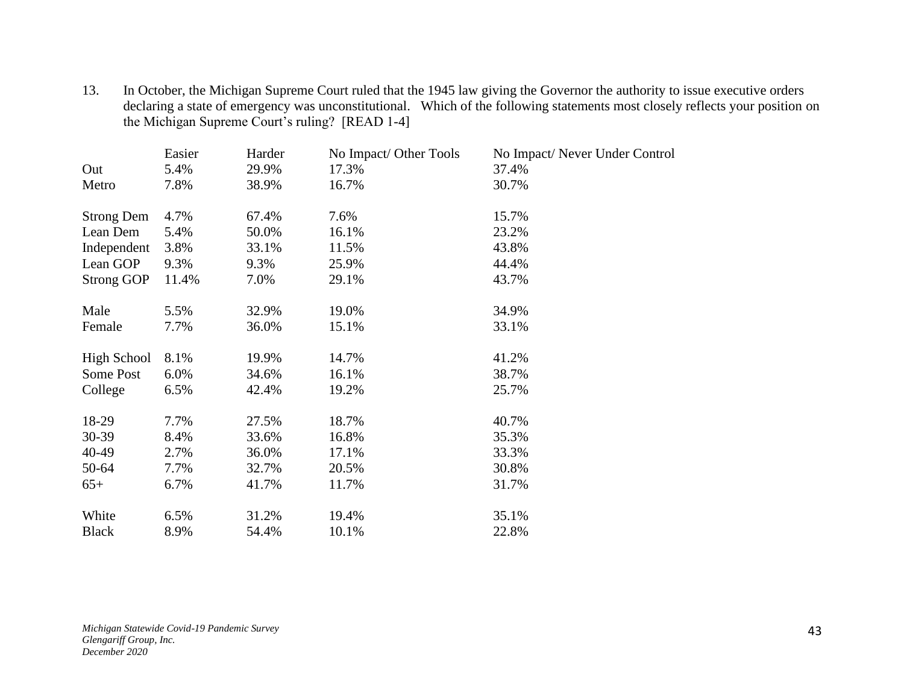13. In October, the Michigan Supreme Court ruled that the 1945 law giving the Governor the authority to issue executive orders declaring a state of emergency was unconstitutional. Which of the following statements most closely reflects your position on the Michigan Supreme Court's ruling? [READ 1-4]

|                    | Easier | Harder | No Impact/ Other Tools | No Impact/Never Under Control |
|--------------------|--------|--------|------------------------|-------------------------------|
| Out                | 5.4%   | 29.9%  | 17.3%                  | 37.4%                         |
| Metro              | 7.8%   | 38.9%  | 16.7%                  | 30.7%                         |
| <b>Strong Dem</b>  | 4.7%   | 67.4%  | 7.6%                   | 15.7%                         |
| Lean Dem           | 5.4%   | 50.0%  | 16.1%                  | 23.2%                         |
| Independent        | 3.8%   | 33.1%  | 11.5%                  | 43.8%                         |
| Lean GOP           | 9.3%   | 9.3%   | 25.9%                  | 44.4%                         |
| <b>Strong GOP</b>  | 11.4%  | 7.0%   | 29.1%                  | 43.7%                         |
| Male               | 5.5%   | 32.9%  | 19.0%                  | 34.9%                         |
| Female             | 7.7%   | 36.0%  | 15.1%                  | 33.1%                         |
| <b>High School</b> | 8.1%   | 19.9%  | 14.7%                  | 41.2%                         |
| Some Post          | 6.0%   | 34.6%  | 16.1%                  | 38.7%                         |
| College            | 6.5%   | 42.4%  | 19.2%                  | 25.7%                         |
| 18-29              | 7.7%   | 27.5%  | 18.7%                  | 40.7%                         |
| $30 - 39$          | 8.4%   | 33.6%  | 16.8%                  | 35.3%                         |
| 40-49              | 2.7%   | 36.0%  | 17.1%                  | 33.3%                         |
|                    |        |        |                        |                               |
| 50-64              | 7.7%   | 32.7%  | 20.5%                  | 30.8%                         |
| $65+$              | 6.7%   | 41.7%  | 11.7%                  | 31.7%                         |
| White              | 6.5%   | 31.2%  | 19.4%                  | 35.1%                         |
| <b>Black</b>       | 8.9%   | 54.4%  | 10.1%                  | 22.8%                         |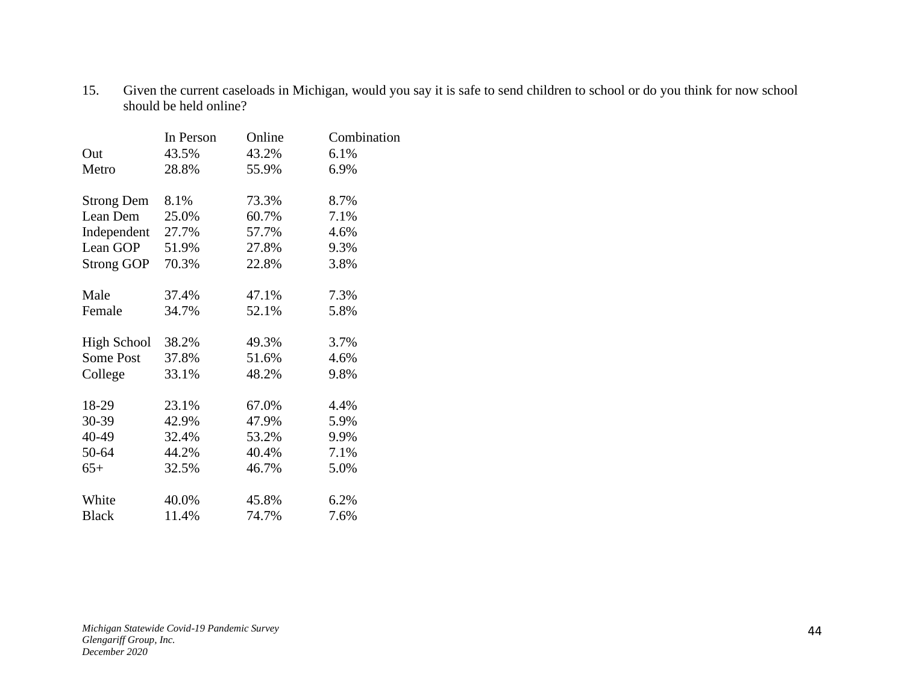15. Given the current caseloads in Michigan, would you say it is safe to send children to school or do you think for now school should be held online?

|                    | In Person | Online | Combination |
|--------------------|-----------|--------|-------------|
| Out                | 43.5%     | 43.2%  | 6.1%        |
| Metro              | 28.8%     | 55.9%  | 6.9%        |
| <b>Strong Dem</b>  | 8.1%      | 73.3%  | 8.7%        |
| Lean Dem           | 25.0%     | 60.7%  | 7.1%        |
| Independent        | 27.7%     | 57.7%  | 4.6%        |
| Lean GOP           | 51.9%     | 27.8%  | 9.3%        |
| <b>Strong GOP</b>  | 70.3%     | 22.8%  | 3.8%        |
| Male               | 37.4%     | 47.1%  | 7.3%        |
| Female             | 34.7%     | 52.1%  | 5.8%        |
| <b>High School</b> | 38.2%     | 49.3%  | 3.7%        |
| Some Post          | 37.8%     | 51.6%  | 4.6%        |
| College            | 33.1%     | 48.2%  | 9.8%        |
| 18-29              | 23.1%     | 67.0%  | 4.4%        |
| 30-39              | 42.9%     | 47.9%  | 5.9%        |
| 40-49              | 32.4%     | 53.2%  | 9.9%        |
| 50-64              | 44.2%     | 40.4%  | 7.1%        |
| $65+$              | 32.5%     | 46.7%  | 5.0%        |
| White              | 40.0%     | 45.8%  | 6.2%        |
| <b>Black</b>       | 11.4%     | 74.7%  | 7.6%        |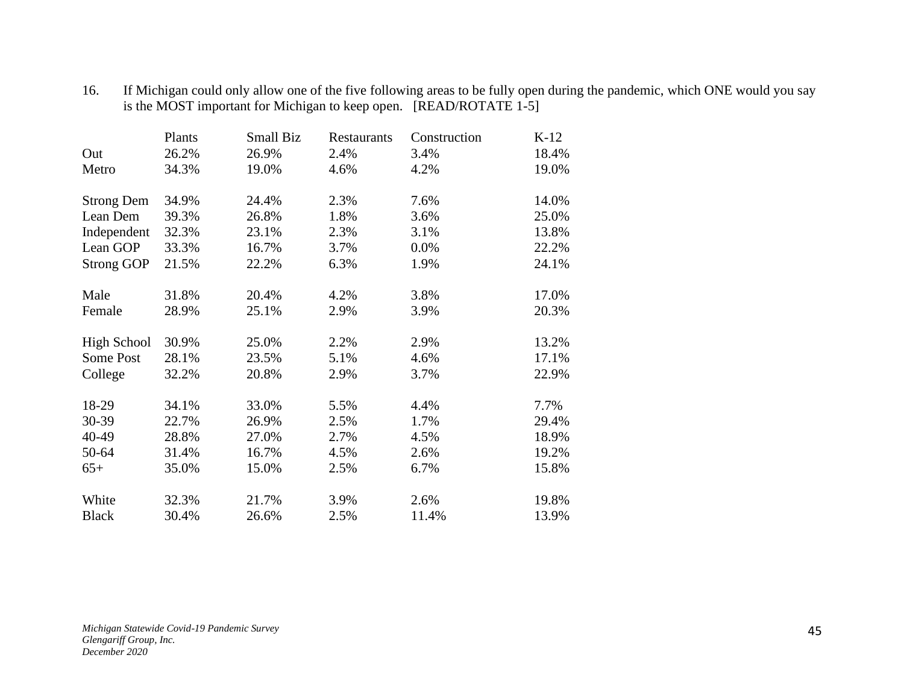|                    | Plants | Small Biz | <b>Restaurants</b> | Construction | $K-12$ |
|--------------------|--------|-----------|--------------------|--------------|--------|
| Out                | 26.2%  | 26.9%     | 2.4%               | 3.4%         | 18.4%  |
| Metro              | 34.3%  | 19.0%     | 4.6%               | 4.2%         | 19.0%  |
| <b>Strong Dem</b>  | 34.9%  | 24.4%     | 2.3%               | 7.6%         | 14.0%  |
| Lean Dem           | 39.3%  | 26.8%     | 1.8%               | 3.6%         | 25.0%  |
| Independent        | 32.3%  | 23.1%     | 2.3%               | 3.1%         | 13.8%  |
| Lean GOP           | 33.3%  | 16.7%     | 3.7%               | 0.0%         | 22.2%  |
| <b>Strong GOP</b>  | 21.5%  | 22.2%     | 6.3%               | 1.9%         | 24.1%  |
| Male               | 31.8%  | 20.4%     | 4.2%               | 3.8%         | 17.0%  |
| Female             | 28.9%  | 25.1%     | 2.9%               | 3.9%         | 20.3%  |
| <b>High School</b> | 30.9%  | 25.0%     | 2.2%               | 2.9%         | 13.2%  |
| Some Post          | 28.1%  | 23.5%     | 5.1%               | 4.6%         | 17.1%  |
| College            | 32.2%  | 20.8%     | 2.9%               | 3.7%         | 22.9%  |
| 18-29              | 34.1%  | 33.0%     | 5.5%               | 4.4%         | 7.7%   |
| 30-39              | 22.7%  | 26.9%     | 2.5%               | 1.7%         | 29.4%  |
| 40-49              | 28.8%  | 27.0%     | 2.7%               | 4.5%         | 18.9%  |
| 50-64              | 31.4%  | 16.7%     | 4.5%               | 2.6%         | 19.2%  |
| $65+$              | 35.0%  | 15.0%     | 2.5%               | 6.7%         | 15.8%  |
| White              | 32.3%  | 21.7%     | 3.9%               | 2.6%         | 19.8%  |
| <b>Black</b>       | 30.4%  | 26.6%     | 2.5%               | 11.4%        | 13.9%  |

16. If Michigan could only allow one of the five following areas to be fully open during the pandemic, which ONE would you say is the MOST important for Michigan to keep open. [READ/ROTATE 1-5]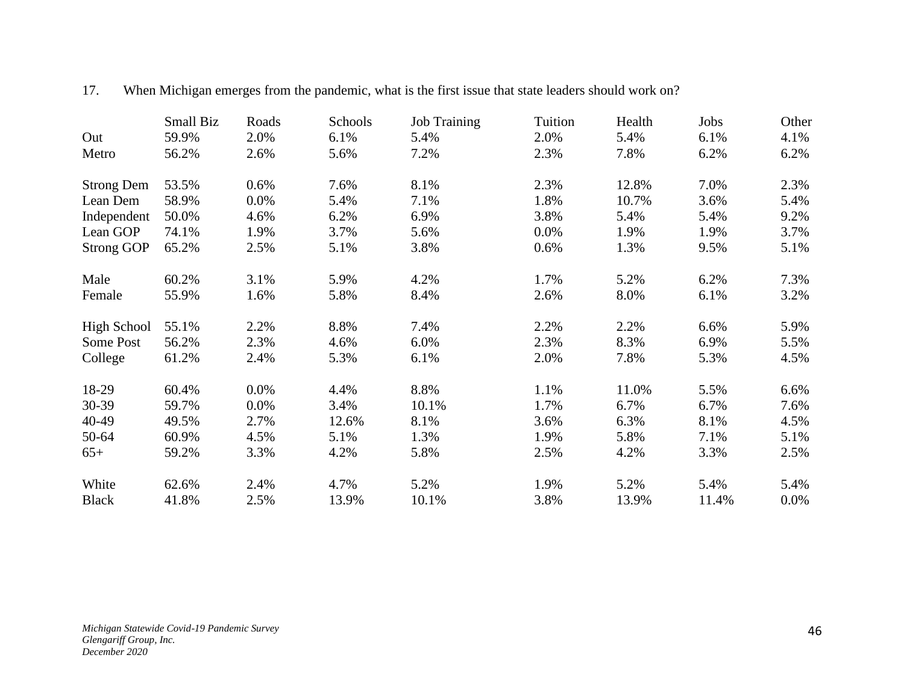|                    | Small Biz | Roads | Schools | <b>Job Training</b> | Tuition | Health | Jobs  | Other |
|--------------------|-----------|-------|---------|---------------------|---------|--------|-------|-------|
| Out                | 59.9%     | 2.0%  | 6.1%    | 5.4%                | 2.0%    | 5.4%   | 6.1%  | 4.1%  |
| Metro              | 56.2%     | 2.6%  | 5.6%    | 7.2%                | 2.3%    | 7.8%   | 6.2%  | 6.2%  |
| <b>Strong Dem</b>  | 53.5%     | 0.6%  | 7.6%    | 8.1%                | 2.3%    | 12.8%  | 7.0%  | 2.3%  |
| Lean Dem           | 58.9%     | 0.0%  | 5.4%    | 7.1%                | 1.8%    | 10.7%  | 3.6%  | 5.4%  |
| Independent        | 50.0%     | 4.6%  | 6.2%    | 6.9%                | 3.8%    | 5.4%   | 5.4%  | 9.2%  |
| Lean GOP           | 74.1%     | 1.9%  | 3.7%    | 5.6%                | $0.0\%$ | 1.9%   | 1.9%  | 3.7%  |
| <b>Strong GOP</b>  | 65.2%     | 2.5%  | 5.1%    | 3.8%                | 0.6%    | 1.3%   | 9.5%  | 5.1%  |
| Male               | 60.2%     | 3.1%  | 5.9%    | 4.2%                | 1.7%    | 5.2%   | 6.2%  | 7.3%  |
| Female             | 55.9%     | 1.6%  | 5.8%    | 8.4%                | 2.6%    | 8.0%   | 6.1%  | 3.2%  |
| <b>High School</b> | 55.1%     | 2.2%  | 8.8%    | 7.4%                | 2.2%    | 2.2%   | 6.6%  | 5.9%  |
| Some Post          | 56.2%     | 2.3%  | 4.6%    | 6.0%                | 2.3%    | 8.3%   | 6.9%  | 5.5%  |
| College            | 61.2%     | 2.4%  | 5.3%    | 6.1%                | 2.0%    | 7.8%   | 5.3%  | 4.5%  |
| 18-29              | 60.4%     | 0.0%  | 4.4%    | 8.8%                | 1.1%    | 11.0%  | 5.5%  | 6.6%  |
| 30-39              | 59.7%     | 0.0%  | 3.4%    | 10.1%               | 1.7%    | 6.7%   | 6.7%  | 7.6%  |
| 40-49              | 49.5%     | 2.7%  | 12.6%   | 8.1%                | 3.6%    | 6.3%   | 8.1%  | 4.5%  |
| 50-64              | 60.9%     | 4.5%  | 5.1%    | 1.3%                | 1.9%    | 5.8%   | 7.1%  | 5.1%  |
| $65+$              | 59.2%     | 3.3%  | 4.2%    | 5.8%                | 2.5%    | 4.2%   | 3.3%  | 2.5%  |
| White              | 62.6%     | 2.4%  | 4.7%    | 5.2%                | 1.9%    | 5.2%   | 5.4%  | 5.4%  |
| <b>Black</b>       | 41.8%     | 2.5%  | 13.9%   | 10.1%               | 3.8%    | 13.9%  | 11.4% | 0.0%  |

#### 17. When Michigan emerges from the pandemic, what is the first issue that state leaders should work on?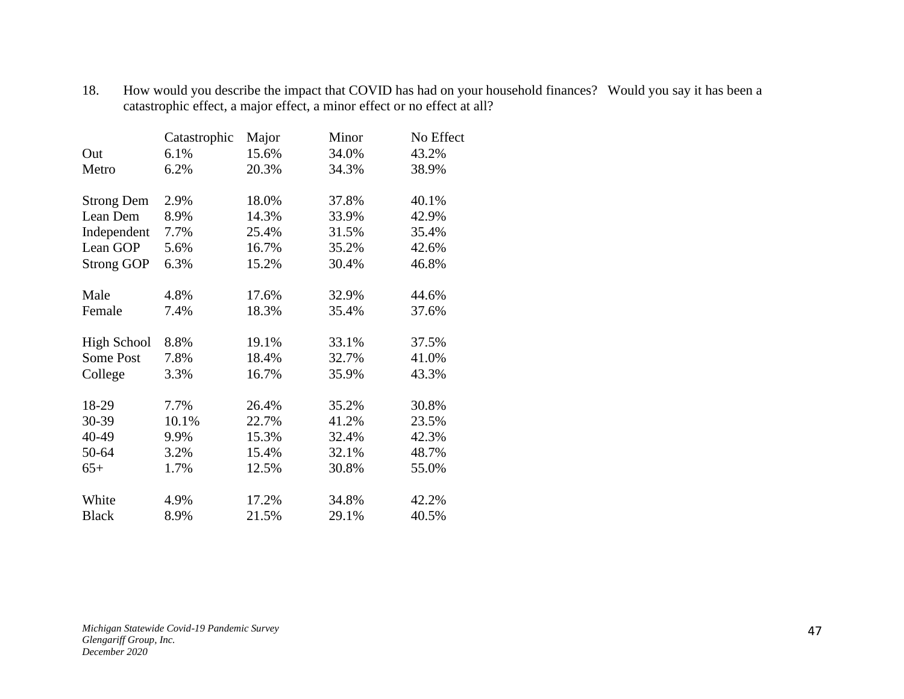|                    | Catastrophic | Major | Minor | No Effect |
|--------------------|--------------|-------|-------|-----------|
| Out                | 6.1%         | 15.6% | 34.0% | 43.2%     |
| Metro              | 6.2%         | 20.3% | 34.3% | 38.9%     |
| <b>Strong Dem</b>  | 2.9%         | 18.0% | 37.8% | 40.1%     |
| Lean Dem           | 8.9%         | 14.3% | 33.9% | 42.9%     |
| Independent        | 7.7%         | 25.4% | 31.5% | 35.4%     |
| Lean GOP           | 5.6%         | 16.7% | 35.2% | 42.6%     |
| <b>Strong GOP</b>  | 6.3%         | 15.2% | 30.4% | 46.8%     |
| Male               | 4.8%         | 17.6% | 32.9% | 44.6%     |
| Female             | 7.4%         | 18.3% | 35.4% | 37.6%     |
| <b>High School</b> | 8.8%         | 19.1% | 33.1% | 37.5%     |
| <b>Some Post</b>   | 7.8%         | 18.4% | 32.7% | 41.0%     |
| College            | 3.3%         | 16.7% | 35.9% | 43.3%     |
| 18-29              | 7.7%         | 26.4% | 35.2% | 30.8%     |
| 30-39              | 10.1%        | 22.7% | 41.2% | 23.5%     |
| 40-49              | 9.9%         | 15.3% | 32.4% | 42.3%     |
| 50-64              | 3.2%         | 15.4% | 32.1% | 48.7%     |
| $65+$              | 1.7%         | 12.5% | 30.8% | 55.0%     |
| White              | 4.9%         | 17.2% | 34.8% | 42.2%     |
| <b>Black</b>       | 8.9%         | 21.5% | 29.1% | 40.5%     |

18. How would you describe the impact that COVID has had on your household finances? Would you say it has been a catastrophic effect, a major effect, a minor effect or no effect at all?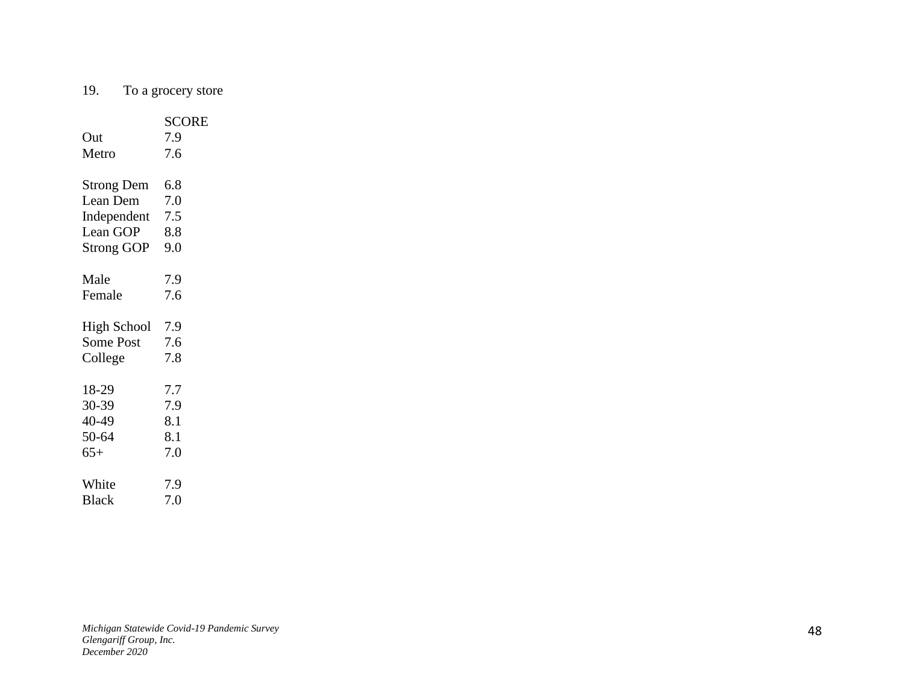#### 19. To a grocery store

| Out<br>Metro       | <b>SCORE</b><br>7.9<br>7.6 |
|--------------------|----------------------------|
|                    |                            |
| <b>Strong Dem</b>  | 6.8                        |
| Lean Dem           | 7.0                        |
| Independent        | 7.5                        |
| Lean GOP           | 8.8                        |
| <b>Strong GOP</b>  | 9.0                        |
|                    |                            |
| Male               | 7.9                        |
| Female             | 7.6                        |
|                    |                            |
| <b>High School</b> | 7.9                        |
| <b>Some Post</b>   | 7.6                        |
| College            | 7.8                        |
| 18-29              | 7.7                        |
| 30-39              | 7.9                        |
|                    |                            |
| 40-49              | 8.1                        |
| 50-64              | 8.1                        |
| $65+$              | 7.0                        |
| White              | 7.9                        |
| <b>Black</b>       | 7.0                        |
|                    |                            |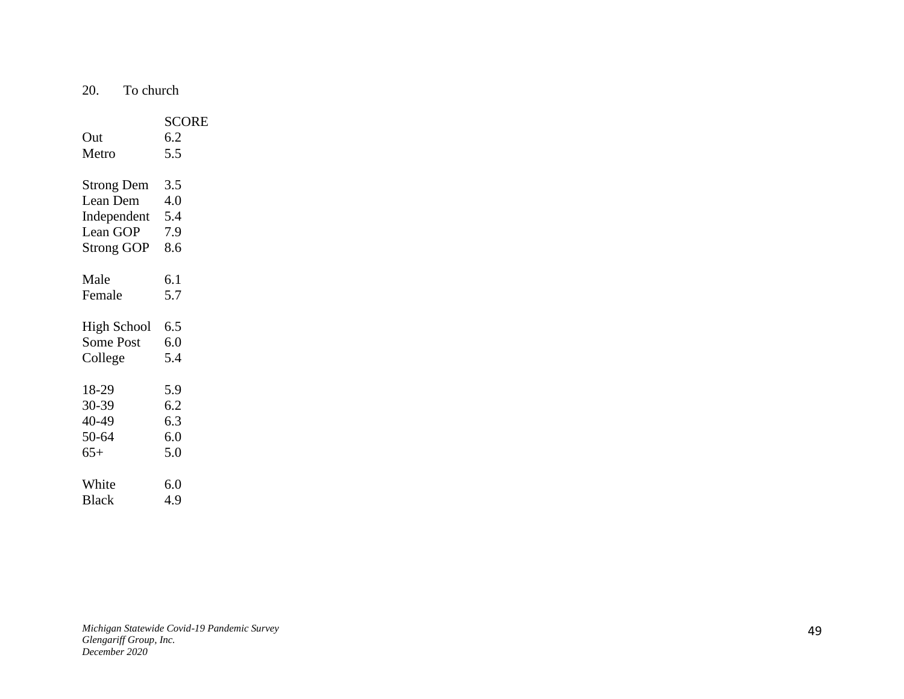20. To church

|                    | <b>SCORE</b> |
|--------------------|--------------|
| Out                | 6.2          |
| Metro              | 5.5          |
|                    |              |
| <b>Strong Dem</b>  | 3.5          |
| Lean Dem           | 4.0          |
| Independent        | 5.4          |
| Lean GOP           | 7.9          |
| <b>Strong GOP</b>  | 8.6          |
|                    |              |
| Male               | 6.1          |
| Female             | 5.7          |
|                    |              |
| <b>High School</b> | 6.5          |
| <b>Some Post</b>   | 6.0          |
| College            | 5.4          |
|                    |              |
| 18-29              | 5.9          |
| 30-39              | 6.2          |
| 40-49              | 6.3          |
| 50-64              | 6.0          |
| $65+$              | 5.0          |
|                    |              |
| White              | 6.0          |
| <b>Black</b>       | 4.9          |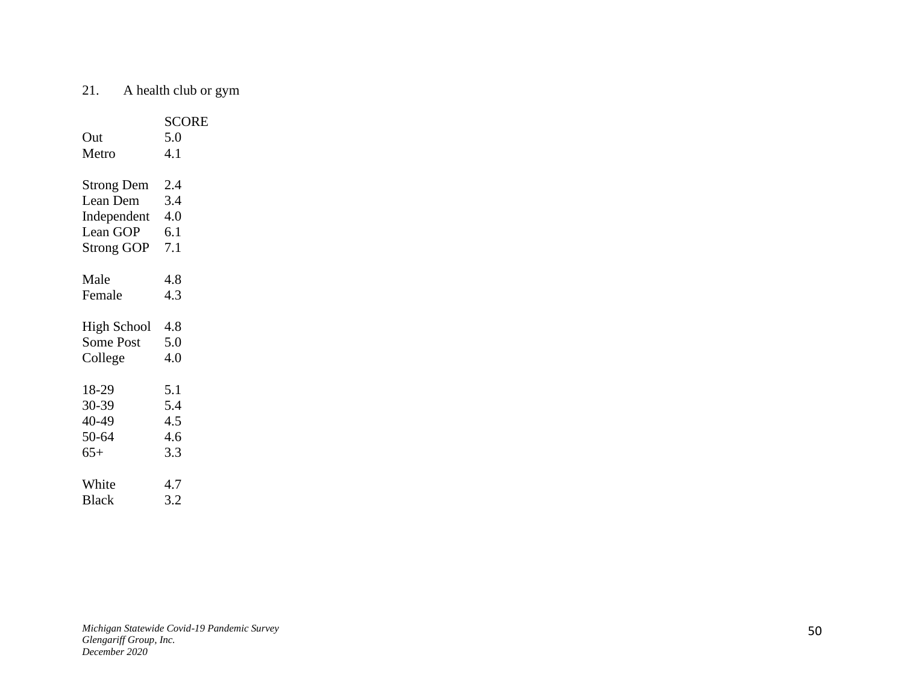# 21. A health club or gym

|                    | <b>SCORE</b> |
|--------------------|--------------|
| Out                | 5.0          |
| Metro              | 4.1          |
|                    |              |
| <b>Strong Dem</b>  | 2.4          |
| Lean Dem           | 3.4          |
| Independent        | 4.0          |
| Lean GOP           | 6.1          |
| <b>Strong GOP</b>  | 7.1          |
|                    |              |
| Male               | 4.8          |
| Female             | 4.3          |
|                    |              |
| <b>High School</b> | -4.8         |
| <b>Some Post</b>   | 5.0          |
| College            | 4.0          |
|                    |              |
| 18-29              | 5.1          |
| 30-39              | 5.4          |
| 40-49              | 4.5          |
| 50-64              | 4.6          |
| $65+$              | 3.3          |
|                    |              |
| White              | 4.7          |
| <b>Black</b>       | 3.2          |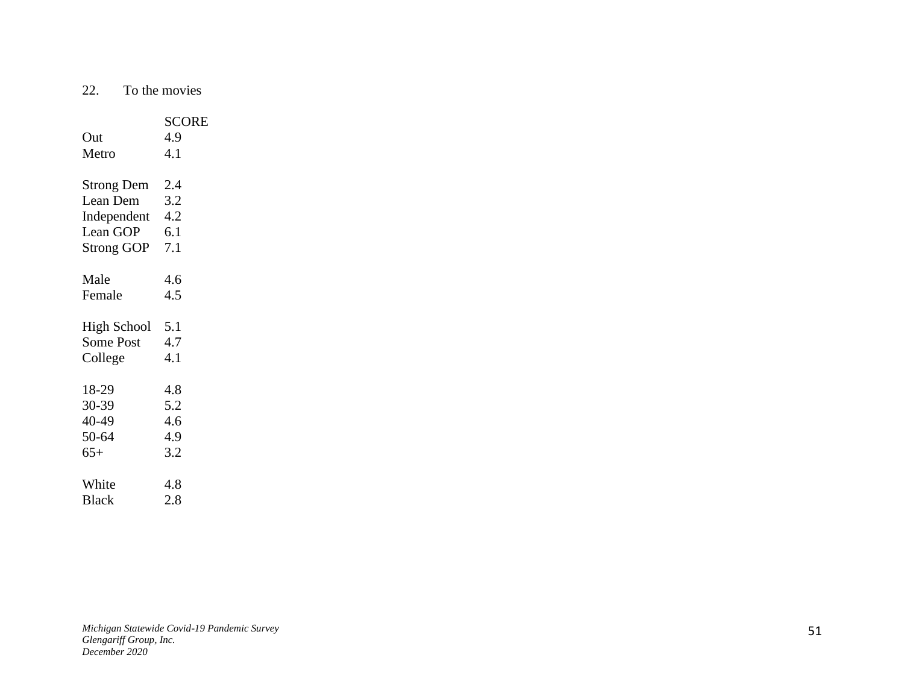22. To the movies

|                   | <b>SCORE</b> |
|-------------------|--------------|
| Out               | 4.9          |
| Metro             | 4.1          |
|                   |              |
| <b>Strong Dem</b> | 2.4          |
| Lean Dem          | 3.2          |
| Independent 4.2   |              |
| Lean GOP          | 6.1          |
| <b>Strong GOP</b> | 7.1          |
|                   |              |
| Male              | 4.6          |
| Female            | 4.5          |
|                   |              |
| High School       | 5.1          |
| <b>Some Post</b>  | 4.7          |
| College           | 4.1          |
|                   |              |
| 18-29             | 4.8          |
| 30-39             | 5.2          |
| 40-49             | 4.6          |
| 50-64             | 4.9          |
| $65+$             | 3.2          |
|                   |              |
| White             | 4.8          |
| <b>Black</b>      | 2.8          |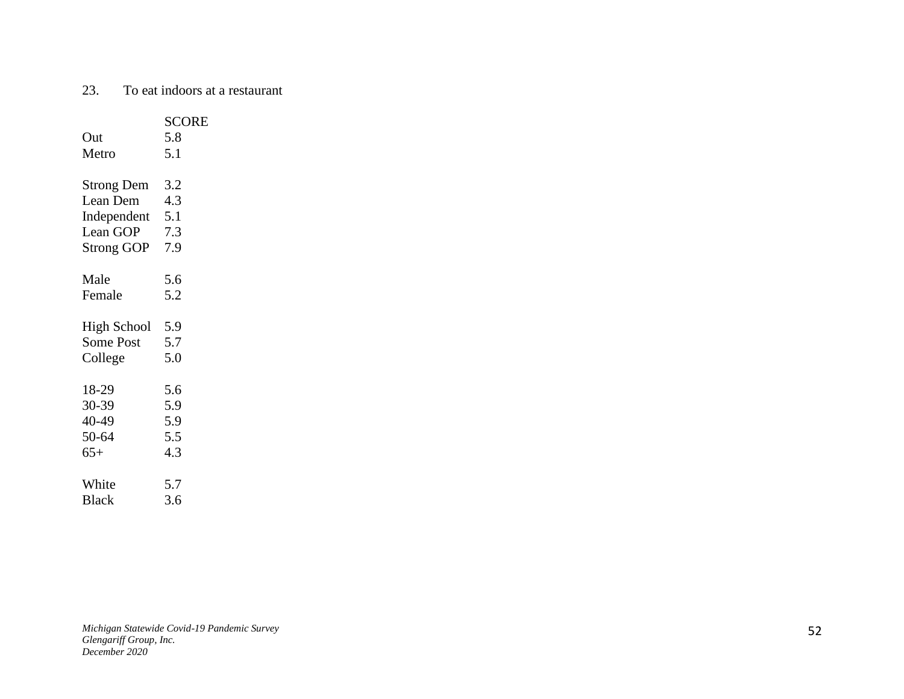#### 23. To eat indoors at a restaurant

|                    | <b>SCORE</b> |
|--------------------|--------------|
| Out                | 5.8          |
| Metro              | 5.1          |
|                    |              |
| <b>Strong Dem</b>  | 3.2          |
| Lean Dem           | 4.3          |
| Independent 5.1    |              |
| Lean GOP           | 7.3          |
| Strong GOP         | 7.9          |
|                    |              |
| Male               | 5.6          |
| Female             | 5.2          |
| <b>High School</b> | 5.9          |
| <b>Some Post</b>   | 5.7          |
| College            | 5.0          |
|                    |              |
| 18-29              | 5.6          |
| 30-39              | 5.9          |
| 40-49              | 5.9          |
| 50-64              | 5.5          |
| $65+$              | 4.3          |
|                    |              |
| White              | 5.7          |
| <b>Black</b>       | 3.6          |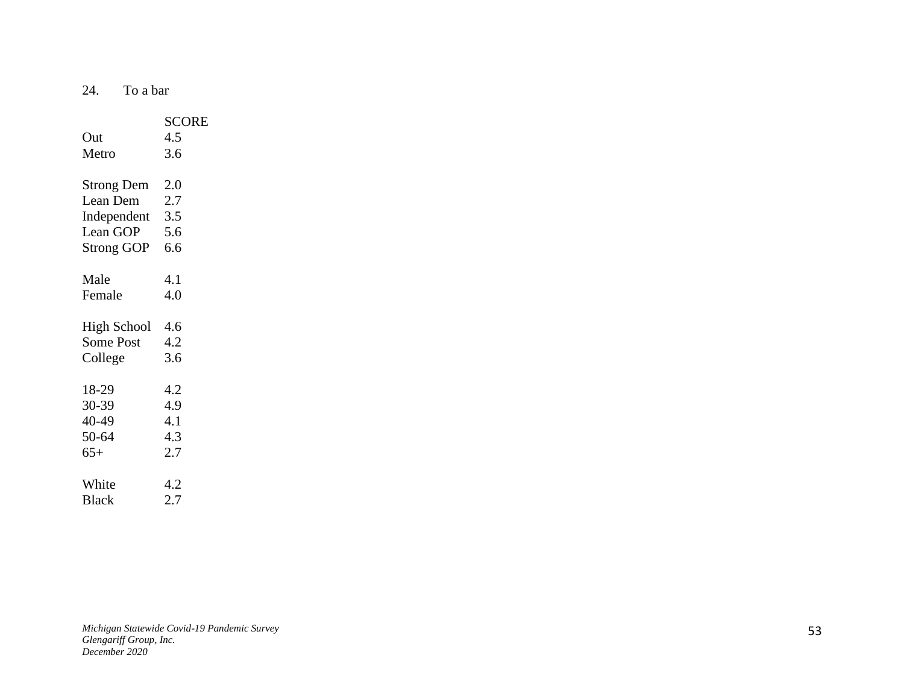24. To a bar

|                    | <b>SCORE</b> |
|--------------------|--------------|
| Out                | 4.5          |
| Metro              | 3.6          |
|                    |              |
| <b>Strong Dem</b>  | 2.0          |
| Lean Dem           | 2.7          |
| Independent        | 3.5          |
| Lean GOP           | 5.6          |
| <b>Strong GOP</b>  | 6.6          |
|                    |              |
| Male               | 4.1          |
| Female             | 4.0          |
|                    |              |
| <b>High School</b> | -4.6         |
| <b>Some Post</b>   | 4.2          |
| College            | 3.6          |
|                    |              |
| 18-29              | 4.2          |
| 30-39              | 4.9          |
| 40-49              | 4.1          |
| 50-64              | 4.3          |
| $65+$              | 2.7          |
|                    |              |
| White              | 4.2          |
| <b>Black</b>       | 2.7          |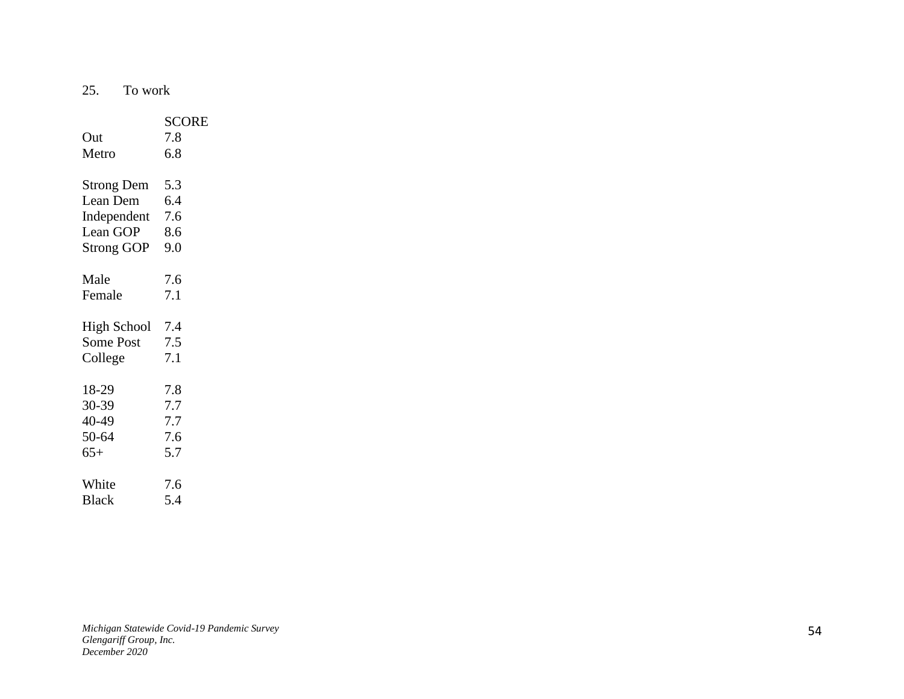25. To work

| Out<br>Metro       | <b>SCORE</b><br>7.8<br>6.8 |
|--------------------|----------------------------|
| <b>Strong Dem</b>  | 5.3                        |
| Lean Dem           | 6.4                        |
| Independent        | 7.6                        |
| Lean GOP           | 8.6                        |
| <b>Strong GOP</b>  | 9.0                        |
| Male               | 7.6                        |
| Female             | 7.1                        |
| <b>High School</b> | 7.4                        |
| <b>Some Post</b>   | 7.5                        |
| College            | 7.1                        |
| 18-29              | 7.8                        |
| 30-39              | 7.7                        |
| 40-49              | 7.7                        |
| 50-64              | 7.6                        |
| $65+$              | 5.7                        |
| White              | 7.6                        |
| <b>Black</b>       | 5.4                        |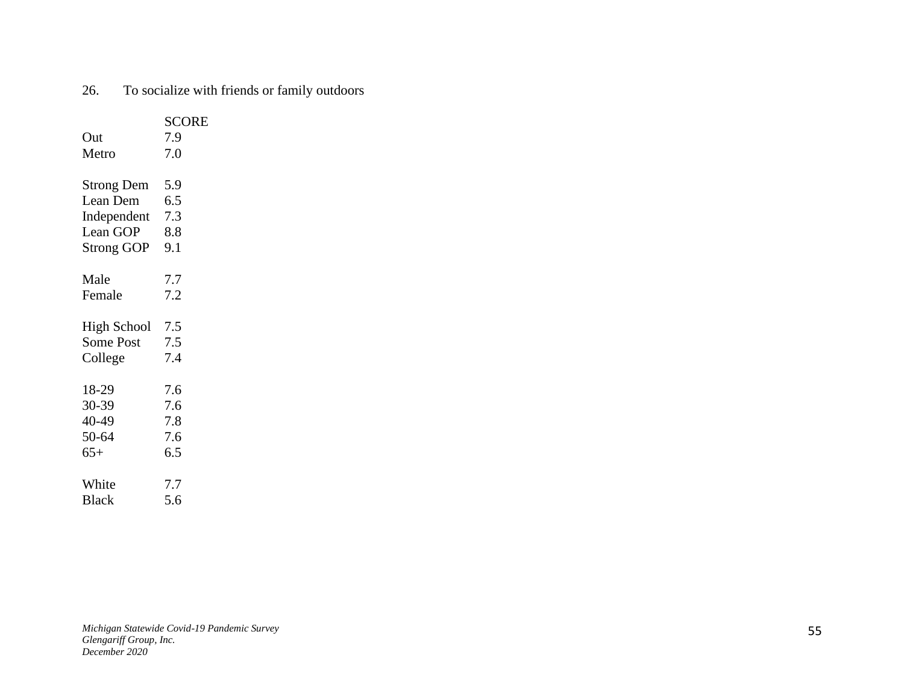|                    | <b>SCORE</b> |
|--------------------|--------------|
| Out                | 7.9          |
| Metro              | 7.0          |
|                    |              |
| <b>Strong Dem</b>  | 5.9          |
| Lean Dem           | 6.5          |
| Independent        | 7.3          |
| Lean GOP           | 8.8          |
| <b>Strong GOP</b>  | 9.1          |
|                    |              |
| Male               | 7.7          |
| Female             | 7.2          |
|                    |              |
| <b>High School</b> | 7.5          |
| <b>Some Post</b>   | 7.5          |
| College            | 7.4          |
|                    |              |
| 18-29              | 7.6          |
| 30-39              | 7.6          |
| 40-49              | 7.8          |
| 50-64              | 7.6          |
| $65+$              | 6.5          |
|                    |              |
| White              | 7.7          |
| <b>Black</b>       | 5.6          |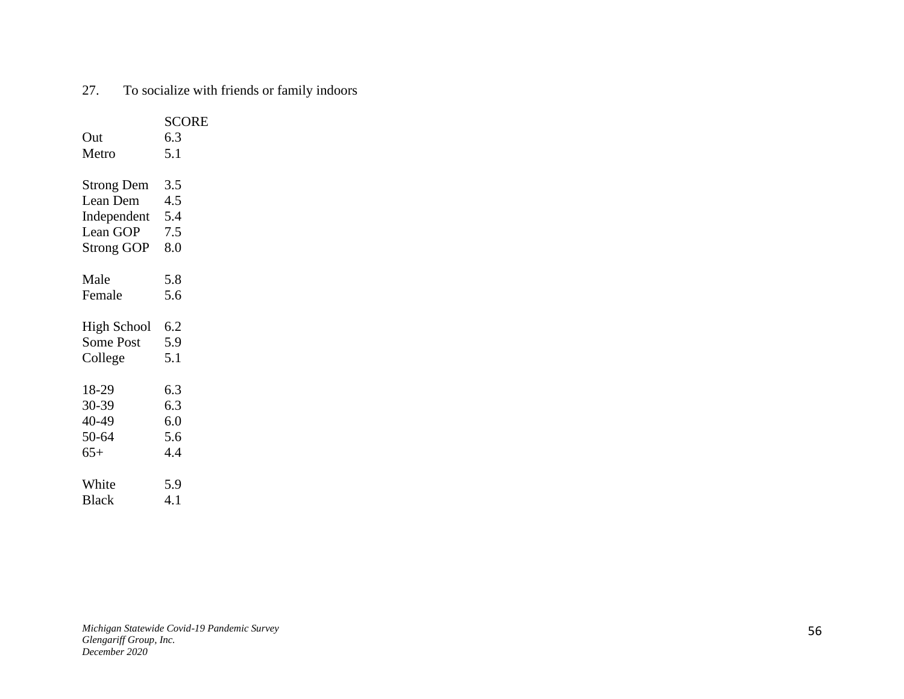| 27.<br>To socialize with friends or family indoors |
|----------------------------------------------------|
|----------------------------------------------------|

|                    | <b>SCORE</b> |
|--------------------|--------------|
| Out                | 6.3          |
| Metro              | 5.1          |
|                    |              |
| <b>Strong Dem</b>  | 3.5          |
| Lean Dem           | 4.5          |
| Independent 5.4    |              |
| Lean GOP           | 7.5          |
| <b>Strong GOP</b>  | 8.0          |
|                    |              |
| Male               | 5.8          |
| Female             | 5.6          |
|                    |              |
| <b>High School</b> | 6.2          |
| <b>Some Post</b>   | 5.9          |
| College            | 5.1          |
|                    |              |
| 18-29              | 6.3          |
| 30-39              | 6.3          |
| 40-49              | 6.0          |
| 50-64              | 5.6          |
| $65+$              | 4.4          |
|                    |              |
| White              | 5.9          |
| <b>Black</b>       | 4.1          |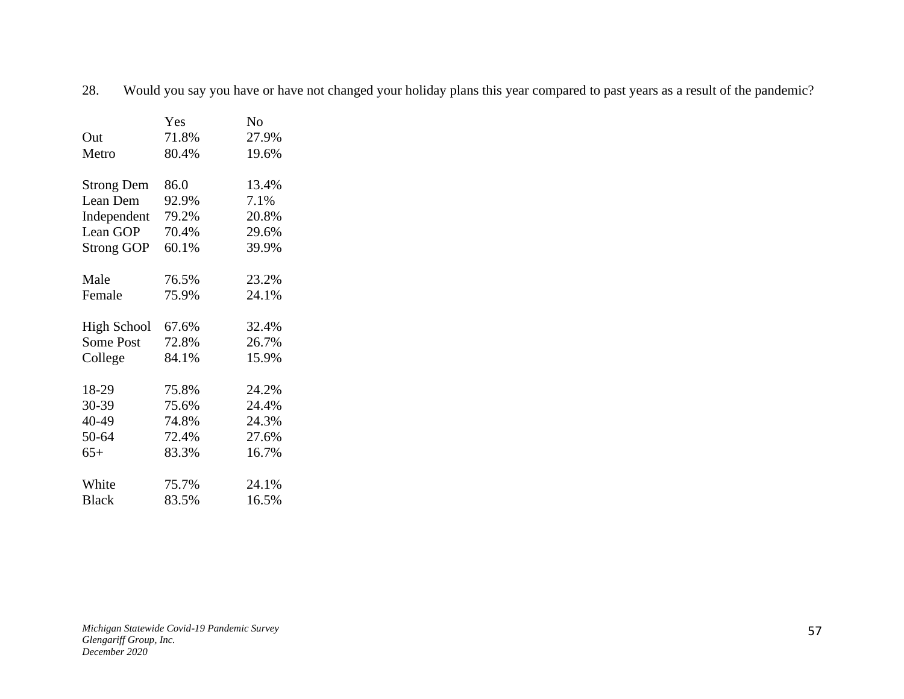28. Would you say you have or have not changed your holiday plans this year compared to past years as a result of the pandemic?

|                    | Yes   | No    |
|--------------------|-------|-------|
| Out                | 71.8% | 27.9% |
| Metro              | 80.4% | 19.6% |
|                    |       |       |
| <b>Strong Dem</b>  | 86.0  | 13.4% |
| Lean Dem           | 92.9% | 7.1%  |
| Independent        | 79.2% | 20.8% |
| Lean GOP           | 70.4% | 29.6% |
| <b>Strong GOP</b>  | 60.1% | 39.9% |
|                    |       |       |
| Male               | 76.5% | 23.2% |
| Female             | 75.9% | 24.1% |
|                    |       |       |
| <b>High School</b> | 67.6% | 32.4% |
| Some Post          | 72.8% | 26.7% |
| College            | 84.1% | 15.9% |
|                    |       |       |
| 18-29              | 75.8% | 24.2% |
| 30-39              | 75.6% | 24.4% |
| 40-49              | 74.8% | 24.3% |
| 50-64              | 72.4% | 27.6% |
| $65+$              | 83.3% | 16.7% |
|                    |       |       |
| White              | 75.7% | 24.1% |
| <b>Black</b>       | 83.5% | 16.5% |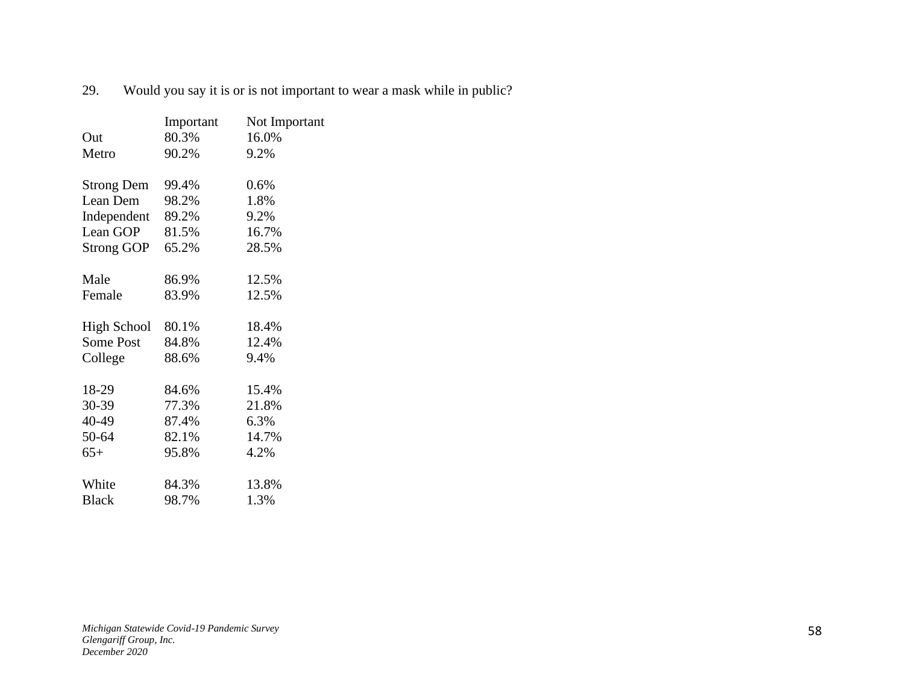|                                                     | Important                                          | Not Important                                             |
|-----------------------------------------------------|----------------------------------------------------|-----------------------------------------------------------|
| Out                                                 | 80.3%                                              | 16.0%                                                     |
| Metro                                               | 90.2%                                              | 9.2%                                                      |
|                                                     |                                                    |                                                           |
| <b>Strong Dem</b>                                   | 99.4%                                              | 0.6%                                                      |
| Lean Dem                                            | 98.2%                                              | 1.8%                                                      |
| Independent                                         | 89.2%                                              | 9.2%                                                      |
| Lean GOP                                            | 81.5%                                              | 16.7%                                                     |
| <b>Strong GOP</b>                                   | 65.2%                                              | 28.5%                                                     |
| Male                                                | 86.9%                                              | 12.5%                                                     |
|                                                     |                                                    |                                                           |
|                                                     |                                                    |                                                           |
| <b>High School</b>                                  | 80.1%                                              | 18.4%                                                     |
| <b>Some Post</b>                                    | 84.8%                                              | 12.4%                                                     |
| College                                             | 88.6%                                              | 9.4%                                                      |
|                                                     |                                                    |                                                           |
|                                                     |                                                    |                                                           |
|                                                     |                                                    |                                                           |
|                                                     |                                                    |                                                           |
|                                                     |                                                    |                                                           |
|                                                     |                                                    |                                                           |
| White                                               | 84.3%                                              |                                                           |
| <b>Black</b>                                        | 98.7%                                              | 1.3%                                                      |
| Female<br>18-29<br>30-39<br>40-49<br>50-64<br>$65+$ | 83.9%<br>84.6%<br>77.3%<br>87.4%<br>82.1%<br>95.8% | 12.5%<br>15.4%<br>21.8%<br>6.3%<br>14.7%<br>4.2%<br>13.8% |

29. Would you say it is or is not important to wear a mask while in public?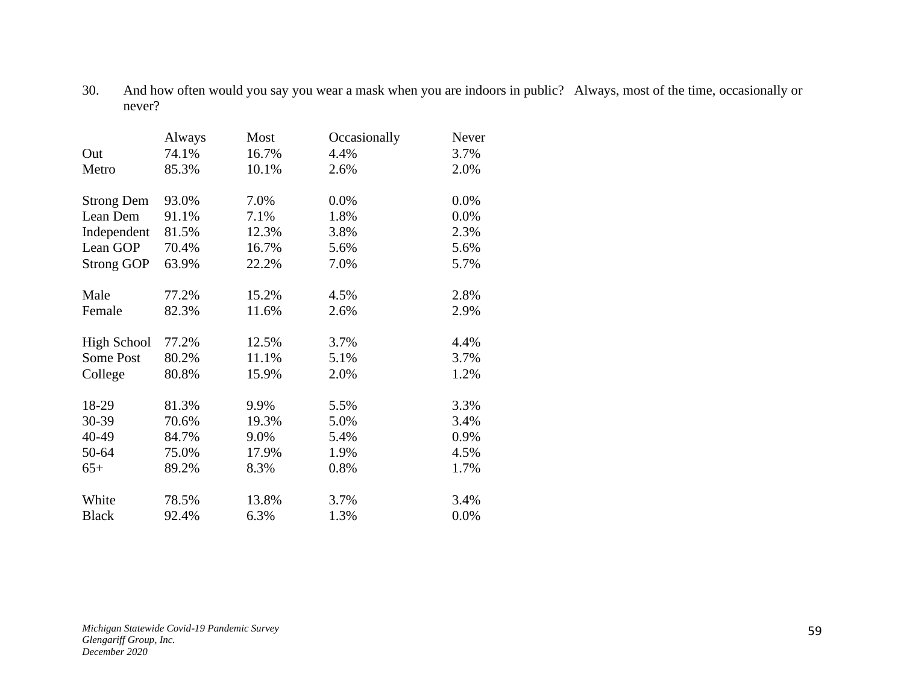30. And how often would you say you wear a mask when you are indoors in public? Always, most of the time, occasionally or never?

|                    | Always | Most  | Occasionally | Never |
|--------------------|--------|-------|--------------|-------|
| Out                | 74.1%  | 16.7% | 4.4%         | 3.7%  |
| Metro              | 85.3%  | 10.1% | 2.6%         | 2.0%  |
| <b>Strong Dem</b>  | 93.0%  | 7.0%  | 0.0%         | 0.0%  |
| Lean Dem           | 91.1%  | 7.1%  | 1.8%         | 0.0%  |
| Independent        | 81.5%  | 12.3% | 3.8%         | 2.3%  |
| Lean GOP           | 70.4%  | 16.7% | 5.6%         | 5.6%  |
| <b>Strong GOP</b>  | 63.9%  | 22.2% | 7.0%         | 5.7%  |
| Male               | 77.2%  | 15.2% | 4.5%         | 2.8%  |
| Female             | 82.3%  | 11.6% | 2.6%         | 2.9%  |
| <b>High School</b> | 77.2%  | 12.5% | 3.7%         | 4.4%  |
| <b>Some Post</b>   | 80.2%  | 11.1% | 5.1%         | 3.7%  |
| College            | 80.8%  | 15.9% | 2.0%         | 1.2%  |
| 18-29              | 81.3%  | 9.9%  | 5.5%         | 3.3%  |
| 30-39              | 70.6%  | 19.3% | 5.0%         | 3.4%  |
| 40-49              | 84.7%  | 9.0%  | 5.4%         | 0.9%  |
| 50-64              | 75.0%  | 17.9% | 1.9%         | 4.5%  |
| $65+$              | 89.2%  | 8.3%  | 0.8%         | 1.7%  |
| White              | 78.5%  | 13.8% | 3.7%         | 3.4%  |
| <b>Black</b>       | 92.4%  | 6.3%  | 1.3%         | 0.0%  |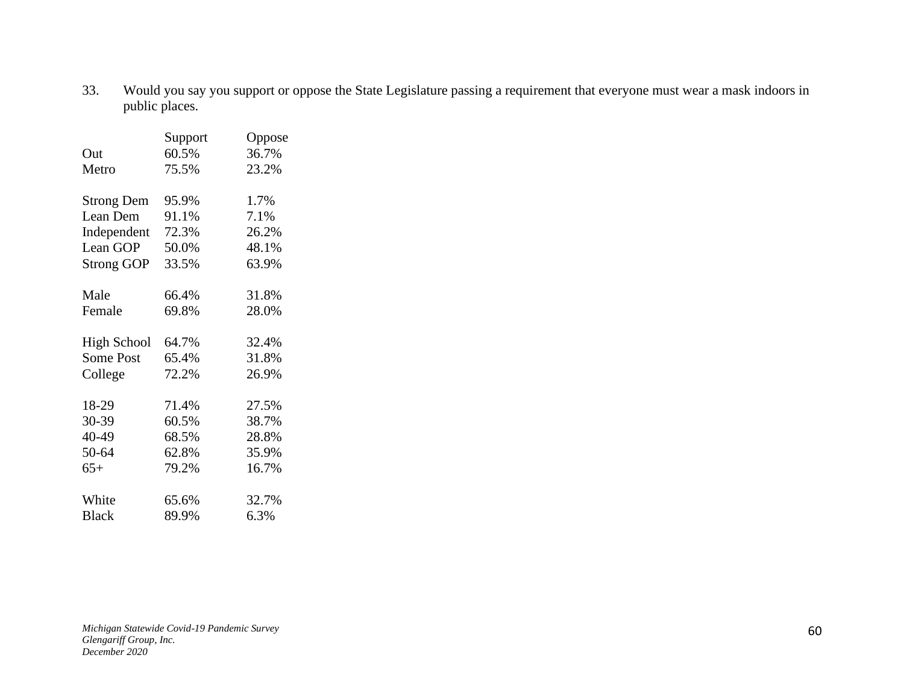33. Would you say you support or oppose the State Legislature passing a requirement that everyone must wear a mask indoors in public places.

|                    | Support | Oppose |
|--------------------|---------|--------|
| Out                | 60.5%   | 36.7%  |
| Metro              | 75.5%   | 23.2%  |
| <b>Strong Dem</b>  | 95.9%   | 1.7%   |
| Lean Dem           | 91.1%   | 7.1%   |
| Independent        | 72.3%   | 26.2%  |
| Lean GOP           | 50.0%   | 48.1%  |
| <b>Strong GOP</b>  | 33.5%   | 63.9%  |
| Male               | 66.4%   | 31.8%  |
|                    |         |        |
| Female             | 69.8%   | 28.0%  |
| <b>High School</b> | 64.7%   | 32.4%  |
| <b>Some Post</b>   | 65.4%   | 31.8%  |
| College            | 72.2%   | 26.9%  |
| 18-29              | 71.4%   | 27.5%  |
| 30-39              | 60.5%   | 38.7%  |
| 40-49              | 68.5%   | 28.8%  |
|                    |         |        |
| 50-64              | 62.8%   | 35.9%  |
| $65+$              | 79.2%   | 16.7%  |
| White              | 65.6%   | 32.7%  |
| <b>Black</b>       | 89.9%   | 6.3%   |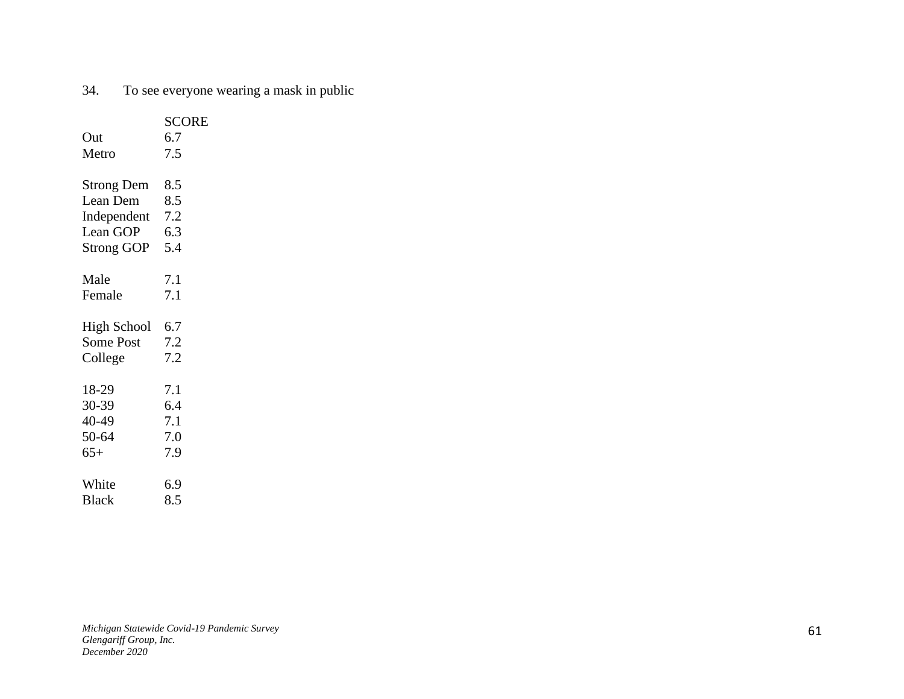# 34. To see everyone wearing a mask in public

| Out<br>Metro       | <b>SCORE</b><br>6.7<br>7.5 |
|--------------------|----------------------------|
| <b>Strong Dem</b>  | 8.5                        |
| Lean Dem           | 8.5                        |
| Independent        | 7.2                        |
| Lean GOP           | 6.3                        |
| <b>Strong GOP</b>  | 5.4                        |
| Male               | 7.1                        |
| Female             | 7.1                        |
| <b>High School</b> | 6.7                        |
| <b>Some Post</b>   | 7.2                        |
| College            | 7.2                        |
| 18-29              | 7.1                        |
| 30-39              | 6.4                        |
| 40-49              | 7.1                        |
| 50-64              | 7.0                        |
| $65+$              | 7.9                        |
| White              | 6.9                        |
| <b>Black</b>       | 8.5                        |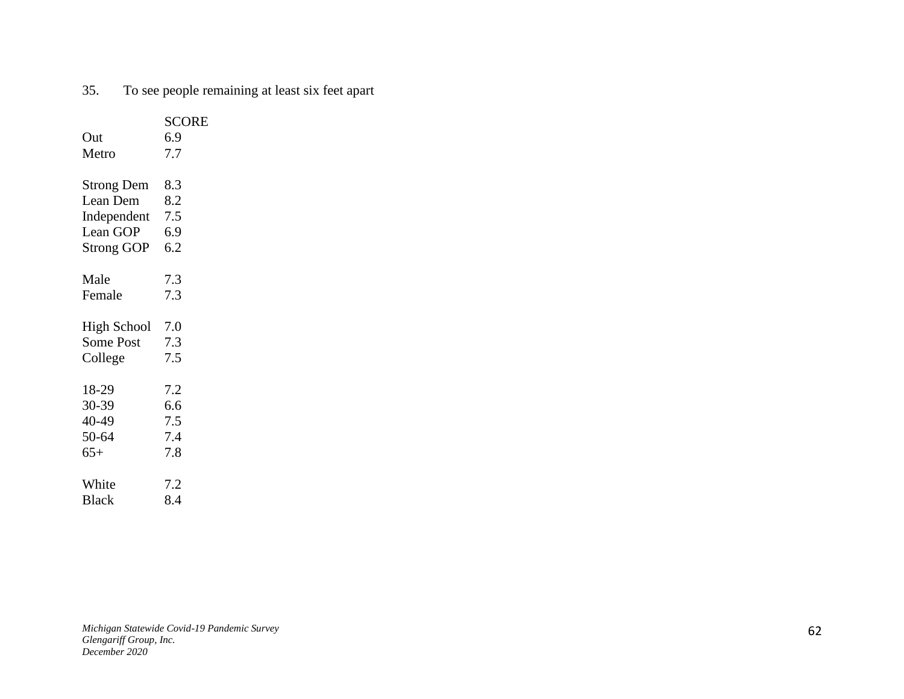| Out<br>Metro       | <b>SCORE</b><br>6.9<br>7.7 |
|--------------------|----------------------------|
| <b>Strong Dem</b>  | 8.3                        |
| Lean Dem           | 8.2                        |
| Independent        | 7.5                        |
| Lean GOP           | 6.9                        |
| <b>Strong GOP</b>  | 6.2                        |
| Male               | 7.3                        |
| Female             | 7.3                        |
| <b>High School</b> | 7.0                        |
| <b>Some Post</b>   | 7.3                        |
| College            | 7.5                        |
| 18-29              | 7.2                        |
| 30-39              | 6.6                        |
| 40-49              | 7.5                        |
| 50-64              | 7.4                        |
| $65+$              | 7.8                        |
| White              | 7.2                        |
| <b>Black</b>       | 8.4                        |

35. To see people remaining at least six feet apart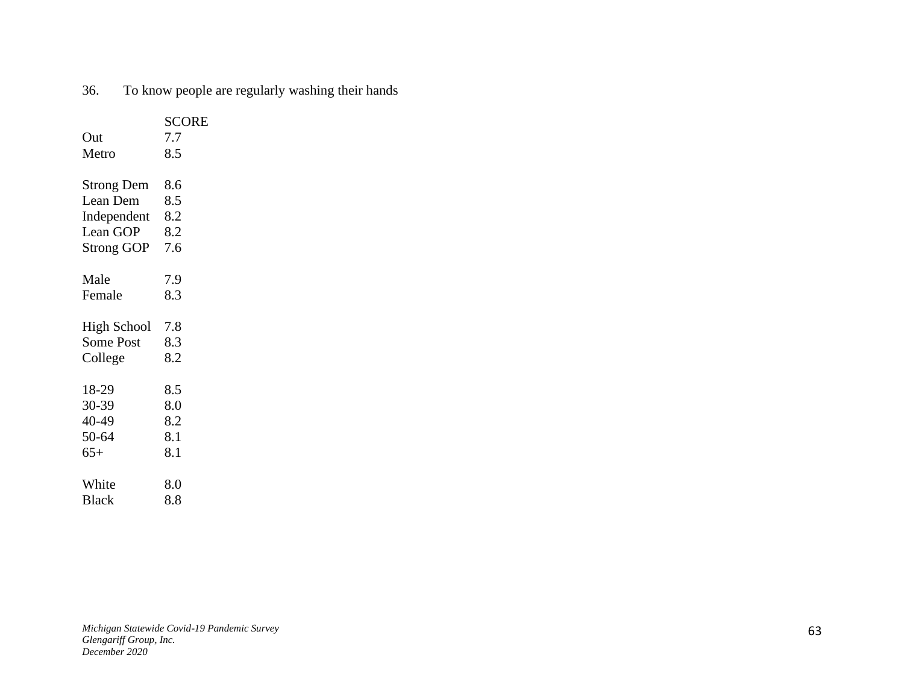| 8.5<br>Metro<br><b>Strong Dem</b><br>8.6<br>Lean Dem<br>8.5<br>8.2<br>Independent<br>Lean GOP<br>8.2<br>7.6<br><b>Strong GOP</b><br>Male<br>7.9<br>8.3<br>Female<br><b>High School</b><br>7.8<br><b>Some Post</b><br>8.3<br>8.2<br>College<br>18-29<br>8.5<br>30-39<br>8.0<br>40-49<br>8.2<br>50-64<br>8.1<br>8.1<br>$65+$<br>White<br>8.0 | Out          | <b>SCORE</b><br>7.7 |
|--------------------------------------------------------------------------------------------------------------------------------------------------------------------------------------------------------------------------------------------------------------------------------------------------------------------------------------------|--------------|---------------------|
|                                                                                                                                                                                                                                                                                                                                            |              |                     |
|                                                                                                                                                                                                                                                                                                                                            |              |                     |
|                                                                                                                                                                                                                                                                                                                                            |              |                     |
|                                                                                                                                                                                                                                                                                                                                            |              |                     |
|                                                                                                                                                                                                                                                                                                                                            |              |                     |
|                                                                                                                                                                                                                                                                                                                                            |              |                     |
|                                                                                                                                                                                                                                                                                                                                            |              |                     |
|                                                                                                                                                                                                                                                                                                                                            |              |                     |
|                                                                                                                                                                                                                                                                                                                                            |              |                     |
|                                                                                                                                                                                                                                                                                                                                            |              |                     |
|                                                                                                                                                                                                                                                                                                                                            |              |                     |
|                                                                                                                                                                                                                                                                                                                                            |              |                     |
|                                                                                                                                                                                                                                                                                                                                            |              |                     |
|                                                                                                                                                                                                                                                                                                                                            |              |                     |
|                                                                                                                                                                                                                                                                                                                                            |              |                     |
|                                                                                                                                                                                                                                                                                                                                            |              |                     |
|                                                                                                                                                                                                                                                                                                                                            |              |                     |
|                                                                                                                                                                                                                                                                                                                                            | <b>Black</b> | 8.8                 |

# 36. To know people are regularly washing their hands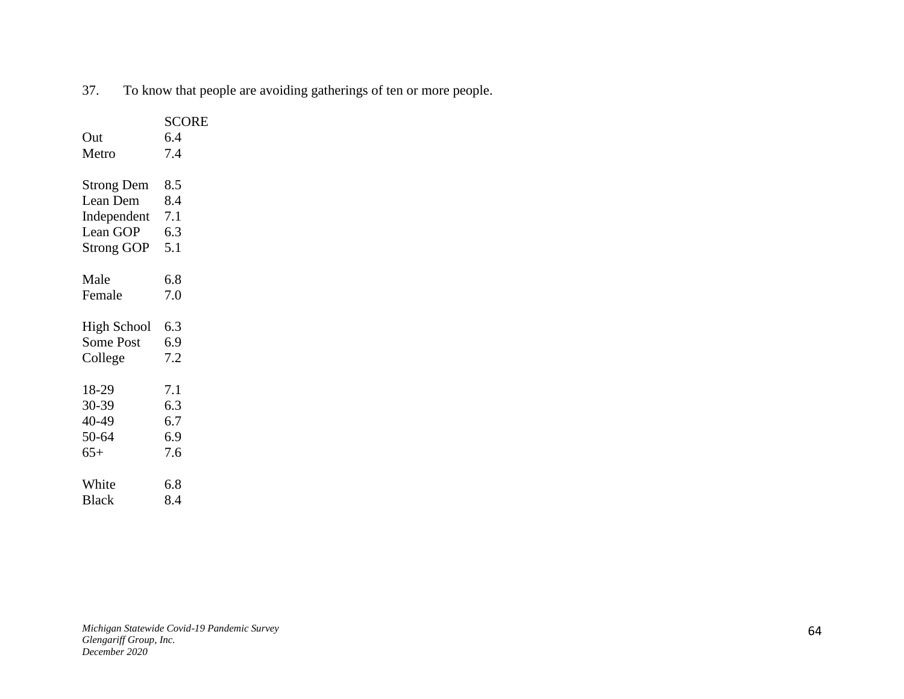37. To know that people are avoiding gatherings of ten or more people.

|                    | <b>SCORE</b> |
|--------------------|--------------|
| Out                | 6.4          |
| Metro              | 7.4          |
|                    |              |
| <b>Strong Dem</b>  | 8.5          |
| Lean Dem           | 8.4          |
| Independent        | 7.1          |
| Lean GOP           | 6.3          |
| <b>Strong GOP</b>  | 5.1          |
|                    |              |
| Male               | 6.8          |
| Female             | 7.0          |
|                    |              |
| <b>High School</b> | 6.3          |
| <b>Some Post</b>   | 6.9          |
| College            | 7.2          |
|                    |              |
| 18-29              | 7.1          |
| 30-39              | 6.3          |
| 40-49              | 6.7          |
| 50-64              | 6.9          |
| $65+$              | 7.6          |
|                    |              |
| White              | 6.8          |
| <b>Black</b>       | 8.4          |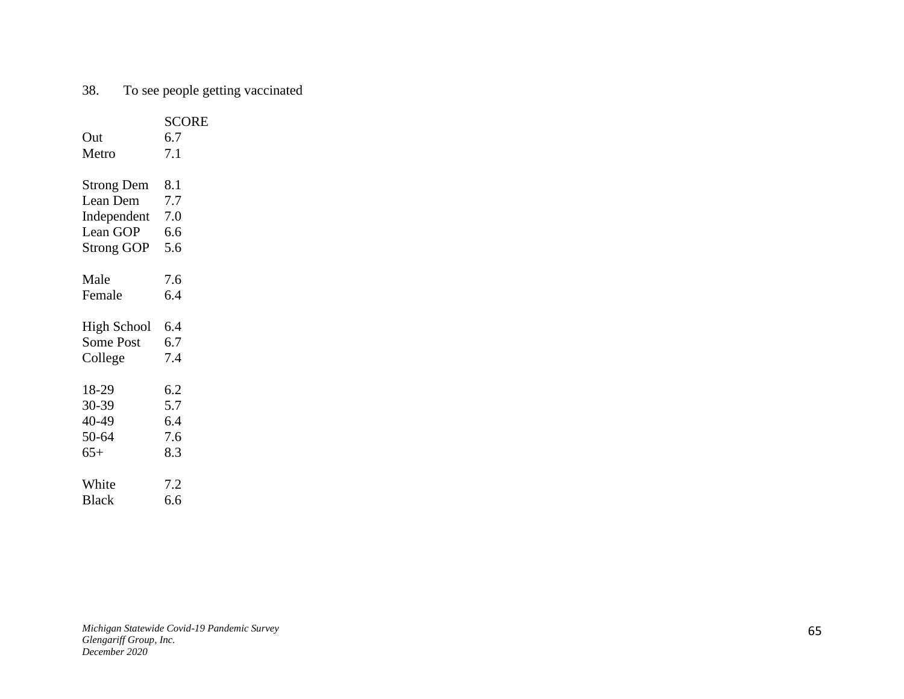# 38. To see people getting vaccinated

| Out<br>Metro       | <b>SCORE</b><br>6.7<br>7.1 |
|--------------------|----------------------------|
| <b>Strong Dem</b>  | 8.1                        |
| Lean Dem           | 7.7                        |
| Independent        | 7.0                        |
| Lean GOP           | 6.6                        |
| <b>Strong GOP</b>  | 5.6                        |
| Male               | 7.6                        |
| Female             | 6.4                        |
| <b>High School</b> | 6.4                        |
| <b>Some Post</b>   | 6.7                        |
| College            | 7.4                        |
| 18-29              | 6.2                        |
| 30-39              | 5.7                        |
| 40-49              | 6.4                        |
| 50-64              | 7.6                        |
| $65+$              | 8.3                        |
| White              | 7.2                        |
| <b>Black</b>       | 6.6                        |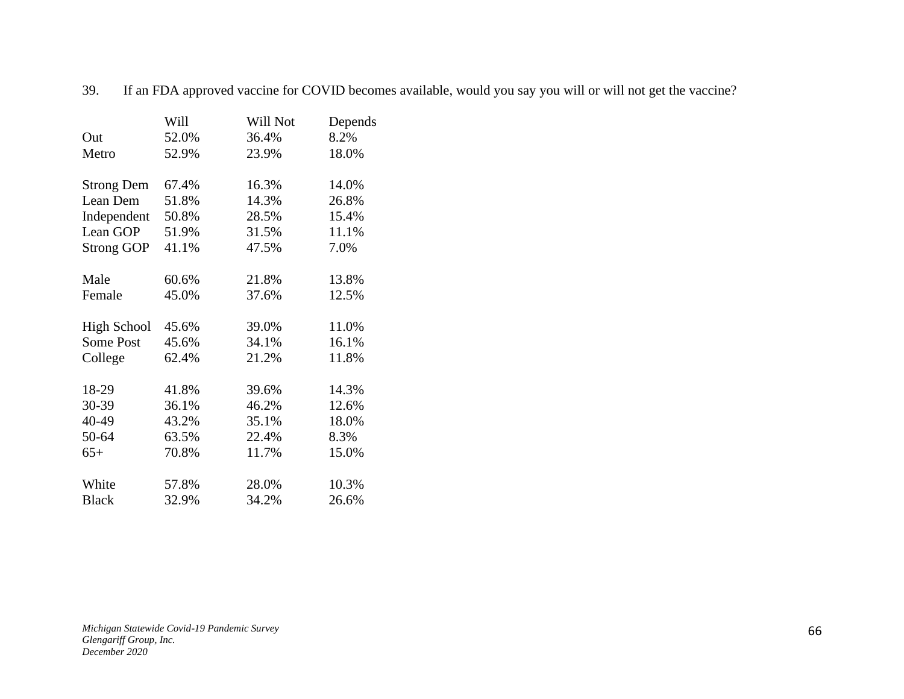|                    | Will  | Will Not | Depends |
|--------------------|-------|----------|---------|
| Out                | 52.0% | 36.4%    | 8.2%    |
| Metro              | 52.9% | 23.9%    | 18.0%   |
| <b>Strong Dem</b>  | 67.4% | 16.3%    | 14.0%   |
| Lean Dem           | 51.8% | 14.3%    | 26.8%   |
| Independent        | 50.8% | 28.5%    | 15.4%   |
| Lean GOP           | 51.9% | 31.5%    | 11.1%   |
| <b>Strong GOP</b>  | 41.1% | 47.5%    | 7.0%    |
| Male               | 60.6% | 21.8%    | 13.8%   |
| Female             | 45.0% | 37.6%    | 12.5%   |
| <b>High School</b> | 45.6% | 39.0%    | 11.0%   |
| <b>Some Post</b>   | 45.6% | 34.1%    | 16.1%   |
| College            | 62.4% | 21.2%    | 11.8%   |
| 18-29              | 41.8% | 39.6%    | 14.3%   |
| 30-39              | 36.1% | 46.2%    | 12.6%   |
| 40-49              | 43.2% | 35.1%    | 18.0%   |
| 50-64              | 63.5% | 22.4%    | 8.3%    |
| $65+$              | 70.8% | 11.7%    | 15.0%   |
| White              | 57.8% | 28.0%    | 10.3%   |
| <b>Black</b>       | 32.9% | 34.2%    | 26.6%   |

39. If an FDA approved vaccine for COVID becomes available, would you say you will or will not get the vaccine?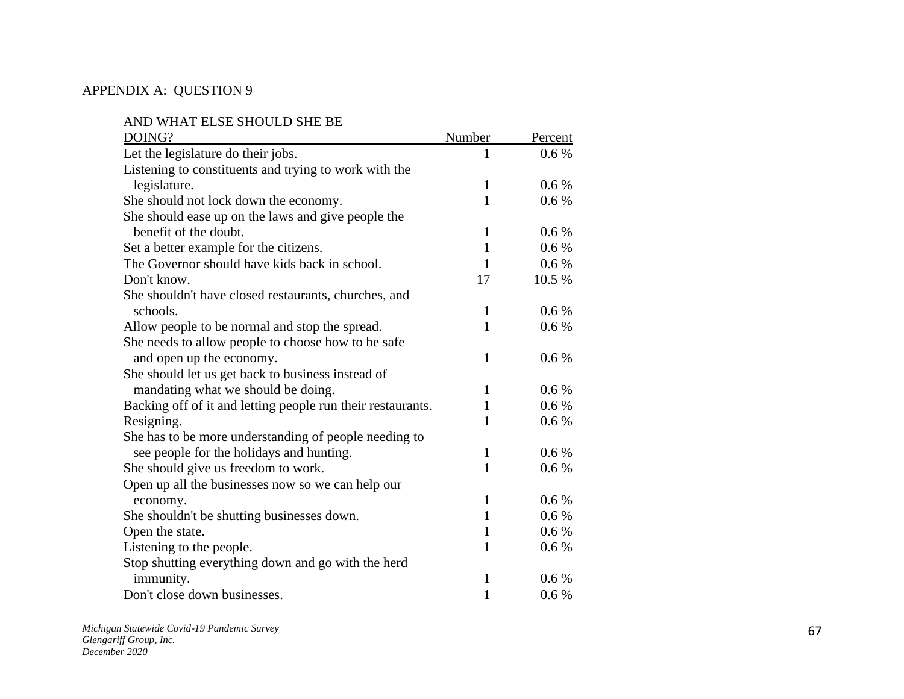#### APPENDIX A: QUESTION 9

AND WHAT ELSE SHOULD SHE BE

| DOING?                                                      | Number       | Percent |
|-------------------------------------------------------------|--------------|---------|
| Let the legislature do their jobs.                          |              | 0.6 %   |
| Listening to constituents and trying to work with the       |              |         |
| legislature.                                                | 1            | 0.6 %   |
| She should not lock down the economy.                       | $\mathbf{1}$ | 0.6%    |
| She should ease up on the laws and give people the          |              |         |
| benefit of the doubt.                                       | $\mathbf{1}$ | 0.6%    |
| Set a better example for the citizens.                      | 1            | 0.6%    |
| The Governor should have kids back in school.               | 1            | 0.6%    |
| Don't know.                                                 | 17           | 10.5 %  |
| She shouldn't have closed restaurants, churches, and        |              |         |
| schools.                                                    | $\mathbf{1}$ | 0.6 %   |
| Allow people to be normal and stop the spread.              | 1            | 0.6 %   |
| She needs to allow people to choose how to be safe          |              |         |
| and open up the economy.                                    | 1            | 0.6 %   |
| She should let us get back to business instead of           |              |         |
| mandating what we should be doing.                          | 1            | $0.6\%$ |
| Backing off of it and letting people run their restaurants. | 1            | $0.6\%$ |
| Resigning.                                                  | 1            | 0.6 %   |
| She has to be more understanding of people needing to       |              |         |
| see people for the holidays and hunting.                    | 1            | 0.6 %   |
| She should give us freedom to work.                         | 1            | $0.6\%$ |
| Open up all the businesses now so we can help our           |              |         |
| economy.                                                    | 1            | $0.6\%$ |
| She shouldn't be shutting businesses down.                  | 1            | $0.6\%$ |
| Open the state.                                             | $\mathbf{1}$ | $0.6\%$ |
| Listening to the people.                                    | 1            | 0.6 %   |
| Stop shutting everything down and go with the herd          |              |         |
| immunity.                                                   | 1            | 0.6 %   |
| Don't close down businesses.                                | $\mathbf{1}$ | 0.6 %   |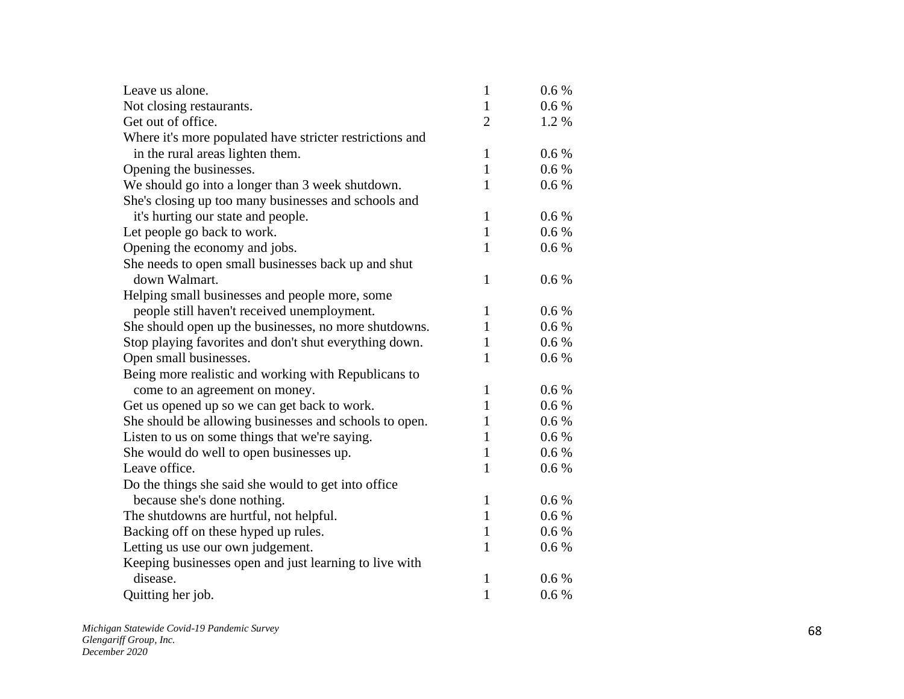| Leave us alone.                                          | $\mathbf{1}$   | 0.6 %     |
|----------------------------------------------------------|----------------|-----------|
| Not closing restaurants.                                 | $\mathbf{1}$   | $0.6\%$   |
| Get out of office.                                       | $\overline{2}$ | 1.2%      |
| Where it's more populated have stricter restrictions and |                |           |
| in the rural areas lighten them.                         | $\mathbf{1}$   | 0.6%      |
| Opening the businesses.                                  | $\mathbf{1}$   | $0.6\,\%$ |
| We should go into a longer than 3 week shutdown.         | $\mathbf{1}$   | 0.6 %     |
| She's closing up too many businesses and schools and     |                |           |
| it's hurting our state and people.                       | $\mathbf{1}$   | 0.6%      |
| Let people go back to work.                              | $\mathbf{1}$   | $0.6\,\%$ |
| Opening the economy and jobs.                            | $\mathbf{1}$   | $0.6\,\%$ |
| She needs to open small businesses back up and shut      |                |           |
| down Walmart.                                            | $\mathbf{1}$   | 0.6%      |
| Helping small businesses and people more, some           |                |           |
| people still haven't received unemployment.              | $\mathbf{1}$   | 0.6 %     |
| She should open up the businesses, no more shutdowns.    | $\mathbf{1}$   | 0.6 %     |
| Stop playing favorites and don't shut everything down.   | $\mathbf{1}$   | $0.6\%$   |
| Open small businesses.                                   | 1              | $0.6\,\%$ |
| Being more realistic and working with Republicans to     |                |           |
| come to an agreement on money.                           | $\mathbf{1}$   | 0.6 %     |
| Get us opened up so we can get back to work.             | $\mathbf{1}$   | 0.6 %     |
| She should be allowing businesses and schools to open.   | 1              | $0.6\,\%$ |
| Listen to us on some things that we're saying.           | $\mathbf{1}$   | 0.6 %     |
| She would do well to open businesses up.                 | 1              | 0.6 %     |
| Leave office.                                            | $\mathbf{1}$   | 0.6%      |
| Do the things she said she would to get into office      |                |           |
| because she's done nothing.                              | $\mathbf{1}$   | 0.6 %     |
| The shutdowns are hurtful, not helpful.                  | $\mathbf{1}$   | 0.6 %     |
| Backing off on these hyped up rules.                     | $\mathbf{1}$   | 0.6 %     |
| Letting us use our own judgement.                        | 1              | $0.6\,\%$ |
| Keeping businesses open and just learning to live with   |                |           |
| disease.                                                 | $\mathbf{1}$   | 0.6 %     |
| Quitting her job.                                        | $\mathbf{1}$   | 0.6 %     |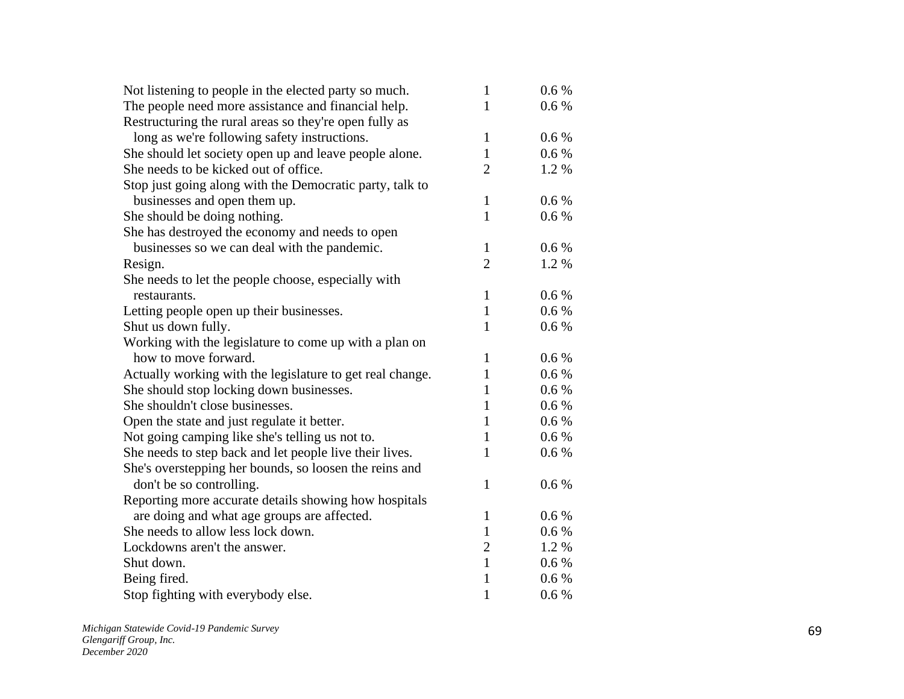| The people need more assistance and financial help.<br>0.6 %<br>1<br>Restructuring the rural areas so they're open fully as<br>long as we're following safety instructions.<br>$\mathbf{1}$<br>0.6 %<br>She should let society open up and leave people alone.<br>0.6 %<br>1 |
|------------------------------------------------------------------------------------------------------------------------------------------------------------------------------------------------------------------------------------------------------------------------------|
|                                                                                                                                                                                                                                                                              |
|                                                                                                                                                                                                                                                                              |
|                                                                                                                                                                                                                                                                              |
|                                                                                                                                                                                                                                                                              |
| She needs to be kicked out of office.<br>$\overline{2}$<br>1.2%                                                                                                                                                                                                              |
| Stop just going along with the Democratic party, talk to                                                                                                                                                                                                                     |
| businesses and open them up.<br>$\mathbf{1}$<br>$0.6\%$                                                                                                                                                                                                                      |
| $\mathbf{1}$<br>She should be doing nothing.<br>0.6 %                                                                                                                                                                                                                        |
| She has destroyed the economy and needs to open                                                                                                                                                                                                                              |
| businesses so we can deal with the pandemic.<br>0.6 %<br>1                                                                                                                                                                                                                   |
| $\overline{2}$<br>1.2%<br>Resign.                                                                                                                                                                                                                                            |
| She needs to let the people choose, especially with                                                                                                                                                                                                                          |
| $\mathbf{1}$<br>$0.6\%$<br>restaurants.                                                                                                                                                                                                                                      |
| 0.6 %<br>Letting people open up their businesses.<br>$\mathbf{1}$                                                                                                                                                                                                            |
| Shut us down fully.<br>1<br>0.6%                                                                                                                                                                                                                                             |
| Working with the legislature to come up with a plan on                                                                                                                                                                                                                       |
| how to move forward.<br>$\mathbf{1}$<br>0.6 %                                                                                                                                                                                                                                |
| Actually working with the legislature to get real change.<br>$\mathbf{1}$<br>0.6 %                                                                                                                                                                                           |
| She should stop locking down businesses.<br>1<br>0.6 %                                                                                                                                                                                                                       |
| She shouldn't close businesses.<br>1<br>$0.6\%$                                                                                                                                                                                                                              |
| Open the state and just regulate it better.<br>$\mathbf{1}$<br>0.6 %                                                                                                                                                                                                         |
| Not going camping like she's telling us not to.<br>0.6 %<br>1                                                                                                                                                                                                                |
| She needs to step back and let people live their lives.<br>1<br>0.6%                                                                                                                                                                                                         |
| She's overstepping her bounds, so loosen the reins and                                                                                                                                                                                                                       |
| don't be so controlling.<br>$\mathbf{1}$<br>0.6 %                                                                                                                                                                                                                            |
| Reporting more accurate details showing how hospitals                                                                                                                                                                                                                        |
| are doing and what age groups are affected.<br>$\mathbf{1}$<br>0.6 %                                                                                                                                                                                                         |
| She needs to allow less lock down.<br>$\mathbf{1}$<br>0.6 %                                                                                                                                                                                                                  |
| $\sqrt{2}$<br>Lockdowns aren't the answer.<br>1.2%                                                                                                                                                                                                                           |
| $\mathbf{1}$<br>Shut down.<br>0.6 %                                                                                                                                                                                                                                          |
| $\mathbf{1}$<br>Being fired.<br>0.6 %                                                                                                                                                                                                                                        |
| 1<br>Stop fighting with everybody else.<br>0.6 %                                                                                                                                                                                                                             |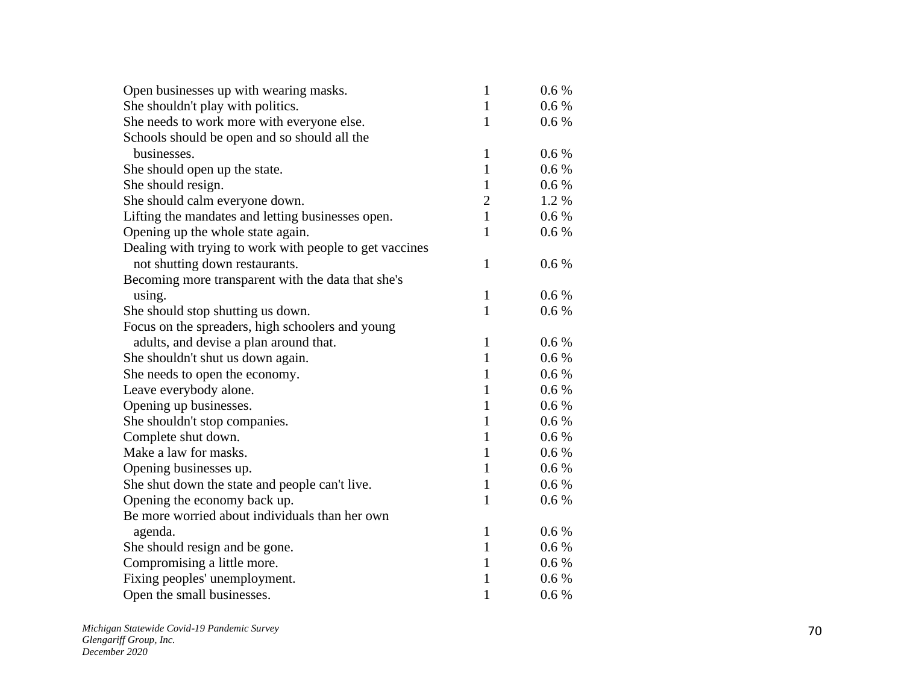| Open businesses up with wearing masks.                  | $\mathbf{1}$   | 0.6 %     |
|---------------------------------------------------------|----------------|-----------|
| She shouldn't play with politics.                       | $\mathbf{1}$   | 0.6 %     |
| She needs to work more with everyone else.              | 1              | $0.6\,\%$ |
| Schools should be open and so should all the            |                |           |
| businesses.                                             | $\mathbf{1}$   | $0.6\,\%$ |
| She should open up the state.                           | $\mathbf{1}$   | $0.6\,\%$ |
| She should resign.                                      | $\mathbf{1}$   | $0.6\,\%$ |
| She should calm everyone down.                          | $\overline{c}$ | 1.2%      |
| Lifting the mandates and letting businesses open.       | $\mathbf{1}$   | 0.6 %     |
| Opening up the whole state again.                       | $\mathbf{1}$   | 0.6 %     |
| Dealing with trying to work with people to get vaccines |                |           |
| not shutting down restaurants.                          | $\mathbf{1}$   | 0.6%      |
| Becoming more transparent with the data that she's      |                |           |
| using.                                                  | $\mathbf{1}$   | 0.6 %     |
| She should stop shutting us down.                       | $\mathbf{1}$   | 0.6 %     |
| Focus on the spreaders, high schoolers and young        |                |           |
| adults, and devise a plan around that.                  | $\mathbf{1}$   | 0.6 %     |
| She shouldn't shut us down again.                       | $\mathbf{1}$   | 0.6 %     |
| She needs to open the economy.                          | $\mathbf{1}$   | 0.6 %     |
| Leave everybody alone.                                  | $\mathbf{1}$   | 0.6 %     |
| Opening up businesses.                                  | $\mathbf{1}$   | 0.6 %     |
| She shouldn't stop companies.                           | $\mathbf{1}$   | 0.6 %     |
| Complete shut down.                                     | $\mathbf{1}$   | 0.6 %     |
| Make a law for masks.                                   | $\mathbf{1}$   | $0.6\,\%$ |
| Opening businesses up.                                  | $\mathbf{1}$   | 0.6 %     |
| She shut down the state and people can't live.          | $\mathbf{1}$   | 0.6 %     |
| Opening the economy back up.                            | $\mathbf{1}$   | 0.6 %     |
| Be more worried about individuals than her own          |                |           |
| agenda.                                                 | $\mathbf{1}$   | 0.6 %     |
| She should resign and be gone.                          | $\mathbf{1}$   | 0.6 %     |
| Compromising a little more.                             | $\mathbf{1}$   | 0.6 %     |
| Fixing peoples' unemployment.                           | $\mathbf{1}$   | 0.6 %     |
| Open the small businesses.                              | $\mathbf{1}$   | 0.6 %     |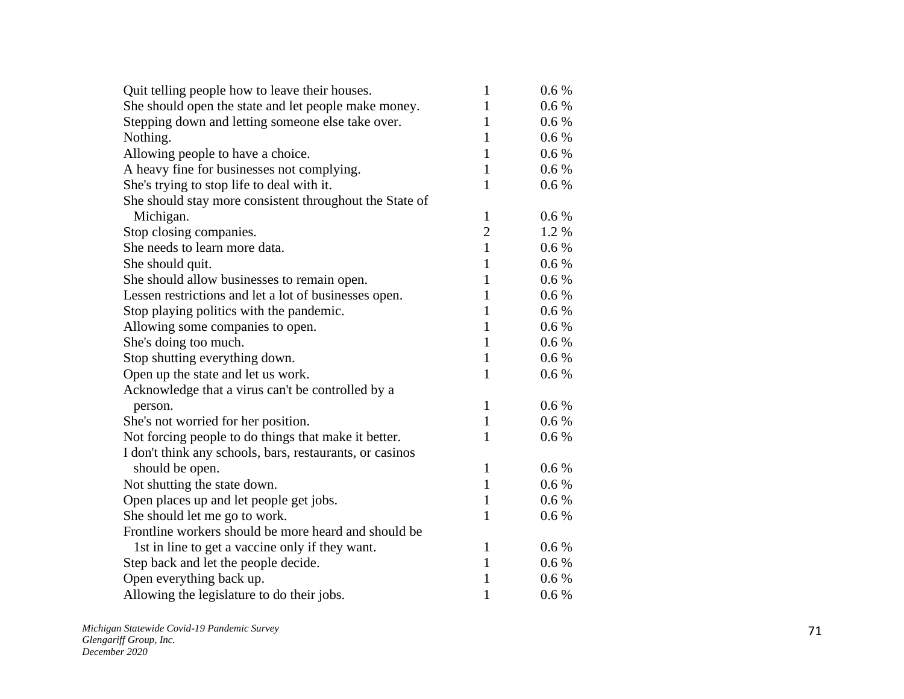| Quit telling people how to leave their houses.           | $\mathbf{1}$   | $0.6\%$ |
|----------------------------------------------------------|----------------|---------|
| She should open the state and let people make money.     | $\mathbf{1}$   | $0.6\%$ |
| Stepping down and letting someone else take over.        | 1              | $0.6\%$ |
| Nothing.                                                 | $\mathbf{1}$   | 0.6 %   |
| Allowing people to have a choice.                        | $\mathbf{1}$   | $0.6\%$ |
| A heavy fine for businesses not complying.               | $\mathbf{1}$   | $0.6\%$ |
| She's trying to stop life to deal with it.               | 1              | 0.6 %   |
| She should stay more consistent throughout the State of  |                |         |
| Michigan.                                                | $\mathbf{1}$   | 0.6 %   |
| Stop closing companies.                                  | $\overline{c}$ | 1.2 %   |
| She needs to learn more data.                            | $\mathbf{1}$   | $0.6\%$ |
| She should quit.                                         | $\mathbf{1}$   | $0.6\%$ |
| She should allow businesses to remain open.              | $\mathbf{1}$   | $0.6\%$ |
| Lessen restrictions and let a lot of businesses open.    | $\mathbf{1}$   | 0.6 %   |
| Stop playing politics with the pandemic.                 | 1              | $0.6\%$ |
| Allowing some companies to open.                         | $\mathbf{1}$   | $0.6\%$ |
| She's doing too much.                                    | $\mathbf{1}$   | $0.6\%$ |
| Stop shutting everything down.                           | $\mathbf{1}$   | 0.6 %   |
| Open up the state and let us work.                       | $\mathbf{1}$   | 0.6 %   |
| Acknowledge that a virus can't be controlled by a        |                |         |
| person.                                                  | $\mathbf{1}$   | 0.6 %   |
| She's not worried for her position.                      | $\mathbf{1}$   | $0.6\%$ |
| Not forcing people to do things that make it better.     | $\mathbf{1}$   | 0.6 %   |
| I don't think any schools, bars, restaurants, or casinos |                |         |
| should be open.                                          | $\mathbf{1}$   | 0.6 %   |
| Not shutting the state down.                             | $\mathbf{1}$   | $0.6\%$ |
| Open places up and let people get jobs.                  | $\mathbf{1}$   | $0.6\%$ |
| She should let me go to work.                            | $\mathbf{1}$   | 0.6 %   |
| Frontline workers should be more heard and should be     |                |         |
| 1st in line to get a vaccine only if they want.          | $\mathbf{1}$   | 0.6 %   |
| Step back and let the people decide.                     | $\mathbf{1}$   | $0.6\%$ |
| Open everything back up.                                 | $\mathbf{1}$   | $0.6\%$ |
| Allowing the legislature to do their jobs.               | $\mathbf{1}$   | 0.6 %   |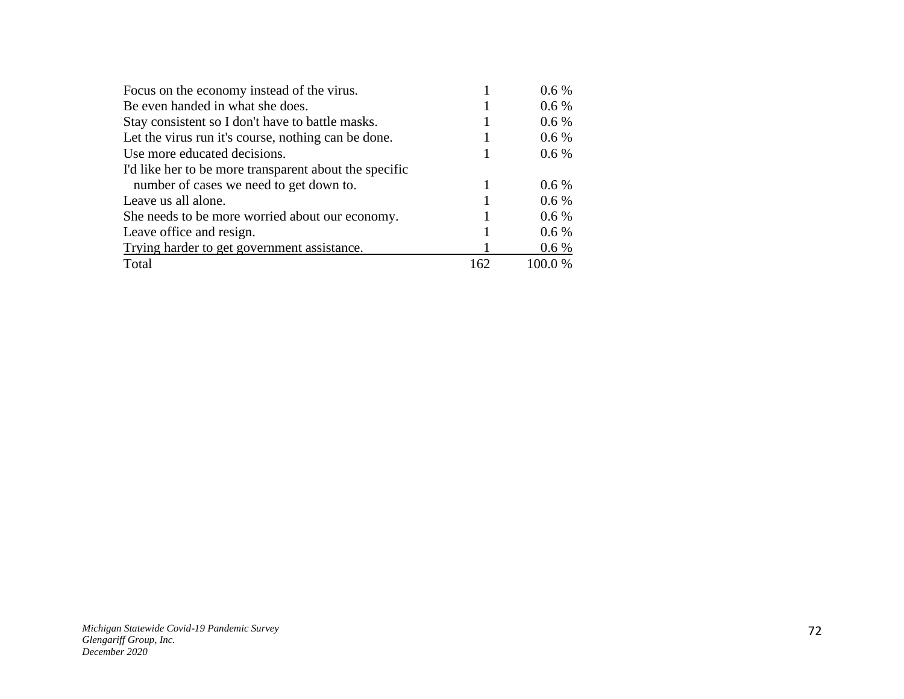| Focus on the economy instead of the virus.             |     | $0.6\%$ |
|--------------------------------------------------------|-----|---------|
| Be even handed in what she does.                       |     | $0.6\%$ |
| Stay consistent so I don't have to battle masks.       |     | $0.6\%$ |
| Let the virus run it's course, nothing can be done.    |     | $0.6\%$ |
| Use more educated decisions.                           |     | $0.6\%$ |
| I'd like her to be more transparent about the specific |     |         |
| number of cases we need to get down to.                |     | $0.6\%$ |
| Leave us all alone.                                    |     | $0.6\%$ |
| She needs to be more worried about our economy.        |     | $0.6\%$ |
| Leave office and resign.                               |     | $0.6\%$ |
| Trying harder to get government assistance.            |     | $0.6\%$ |
| Total                                                  | 162 | 100.0%  |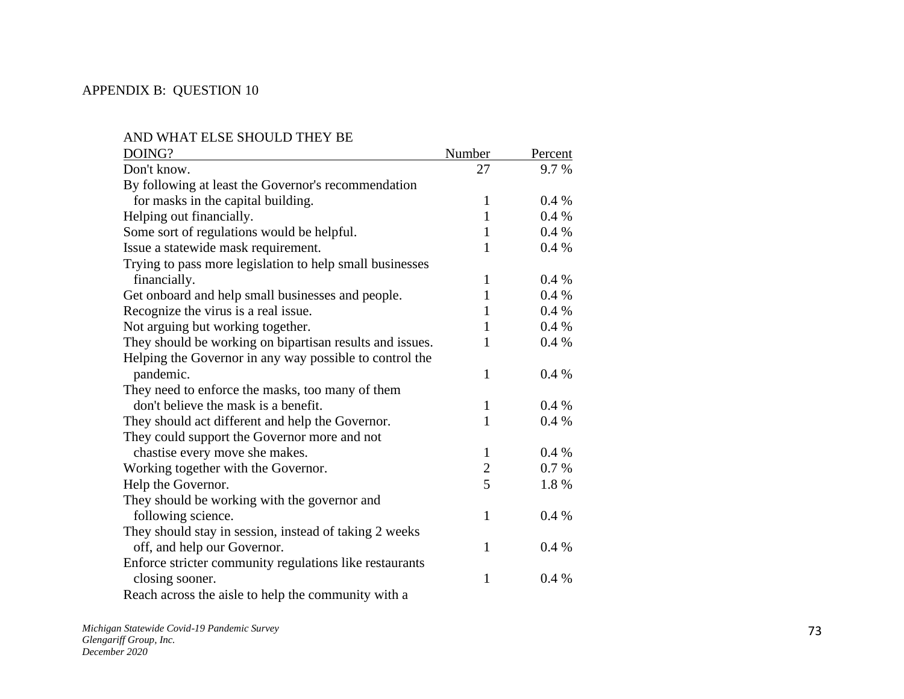## APPENDIX B: QUESTION 10

| DOING?                                                   | Number         | Percent |
|----------------------------------------------------------|----------------|---------|
| Don't know.                                              | 27             | 9.7 %   |
| By following at least the Governor's recommendation      |                |         |
| for masks in the capital building.                       | 1              | 0.4%    |
| Helping out financially.                                 | 1              | 0.4%    |
| Some sort of regulations would be helpful.               | 1              | 0.4%    |
| Issue a statewide mask requirement.                      | 1              | 0.4%    |
| Trying to pass more legislation to help small businesses |                |         |
| financially.                                             | $\mathbf{1}$   | 0.4%    |
| Get onboard and help small businesses and people.        | 1              | 0.4%    |
| Recognize the virus is a real issue.                     | 1              | 0.4%    |
| Not arguing but working together.                        | 1              | 0.4%    |
| They should be working on bipartisan results and issues. | 1              | 0.4%    |
| Helping the Governor in any way possible to control the  |                |         |
| pandemic.                                                | 1              | 0.4%    |
| They need to enforce the masks, too many of them         |                |         |
| don't believe the mask is a benefit.                     | $\mathbf{1}$   | 0.4%    |
| They should act different and help the Governor.         | 1              | 0.4%    |
| They could support the Governor more and not             |                |         |
| chastise every move she makes.                           | 1              | 0.4%    |
| Working together with the Governor.                      | $\overline{2}$ | 0.7%    |
| Help the Governor.                                       | 5              | 1.8%    |
| They should be working with the governor and             |                |         |
| following science.                                       | $\mathbf{1}$   | 0.4%    |
| They should stay in session, instead of taking 2 weeks   |                |         |
| off, and help our Governor.                              | 1              | 0.4%    |
| Enforce stricter community regulations like restaurants  |                |         |
| closing sooner.                                          | $\mathbf{1}$   | 0.4%    |
| Reach across the aisle to help the community with a      |                |         |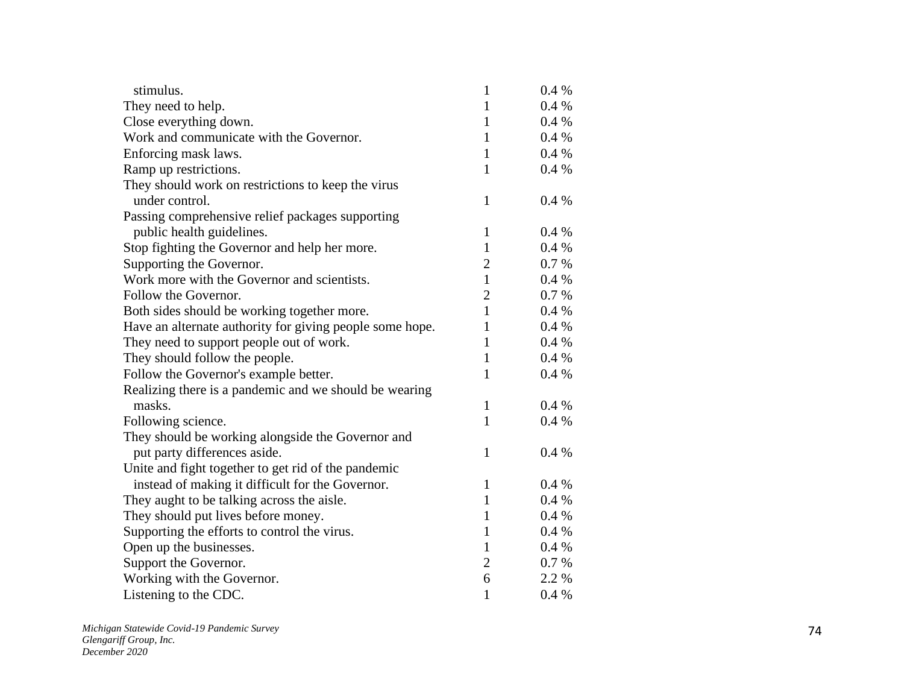| stimulus.                                                | $\mathbf{1}$   | 0.4%     |
|----------------------------------------------------------|----------------|----------|
| They need to help.                                       | $\mathbf{1}$   | 0.4%     |
| Close everything down.                                   | $\mathbf{1}$   | 0.4%     |
| Work and communicate with the Governor.                  | $\mathbf{1}$   | 0.4%     |
| Enforcing mask laws.                                     | $\mathbf{1}$   | 0.4 %    |
| Ramp up restrictions.                                    | $\mathbf{1}$   | 0.4%     |
| They should work on restrictions to keep the virus       |                |          |
| under control.                                           | $\mathbf{1}$   | 0.4%     |
| Passing comprehensive relief packages supporting         |                |          |
| public health guidelines.                                | $\mathbf{1}$   | 0.4%     |
| Stop fighting the Governor and help her more.            | $\mathbf{1}$   | 0.4%     |
| Supporting the Governor.                                 | $\overline{2}$ | 0.7 %    |
| Work more with the Governor and scientists.              | $\mathbf{1}$   | $0.4~\%$ |
| Follow the Governor.                                     | $\overline{2}$ | 0.7%     |
| Both sides should be working together more.              | $\mathbf{1}$   | 0.4%     |
| Have an alternate authority for giving people some hope. | $\mathbf{1}$   | 0.4 %    |
| They need to support people out of work.                 | $\mathbf{1}$   | 0.4%     |
| They should follow the people.                           | $\mathbf{1}$   | 0.4%     |
| Follow the Governor's example better.                    | $\mathbf{1}$   | 0.4%     |
| Realizing there is a pandemic and we should be wearing   |                |          |
| masks.                                                   | $\mathbf{1}$   | 0.4%     |
| Following science.                                       | $\mathbf{1}$   | 0.4%     |
| They should be working alongside the Governor and        |                |          |
| put party differences aside.                             | $\mathbf{1}$   | 0.4%     |
| Unite and fight together to get rid of the pandemic      |                |          |
| instead of making it difficult for the Governor.         | $\mathbf{1}$   | 0.4%     |
| They aught to be talking across the aisle.               | $\mathbf{1}$   | 0.4%     |
| They should put lives before money.                      | $\mathbf{1}$   | 0.4%     |
| Supporting the efforts to control the virus.             | $\mathbf{1}$   | 0.4%     |
| Open up the businesses.                                  | $\mathbf{1}$   | 0.4%     |
| Support the Governor.                                    | $\overline{2}$ | 0.7 %    |
| Working with the Governor.                               | 6              | 2.2 %    |
| Listening to the CDC.                                    | $\mathbf{1}$   | 0.4%     |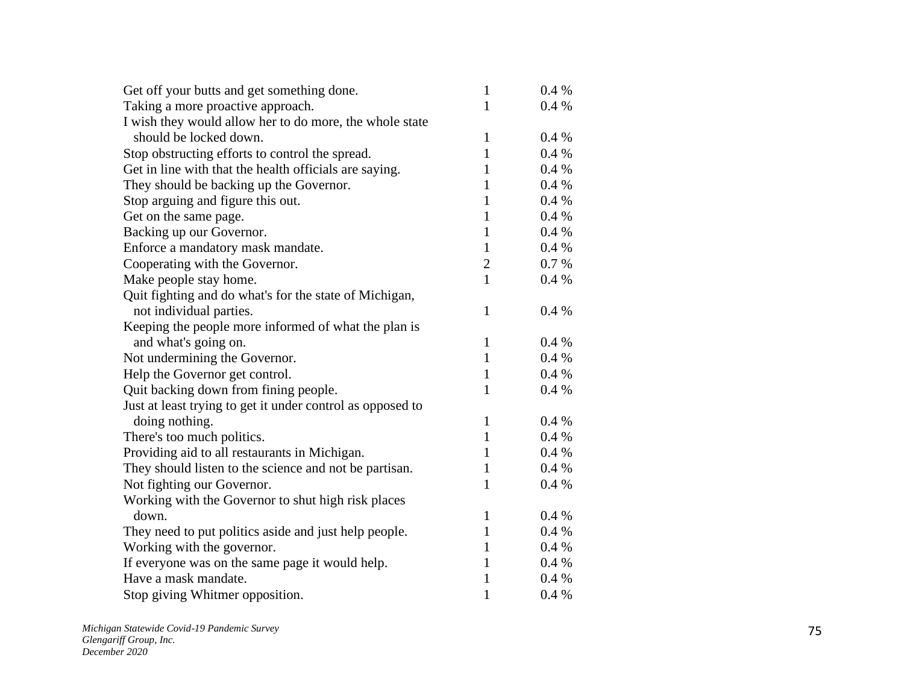| Get off your butts and get something done.                 | $\mathbf{1}$   | 0.4%    |
|------------------------------------------------------------|----------------|---------|
| Taking a more proactive approach.                          | $\mathbf{1}$   | $0.4\%$ |
| I wish they would allow her to do more, the whole state    |                |         |
| should be locked down.                                     | 1              | 0.4%    |
| Stop obstructing efforts to control the spread.            | $\mathbf{1}$   | $0.4\%$ |
| Get in line with that the health officials are saying.     | 1              | 0.4%    |
| They should be backing up the Governor.                    | 1              | 0.4%    |
| Stop arguing and figure this out.                          | 1              | 0.4%    |
| Get on the same page.                                      | $\mathbf{1}$   | $0.4\%$ |
| Backing up our Governor.                                   | $\mathbf{1}$   | 0.4%    |
| Enforce a mandatory mask mandate.                          | $\mathbf{1}$   | 0.4%    |
| Cooperating with the Governor.                             | $\overline{2}$ | 0.7 %   |
| Make people stay home.                                     | $\mathbf{1}$   | 0.4%    |
| Quit fighting and do what's for the state of Michigan,     |                |         |
| not individual parties.                                    | 1              | 0.4%    |
| Keeping the people more informed of what the plan is       |                |         |
| and what's going on.                                       | $\mathbf{1}$   | 0.4%    |
| Not undermining the Governor.                              | $\mathbf{1}$   | 0.4%    |
| Help the Governor get control.                             | 1              | $0.4\%$ |
| Quit backing down from fining people.                      | 1              | 0.4%    |
| Just at least trying to get it under control as opposed to |                |         |
| doing nothing.                                             | $\mathbf{1}$   | 0.4%    |
| There's too much politics.                                 | $\mathbf{1}$   | $0.4\%$ |
| Providing aid to all restaurants in Michigan.              | $\mathbf{1}$   | 0.4%    |
| They should listen to the science and not be partisan.     | $\mathbf{1}$   | 0.4%    |
| Not fighting our Governor.                                 | 1              | 0.4%    |
| Working with the Governor to shut high risk places         |                |         |
| down.                                                      | 1              | 0.4%    |
| They need to put politics aside and just help people.      | $\mathbf{1}$   | 0.4%    |
| Working with the governor.                                 | 1              | 0.4%    |
| If everyone was on the same page it would help.            | 1              | 0.4%    |
| Have a mask mandate.                                       | 1              | $0.4\%$ |
| Stop giving Whitmer opposition.                            | 1              | 0.4%    |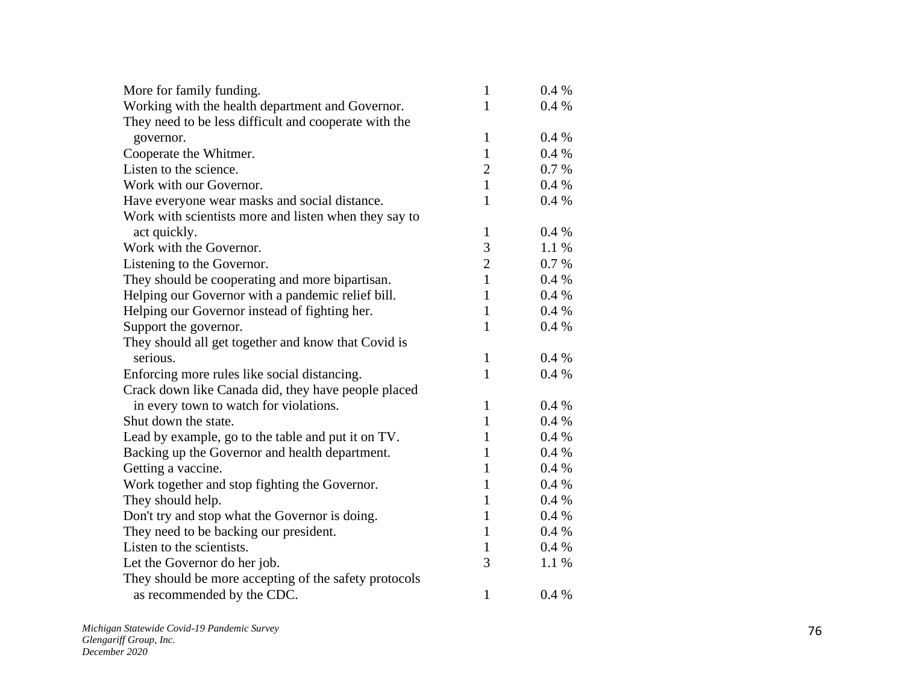| More for family funding.                              | 1              | $0.4\%$ |
|-------------------------------------------------------|----------------|---------|
| Working with the health department and Governor.      | $\mathbf{1}$   | 0.4%    |
| They need to be less difficult and cooperate with the |                |         |
| governor.                                             | 1              | $0.4\%$ |
| Cooperate the Whitmer.                                | 1              | 0.4%    |
| Listen to the science.                                | $\overline{2}$ | 0.7 %   |
| Work with our Governor.                               | $\mathbf{1}$   | 0.4%    |
| Have everyone wear masks and social distance.         | $\mathbf{1}$   | 0.4%    |
| Work with scientists more and listen when they say to |                |         |
| act quickly.                                          | $\mathbf{1}$   | 0.4%    |
| Work with the Governor.                               | 3              | 1.1%    |
| Listening to the Governor.                            | $\overline{2}$ | 0.7 %   |
| They should be cooperating and more bipartisan.       | $\mathbf{1}$   | $0.4\%$ |
| Helping our Governor with a pandemic relief bill.     | $\mathbf{1}$   | 0.4%    |
| Helping our Governor instead of fighting her.         | $\mathbf{1}$   | 0.4%    |
| Support the governor.                                 | $\mathbf{1}$   | 0.4%    |
| They should all get together and know that Covid is   |                |         |
| serious.                                              | $\mathbf{1}$   | 0.4%    |
| Enforcing more rules like social distancing.          | $\mathbf{1}$   | 0.4%    |
| Crack down like Canada did, they have people placed   |                |         |
| in every town to watch for violations.                | $\mathbf{1}$   | 0.4%    |
| Shut down the state.                                  | $\mathbf{1}$   | 0.4%    |
| Lead by example, go to the table and put it on TV.    | $\mathbf{1}$   | 0.4%    |
| Backing up the Governor and health department.        | 1              | $0.4\%$ |
| Getting a vaccine.                                    | $\mathbf{1}$   | 0.4%    |
| Work together and stop fighting the Governor.         | 1              | 0.4%    |
| They should help.                                     | $\mathbf{1}$   | 0.4%    |
| Don't try and stop what the Governor is doing.        | 1              | 0.4%    |
| They need to be backing our president.                | $\mathbf{1}$   | 0.4%    |
| Listen to the scientists.                             | $\mathbf{1}$   | 0.4%    |
| Let the Governor do her job.                          | 3              | 1.1%    |
| They should be more accepting of the safety protocols |                |         |
| as recommended by the CDC.                            | 1              | 0.4%    |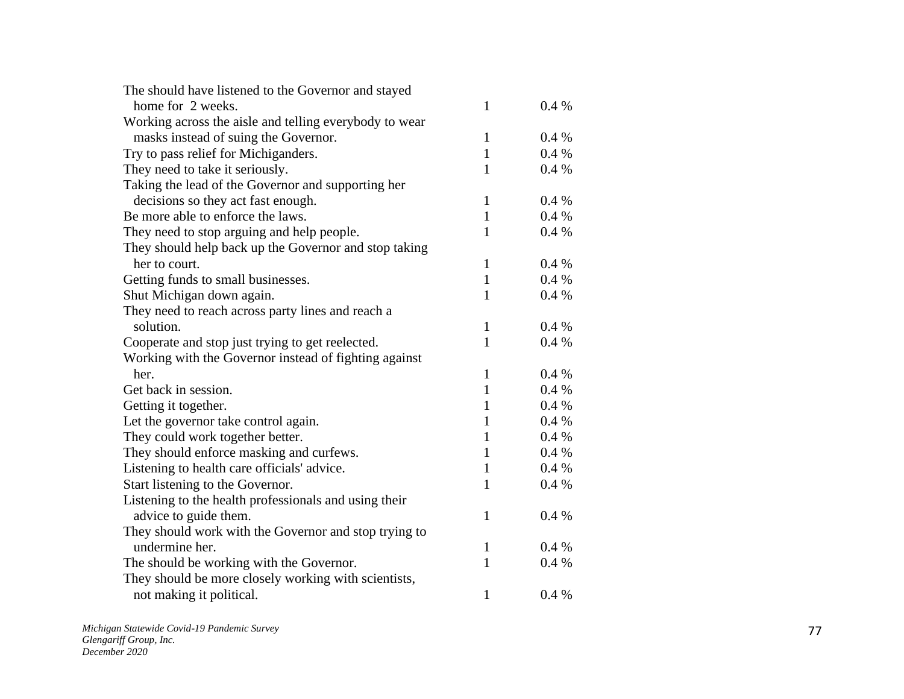| The should have listened to the Governor and stayed    |              |       |
|--------------------------------------------------------|--------------|-------|
| home for 2 weeks.                                      | 1            | 0.4 % |
| Working across the aisle and telling everybody to wear |              |       |
| masks instead of suing the Governor.                   | 1            | 0.4%  |
| Try to pass relief for Michiganders.                   | $\mathbf{1}$ | 0.4%  |
| They need to take it seriously.                        | 1            | 0.4%  |
| Taking the lead of the Governor and supporting her     |              |       |
| decisions so they act fast enough.                     | 1            | 0.4%  |
| Be more able to enforce the laws.                      | $\mathbf{1}$ | 0.4%  |
| They need to stop arguing and help people.             | $\mathbf{1}$ | 0.4%  |
| They should help back up the Governor and stop taking  |              |       |
| her to court.                                          | $\mathbf{1}$ | 0.4%  |
| Getting funds to small businesses.                     | $\mathbf{1}$ | 0.4%  |
| Shut Michigan down again.                              | 1            | 0.4%  |
| They need to reach across party lines and reach a      |              |       |
| solution.                                              | $\mathbf{1}$ | 0.4%  |
| Cooperate and stop just trying to get reelected.       | $\mathbf{1}$ | 0.4%  |
| Working with the Governor instead of fighting against  |              |       |
| her.                                                   | $\mathbf{1}$ | 0.4%  |
| Get back in session.                                   | $\mathbf{1}$ | 0.4%  |
| Getting it together.                                   | $\mathbf{1}$ | 0.4%  |
| Let the governor take control again.                   | $\mathbf{1}$ | 0.4%  |
| They could work together better.                       | $\mathbf{1}$ | 0.4%  |
| They should enforce masking and curfews.               | $\mathbf{1}$ | 0.4%  |
| Listening to health care officials' advice.            | $\mathbf{1}$ | 0.4%  |
| Start listening to the Governor.                       | 1            | 0.4%  |
| Listening to the health professionals and using their  |              |       |
| advice to guide them.                                  | 1            | 0.4%  |
| They should work with the Governor and stop trying to  |              |       |
| undermine her.                                         | 1            | 0.4%  |
| The should be working with the Governor.               | $\mathbf{1}$ | 0.4%  |
| They should be more closely working with scientists,   |              |       |
| not making it political.                               | $\mathbf{1}$ | 0.4%  |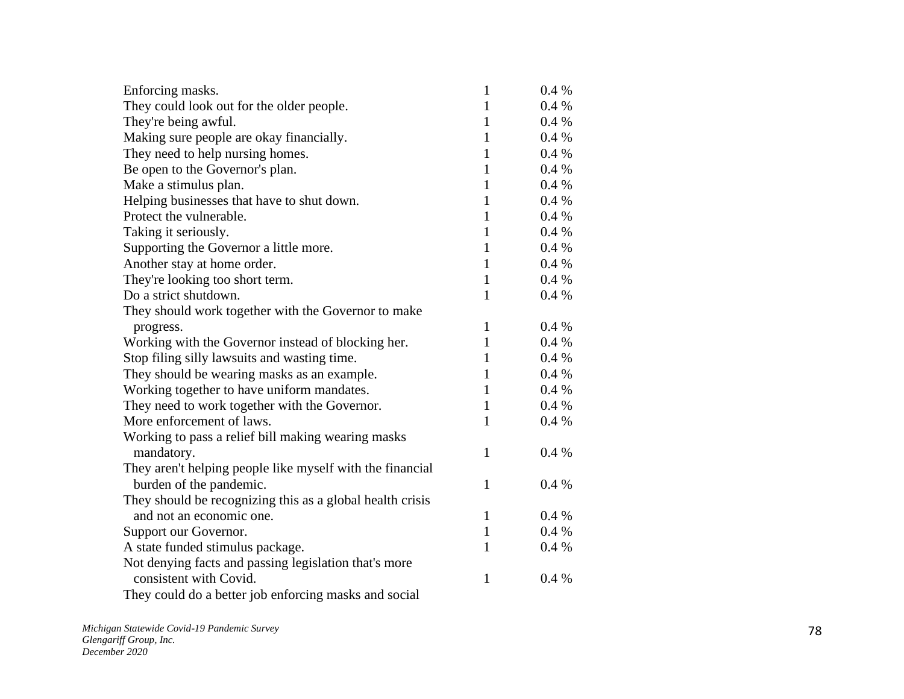| Enforcing masks.                                          | 1            | $0.4\%$ |
|-----------------------------------------------------------|--------------|---------|
| They could look out for the older people.                 | $\mathbf{1}$ | 0.4%    |
| They're being awful.                                      | $\mathbf{1}$ | 0.4 %   |
| Making sure people are okay financially.                  | $\mathbf{1}$ | 0.4%    |
| They need to help nursing homes.                          | $\mathbf{1}$ | 0.4%    |
| Be open to the Governor's plan.                           | $\mathbf{1}$ | 0.4%    |
| Make a stimulus plan.                                     | $\mathbf{1}$ | 0.4%    |
| Helping businesses that have to shut down.                | $\mathbf{1}$ | 0.4%    |
| Protect the vulnerable.                                   | $\mathbf{1}$ | $0.4\%$ |
| Taking it seriously.                                      | 1            | 0.4%    |
| Supporting the Governor a little more.                    | $\mathbf{1}$ | 0.4%    |
| Another stay at home order.                               | $\mathbf{1}$ | 0.4%    |
| They're looking too short term.                           | $\mathbf{1}$ | 0.4%    |
| Do a strict shutdown.                                     | $\mathbf{1}$ | 0.4%    |
| They should work together with the Governor to make       |              |         |
| progress.                                                 | 1            | 0.4%    |
| Working with the Governor instead of blocking her.        | $\mathbf{1}$ | 0.4%    |
| Stop filing silly lawsuits and wasting time.              | $\mathbf{1}$ | 0.4%    |
| They should be wearing masks as an example.               | $\mathbf{1}$ | 0.4%    |
| Working together to have uniform mandates.                | $\mathbf{1}$ | 0.4%    |
| They need to work together with the Governor.             | $\mathbf{1}$ | 0.4%    |
| More enforcement of laws.                                 | $\mathbf{1}$ | 0.4%    |
| Working to pass a relief bill making wearing masks        |              |         |
| mandatory.                                                | 1            | $0.4\%$ |
| They aren't helping people like myself with the financial |              |         |
| burden of the pandemic.                                   | $\mathbf{1}$ | 0.4%    |
| They should be recognizing this as a global health crisis |              |         |
| and not an economic one.                                  | 1            | 0.4%    |
| Support our Governor.                                     | $\mathbf{1}$ | 0.4%    |
| A state funded stimulus package.                          | 1            | $0.4\%$ |
| Not denying facts and passing legislation that's more     |              |         |
| consistent with Covid.                                    | $\mathbf{1}$ | 0.4%    |
| They could do a better job enforcing masks and social     |              |         |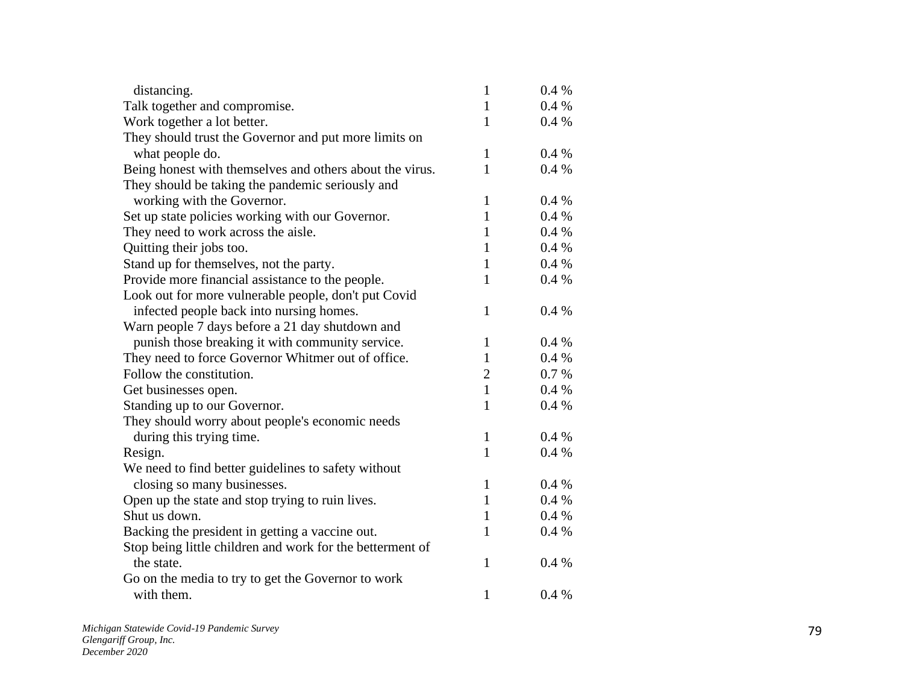| distancing.                                               | $\mathbf{1}$   | 0.4%  |
|-----------------------------------------------------------|----------------|-------|
| Talk together and compromise.                             | $\mathbf{1}$   | 0.4%  |
| Work together a lot better.                               | $\mathbf{1}$   | 0.4%  |
| They should trust the Governor and put more limits on     |                |       |
| what people do.                                           | $\mathbf{1}$   | 0.4%  |
| Being honest with themselves and others about the virus.  | 1              | 0.4%  |
| They should be taking the pandemic seriously and          |                |       |
| working with the Governor.                                | 1              | 0.4%  |
| Set up state policies working with our Governor.          | $\mathbf{1}$   | 0.4%  |
| They need to work across the aisle.                       | $\mathbf{1}$   | 0.4%  |
| Quitting their jobs too.                                  | $\mathbf{1}$   | 0.4%  |
| Stand up for themselves, not the party.                   | $\mathbf{1}$   | 0.4%  |
| Provide more financial assistance to the people.          | 1              | 0.4%  |
| Look out for more vulnerable people, don't put Covid      |                |       |
| infected people back into nursing homes.                  | $\mathbf{1}$   | 0.4%  |
| Warn people 7 days before a 21 day shutdown and           |                |       |
| punish those breaking it with community service.          | $\mathbf{1}$   | 0.4%  |
| They need to force Governor Whitmer out of office.        | $\mathbf{1}$   | 0.4%  |
| Follow the constitution.                                  | $\overline{2}$ | 0.7 % |
| Get businesses open.                                      | $\mathbf{1}$   | 0.4%  |
| Standing up to our Governor.                              | 1              | 0.4%  |
| They should worry about people's economic needs           |                |       |
| during this trying time.                                  | $\mathbf{1}$   | 0.4%  |
| Resign.                                                   | $\mathbf{1}$   | 0.4%  |
| We need to find better guidelines to safety without       |                |       |
| closing so many businesses.                               | $\mathbf{1}$   | 0.4%  |
| Open up the state and stop trying to ruin lives.          | $\mathbf{1}$   | 0.4%  |
| Shut us down.                                             | 1              | 0.4 % |
| Backing the president in getting a vaccine out.           | $\mathbf{1}$   | 0.4%  |
| Stop being little children and work for the betterment of |                |       |
| the state.                                                | $\mathbf{1}$   | 0.4%  |
| Go on the media to try to get the Governor to work        |                |       |
| with them.                                                | $\mathbf{1}$   | 0.4%  |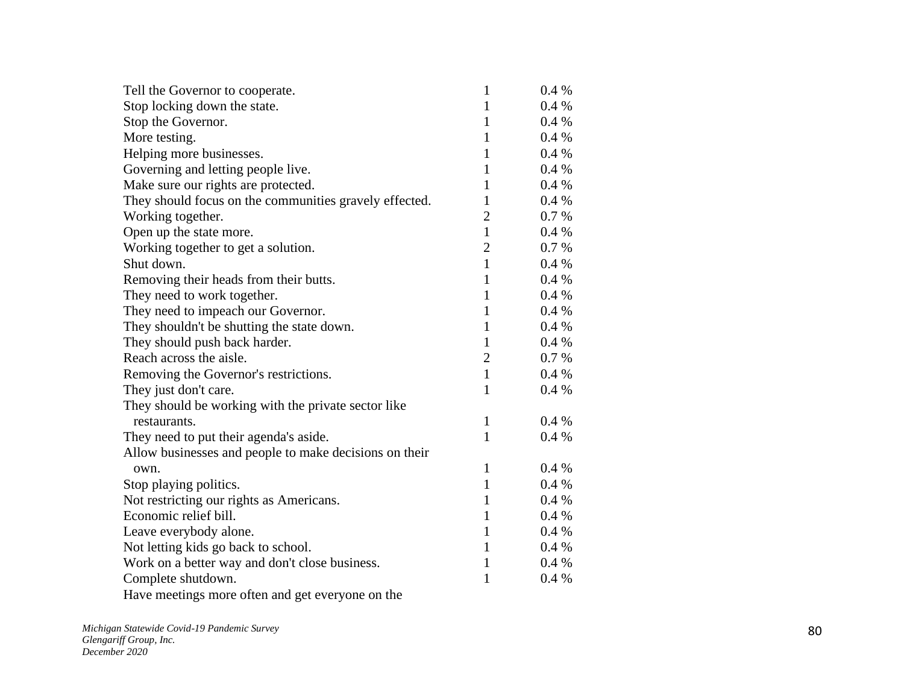| Tell the Governor to cooperate.                        | $\mathbf{1}$   | $0.4\%$ |
|--------------------------------------------------------|----------------|---------|
| Stop locking down the state.                           | $\mathbf{1}$   | 0.4 %   |
| Stop the Governor.                                     | $\mathbf{1}$   | $0.4\%$ |
| More testing.                                          | $\mathbf{1}$   | 0.4%    |
| Helping more businesses.                               | $\mathbf{1}$   | 0.4%    |
| Governing and letting people live.                     | $\mathbf{1}$   | $0.4\%$ |
| Make sure our rights are protected.                    | $\mathbf{1}$   | 0.4%    |
| They should focus on the communities gravely effected. | $\mathbf{1}$   | $0.4\%$ |
| Working together.                                      | $\overline{2}$ | $0.7\%$ |
| Open up the state more.                                | $\mathbf{1}$   | 0.4%    |
| Working together to get a solution.                    | $\overline{2}$ | $0.7\%$ |
| Shut down.                                             | $\mathbf{1}$   | $0.4\%$ |
| Removing their heads from their butts.                 | $\mathbf{1}$   | 0.4%    |
| They need to work together.                            | $\mathbf{1}$   | $0.4\%$ |
| They need to impeach our Governor.                     | $\mathbf{1}$   | $0.4\%$ |
| They shouldn't be shutting the state down.             | $\mathbf{1}$   | 0.4%    |
| They should push back harder.                          | $\mathbf{1}$   | $0.4\%$ |
| Reach across the aisle.                                | $\overline{2}$ | 0.7 %   |
| Removing the Governor's restrictions.                  | $\mathbf{1}$   | $0.4\%$ |
| They just don't care.                                  | $\mathbf{1}$   | $0.4\%$ |
| They should be working with the private sector like    |                |         |
| restaurants.                                           | $\mathbf{1}$   | $0.4\%$ |
| They need to put their agenda's aside.                 | $\mathbf{1}$   | $0.4\%$ |
| Allow businesses and people to make decisions on their |                |         |
| own.                                                   | $\mathbf{1}$   | $0.4\%$ |
| Stop playing politics.                                 | $\mathbf{1}$   | $0.4\%$ |
| Not restricting our rights as Americans.               | $\mathbf{1}$   | 0.4%    |
| Economic relief bill.                                  | $\mathbf{1}$   | $0.4\%$ |
| Leave everybody alone.                                 | $\mathbf{1}$   | 0.4%    |
| Not letting kids go back to school.                    | $\mathbf{1}$   | $0.4\%$ |
| Work on a better way and don't close business.         | $\mathbf{1}$   | $0.4\%$ |
| Complete shutdown.                                     | $\mathbf{1}$   | 0.4%    |
| Have meetings more often and get everyone on the       |                |         |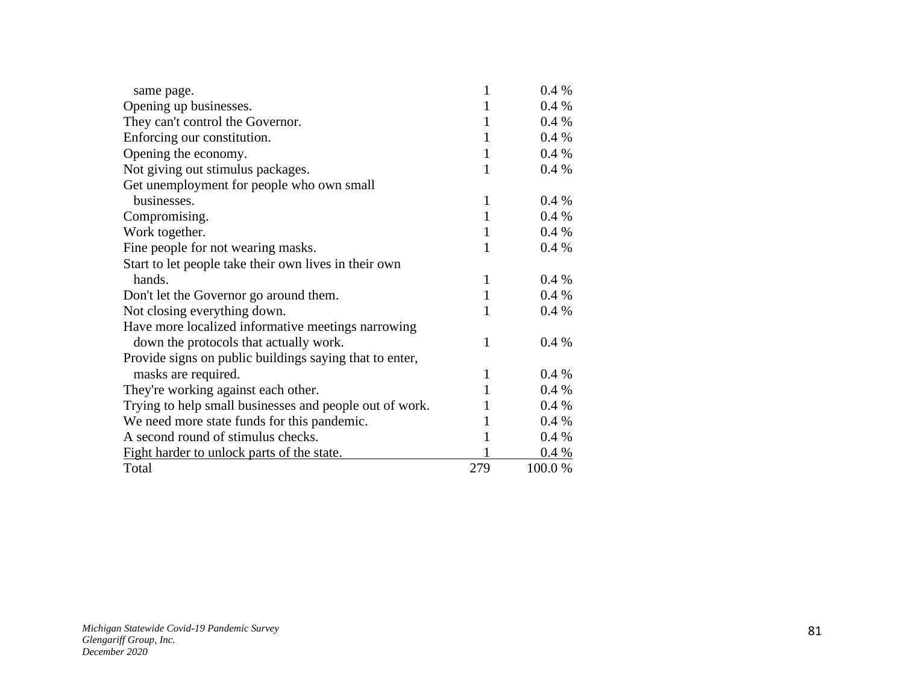| same page.                                              | 1            | $0.4\%$ |
|---------------------------------------------------------|--------------|---------|
| Opening up businesses.                                  | 1            | 0.4%    |
| They can't control the Governor.                        | 1            | $0.4\%$ |
| Enforcing our constitution.                             | 1            | 0.4%    |
| Opening the economy.                                    | $\mathbf{1}$ | $0.4\%$ |
| Not giving out stimulus packages.                       | 1            | $0.4\%$ |
| Get unemployment for people who own small               |              |         |
| businesses.                                             | 1            | $0.4\%$ |
| Compromising.                                           | 1            | $0.4\%$ |
| Work together.                                          | 1            | 0.4%    |
| Fine people for not wearing masks.                      | 1            | $0.4\%$ |
| Start to let people take their own lives in their own   |              |         |
| hands.                                                  | 1            | $0.4\%$ |
| Don't let the Governor go around them.                  | 1            | 0.4%    |
| Not closing everything down.                            | 1            | $0.4\%$ |
| Have more localized informative meetings narrowing      |              |         |
| down the protocols that actually work.                  | 1            | $0.4\%$ |
| Provide signs on public buildings saying that to enter, |              |         |
| masks are required.                                     | 1            | 0.4%    |
| They're working against each other.                     | 1            | $0.4\%$ |
| Trying to help small businesses and people out of work. | 1            | 0.4%    |
| We need more state funds for this pandemic.             | 1            | $0.4\%$ |
| A second round of stimulus checks.                      | 1            | 0.4%    |
| Fight harder to unlock parts of the state.              |              | 0.4 %   |
| Total                                                   | 279          | 100.0 % |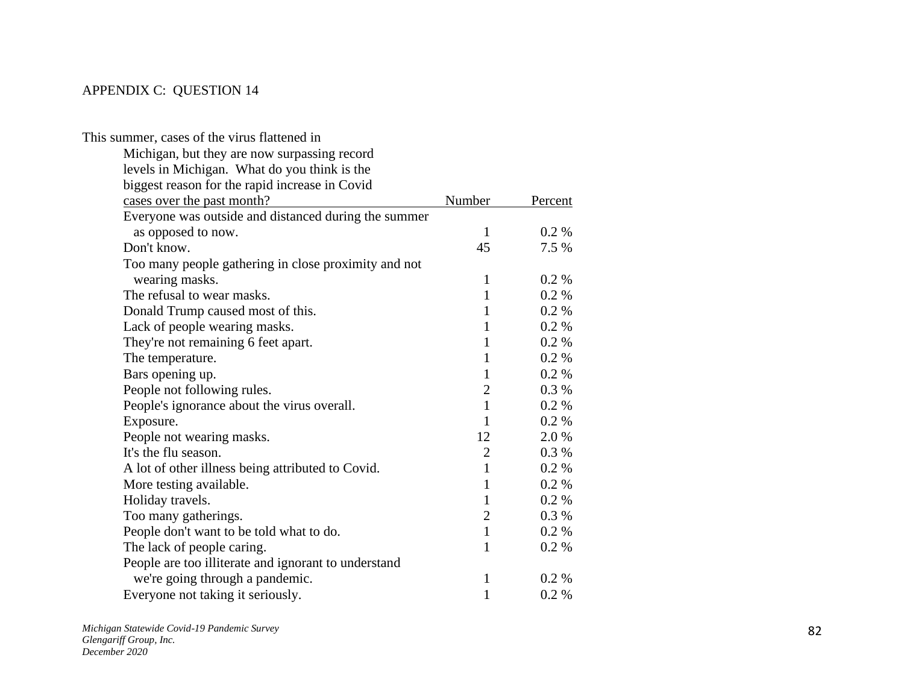## APPENDIX C: QUESTION 14

| This summer, cases of the virus flattened in         |                |         |
|------------------------------------------------------|----------------|---------|
| Michigan, but they are now surpassing record         |                |         |
| levels in Michigan. What do you think is the         |                |         |
| biggest reason for the rapid increase in Covid       |                |         |
| cases over the past month?                           | Number         | Percent |
| Everyone was outside and distanced during the summer |                |         |
| as opposed to now.                                   | $\mathbf{1}$   | $0.2\%$ |
| Don't know.                                          | 45             | 7.5 %   |
| Too many people gathering in close proximity and not |                |         |
| wearing masks.                                       | $\mathbf{1}$   | 0.2 %   |
| The refusal to wear masks.                           | $\mathbf{1}$   | $0.2\%$ |
| Donald Trump caused most of this.                    | $\mathbf{1}$   | 0.2 %   |
| Lack of people wearing masks.                        | $\mathbf{1}$   | $0.2\%$ |
| They're not remaining 6 feet apart.                  | $\mathbf{1}$   | $0.2\%$ |
| The temperature.                                     | $\mathbf{1}$   | 0.2 %   |
| Bars opening up.                                     | $\mathbf{1}$   | 0.2 %   |
| People not following rules.                          | $\overline{2}$ | 0.3%    |
| People's ignorance about the virus overall.          | $\mathbf{1}$   | 0.2 %   |
| Exposure.                                            | $\mathbf{1}$   | $0.2\%$ |
| People not wearing masks.                            | 12             | 2.0%    |
| It's the flu season.                                 | $\overline{2}$ | 0.3%    |
| A lot of other illness being attributed to Covid.    | $\mathbf{1}$   | 0.2 %   |
| More testing available.                              | $\mathbf{1}$   | 0.2 %   |
| Holiday travels.                                     | $\mathbf{1}$   | 0.2 %   |
| Too many gatherings.                                 | $\overline{2}$ | 0.3%    |
| People don't want to be told what to do.             | $\mathbf{1}$   | 0.2 %   |
| The lack of people caring.                           | $\mathbf{1}$   | 0.2 %   |
| People are too illiterate and ignorant to understand |                |         |
| we're going through a pandemic.                      | $\mathbf{1}$   | 0.2 %   |
| Everyone not taking it seriously.                    | $\mathbf{1}$   | 0.2 %   |
|                                                      |                |         |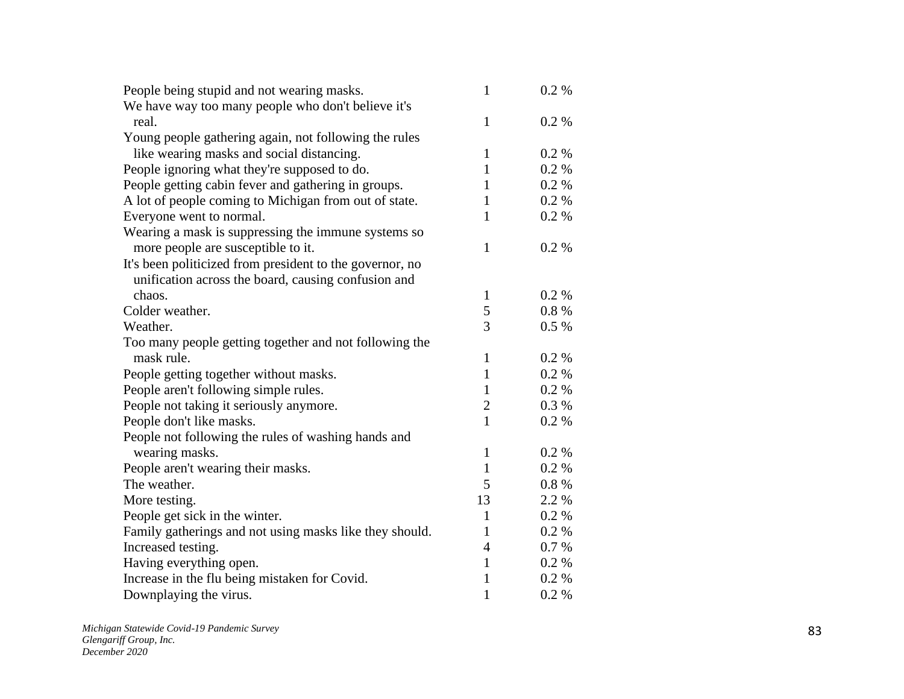| We have way too many people who don't believe it's<br>$\mathbf{1}$<br>0.2 %<br>real.<br>Young people gathering again, not following the rules<br>like wearing masks and social distancing.<br>$\mathbf{1}$<br>0.2 %<br>0.2 %<br>People ignoring what they're supposed to do.<br>$\mathbf{1}$<br>People getting cabin fever and gathering in groups.<br>$0.2\%$<br>1<br>A lot of people coming to Michigan from out of state.<br>$\mathbf{1}$<br>0.2 %<br>Everyone went to normal.<br>$\mathbf{1}$<br>0.2 %<br>Wearing a mask is suppressing the immune systems so<br>$\mathbf{1}$<br>more people are susceptible to it.<br>0.2 %<br>It's been politicized from president to the governor, no<br>unification across the board, causing confusion and<br>chaos.<br>0.2 %<br>$\mathbf{1}$<br>5<br>Colder weather.<br>0.8%<br>3<br>Weather.<br>$0.5\%$<br>Too many people getting together and not following the<br>mask rule.<br>0.2 %<br>$\mathbf{1}$<br>$\mathbf{1}$<br>0.2 %<br>People getting together without masks.<br>People aren't following simple rules.<br>$\mathbf{1}$<br>0.2%<br>$\mathbf{2}$<br>People not taking it seriously anymore.<br>$0.3\%$<br>People don't like masks.<br>$\mathbf{1}$<br>0.2 %<br>People not following the rules of washing hands and<br>$\mathbf{1}$<br>wearing masks.<br>0.2 %<br>People aren't wearing their masks.<br>$\mathbf{1}$<br>0.2 %<br>5<br>The weather.<br>0.8%<br>More testing.<br>13<br>2.2 %<br>0.2 %<br>People get sick in the winter.<br>1<br>Family gatherings and not using masks like they should.<br>$\mathbf{1}$<br>0.2 %<br>Increased testing.<br>$\overline{4}$<br>0.7 %<br>$\mathbf{1}$<br>Having everything open.<br>0.2 %<br>Increase in the flu being mistaken for Covid.<br>$\mathbf{1}$<br>0.2 % | People being stupid and not wearing masks. | $\mathbf{1}$ | 0.2 % |
|---------------------------------------------------------------------------------------------------------------------------------------------------------------------------------------------------------------------------------------------------------------------------------------------------------------------------------------------------------------------------------------------------------------------------------------------------------------------------------------------------------------------------------------------------------------------------------------------------------------------------------------------------------------------------------------------------------------------------------------------------------------------------------------------------------------------------------------------------------------------------------------------------------------------------------------------------------------------------------------------------------------------------------------------------------------------------------------------------------------------------------------------------------------------------------------------------------------------------------------------------------------------------------------------------------------------------------------------------------------------------------------------------------------------------------------------------------------------------------------------------------------------------------------------------------------------------------------------------------------------------------------------------------------------------------------------------------------------------------------------------------------------|--------------------------------------------|--------------|-------|
|                                                                                                                                                                                                                                                                                                                                                                                                                                                                                                                                                                                                                                                                                                                                                                                                                                                                                                                                                                                                                                                                                                                                                                                                                                                                                                                                                                                                                                                                                                                                                                                                                                                                                                                                                                     |                                            |              |       |
|                                                                                                                                                                                                                                                                                                                                                                                                                                                                                                                                                                                                                                                                                                                                                                                                                                                                                                                                                                                                                                                                                                                                                                                                                                                                                                                                                                                                                                                                                                                                                                                                                                                                                                                                                                     |                                            |              |       |
|                                                                                                                                                                                                                                                                                                                                                                                                                                                                                                                                                                                                                                                                                                                                                                                                                                                                                                                                                                                                                                                                                                                                                                                                                                                                                                                                                                                                                                                                                                                                                                                                                                                                                                                                                                     |                                            |              |       |
|                                                                                                                                                                                                                                                                                                                                                                                                                                                                                                                                                                                                                                                                                                                                                                                                                                                                                                                                                                                                                                                                                                                                                                                                                                                                                                                                                                                                                                                                                                                                                                                                                                                                                                                                                                     |                                            |              |       |
|                                                                                                                                                                                                                                                                                                                                                                                                                                                                                                                                                                                                                                                                                                                                                                                                                                                                                                                                                                                                                                                                                                                                                                                                                                                                                                                                                                                                                                                                                                                                                                                                                                                                                                                                                                     |                                            |              |       |
|                                                                                                                                                                                                                                                                                                                                                                                                                                                                                                                                                                                                                                                                                                                                                                                                                                                                                                                                                                                                                                                                                                                                                                                                                                                                                                                                                                                                                                                                                                                                                                                                                                                                                                                                                                     |                                            |              |       |
|                                                                                                                                                                                                                                                                                                                                                                                                                                                                                                                                                                                                                                                                                                                                                                                                                                                                                                                                                                                                                                                                                                                                                                                                                                                                                                                                                                                                                                                                                                                                                                                                                                                                                                                                                                     |                                            |              |       |
|                                                                                                                                                                                                                                                                                                                                                                                                                                                                                                                                                                                                                                                                                                                                                                                                                                                                                                                                                                                                                                                                                                                                                                                                                                                                                                                                                                                                                                                                                                                                                                                                                                                                                                                                                                     |                                            |              |       |
|                                                                                                                                                                                                                                                                                                                                                                                                                                                                                                                                                                                                                                                                                                                                                                                                                                                                                                                                                                                                                                                                                                                                                                                                                                                                                                                                                                                                                                                                                                                                                                                                                                                                                                                                                                     |                                            |              |       |
|                                                                                                                                                                                                                                                                                                                                                                                                                                                                                                                                                                                                                                                                                                                                                                                                                                                                                                                                                                                                                                                                                                                                                                                                                                                                                                                                                                                                                                                                                                                                                                                                                                                                                                                                                                     |                                            |              |       |
|                                                                                                                                                                                                                                                                                                                                                                                                                                                                                                                                                                                                                                                                                                                                                                                                                                                                                                                                                                                                                                                                                                                                                                                                                                                                                                                                                                                                                                                                                                                                                                                                                                                                                                                                                                     |                                            |              |       |
|                                                                                                                                                                                                                                                                                                                                                                                                                                                                                                                                                                                                                                                                                                                                                                                                                                                                                                                                                                                                                                                                                                                                                                                                                                                                                                                                                                                                                                                                                                                                                                                                                                                                                                                                                                     |                                            |              |       |
|                                                                                                                                                                                                                                                                                                                                                                                                                                                                                                                                                                                                                                                                                                                                                                                                                                                                                                                                                                                                                                                                                                                                                                                                                                                                                                                                                                                                                                                                                                                                                                                                                                                                                                                                                                     |                                            |              |       |
|                                                                                                                                                                                                                                                                                                                                                                                                                                                                                                                                                                                                                                                                                                                                                                                                                                                                                                                                                                                                                                                                                                                                                                                                                                                                                                                                                                                                                                                                                                                                                                                                                                                                                                                                                                     |                                            |              |       |
|                                                                                                                                                                                                                                                                                                                                                                                                                                                                                                                                                                                                                                                                                                                                                                                                                                                                                                                                                                                                                                                                                                                                                                                                                                                                                                                                                                                                                                                                                                                                                                                                                                                                                                                                                                     |                                            |              |       |
|                                                                                                                                                                                                                                                                                                                                                                                                                                                                                                                                                                                                                                                                                                                                                                                                                                                                                                                                                                                                                                                                                                                                                                                                                                                                                                                                                                                                                                                                                                                                                                                                                                                                                                                                                                     |                                            |              |       |
|                                                                                                                                                                                                                                                                                                                                                                                                                                                                                                                                                                                                                                                                                                                                                                                                                                                                                                                                                                                                                                                                                                                                                                                                                                                                                                                                                                                                                                                                                                                                                                                                                                                                                                                                                                     |                                            |              |       |
|                                                                                                                                                                                                                                                                                                                                                                                                                                                                                                                                                                                                                                                                                                                                                                                                                                                                                                                                                                                                                                                                                                                                                                                                                                                                                                                                                                                                                                                                                                                                                                                                                                                                                                                                                                     |                                            |              |       |
|                                                                                                                                                                                                                                                                                                                                                                                                                                                                                                                                                                                                                                                                                                                                                                                                                                                                                                                                                                                                                                                                                                                                                                                                                                                                                                                                                                                                                                                                                                                                                                                                                                                                                                                                                                     |                                            |              |       |
|                                                                                                                                                                                                                                                                                                                                                                                                                                                                                                                                                                                                                                                                                                                                                                                                                                                                                                                                                                                                                                                                                                                                                                                                                                                                                                                                                                                                                                                                                                                                                                                                                                                                                                                                                                     |                                            |              |       |
|                                                                                                                                                                                                                                                                                                                                                                                                                                                                                                                                                                                                                                                                                                                                                                                                                                                                                                                                                                                                                                                                                                                                                                                                                                                                                                                                                                                                                                                                                                                                                                                                                                                                                                                                                                     |                                            |              |       |
|                                                                                                                                                                                                                                                                                                                                                                                                                                                                                                                                                                                                                                                                                                                                                                                                                                                                                                                                                                                                                                                                                                                                                                                                                                                                                                                                                                                                                                                                                                                                                                                                                                                                                                                                                                     |                                            |              |       |
|                                                                                                                                                                                                                                                                                                                                                                                                                                                                                                                                                                                                                                                                                                                                                                                                                                                                                                                                                                                                                                                                                                                                                                                                                                                                                                                                                                                                                                                                                                                                                                                                                                                                                                                                                                     |                                            |              |       |
|                                                                                                                                                                                                                                                                                                                                                                                                                                                                                                                                                                                                                                                                                                                                                                                                                                                                                                                                                                                                                                                                                                                                                                                                                                                                                                                                                                                                                                                                                                                                                                                                                                                                                                                                                                     |                                            |              |       |
|                                                                                                                                                                                                                                                                                                                                                                                                                                                                                                                                                                                                                                                                                                                                                                                                                                                                                                                                                                                                                                                                                                                                                                                                                                                                                                                                                                                                                                                                                                                                                                                                                                                                                                                                                                     |                                            |              |       |
|                                                                                                                                                                                                                                                                                                                                                                                                                                                                                                                                                                                                                                                                                                                                                                                                                                                                                                                                                                                                                                                                                                                                                                                                                                                                                                                                                                                                                                                                                                                                                                                                                                                                                                                                                                     |                                            |              |       |
|                                                                                                                                                                                                                                                                                                                                                                                                                                                                                                                                                                                                                                                                                                                                                                                                                                                                                                                                                                                                                                                                                                                                                                                                                                                                                                                                                                                                                                                                                                                                                                                                                                                                                                                                                                     |                                            |              |       |
|                                                                                                                                                                                                                                                                                                                                                                                                                                                                                                                                                                                                                                                                                                                                                                                                                                                                                                                                                                                                                                                                                                                                                                                                                                                                                                                                                                                                                                                                                                                                                                                                                                                                                                                                                                     |                                            |              |       |
|                                                                                                                                                                                                                                                                                                                                                                                                                                                                                                                                                                                                                                                                                                                                                                                                                                                                                                                                                                                                                                                                                                                                                                                                                                                                                                                                                                                                                                                                                                                                                                                                                                                                                                                                                                     |                                            |              |       |
|                                                                                                                                                                                                                                                                                                                                                                                                                                                                                                                                                                                                                                                                                                                                                                                                                                                                                                                                                                                                                                                                                                                                                                                                                                                                                                                                                                                                                                                                                                                                                                                                                                                                                                                                                                     |                                            |              |       |
|                                                                                                                                                                                                                                                                                                                                                                                                                                                                                                                                                                                                                                                                                                                                                                                                                                                                                                                                                                                                                                                                                                                                                                                                                                                                                                                                                                                                                                                                                                                                                                                                                                                                                                                                                                     |                                            |              |       |
|                                                                                                                                                                                                                                                                                                                                                                                                                                                                                                                                                                                                                                                                                                                                                                                                                                                                                                                                                                                                                                                                                                                                                                                                                                                                                                                                                                                                                                                                                                                                                                                                                                                                                                                                                                     | Downplaying the virus.                     | $\mathbf{1}$ | 0.2 % |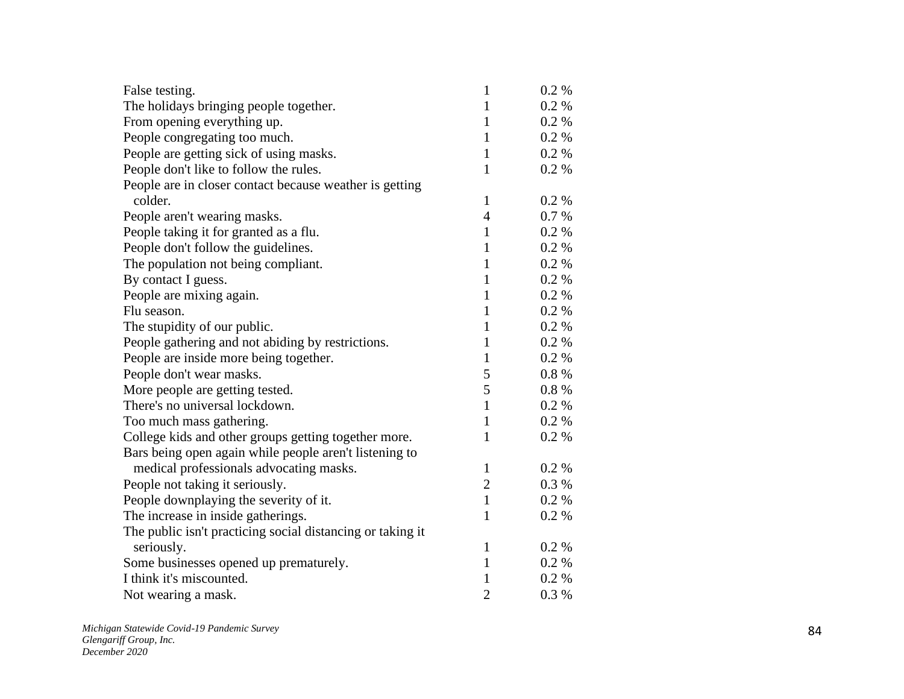| False testing.                                             | $\mathbf{1}$   | $0.2 \%$ |
|------------------------------------------------------------|----------------|----------|
| The holidays bringing people together.                     | 1              | $0.2 \%$ |
| From opening everything up.                                | $\mathbf{1}$   | 0.2 %    |
| People congregating too much.                              | $\mathbf{1}$   | 0.2 %    |
| People are getting sick of using masks.                    | $\mathbf{1}$   | 0.2 %    |
| People don't like to follow the rules.                     | $\mathbf{1}$   | 0.2 %    |
| People are in closer contact because weather is getting    |                |          |
| colder.                                                    | $\mathbf{1}$   | 0.2 %    |
| People aren't wearing masks.                               | 4              | 0.7 %    |
| People taking it for granted as a flu.                     | $\mathbf{1}$   | $0.2 \%$ |
| People don't follow the guidelines.                        | $\mathbf{1}$   | 0.2 %    |
| The population not being compliant.                        | $\mathbf{1}$   | 0.2 %    |
| By contact I guess.                                        | 1              | 0.2 %    |
| People are mixing again.                                   | 1              | 0.2 %    |
| Flu season.                                                | 1              | 0.2 %    |
| The stupidity of our public.                               | $\mathbf{1}$   | 0.2 %    |
| People gathering and not abiding by restrictions.          | $\mathbf{1}$   | 0.2 %    |
| People are inside more being together.                     | $\mathbf{1}$   | 0.2 %    |
| People don't wear masks.                                   | 5              | 0.8%     |
| More people are getting tested.                            | 5              | 0.8%     |
| There's no universal lockdown.                             | $\mathbf{1}$   | 0.2 %    |
| Too much mass gathering.                                   | $\mathbf{1}$   | 0.2 %    |
| College kids and other groups getting together more.       | $\mathbf{1}$   | 0.2 %    |
| Bars being open again while people aren't listening to     |                |          |
| medical professionals advocating masks.                    | $\mathbf{1}$   | 0.2 %    |
| People not taking it seriously.                            | $\overline{2}$ | 0.3 %    |
| People downplaying the severity of it.                     | $\mathbf{1}$   | $0.2 \%$ |
| The increase in inside gatherings.                         | $\mathbf{1}$   | 0.2 %    |
| The public isn't practicing social distancing or taking it |                |          |
| seriously.                                                 | 1              | 0.2 %    |
| Some businesses opened up prematurely.                     | $\mathbf{1}$   | 0.2 %    |
| I think it's miscounted.                                   | 1              | 0.2 %    |
| Not wearing a mask.                                        | $\overline{2}$ | 0.3%     |
|                                                            |                |          |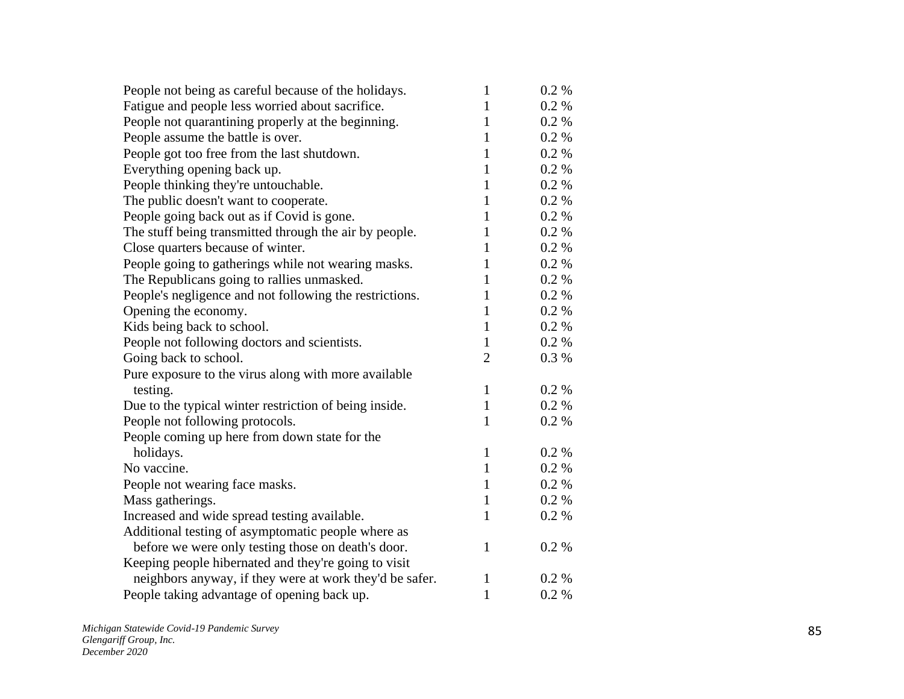| People not being as careful because of the holidays.    | 1              | $0.2 \%$ |
|---------------------------------------------------------|----------------|----------|
| Fatigue and people less worried about sacrifice.        | $\mathbf{1}$   | $0.2 \%$ |
| People not quarantining properly at the beginning.      | 1              | 0.2 %    |
| People assume the battle is over.                       | $\mathbf{1}$   | 0.2 %    |
| People got too free from the last shutdown.             | $\mathbf{1}$   | 0.2 %    |
| Everything opening back up.                             | $\mathbf{1}$   | 0.2 %    |
| People thinking they're untouchable.                    | 1              | 0.2 %    |
| The public doesn't want to cooperate.                   | $\mathbf{1}$   | 0.2 %    |
| People going back out as if Covid is gone.              | $\mathbf{1}$   | 0.2 %    |
| The stuff being transmitted through the air by people.  | 1              | $0.2\%$  |
| Close quarters because of winter.                       | 1              | 0.2 %    |
| People going to gatherings while not wearing masks.     | $\mathbf{1}$   | 0.2 %    |
| The Republicans going to rallies unmasked.              | $\mathbf{1}$   | 0.2 %    |
| People's negligence and not following the restrictions. | $\mathbf{1}$   | 0.2 %    |
| Opening the economy.                                    | $\mathbf{1}$   | 0.2 %    |
| Kids being back to school.                              | $\mathbf{1}$   | 0.2 %    |
| People not following doctors and scientists.            | $\mathbf{1}$   | $0.2\%$  |
| Going back to school.                                   | $\overline{2}$ | 0.3%     |
| Pure exposure to the virus along with more available    |                |          |
| testing.                                                | $\mathbf{1}$   | 0.2 %    |
| Due to the typical winter restriction of being inside.  | $\mathbf{1}$   | $0.2 \%$ |
| People not following protocols.                         | 1              | 0.2 %    |
| People coming up here from down state for the           |                |          |
| holidays.                                               | $\mathbf{1}$   | $0.2 \%$ |
| No vaccine.                                             | $\mathbf{1}$   | 0.2 %    |
| People not wearing face masks.                          | $\mathbf{1}$   | 0.2 %    |
| Mass gatherings.                                        | $\mathbf{1}$   | 0.2 %    |
| Increased and wide spread testing available.            | $\mathbf{1}$   | 0.2 %    |
| Additional testing of asymptomatic people where as      |                |          |
| before we were only testing those on death's door.      | $\mathbf{1}$   | 0.2 %    |
| Keeping people hibernated and they're going to visit    |                |          |
| neighbors anyway, if they were at work they'd be safer. | 1              | 0.2 %    |
| People taking advantage of opening back up.             | $\mathbf{1}$   | 0.2 %    |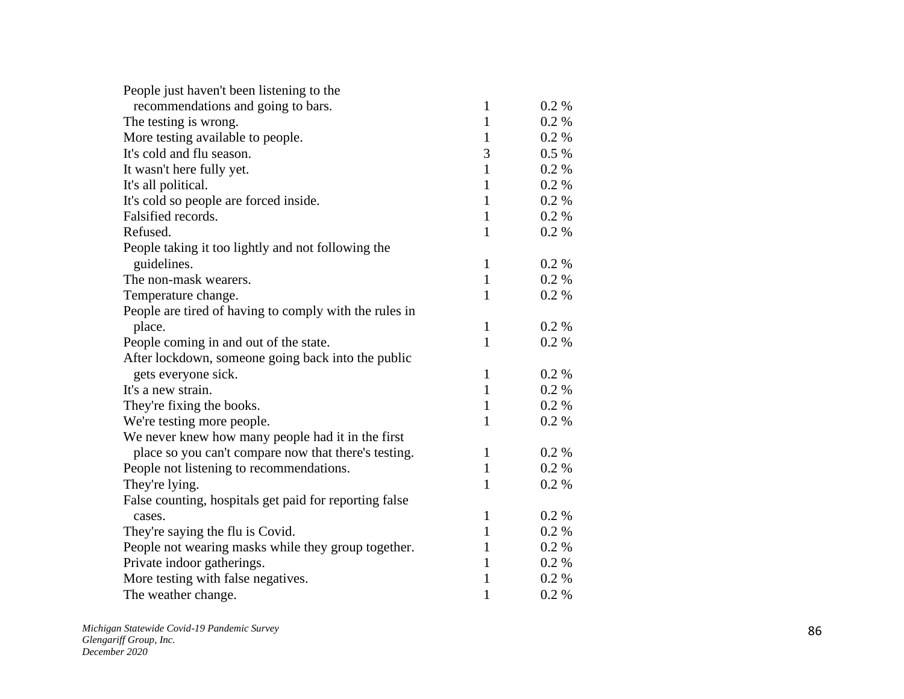| People just haven't been listening to the              |              |       |
|--------------------------------------------------------|--------------|-------|
| recommendations and going to bars.                     | 1            | 0.2 % |
| The testing is wrong.                                  | $\mathbf{1}$ | 0.2 % |
| More testing available to people.                      | $\mathbf{1}$ | 0.2 % |
| It's cold and flu season.                              | 3            | 0.5 % |
| It wasn't here fully yet.                              | $\mathbf{1}$ | 0.2 % |
| It's all political.                                    | $\mathbf{1}$ | 0.2%  |
| It's cold so people are forced inside.                 | $\mathbf{1}$ | 0.2%  |
| Falsified records.                                     | $\mathbf{1}$ | 0.2 % |
| Refused.                                               | $\mathbf{1}$ | 0.2 % |
| People taking it too lightly and not following the     |              |       |
| guidelines.                                            | $\mathbf{1}$ | 0.2 % |
| The non-mask wearers.                                  | $\mathbf{1}$ | 0.2 % |
| Temperature change.                                    | 1            | 0.2 % |
| People are tired of having to comply with the rules in |              |       |
| place.                                                 | $\mathbf{1}$ | 0.2 % |
| People coming in and out of the state.                 | $\mathbf{1}$ | 0.2 % |
| After lockdown, someone going back into the public     |              |       |
| gets everyone sick.                                    | $\mathbf{1}$ | 0.2 % |
| It's a new strain.                                     | $\mathbf{1}$ | 0.2 % |
| They're fixing the books.                              | $\mathbf{1}$ | 0.2 % |
| We're testing more people.                             | $\mathbf{1}$ | 0.2 % |
| We never knew how many people had it in the first      |              |       |
| place so you can't compare now that there's testing.   | $\mathbf{1}$ | 0.2 % |
| People not listening to recommendations.               | $\mathbf{1}$ | 0.2 % |
| They're lying.                                         | $\mathbf{1}$ | 0.2 % |
| False counting, hospitals get paid for reporting false |              |       |
| cases.                                                 | 1            | 0.2 % |
| They're saying the flu is Covid.                       | $\mathbf{1}$ | 0.2 % |
| People not wearing masks while they group together.    | 1            | 0.2 % |
| Private indoor gatherings.                             | $\mathbf{1}$ | 0.2 % |
| More testing with false negatives.                     | 1            | 0.2 % |
| The weather change.                                    | $\mathbf{1}$ | 0.2 % |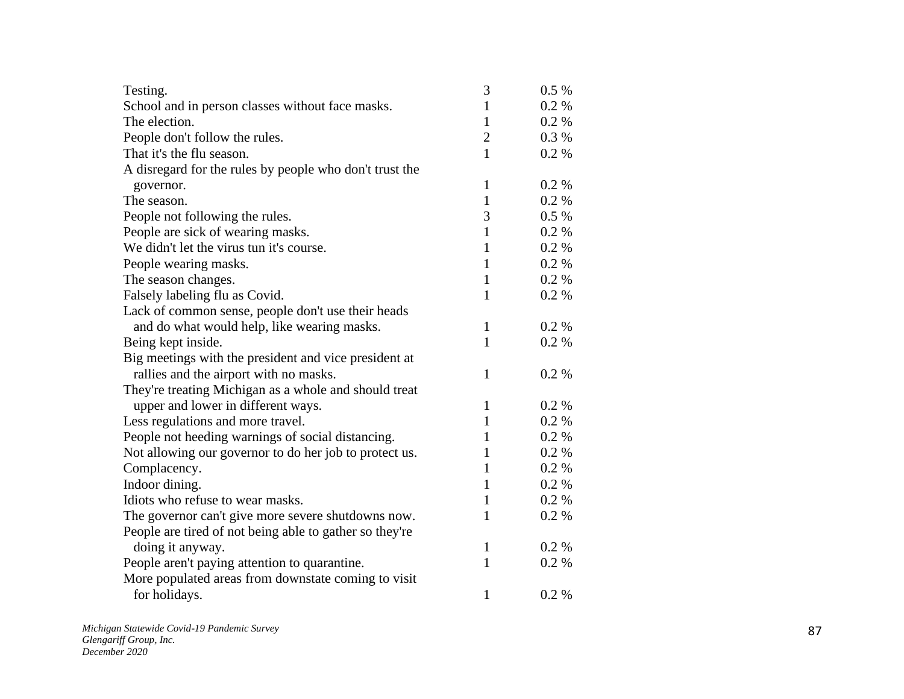| Testing.                                                | 3              | 0.5 % |
|---------------------------------------------------------|----------------|-------|
| School and in person classes without face masks.        | $\mathbf{1}$   | 0.2 % |
| The election.                                           | $\mathbf{1}$   | 0.2%  |
| People don't follow the rules.                          | $\overline{2}$ | 0.3%  |
| That it's the flu season.                               | $\mathbf{1}$   | 0.2%  |
| A disregard for the rules by people who don't trust the |                |       |
| governor.                                               | $\mathbf{1}$   | 0.2 % |
| The season.                                             | $\mathbf{1}$   | 0.2%  |
| People not following the rules.                         | 3              | 0.5%  |
| People are sick of wearing masks.                       | $\mathbf{1}$   | 0.2%  |
| We didn't let the virus tun it's course.                | $\mathbf{1}$   | 0.2 % |
| People wearing masks.                                   | 1              | 0.2%  |
| The season changes.                                     | $\mathbf{1}$   | 0.2%  |
| Falsely labeling flu as Covid.                          | $\mathbf{1}$   | 0.2%  |
| Lack of common sense, people don't use their heads      |                |       |
| and do what would help, like wearing masks.             | $\mathbf{1}$   | 0.2%  |
| Being kept inside.                                      | $\mathbf{1}$   | 0.2 % |
| Big meetings with the president and vice president at   |                |       |
| rallies and the airport with no masks.                  | $\mathbf{1}$   | 0.2%  |
| They're treating Michigan as a whole and should treat   |                |       |
| upper and lower in different ways.                      | $\mathbf{1}$   | 0.2%  |
| Less regulations and more travel.                       | $\mathbf{1}$   | 0.2%  |
| People not heeding warnings of social distancing.       | $\mathbf{1}$   | 0.2%  |
| Not allowing our governor to do her job to protect us.  | $\mathbf{1}$   | 0.2 % |
| Complacency.                                            | $\mathbf{1}$   | 0.2 % |
| Indoor dining.                                          | $\mathbf{1}$   | 0.2%  |
| Idiots who refuse to wear masks.                        | $\mathbf{1}$   | 0.2 % |
| The governor can't give more severe shutdowns now.      | $\mathbf{1}$   | 0.2 % |
| People are tired of not being able to gather so they're |                |       |
| doing it anyway.                                        | $\mathbf{1}$   | 0.2 % |
| People aren't paying attention to quarantine.           | $\mathbf{1}$   | 0.2 % |
| More populated areas from downstate coming to visit     |                |       |
| for holidays.                                           | $\mathbf{1}$   | 0.2 % |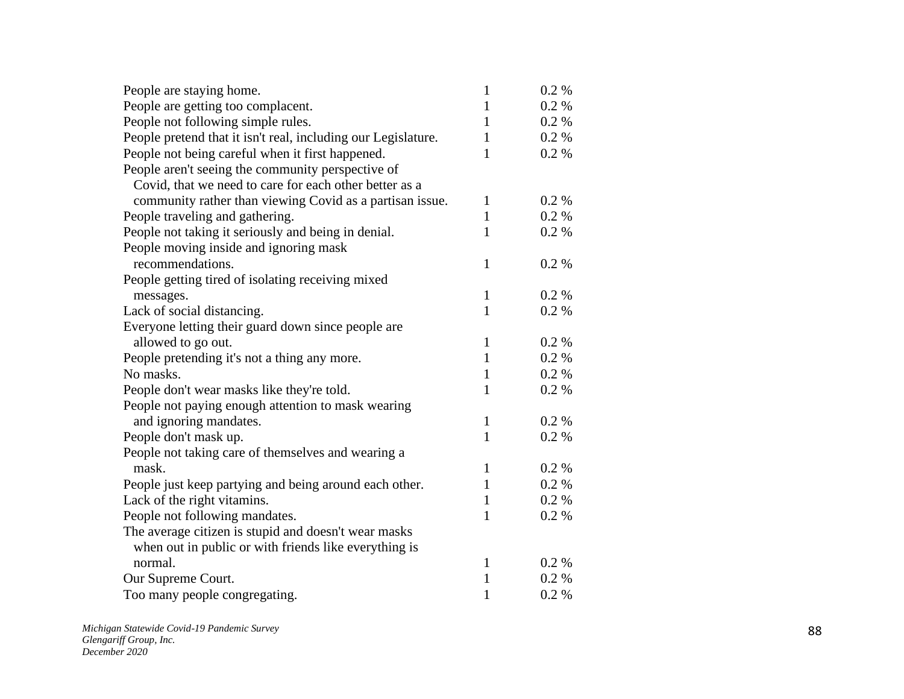| People are staying home.                                      | $\mathbf{1}$ | $0.2\%$  |
|---------------------------------------------------------------|--------------|----------|
| People are getting too complacent.                            | $\mathbf{1}$ | $0.2 \%$ |
| People not following simple rules.                            | $\mathbf{1}$ | $0.2 \%$ |
| People pretend that it isn't real, including our Legislature. | $\mathbf{1}$ | $0.2 \%$ |
| People not being careful when it first happened.              | $\mathbf{1}$ | 0.2 %    |
| People aren't seeing the community perspective of             |              |          |
| Covid, that we need to care for each other better as a        |              |          |
| community rather than viewing Covid as a partisan issue.      | $\mathbf{1}$ | 0.2 %    |
| People traveling and gathering.                               | $\mathbf{1}$ | $0.2 \%$ |
| People not taking it seriously and being in denial.           | $\mathbf{1}$ | 0.2 %    |
| People moving inside and ignoring mask                        |              |          |
| recommendations.                                              | 1            | 0.2 %    |
| People getting tired of isolating receiving mixed             |              |          |
| messages.                                                     | $\mathbf{1}$ | 0.2 %    |
| Lack of social distancing.                                    | $\mathbf{1}$ | 0.2 %    |
| Everyone letting their guard down since people are            |              |          |
| allowed to go out.                                            | $\mathbf{1}$ | $0.2 \%$ |
| People pretending it's not a thing any more.                  | $\mathbf{1}$ | 0.2 %    |
| No masks.                                                     | $\mathbf{1}$ | 0.2 %    |
| People don't wear masks like they're told.                    | $\mathbf{1}$ | 0.2 %    |
| People not paying enough attention to mask wearing            |              |          |
| and ignoring mandates.                                        | $\mathbf{1}$ | $0.2 \%$ |
| People don't mask up.                                         | $\mathbf{1}$ | $0.2 \%$ |
| People not taking care of themselves and wearing a            |              |          |
| mask.                                                         | $\mathbf{1}$ | $0.2 \%$ |
| People just keep partying and being around each other.        | $\mathbf{1}$ | 0.2 %    |
| Lack of the right vitamins.                                   | $\mathbf{1}$ | 0.2 %    |
| People not following mandates.                                | $\mathbf{1}$ | 0.2 %    |
| The average citizen is stupid and doesn't wear masks          |              |          |
| when out in public or with friends like everything is         |              |          |
| normal.                                                       | $\mathbf{1}$ | $0.2 \%$ |
| Our Supreme Court.                                            | $\mathbf{1}$ | $0.2 \%$ |
| Too many people congregating.                                 | $\mathbf{1}$ | 0.2 %    |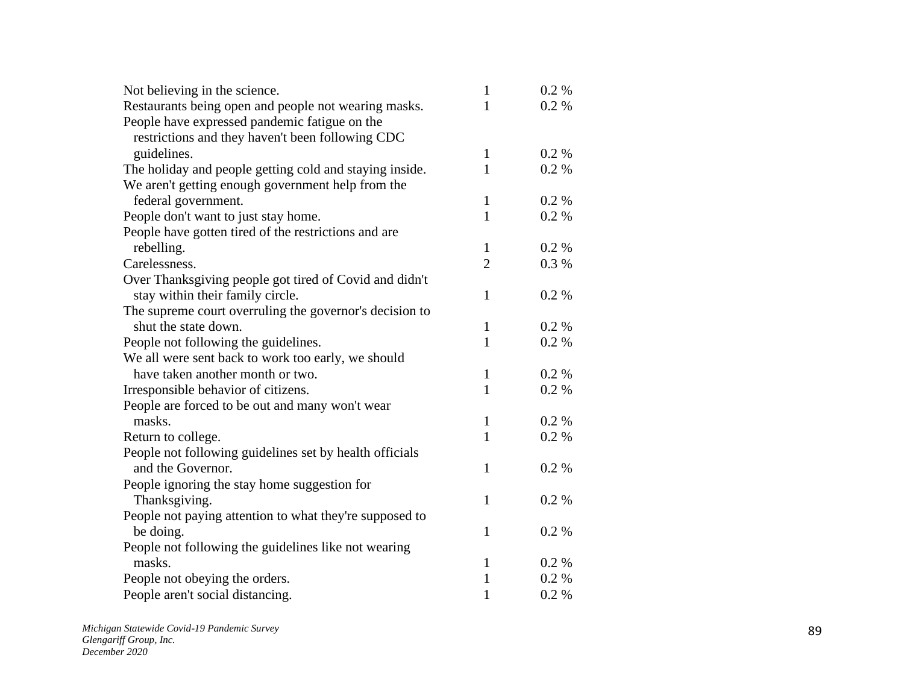| Not believing in the science.                           | $\mathbf{1}$   | 0.2 %   |
|---------------------------------------------------------|----------------|---------|
| Restaurants being open and people not wearing masks.    | 1              | 0.2 %   |
| People have expressed pandemic fatigue on the           |                |         |
| restrictions and they haven't been following CDC        |                |         |
| guidelines.                                             | $\mathbf{1}$   | 0.2 %   |
| The holiday and people getting cold and staying inside. | 1              | 0.2%    |
| We aren't getting enough government help from the       |                |         |
| federal government.                                     | $\mathbf{1}$   | 0.2 %   |
| People don't want to just stay home.                    | 1              | 0.2 %   |
| People have gotten tired of the restrictions and are    |                |         |
| rebelling.                                              | $\mathbf{1}$   | 0.2 %   |
| Carelessness.                                           | $\overline{2}$ | 0.3 %   |
| Over Thanksgiving people got tired of Covid and didn't  |                |         |
| stay within their family circle.                        | $\mathbf{1}$   | 0.2 %   |
| The supreme court overruling the governor's decision to |                |         |
| shut the state down.                                    | 1              | $0.2\%$ |
| People not following the guidelines.                    | $\mathbf{1}$   | 0.2 %   |
| We all were sent back to work too early, we should      |                |         |
| have taken another month or two.                        | 1              | $0.2\%$ |
| Irresponsible behavior of citizens.                     | 1              | 0.2 %   |
| People are forced to be out and many won't wear         |                |         |
| masks.                                                  | $\mathbf{1}$   | $0.2\%$ |
| Return to college.                                      | $\mathbf{1}$   | 0.2 %   |
| People not following guidelines set by health officials |                |         |
| and the Governor.                                       | 1              | 0.2 %   |
| People ignoring the stay home suggestion for            |                |         |
| Thanksgiving.                                           | $\mathbf{1}$   | 0.2 %   |
| People not paying attention to what they're supposed to |                |         |
| be doing.                                               | $\mathbf{1}$   | 0.2 %   |
| People not following the guidelines like not wearing    |                |         |
| masks.                                                  | 1              | $0.2\%$ |
| People not obeying the orders.                          | $\mathbf{1}$   | 0.2 %   |
| People aren't social distancing.                        | $\mathbf{1}$   | 0.2 %   |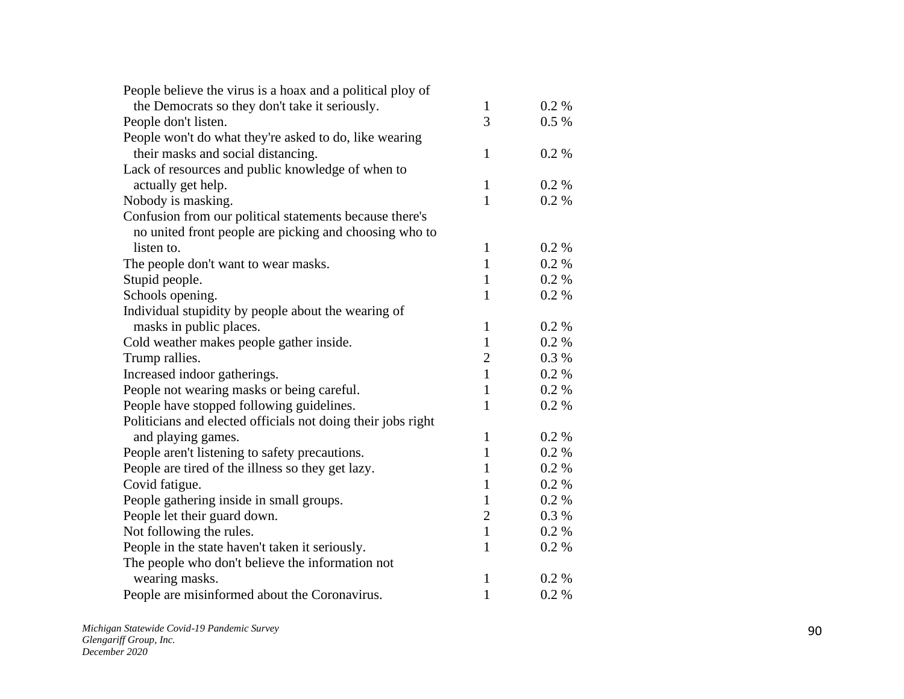| People believe the virus is a hoax and a political ploy of   |                |         |
|--------------------------------------------------------------|----------------|---------|
| the Democrats so they don't take it seriously.               | $\mathbf{1}$   | $0.2\%$ |
| People don't listen.                                         | 3              | $0.5\%$ |
| People won't do what they're asked to do, like wearing       |                |         |
| their masks and social distancing.                           | $\mathbf{1}$   | 0.2%    |
| Lack of resources and public knowledge of when to            |                |         |
| actually get help.                                           | $\mathbf{1}$   | 0.2 %   |
| Nobody is masking.                                           | $\mathbf{1}$   | 0.2 %   |
| Confusion from our political statements because there's      |                |         |
| no united front people are picking and choosing who to       |                |         |
| listen to.                                                   | $\mathbf{1}$   | 0.2 %   |
| The people don't want to wear masks.                         | $\mathbf{1}$   | 0.2 %   |
| Stupid people.                                               | $\mathbf{1}$   | 0.2 %   |
| Schools opening.                                             | $\mathbf{1}$   | 0.2 %   |
| Individual stupidity by people about the wearing of          |                |         |
| masks in public places.                                      | $\mathbf{1}$   | 0.2 %   |
| Cold weather makes people gather inside.                     | $\mathbf{1}$   | 0.2 %   |
| Trump rallies.                                               | $\sqrt{2}$     | 0.3%    |
| Increased indoor gatherings.                                 | $\mathbf{1}$   | 0.2 %   |
| People not wearing masks or being careful.                   | $\mathbf{1}$   | 0.2 %   |
| People have stopped following guidelines.                    | $\mathbf{1}$   | 0.2 %   |
| Politicians and elected officials not doing their jobs right |                |         |
| and playing games.                                           | $\mathbf{1}$   | 0.2 %   |
| People aren't listening to safety precautions.               | $\mathbf{1}$   | 0.2 %   |
| People are tired of the illness so they get lazy.            | 1              | 0.2 %   |
| Covid fatigue.                                               | $\mathbf{1}$   | 0.2 %   |
| People gathering inside in small groups.                     | $\mathbf{1}$   | 0.2%    |
| People let their guard down.                                 | $\overline{2}$ | 0.3 %   |
| Not following the rules.                                     | $\mathbf{1}$   | 0.2 %   |
| People in the state haven't taken it seriously.              | 1              | 0.2 %   |
| The people who don't believe the information not             |                |         |
| wearing masks.                                               | $\mathbf{1}$   | 0.2 %   |
| People are misinformed about the Coronavirus.                | $\mathbf{1}$   | 0.2 %   |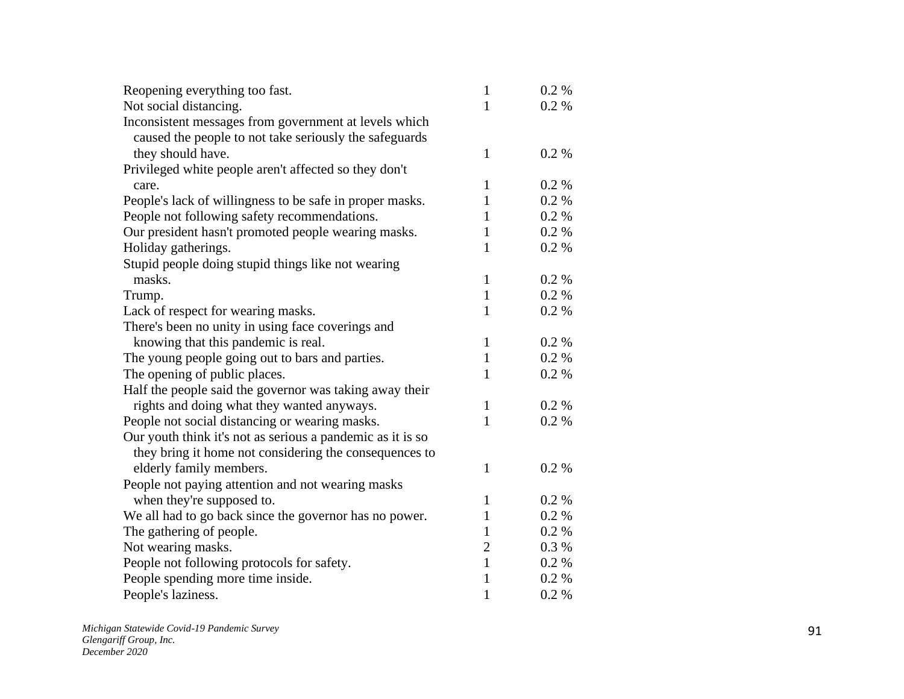| Reopening everything too fast.                             | $\mathbf{1}$   | $0.2\%$  |
|------------------------------------------------------------|----------------|----------|
| Not social distancing.                                     | 1              | 0.2 %    |
| Inconsistent messages from government at levels which      |                |          |
| caused the people to not take seriously the safeguards     |                |          |
| they should have.                                          | 1              | 0.2 %    |
| Privileged white people aren't affected so they don't      |                |          |
| care.                                                      | 1              | 0.2 %    |
| People's lack of willingness to be safe in proper masks.   | $\mathbf{1}$   | 0.2 %    |
| People not following safety recommendations.               | 1              | $0.2 \%$ |
| Our president hasn't promoted people wearing masks.        | 1              | 0.2 %    |
| Holiday gatherings.                                        | $\mathbf{1}$   | 0.2 %    |
| Stupid people doing stupid things like not wearing         |                |          |
| masks.                                                     | 1              | 0.2 %    |
| Trump.                                                     | $\mathbf{1}$   | 0.2 %    |
| Lack of respect for wearing masks.                         | 1              | 0.2 %    |
| There's been no unity in using face coverings and          |                |          |
| knowing that this pandemic is real.                        | $\mathbf{1}$   | 0.2 %    |
| The young people going out to bars and parties.            | $\mathbf{1}$   | $0.2\%$  |
| The opening of public places.                              | 1              | 0.2 %    |
| Half the people said the governor was taking away their    |                |          |
| rights and doing what they wanted anyways.                 | 1              | $0.2\%$  |
| People not social distancing or wearing masks.             | 1              | 0.2 %    |
| Our youth think it's not as serious a pandemic as it is so |                |          |
| they bring it home not considering the consequences to     |                |          |
| elderly family members.                                    | 1              | 0.2 %    |
| People not paying attention and not wearing masks          |                |          |
| when they're supposed to.                                  | 1              | $0.2\%$  |
| We all had to go back since the governor has no power.     | 1              | 0.2 %    |
| The gathering of people.                                   | 1              | 0.2 %    |
| Not wearing masks.                                         | $\overline{2}$ | 0.3%     |
| People not following protocols for safety.                 | $\mathbf{1}$   | 0.2 %    |
| People spending more time inside.                          | 1              | 0.2 %    |
| People's laziness.                                         | $\mathbf{1}$   | 0.2 %    |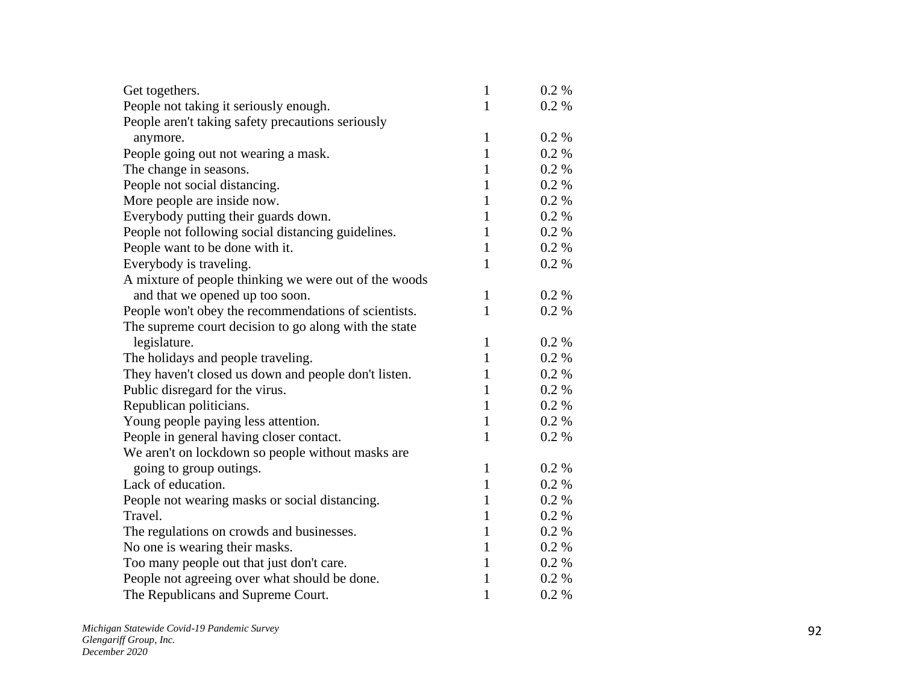| Get togethers.                                        | $\mathbf{1}$ | 0.2 %   |
|-------------------------------------------------------|--------------|---------|
| People not taking it seriously enough.                | 1            | 0.2 %   |
| People aren't taking safety precautions seriously     |              |         |
| anymore.                                              | $\mathbf{1}$ | 0.2 %   |
| People going out not wearing a mask.                  | $\mathbf{1}$ | 0.2 %   |
| The change in seasons.                                | $\mathbf{1}$ | 0.2 %   |
| People not social distancing.                         | $\mathbf{1}$ | 0.2 %   |
| More people are inside now.                           | $\mathbf{1}$ | 0.2 %   |
| Everybody putting their guards down.                  | 1            | 0.2 %   |
| People not following social distancing guidelines.    | $\mathbf{1}$ | 0.2 %   |
| People want to be done with it.                       | $\mathbf{1}$ | 0.2 %   |
| Everybody is traveling.                               | $\mathbf{1}$ | 0.2 %   |
| A mixture of people thinking we were out of the woods |              |         |
| and that we opened up too soon.                       | $\mathbf{1}$ | 0.2 %   |
| People won't obey the recommendations of scientists.  | $\mathbf{1}$ | 0.2 %   |
| The supreme court decision to go along with the state |              |         |
| legislature.                                          | 1            | 0.2 %   |
| The holidays and people traveling.                    | $\mathbf{1}$ | 0.2 %   |
| They haven't closed us down and people don't listen.  | 1            | 0.2 %   |
| Public disregard for the virus.                       | $\mathbf{1}$ | 0.2 %   |
| Republican politicians.                               | 1            | 0.2 %   |
| Young people paying less attention.                   | $\mathbf{1}$ | 0.2 %   |
| People in general having closer contact.              | $\mathbf{1}$ | 0.2 %   |
| We aren't on lockdown so people without masks are     |              |         |
| going to group outings.                               | 1            | 0.2 %   |
| Lack of education.                                    | $\mathbf{1}$ | 0.2 %   |
| People not wearing masks or social distancing.        | 1            | 0.2 %   |
| Travel.                                               | $\mathbf{1}$ | 0.2 %   |
| The regulations on crowds and businesses.             | 1            | 0.2 %   |
| No one is wearing their masks.                        | 1            | 0.2 %   |
| Too many people out that just don't care.             | 1            | 0.2 %   |
| People not agreeing over what should be done.         | 1            | $0.2\%$ |
| The Republicans and Supreme Court.                    | $\mathbf{1}$ | 0.2 %   |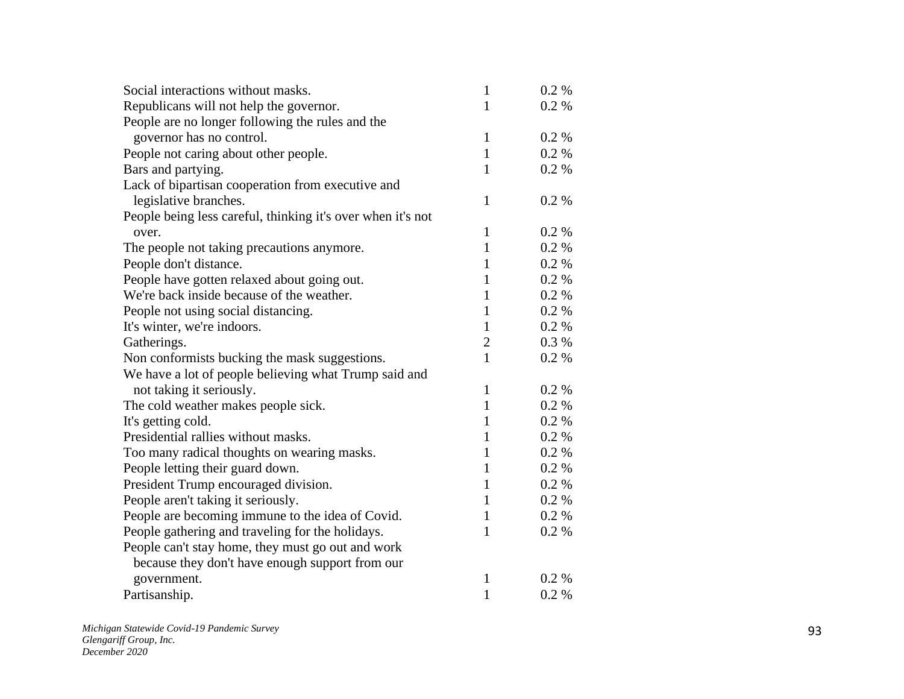| Social interactions without masks.                          | $\mathbf{1}$   | $0.2 \%$ |
|-------------------------------------------------------------|----------------|----------|
| Republicans will not help the governor.                     | $\mathbf{1}$   | $0.2\%$  |
| People are no longer following the rules and the            |                |          |
| governor has no control.                                    | $\mathbf{1}$   | $0.2\%$  |
| People not caring about other people.                       | $\mathbf{1}$   | 0.2 %    |
| Bars and partying.                                          | $\mathbf{1}$   | 0.2 %    |
| Lack of bipartisan cooperation from executive and           |                |          |
| legislative branches.                                       | $\mathbf{1}$   | 0.2 %    |
| People being less careful, thinking it's over when it's not |                |          |
| over.                                                       | $\mathbf{1}$   | 0.2 %    |
| The people not taking precautions anymore.                  | $\mathbf{1}$   | 0.2 %    |
| People don't distance.                                      | $\mathbf{1}$   | $0.2 \%$ |
| People have gotten relaxed about going out.                 | $\mathbf{1}$   | 0.2 %    |
| We're back inside because of the weather.                   | $\mathbf{1}$   | 0.2 %    |
| People not using social distancing.                         | $\mathbf{1}$   | 0.2 %    |
| It's winter, we're indoors.                                 | $\mathbf{1}$   | 0.2 %    |
| Gatherings.                                                 | $\overline{2}$ | 0.3 %    |
| Non conformists bucking the mask suggestions.               | $\mathbf{1}$   | 0.2 %    |
| We have a lot of people believing what Trump said and       |                |          |
| not taking it seriously.                                    | $\mathbf{1}$   | 0.2 %    |
| The cold weather makes people sick.                         | $\mathbf{1}$   | 0.2 %    |
| It's getting cold.                                          | 1              | 0.2 %    |
| Presidential rallies without masks.                         | 1              | 0.2 %    |
| Too many radical thoughts on wearing masks.                 | $\mathbf{1}$   | 0.2 %    |
| People letting their guard down.                            | $\mathbf{1}$   | 0.2 %    |
| President Trump encouraged division.                        | 1              | 0.2 %    |
| People aren't taking it seriously.                          | $\mathbf{1}$   | 0.2 %    |
| People are becoming immune to the idea of Covid.            | $\mathbf{1}$   | $0.2 \%$ |
| People gathering and traveling for the holidays.            | $\mathbf{1}$   | 0.2 %    |
| People can't stay home, they must go out and work           |                |          |
| because they don't have enough support from our             |                |          |
| government.                                                 | 1              | $0.2 \%$ |
| Partisanship.                                               | $\mathbf{1}$   | 0.2 %    |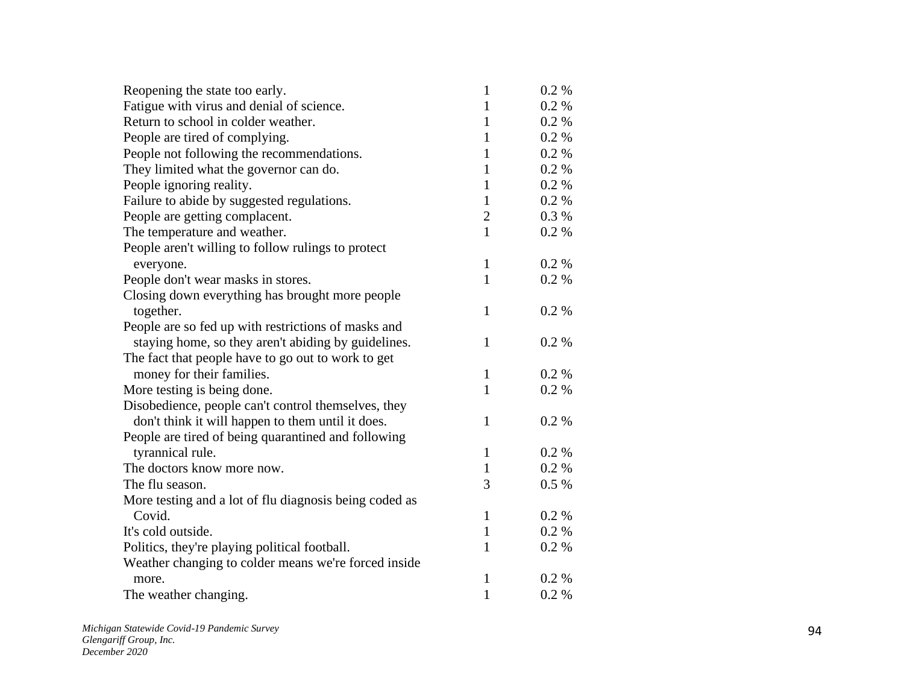| Reopening the state too early.                         | 1              | $0.2\%$  |
|--------------------------------------------------------|----------------|----------|
| Fatigue with virus and denial of science.              | 1              | $0.2\%$  |
| Return to school in colder weather.                    | 1              | $0.2 \%$ |
| People are tired of complying.                         | 1              | 0.2 %    |
| People not following the recommendations.              | $\mathbf{1}$   | 0.2 %    |
| They limited what the governor can do.                 | 1              | $0.2 \%$ |
| People ignoring reality.                               | 1              | 0.2 %    |
| Failure to abide by suggested regulations.             | $\mathbf{1}$   | 0.2 %    |
| People are getting complacent.                         | $\overline{2}$ | 0.3 %    |
| The temperature and weather.                           | $\mathbf{1}$   | 0.2 %    |
| People aren't willing to follow rulings to protect     |                |          |
| everyone.                                              | $\mathbf{1}$   | $0.2 \%$ |
| People don't wear masks in stores.                     | $\mathbf{1}$   | 0.2 %    |
| Closing down everything has brought more people        |                |          |
| together.                                              | $\mathbf{1}$   | 0.2 %    |
| People are so fed up with restrictions of masks and    |                |          |
| staying home, so they aren't abiding by guidelines.    | $\mathbf{1}$   | 0.2 %    |
| The fact that people have to go out to work to get     |                |          |
| money for their families.                              | $\mathbf{1}$   | $0.2 \%$ |
| More testing is being done.                            | $\mathbf{1}$   | 0.2 %    |
| Disobedience, people can't control themselves, they    |                |          |
| don't think it will happen to them until it does.      | $\mathbf{1}$   | 0.2 %    |
| People are tired of being quarantined and following    |                |          |
| tyrannical rule.                                       | $\mathbf{1}$   | 0.2 %    |
| The doctors know more now.                             | $\mathbf{1}$   | 0.2 %    |
| The flu season.                                        | 3              | $0.5\%$  |
| More testing and a lot of flu diagnosis being coded as |                |          |
| Covid.                                                 | $\mathbf{1}$   | $0.2 \%$ |
| It's cold outside.                                     | $\mathbf{1}$   | $0.2 \%$ |
| Politics, they're playing political football.          | $\mathbf{1}$   | 0.2 %    |
| Weather changing to colder means we're forced inside   |                |          |
| more.                                                  | $\mathbf{1}$   | $0.2 \%$ |
| The weather changing.                                  | $\mathbf{1}$   | 0.2 %    |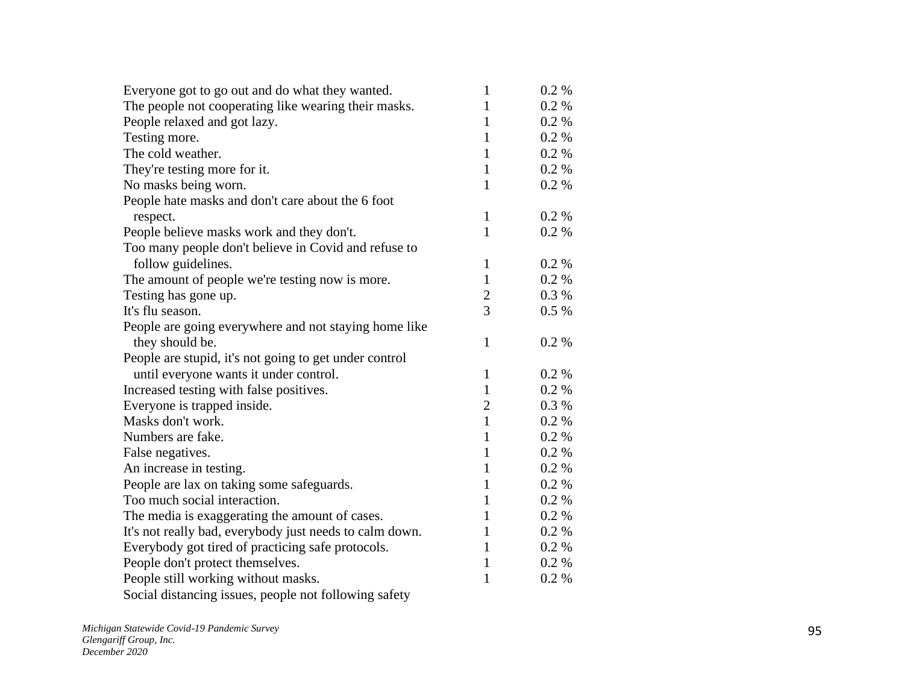| Everyone got to go out and do what they wanted.         | $\mathbf{1}$   | $0.2 \%$ |
|---------------------------------------------------------|----------------|----------|
| The people not cooperating like wearing their masks.    | $\mathbf{1}$   | 0.2 %    |
| People relaxed and got lazy.                            | 1              | 0.2 %    |
| Testing more.                                           | 1              | 0.2 %    |
| The cold weather.                                       | $\mathbf{1}$   | 0.2 %    |
| They're testing more for it.                            | $\mathbf{1}$   | 0.2 %    |
| No masks being worn.                                    | 1              | $0.2 \%$ |
| People hate masks and don't care about the 6 foot       |                |          |
| respect.                                                | $\mathbf{1}$   | 0.2 %    |
| People believe masks work and they don't.               | $\mathbf{1}$   | 0.2 %    |
| Too many people don't believe in Covid and refuse to    |                |          |
| follow guidelines.                                      | $\mathbf{1}$   | 0.2 %    |
| The amount of people we're testing now is more.         | $\mathbf{1}$   | 0.2 %    |
| Testing has gone up.                                    | $\mathbf{2}$   | 0.3 %    |
| It's flu season.                                        | 3              | $0.5 \%$ |
| People are going everywhere and not staying home like   |                |          |
| they should be.                                         | $\mathbf{1}$   | 0.2 %    |
| People are stupid, it's not going to get under control  |                |          |
| until everyone wants it under control.                  | $\mathbf{1}$   | 0.2 %    |
| Increased testing with false positives.                 | $\mathbf{1}$   | 0.2 %    |
| Everyone is trapped inside.                             | $\overline{2}$ | 0.3 %    |
| Masks don't work.                                       | $\mathbf{1}$   | $0.2 \%$ |
| Numbers are fake.                                       | $\mathbf{1}$   | 0.2 %    |
| False negatives.                                        | $\mathbf{1}$   | 0.2 %    |
| An increase in testing.                                 | 1              | 0.2 %    |
| People are lax on taking some safeguards.               | $\mathbf{1}$   | 0.2 %    |
| Too much social interaction.                            | $\mathbf{1}$   | 0.2 %    |
| The media is exaggerating the amount of cases.          | 1              | 0.2 %    |
| It's not really bad, everybody just needs to calm down. | 1              | $0.2 \%$ |
| Everybody got tired of practicing safe protocols.       | 1              | 0.2 %    |
| People don't protect themselves.                        | $\mathbf{1}$   | $0.2 \%$ |
| People still working without masks.                     | $\mathbf{1}$   | 0.2 %    |
| Social distancing issues, people not following safety   |                |          |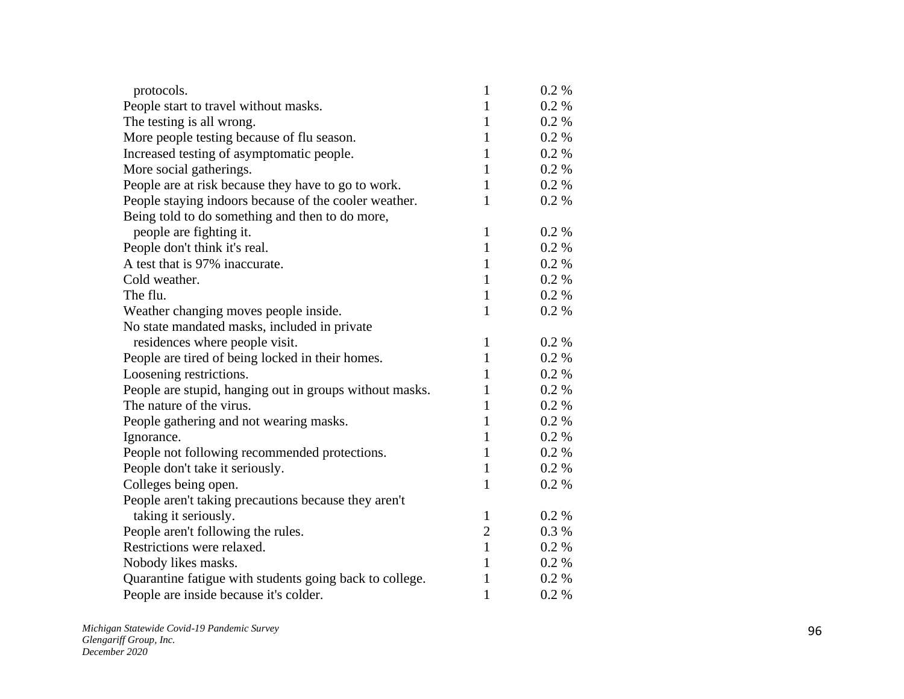| protocols.                                              | $\mathbf{1}$   | $0.2 \%$ |
|---------------------------------------------------------|----------------|----------|
| People start to travel without masks.                   | $\mathbf{1}$   | 0.2 %    |
| The testing is all wrong.                               | $\mathbf{1}$   | 0.2%     |
| More people testing because of flu season.              | $\mathbf{1}$   | 0.2 %    |
| Increased testing of asymptomatic people.               | $\mathbf{1}$   | 0.2%     |
| More social gatherings.                                 | $\mathbf{1}$   | 0.2%     |
| People are at risk because they have to go to work.     | $\mathbf{1}$   | 0.2 %    |
| People staying indoors because of the cooler weather.   | $\mathbf{1}$   | 0.2 %    |
| Being told to do something and then to do more,         |                |          |
| people are fighting it.                                 | $\mathbf{1}$   | 0.2 %    |
| People don't think it's real.                           | $\mathbf{1}$   | 0.2 %    |
| A test that is 97% inaccurate.                          | $\mathbf{1}$   | 0.2 %    |
| Cold weather.                                           | $\mathbf{1}$   | 0.2 %    |
| The flu.                                                | $\mathbf{1}$   | 0.2 %    |
| Weather changing moves people inside.                   | 1              | $0.2 \%$ |
| No state mandated masks, included in private            |                |          |
| residences where people visit.                          | $\mathbf{1}$   | 0.2 %    |
| People are tired of being locked in their homes.        | $\mathbf{1}$   | 0.2 %    |
| Loosening restrictions.                                 | $\mathbf{1}$   | 0.2 %    |
| People are stupid, hanging out in groups without masks. | 1              | 0.2 %    |
| The nature of the virus.                                | $\mathbf{1}$   | 0.2 %    |
| People gathering and not wearing masks.                 | 1              | 0.2 %    |
| Ignorance.                                              | $\mathbf{1}$   | 0.2 %    |
| People not following recommended protections.           | 1              | 0.2 %    |
| People don't take it seriously.                         | $\mathbf{1}$   | 0.2 %    |
| Colleges being open.                                    | $\mathbf{1}$   | 0.2 %    |
| People aren't taking precautions because they aren't    |                |          |
| taking it seriously.                                    | $\mathbf{1}$   | 0.2 %    |
| People aren't following the rules.                      | $\overline{2}$ | 0.3%     |
| Restrictions were relaxed.                              | $\mathbf{1}$   | 0.2 %    |
| Nobody likes masks.                                     | $\mathbf{1}$   | 0.2 %    |
| Quarantine fatigue with students going back to college. | $\mathbf{1}$   | 0.2%     |
| People are inside because it's colder.                  | $\mathbf{1}$   | 0.2 %    |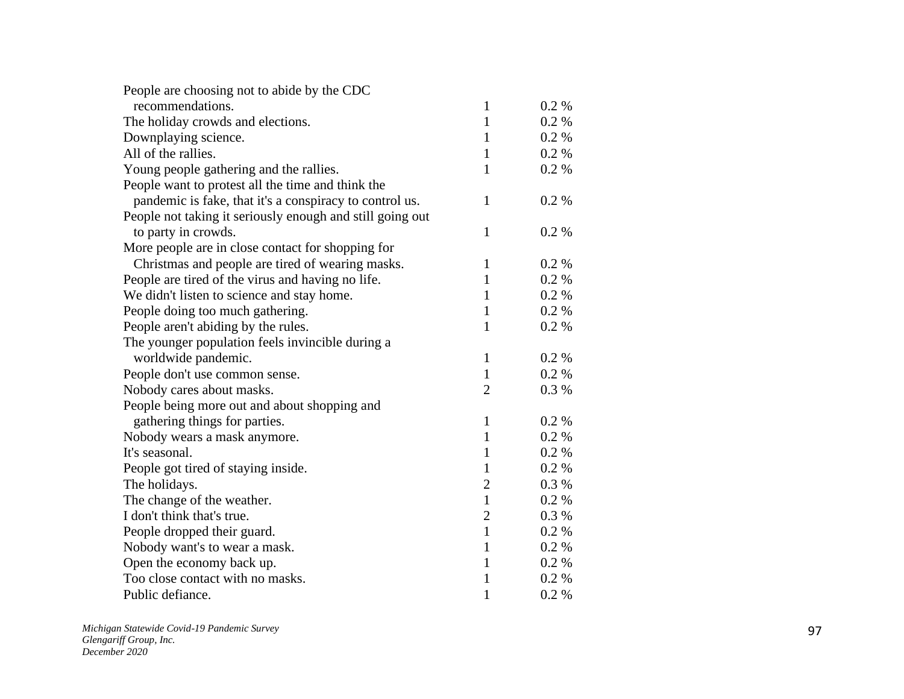| People are choosing not to abide by the CDC               |                |          |
|-----------------------------------------------------------|----------------|----------|
| recommendations.                                          | $\mathbf{1}$   | $0.2\%$  |
| The holiday crowds and elections.                         | $\mathbf{1}$   | $0.2 \%$ |
| Downplaying science.                                      | 1              | $0.2 \%$ |
| All of the rallies.                                       | $\mathbf{1}$   | 0.2 %    |
| Young people gathering and the rallies.                   | $\mathbf{1}$   | 0.2 %    |
| People want to protest all the time and think the         |                |          |
| pandemic is fake, that it's a conspiracy to control us.   | $\mathbf{1}$   | 0.2 %    |
| People not taking it seriously enough and still going out |                |          |
| to party in crowds.                                       | $\mathbf{1}$   | 0.2 %    |
| More people are in close contact for shopping for         |                |          |
| Christmas and people are tired of wearing masks.          | $\mathbf{1}$   | 0.2 %    |
| People are tired of the virus and having no life.         | $\mathbf{1}$   | 0.2 %    |
| We didn't listen to science and stay home.                | $\mathbf{1}$   | 0.2 %    |
| People doing too much gathering.                          | 1              | 0.2 %    |
| People aren't abiding by the rules.                       | $\mathbf{1}$   | 0.2 %    |
| The younger population feels invincible during a          |                |          |
| worldwide pandemic.                                       | $\mathbf{1}$   | 0.2 %    |
| People don't use common sense.                            | $\mathbf{1}$   | 0.2 %    |
| Nobody cares about masks.                                 | $\overline{2}$ | 0.3%     |
| People being more out and about shopping and              |                |          |
| gathering things for parties.                             | $\mathbf{1}$   | 0.2 %    |
| Nobody wears a mask anymore.                              | $\mathbf{1}$   | 0.2 %    |
| It's seasonal.                                            | $\mathbf{1}$   | 0.2 %    |
| People got tired of staying inside.                       | $\mathbf{1}$   | 0.2 %    |
| The holidays.                                             | $\overline{2}$ | 0.3 %    |
| The change of the weather.                                | $\mathbf{1}$   | 0.2 %    |
| I don't think that's true.                                | $\overline{2}$ | 0.3 %    |
| People dropped their guard.                               | $\mathbf{1}$   | 0.2 %    |
| Nobody want's to wear a mask.                             | 1              | 0.2 %    |
| Open the economy back up.                                 | $\mathbf{1}$   | 0.2 %    |
| Too close contact with no masks.                          | 1              | 0.2 %    |
| Public defiance.                                          | 1              | 0.2 %    |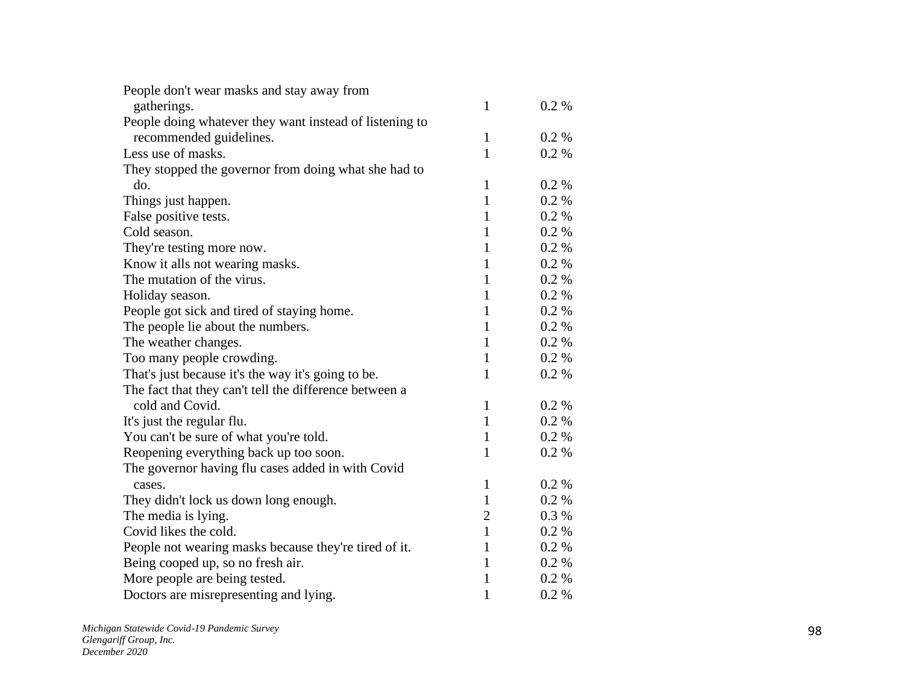| People don't wear masks and stay away from              |              |          |
|---------------------------------------------------------|--------------|----------|
| gatherings.                                             | $\mathbf{1}$ | 0.2 %    |
| People doing whatever they want instead of listening to |              |          |
| recommended guidelines.                                 | $\mathbf{1}$ | 0.2 %    |
| Less use of masks.                                      | $\mathbf{1}$ | $0.2 \%$ |
| They stopped the governor from doing what she had to    |              |          |
| do.                                                     | 1            | $0.2\%$  |
| Things just happen.                                     | $\mathbf{1}$ | 0.2 %    |
| False positive tests.                                   | $\mathbf{1}$ | 0.2 %    |
| Cold season.                                            | 1            | $0.2 \%$ |
| They're testing more now.                               | 1            | 0.2 %    |
| Know it alls not wearing masks.                         | $\mathbf{1}$ | $0.2\%$  |
| The mutation of the virus.                              | 1            | 0.2 %    |
| Holiday season.                                         | 1            | 0.2 %    |
| People got sick and tired of staying home.              | 1            | 0.2 %    |
| The people lie about the numbers.                       | $\mathbf{1}$ | 0.2 %    |
| The weather changes.                                    | 1            | $0.2 \%$ |
| Too many people crowding.                               | $\mathbf{1}$ | 0.2 %    |
| That's just because it's the way it's going to be.      | 1            | 0.2 %    |
| The fact that they can't tell the difference between a  |              |          |
| cold and Covid.                                         | $\mathbf{1}$ | 0.2 %    |
| It's just the regular flu.                              | $\mathbf{1}$ | 0.2 %    |
| You can't be sure of what you're told.                  | $\mathbf{1}$ | 0.2 %    |
| Reopening everything back up too soon.                  | $\mathbf{1}$ | $0.2\%$  |
| The governor having flu cases added in with Covid       |              |          |
| cases.                                                  | $\mathbf{1}$ | $0.2\%$  |
| They didn't lock us down long enough.                   | $\mathbf{1}$ | 0.2%     |
| The media is lying.                                     | $\mathbf{2}$ | 0.3%     |
| Covid likes the cold.                                   | $\mathbf{1}$ | 0.2 %    |
| People not wearing masks because they're tired of it.   | 1            | 0.2 %    |
| Being cooped up, so no fresh air.                       | 1            | $0.2 \%$ |
| More people are being tested.                           | 1            | 0.2 %    |
| Doctors are misrepresenting and lying.                  | $\mathbf{1}$ | 0.2 %    |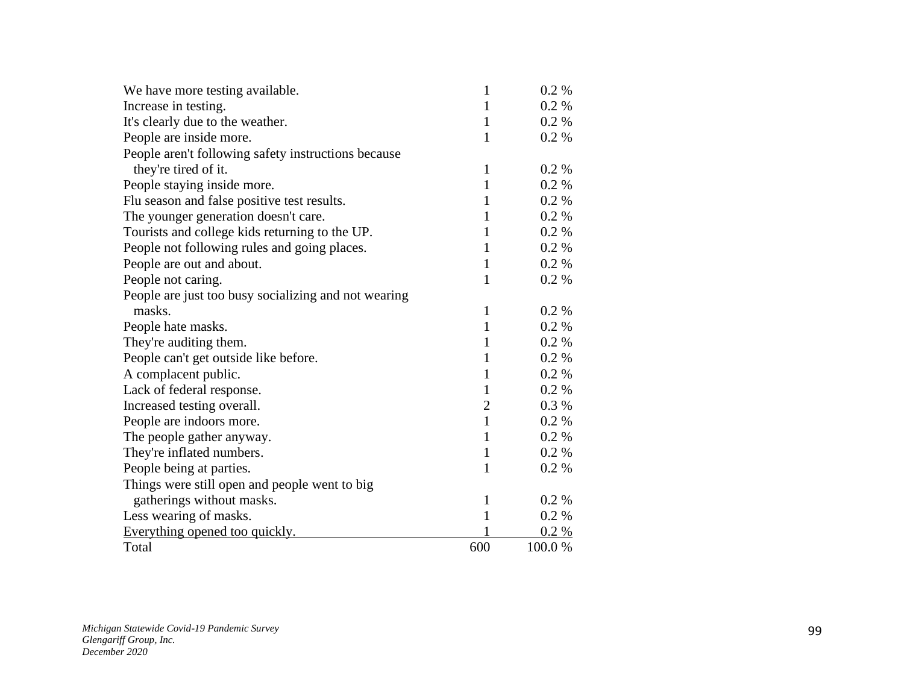| We have more testing available.                      | 1              | 0.2 %    |
|------------------------------------------------------|----------------|----------|
| Increase in testing.                                 | 1              | 0.2 %    |
| It's clearly due to the weather.                     | $\mathbf{1}$   | 0.2 %    |
| People are inside more.                              | $\mathbf{1}$   | 0.2 %    |
| People aren't following safety instructions because  |                |          |
| they're tired of it.                                 | $\mathbf{1}$   | $0.2\%$  |
| People staying inside more.                          | $\mathbf{1}$   | 0.2 %    |
| Flu season and false positive test results.          | 1              | $0.2 \%$ |
| The younger generation doesn't care.                 | $\mathbf{1}$   | $0.2 \%$ |
| Tourists and college kids returning to the UP.       | 1              | 0.2 %    |
| People not following rules and going places.         | $\mathbf{1}$   | 0.2 %    |
| People are out and about.                            | $\mathbf{1}$   | 0.2 %    |
| People not caring.                                   | $\mathbf{1}$   | 0.2 %    |
| People are just too busy socializing and not wearing |                |          |
| masks.                                               | $\mathbf{1}$   | 0.2 %    |
| People hate masks.                                   | $\mathbf{1}$   | 0.2 %    |
| They're auditing them.                               | $\mathbf{1}$   | $0.2 \%$ |
| People can't get outside like before.                | $\mathbf{1}$   | 0.2 %    |
| A complacent public.                                 | $\mathbf{1}$   | 0.2 %    |
| Lack of federal response.                            | $\mathbf{1}$   | 0.2 %    |
| Increased testing overall.                           | $\overline{c}$ | 0.3%     |
| People are indoors more.                             | $\mathbf{1}$   | 0.2 %    |
| The people gather anyway.                            | $\mathbf{1}$   | 0.2 %    |
| They're inflated numbers.                            | $\mathbf{1}$   | 0.2 %    |
| People being at parties.                             | $\mathbf{1}$   | 0.2 %    |
| Things were still open and people went to big        |                |          |
| gatherings without masks.                            | $\mathbf{1}$   | 0.2 %    |
| Less wearing of masks.                               | 1              | 0.2 %    |
| Everything opened too quickly.                       |                | 0.2 %    |
| Total                                                | 600            | 100.0%   |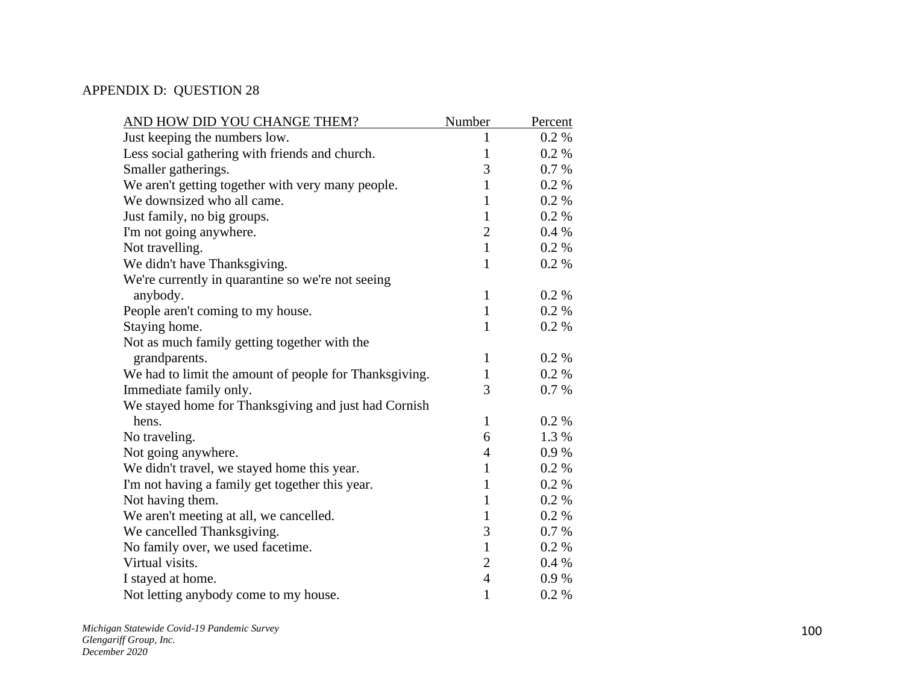## APPENDIX D: QUESTION 28

| AND HOW DID YOU CHANGE THEM?                           | Number         | Percent |
|--------------------------------------------------------|----------------|---------|
| Just keeping the numbers low.                          | 1              | 0.2 %   |
| Less social gathering with friends and church.         | 1              | 0.2 %   |
| Smaller gatherings.                                    | 3              | 0.7 %   |
| We aren't getting together with very many people.      | $\mathbf{1}$   | 0.2 %   |
| We downsized who all came.                             | $\mathbf{1}$   | 0.2 %   |
| Just family, no big groups.                            | $\mathbf{1}$   | 0.2 %   |
| I'm not going anywhere.                                | $\overline{2}$ | 0.4%    |
| Not travelling.                                        | $\mathbf{1}$   | 0.2 %   |
| We didn't have Thanksgiving.                           | $\mathbf{1}$   | 0.2 %   |
| We're currently in quarantine so we're not seeing      |                |         |
| anybody.                                               | $\mathbf{1}$   | 0.2 %   |
| People aren't coming to my house.                      | $\mathbf{1}$   | 0.2 %   |
| Staying home.                                          | $\mathbf{1}$   | 0.2 %   |
| Not as much family getting together with the           |                |         |
| grandparents.                                          | $\mathbf{1}$   | 0.2 %   |
| We had to limit the amount of people for Thanksgiving. | $\mathbf{1}$   | 0.2 %   |
| Immediate family only.                                 | 3              | 0.7%    |
| We stayed home for Thanksgiving and just had Cornish   |                |         |
| hens.                                                  | $\mathbf{1}$   | 0.2 %   |
| No traveling.                                          | 6              | 1.3 %   |
| Not going anywhere.                                    | $\overline{4}$ | 0.9%    |
| We didn't travel, we stayed home this year.            | $\mathbf{1}$   | 0.2 %   |
| I'm not having a family get together this year.        | $\mathbf{1}$   | 0.2 %   |
| Not having them.                                       | $\mathbf{1}$   | 0.2 %   |
| We aren't meeting at all, we cancelled.                | $\mathbf{1}$   | 0.2 %   |
| We cancelled Thanksgiving.                             | 3              | 0.7 %   |
| No family over, we used facetime.                      | $\mathbf{1}$   | 0.2%    |
| Virtual visits.                                        | $\overline{2}$ | 0.4%    |
| I stayed at home.                                      | $\overline{4}$ | 0.9%    |
| Not letting anybody come to my house.                  | $\mathbf{1}$   | 0.2%    |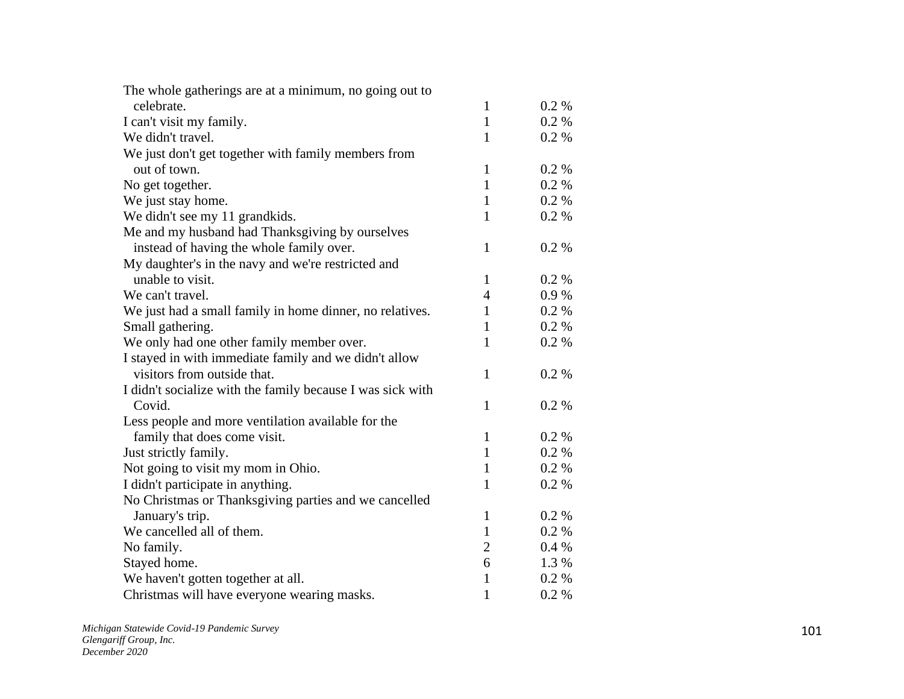| The whole gatherings are at a minimum, no going out to     |                |          |
|------------------------------------------------------------|----------------|----------|
| celebrate.                                                 | $\mathbf{1}$   | $0.2\%$  |
| I can't visit my family.                                   | $\mathbf{1}$   | 0.2 %    |
| We didn't travel.                                          | $\mathbf{1}$   | 0.2 %    |
| We just don't get together with family members from        |                |          |
| out of town.                                               | $\mathbf{1}$   | 0.2 %    |
| No get together.                                           | $\mathbf{1}$   | 0.2 %    |
| We just stay home.                                         | $\mathbf{1}$   | 0.2 %    |
| We didn't see my 11 grandkids.                             | $\mathbf{1}$   | 0.2 %    |
| Me and my husband had Thanksgiving by ourselves            |                |          |
| instead of having the whole family over.                   | $\mathbf{1}$   | 0.2%     |
| My daughter's in the navy and we're restricted and         |                |          |
| unable to visit.                                           | $\mathbf{1}$   | 0.2 %    |
| We can't travel.                                           | $\overline{4}$ | 0.9%     |
| We just had a small family in home dinner, no relatives.   | $\mathbf{1}$   | 0.2 %    |
| Small gathering.                                           | $\mathbf{1}$   | 0.2 %    |
| We only had one other family member over.                  | $\mathbf{1}$   | 0.2 %    |
| I stayed in with immediate family and we didn't allow      |                |          |
| visitors from outside that.                                | $\mathbf{1}$   | 0.2%     |
| I didn't socialize with the family because I was sick with |                |          |
| Covid.                                                     | $\mathbf{1}$   | 0.2%     |
| Less people and more ventilation available for the         |                |          |
| family that does come visit.                               | $\mathbf{1}$   | 0.2 %    |
| Just strictly family.                                      | $\mathbf{1}$   | $0.2 \%$ |
| Not going to visit my mom in Ohio.                         | $\mathbf{1}$   | 0.2 %    |
| I didn't participate in anything.                          | $\mathbf{1}$   | 0.2 %    |
| No Christmas or Thanksgiving parties and we cancelled      |                |          |
| January's trip.                                            | $\mathbf{1}$   | 0.2 %    |
| We cancelled all of them.                                  | $\mathbf{1}$   | 0.2 %    |
| No family.                                                 | $\overline{2}$ | 0.4%     |
| Stayed home.                                               | 6              | 1.3 %    |
| We haven't gotten together at all.                         | $\mathbf{1}$   | 0.2 %    |
| Christmas will have everyone wearing masks.                | $\mathbf{1}$   | 0.2 %    |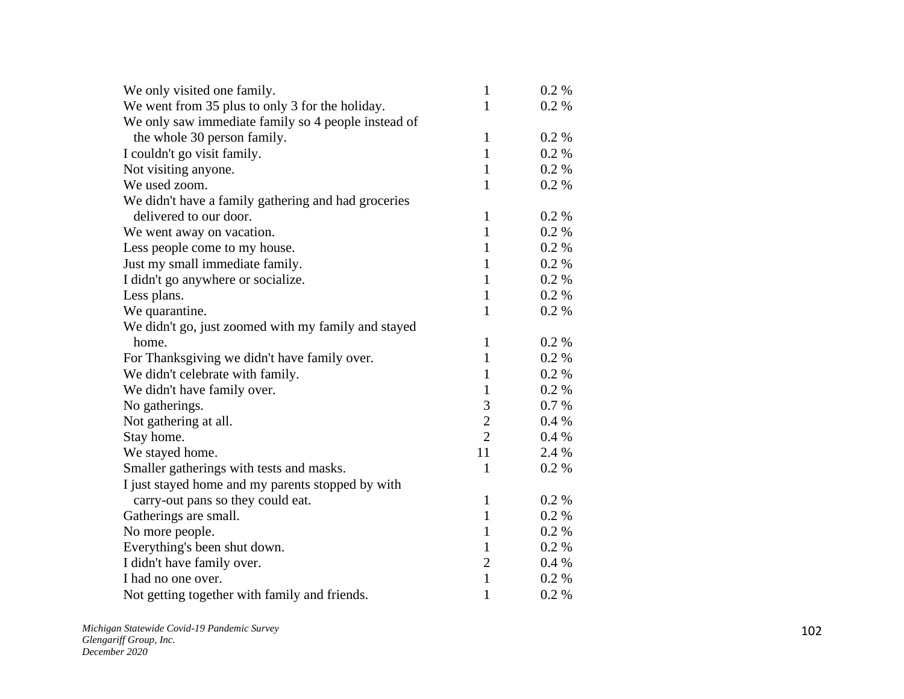| We only visited one family.                         | $\mathbf{1}$   | $0.2\%$  |
|-----------------------------------------------------|----------------|----------|
| We went from 35 plus to only 3 for the holiday.     | $\mathbf{1}$   | $0.2\%$  |
| We only saw immediate family so 4 people instead of |                |          |
| the whole 30 person family.                         | $\mathbf{1}$   | $0.2\%$  |
| I couldn't go visit family.                         | $\mathbf{1}$   | $0.2 \%$ |
| Not visiting anyone.                                | $\mathbf{1}$   | 0.2 %    |
| We used zoom.                                       | $\mathbf{1}$   | 0.2 %    |
| We didn't have a family gathering and had groceries |                |          |
| delivered to our door.                              | $\mathbf{1}$   | $0.2 \%$ |
| We went away on vacation.                           | $\mathbf{1}$   | $0.2 \%$ |
| Less people come to my house.                       | $\mathbf{1}$   | $0.2\%$  |
| Just my small immediate family.                     | $\mathbf{1}$   | $0.2\%$  |
| I didn't go anywhere or socialize.                  | $\mathbf{1}$   | $0.2 \%$ |
| Less plans.                                         | $\mathbf{1}$   | 0.2 %    |
| We quarantine.                                      | $\mathbf{1}$   | $0.2\%$  |
| We didn't go, just zoomed with my family and stayed |                |          |
| home.                                               | $\mathbf{1}$   | $0.2 \%$ |
| For Thanksgiving we didn't have family over.        | $\mathbf{1}$   | $0.2 \%$ |
| We didn't celebrate with family.                    | $\mathbf{1}$   | 0.2 %    |
| We didn't have family over.                         | $\mathbf{1}$   | $0.2 \%$ |
| No gatherings.                                      | 3              | 0.7 %    |
| Not gathering at all.                               | $\overline{c}$ | $0.4\%$  |
| Stay home.                                          | $\overline{2}$ | 0.4%     |
| We stayed home.                                     | 11             | 2.4 %    |
| Smaller gatherings with tests and masks.            | $\mathbf{1}$   | 0.2 %    |
| I just stayed home and my parents stopped by with   |                |          |
| carry-out pans so they could eat.                   | $\mathbf{1}$   | $0.2 \%$ |
| Gatherings are small.                               | $\mathbf{1}$   | 0.2 %    |
| No more people.                                     | $\mathbf{1}$   | 0.2 %    |
| Everything's been shut down.                        | 1              | $0.2 \%$ |
| I didn't have family over.                          | $\overline{2}$ | $0.4\%$  |
| I had no one over.                                  | $\mathbf{1}$   | $0.2 \%$ |
| Not getting together with family and friends.       | $\mathbf{1}$   | 0.2 %    |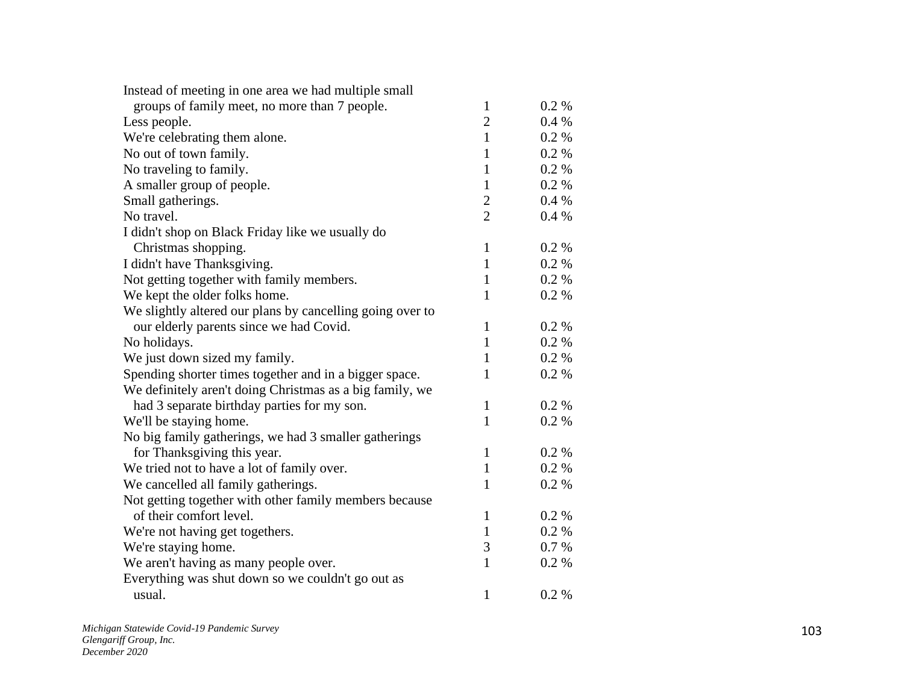| Instead of meeting in one area we had multiple small      |                |          |
|-----------------------------------------------------------|----------------|----------|
| groups of family meet, no more than 7 people.             | $\mathbf{1}$   | $0.2\%$  |
| Less people.                                              | $\overline{2}$ | $0.4\%$  |
| We're celebrating them alone.                             | $\mathbf{1}$   | 0.2 %    |
| No out of town family.                                    | $\mathbf{1}$   | $0.2 \%$ |
| No traveling to family.                                   | $\mathbf{1}$   | 0.2 %    |
| A smaller group of people.                                | $\mathbf{1}$   | 0.2 %    |
| Small gatherings.                                         | $\overline{2}$ | 0.4%     |
| No travel.                                                | $\overline{2}$ | 0.4%     |
| I didn't shop on Black Friday like we usually do          |                |          |
| Christmas shopping.                                       | $\mathbf{1}$   | 0.2 %    |
| I didn't have Thanksgiving.                               | $\mathbf{1}$   | 0.2 %    |
| Not getting together with family members.                 | $\mathbf{1}$   | 0.2 %    |
| We kept the older folks home.                             | 1              | 0.2 %    |
| We slightly altered our plans by cancelling going over to |                |          |
| our elderly parents since we had Covid.                   | 1              | 0.2 %    |
| No holidays.                                              | $\mathbf{1}$   | 0.2 %    |
| We just down sized my family.                             | $\mathbf{1}$   | 0.2 %    |
| Spending shorter times together and in a bigger space.    | $\mathbf{1}$   | 0.2 %    |
| We definitely aren't doing Christmas as a big family, we  |                |          |
| had 3 separate birthday parties for my son.               | 1              | 0.2 %    |
| We'll be staying home.                                    | $\mathbf{1}$   | 0.2 %    |
| No big family gatherings, we had 3 smaller gatherings     |                |          |
| for Thanksgiving this year.                               | $\mathbf{1}$   | $0.2 \%$ |
| We tried not to have a lot of family over.                | $\mathbf{1}$   | 0.2 %    |
| We cancelled all family gatherings.                       | $\mathbf{1}$   | 0.2 %    |
| Not getting together with other family members because    |                |          |
| of their comfort level.                                   | $\mathbf{1}$   | 0.2 %    |
| We're not having get togethers.                           | $\mathbf{1}$   | 0.2 %    |
| We're staying home.                                       | 3              | 0.7 %    |
| We aren't having as many people over.                     | $\mathbf{1}$   | 0.2 %    |
| Everything was shut down so we couldn't go out as         |                |          |
| usual.                                                    | 1              | 0.2 %    |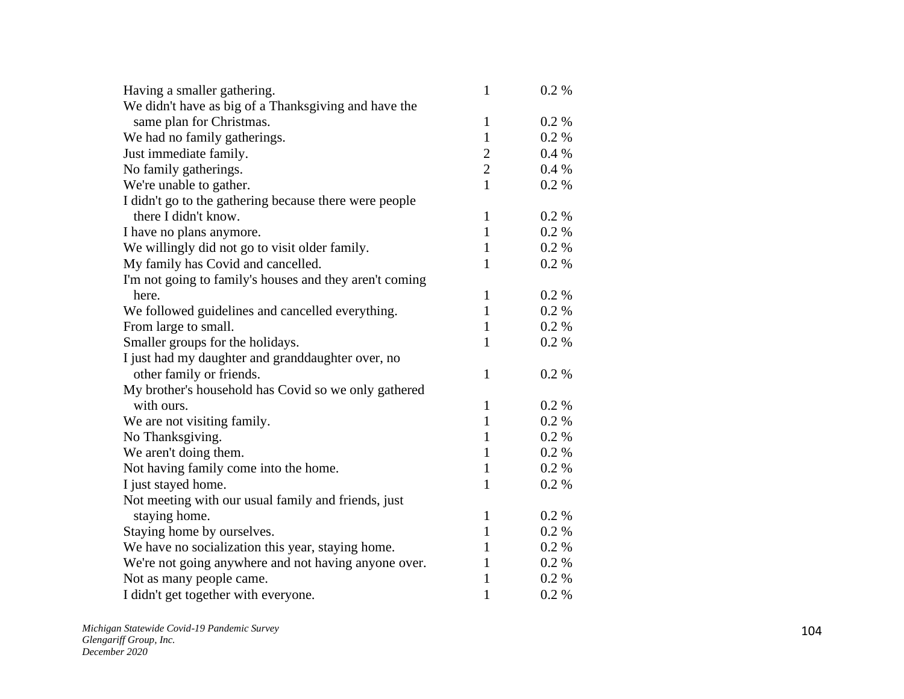| Having a smaller gathering.                             | $\mathbf{1}$   | $0.2 \%$ |
|---------------------------------------------------------|----------------|----------|
| We didn't have as big of a Thanksgiving and have the    |                |          |
| same plan for Christmas.                                | $\mathbf{1}$   | 0.2 %    |
| We had no family gatherings.                            | $\mathbf{1}$   | $0.2 \%$ |
| Just immediate family.                                  | $\overline{c}$ | $0.4\%$  |
| No family gatherings.                                   | $\overline{2}$ | 0.4 %    |
| We're unable to gather.                                 | $\mathbf{1}$   | $0.2 \%$ |
| I didn't go to the gathering because there were people  |                |          |
| there I didn't know.                                    | $\mathbf{1}$   | 0.2 %    |
| I have no plans anymore.                                | $\mathbf{1}$   | $0.2\%$  |
| We willingly did not go to visit older family.          | 1              | $0.2 \%$ |
| My family has Covid and cancelled.                      | $\mathbf{1}$   | 0.2 %    |
| I'm not going to family's houses and they aren't coming |                |          |
| here.                                                   | $\mathbf{1}$   | 0.2 %    |
| We followed guidelines and cancelled everything.        | $\mathbf{1}$   | 0.2 %    |
| From large to small.                                    | $\mathbf{1}$   | $0.2 \%$ |
| Smaller groups for the holidays.                        | $\mathbf{1}$   | $0.2 \%$ |
| I just had my daughter and granddaughter over, no       |                |          |
| other family or friends.                                | $\mathbf{1}$   | 0.2 %    |
| My brother's household has Covid so we only gathered    |                |          |
| with ours.                                              | $\mathbf{1}$   | 0.2 %    |
| We are not visiting family.                             | $\mathbf{1}$   | 0.2 %    |
| No Thanksgiving.                                        | $\mathbf{1}$   | 0.2 %    |
| We aren't doing them.                                   | $\mathbf{1}$   | 0.2 %    |
| Not having family come into the home.                   | $\mathbf{1}$   | 0.2 %    |
| I just stayed home.                                     | $\mathbf{1}$   | 0.2 %    |
| Not meeting with our usual family and friends, just     |                |          |
| staying home.                                           | $\mathbf{1}$   | 0.2 %    |
| Staying home by ourselves.                              | $\mathbf{1}$   | $0.2 \%$ |
| We have no socialization this year, staying home.       | 1              | 0.2 %    |
| We're not going anywhere and not having anyone over.    | 1              | 0.2 %    |
| Not as many people came.                                | $\mathbf{1}$   | $0.2 \%$ |
| I didn't get together with everyone.                    | $\mathbf{1}$   | 0.2 %    |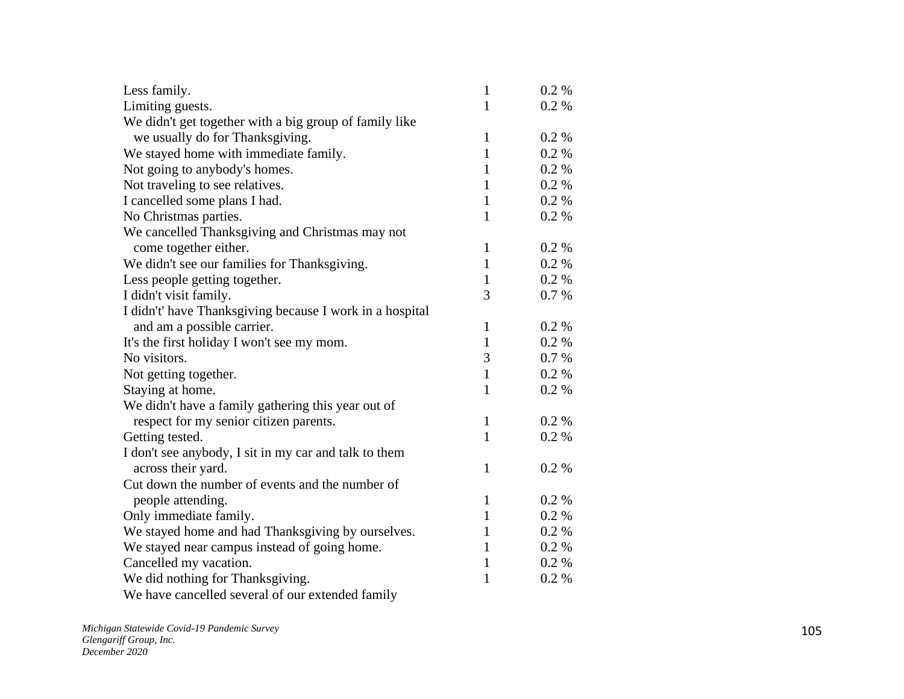| Less family.                                             | $\mathbf{1}$ | $0.2 \%$ |
|----------------------------------------------------------|--------------|----------|
| Limiting guests.                                         | 1            | $0.2 \%$ |
| We didn't get together with a big group of family like   |              |          |
| we usually do for Thanksgiving.                          | $\mathbf{1}$ | 0.2 %    |
| We stayed home with immediate family.                    | $\mathbf{1}$ | 0.2 %    |
| Not going to anybody's homes.                            | 1            | 0.2 %    |
| Not traveling to see relatives.                          | $\mathbf{1}$ | 0.2 %    |
| I cancelled some plans I had.                            | $\mathbf{1}$ | $0.2 \%$ |
| No Christmas parties.                                    | $\mathbf{1}$ | 0.2 %    |
| We cancelled Thanksgiving and Christmas may not          |              |          |
| come together either.                                    | $\mathbf{1}$ | 0.2 %    |
| We didn't see our families for Thanksgiving.             | 1            | $0.2 \%$ |
| Less people getting together.                            | $\mathbf{1}$ | 0.2 %    |
| I didn't visit family.                                   | 3            | 0.7%     |
| I didn't' have Thanksgiving because I work in a hospital |              |          |
| and am a possible carrier.                               | 1            | 0.2 %    |
| It's the first holiday I won't see my mom.               | $\mathbf{1}$ | 0.2 %    |
| No visitors.                                             | 3            | 0.7 %    |
| Not getting together.                                    | $\mathbf{1}$ | $0.2\%$  |
| Staying at home.                                         | 1            | 0.2 %    |
| We didn't have a family gathering this year out of       |              |          |
| respect for my senior citizen parents.                   | $\mathbf{1}$ | $0.2\%$  |
| Getting tested.                                          | $\mathbf{1}$ | 0.2 %    |
| I don't see anybody, I sit in my car and talk to them    |              |          |
| across their yard.                                       | $\mathbf{1}$ | 0.2 %    |
| Cut down the number of events and the number of          |              |          |
| people attending.                                        | $\mathbf{1}$ | 0.2 %    |
| Only immediate family.                                   | 1            | 0.2 %    |
| We stayed home and had Thanksgiving by ourselves.        | 1            | 0.2 %    |
| We stayed near campus instead of going home.             | 1            | $0.2\%$  |
| Cancelled my vacation.                                   | $\mathbf{1}$ | $0.2 \%$ |
| We did nothing for Thanksgiving.                         | 1            | 0.2 %    |
| We have cancelled several of our extended family         |              |          |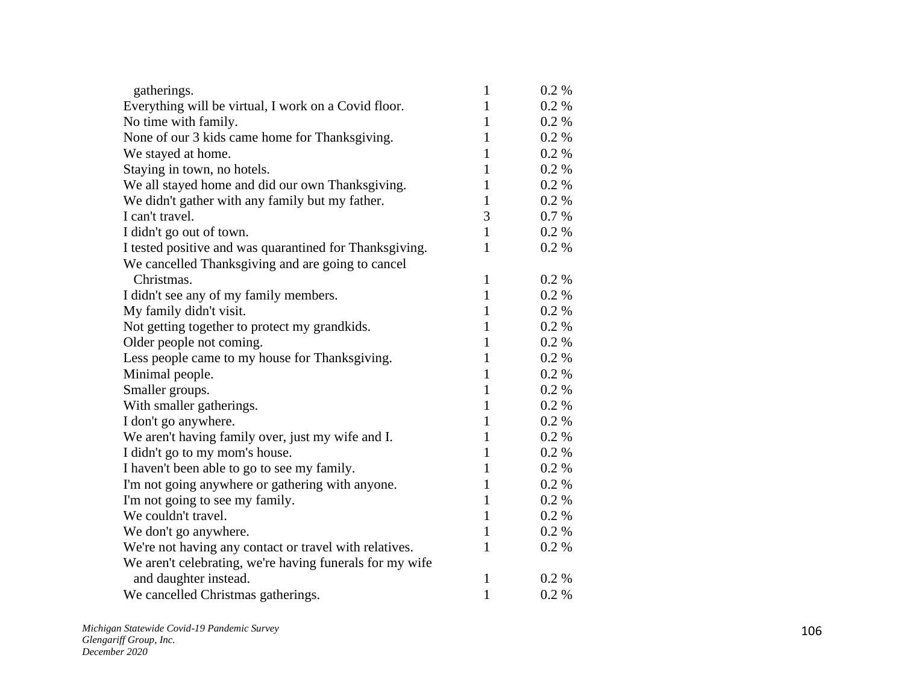| gatherings.                                              | $\mathbf{1}$ | $0.2 \%$ |
|----------------------------------------------------------|--------------|----------|
| Everything will be virtual, I work on a Covid floor.     | $\mathbf{1}$ | $0.2 \%$ |
| No time with family.                                     | $\mathbf{1}$ | 0.2 %    |
| None of our 3 kids came home for Thanksgiving.           | $\mathbf{1}$ | 0.2 %    |
| We stayed at home.                                       | $\mathbf{1}$ | 0.2 %    |
| Staying in town, no hotels.                              | $\mathbf{1}$ | 0.2 %    |
| We all stayed home and did our own Thanksgiving.         | $\mathbf{1}$ | 0.2 %    |
| We didn't gather with any family but my father.          | $\mathbf{1}$ | 0.2 %    |
| I can't travel.                                          | 3            | 0.7 %    |
| I didn't go out of town.                                 | $\mathbf{1}$ | $0.2 \%$ |
| I tested positive and was quarantined for Thanksgiving.  | $\mathbf{1}$ | $0.2\%$  |
| We cancelled Thanksgiving and are going to cancel        |              |          |
| Christmas.                                               | $\mathbf{1}$ | 0.2 %    |
| I didn't see any of my family members.                   | $\mathbf{1}$ | 0.2 %    |
| My family didn't visit.                                  | $\mathbf{1}$ | 0.2 %    |
| Not getting together to protect my grandkids.            | $\mathbf{1}$ | $0.2\%$  |
| Older people not coming.                                 | $\mathbf{1}$ | $0.2 \%$ |
| Less people came to my house for Thanksgiving.           | $\mathbf{1}$ | 0.2 %    |
| Minimal people.                                          | $\mathbf{1}$ | 0.2 %    |
| Smaller groups.                                          | $\mathbf{1}$ | 0.2 %    |
| With smaller gatherings.                                 | $\mathbf{1}$ | 0.2 %    |
| I don't go anywhere.                                     | $\mathbf{1}$ | 0.2 %    |
| We aren't having family over, just my wife and I.        | $\mathbf{1}$ | 0.2 %    |
| I didn't go to my mom's house.                           | $\mathbf{1}$ | $0.2\%$  |
| I haven't been able to go to see my family.              | $\mathbf{1}$ | $0.2 \%$ |
| I'm not going anywhere or gathering with anyone.         | $\mathbf{1}$ | 0.2 %    |
| I'm not going to see my family.                          | $\mathbf{1}$ | 0.2 %    |
| We couldn't travel.                                      | $\mathbf{1}$ | 0.2 %    |
| We don't go anywhere.                                    | $\mathbf{1}$ | 0.2 %    |
| We're not having any contact or travel with relatives.   | $\mathbf{1}$ | 0.2 %    |
| We aren't celebrating, we're having funerals for my wife |              |          |
| and daughter instead.                                    | $\mathbf{1}$ | 0.2 %    |
| We cancelled Christmas gatherings.                       | $\mathbf{1}$ | 0.2 %    |
|                                                          |              |          |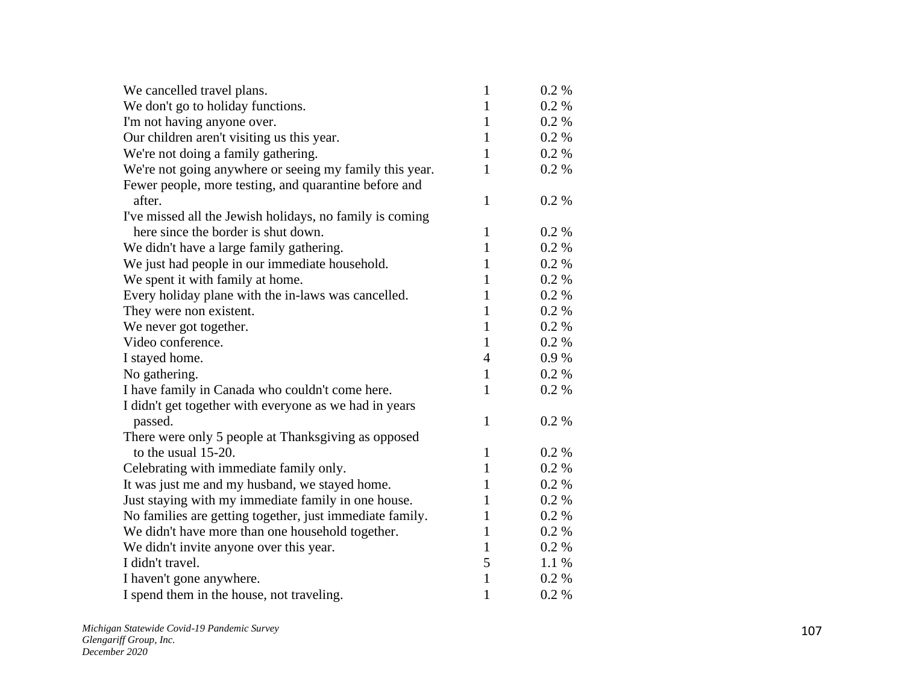| We cancelled travel plans.                               | $\mathbf{1}$   | $0.2 \%$  |
|----------------------------------------------------------|----------------|-----------|
| We don't go to holiday functions.                        | $\mathbf{1}$   | $0.2 \%$  |
| I'm not having anyone over.                              | $\mathbf{1}$   | 0.2 %     |
| Our children aren't visiting us this year.               | $\mathbf{1}$   | 0.2 %     |
| We're not doing a family gathering.                      | $\mathbf{1}$   | $0.2 \%$  |
| We're not going anywhere or seeing my family this year.  | 1              | 0.2%      |
| Fewer people, more testing, and quarantine before and    |                |           |
| after.                                                   | $\mathbf{1}$   | 0.2 %     |
| I've missed all the Jewish holidays, no family is coming |                |           |
| here since the border is shut down.                      | $\mathbf{1}$   | 0.2 %     |
| We didn't have a large family gathering.                 | $\mathbf{1}$   | 0.2 %     |
| We just had people in our immediate household.           | $\mathbf{1}$   | $0.2 \%$  |
| We spent it with family at home.                         | $\mathbf{1}$   | 0.2 %     |
| Every holiday plane with the in-laws was cancelled.      | $\mathbf{1}$   | 0.2 %     |
| They were non existent.                                  | $\mathbf{1}$   | 0.2 %     |
| We never got together.                                   | $\mathbf{1}$   | $0.2\%$   |
| Video conference.                                        | $\mathbf{1}$   | 0.2 %     |
| I stayed home.                                           | $\overline{4}$ | $0.9\ \%$ |
| No gathering.                                            | $\mathbf{1}$   | 0.2 %     |
| I have family in Canada who couldn't come here.          | $\mathbf{1}$   | 0.2 %     |
| I didn't get together with everyone as we had in years   |                |           |
| passed.                                                  | 1              | 0.2 %     |
| There were only 5 people at Thanksgiving as opposed      |                |           |
| to the usual 15-20.                                      | 1              | $0.2\%$   |
| Celebrating with immediate family only.                  | $\mathbf{1}$   | 0.2 %     |
| It was just me and my husband, we stayed home.           | $\mathbf{1}$   | 0.2 %     |
| Just staying with my immediate family in one house.      | $\mathbf{1}$   | $0.2 \%$  |
| No families are getting together, just immediate family. | $\mathbf{1}$   | $0.2 \%$  |
| We didn't have more than one household together.         | $\mathbf{1}$   | 0.2 %     |
| We didn't invite anyone over this year.                  | 1              | $0.2\%$   |
| I didn't travel.                                         | 5              | 1.1%      |
| I haven't gone anywhere.                                 | $\mathbf{1}$   | 0.2 %     |
| I spend them in the house, not traveling.                | $\mathbf{1}$   | 0.2 %     |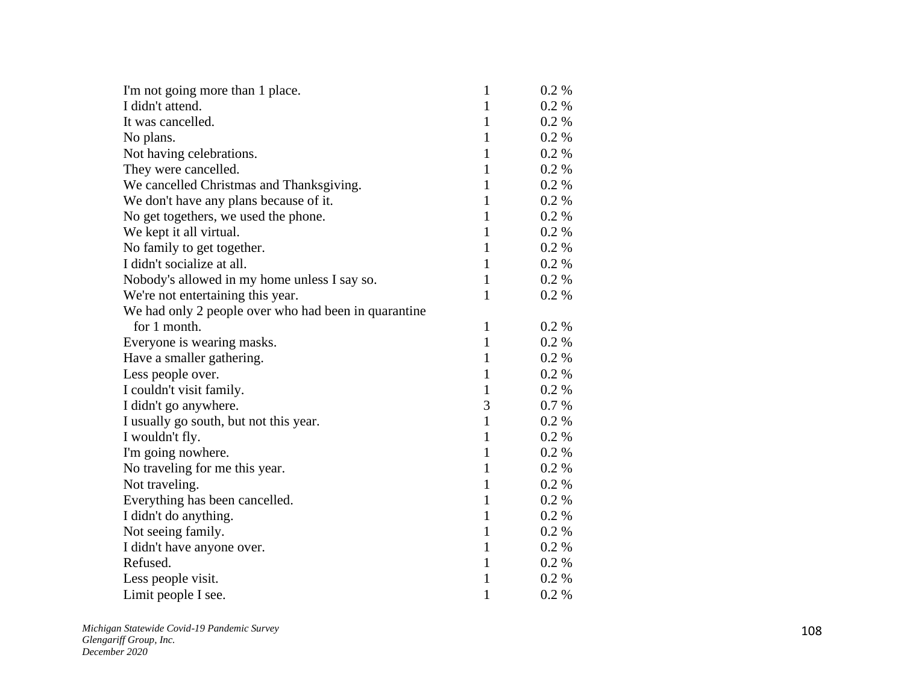| I'm not going more than 1 place.                     | $\mathbf{1}$ | $0.2\%$  |
|------------------------------------------------------|--------------|----------|
| I didn't attend.                                     | $\mathbf{1}$ | 0.2 %    |
| It was cancelled.                                    | $\mathbf{1}$ | $0.2 \%$ |
| No plans.                                            | $\mathbf{1}$ | 0.2 %    |
| Not having celebrations.                             | $\mathbf{1}$ | $0.2 \%$ |
| They were cancelled.                                 | $\mathbf{1}$ | $0.2 \%$ |
| We cancelled Christmas and Thanksgiving.             | $\mathbf{1}$ | $0.2 \%$ |
| We don't have any plans because of it.               | $\mathbf{1}$ | 0.2 %    |
| No get togethers, we used the phone.                 | $\mathbf{1}$ | 0.2 %    |
| We kept it all virtual.                              | $\mathbf{1}$ | 0.2 %    |
| No family to get together.                           | $\mathbf{1}$ | 0.2 %    |
| I didn't socialize at all.                           | $\mathbf{1}$ | $0.2 \%$ |
| Nobody's allowed in my home unless I say so.         | $\mathbf{1}$ | $0.2\%$  |
| We're not entertaining this year.                    | $\mathbf{1}$ | $0.2 \%$ |
| We had only 2 people over who had been in quarantine |              |          |
| for 1 month.                                         | $\mathbf{1}$ | 0.2 %    |
| Everyone is wearing masks.                           | $\mathbf{1}$ | 0.2 %    |
| Have a smaller gathering.                            | $\mathbf{1}$ | $0.2 \%$ |
| Less people over.                                    | $\mathbf{1}$ | 0.2 %    |
| I couldn't visit family.                             | $\mathbf{1}$ | 0.2 %    |
| I didn't go anywhere.                                | 3            | 0.7 %    |
| I usually go south, but not this year.               | $\mathbf{1}$ | $0.2 \%$ |
| I wouldn't fly.                                      | $\mathbf{1}$ | 0.2 %    |
| I'm going nowhere.                                   | $\mathbf{1}$ | $0.2 \%$ |
| No traveling for me this year.                       | $\mathbf{1}$ | 0.2 %    |
| Not traveling.                                       | $\mathbf{1}$ | $0.2 \%$ |
| Everything has been cancelled.                       | $\mathbf{1}$ | 0.2 %    |
| I didn't do anything.                                | $\mathbf{1}$ | 0.2 %    |
| Not seeing family.                                   | $\mathbf{1}$ | $0.2\%$  |
| I didn't have anyone over.                           | $\mathbf{1}$ | 0.2 %    |
| Refused.                                             | $\mathbf{1}$ | $0.2\%$  |
| Less people visit.                                   | $\mathbf{1}$ | $0.2 \%$ |
| Limit people I see.                                  | $\mathbf{1}$ | 0.2 %    |

*Michigan Statewide Covid -19 Pandemic Survey Glengariff Group, Inc. December 2020*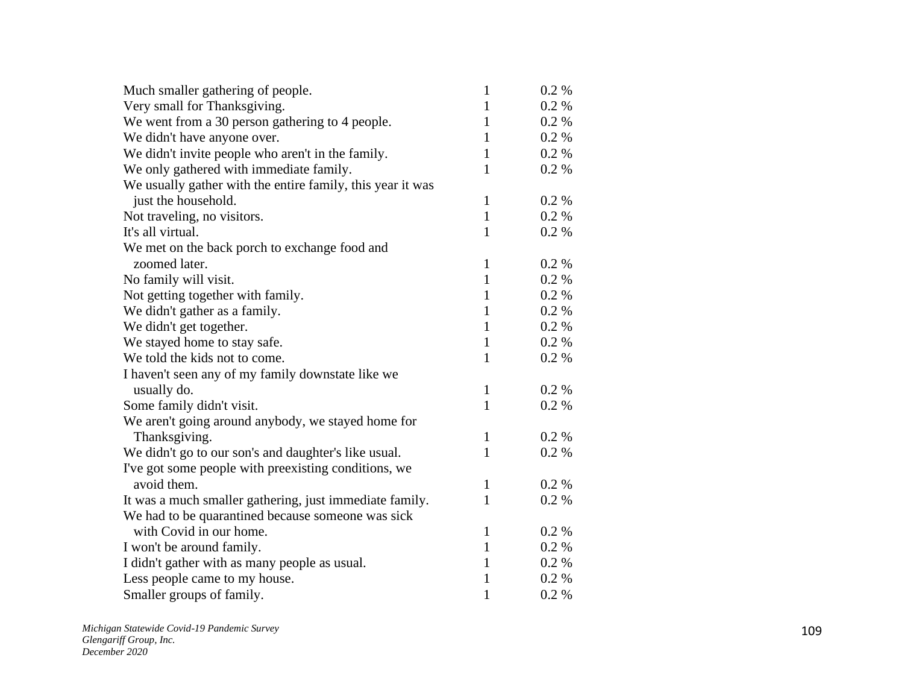| Very small for Thanksgiving.<br>$0.2\%$<br>$\mathbf{1}$<br>We went from a 30 person gathering to 4 people.<br>$0.2 \%$<br>$\mathbf{1}$<br>We didn't have anyone over.<br>0.2 %<br>$\mathbf{1}$<br>We didn't invite people who aren't in the family.<br>0.2 %<br>$\mathbf{1}$<br>We only gathered with immediate family.<br>0.2 %<br>$\mathbf{1}$<br>We usually gather with the entire family, this year it was<br>just the household.<br>$\mathbf{1}$<br>$0.2 \%$<br>0.2 %<br>Not traveling, no visitors.<br>$\mathbf{1}$<br>It's all virtual.<br>$\mathbf{1}$<br>$0.2 \%$<br>We met on the back porch to exchange food and<br>zoomed later.<br>$\mathbf{1}$<br>$0.2\%$<br>No family will visit.<br>$\mathbf{1}$<br>0.2 %<br>0.2 %<br>Not getting together with family.<br>1<br>We didn't gather as a family.<br>0.2 %<br>$\mathbf{1}$<br>We didn't get together.<br>0.2 %<br>$\mathbf{1}$<br>We stayed home to stay safe.<br>0.2 %<br>$\mathbf{1}$<br>We told the kids not to come.<br>0.2 %<br>$\mathbf{1}$<br>I haven't seen any of my family downstate like we<br>usually do.<br>$\mathbf{1}$<br>$0.2\%$<br>$\mathbf{1}$<br>Some family didn't visit.<br>$0.2 \%$<br>We aren't going around anybody, we stayed home for<br>Thanksgiving.<br>$\mathbf{1}$<br>$0.2 \%$<br>$\mathbf{1}$<br>0.2 %<br>We didn't go to our son's and daughter's like usual.<br>I've got some people with preexisting conditions, we<br>avoid them.<br>$0.2 \%$<br>$\mathbf{1}$<br>It was a much smaller gathering, just immediate family.<br>$\mathbf{1}$<br>0.2 %<br>We had to be quarantined because someone was sick<br>with Covid in our home.<br>$\mathbf{1}$<br>0.2 %<br>I won't be around family.<br>$0.2\%$<br>$\mathbf{1}$<br>I didn't gather with as many people as usual.<br>$0.2\%$<br>1<br>Less people came to my house.<br>$0.2 \%$<br>1<br>$\mathbf{1}$<br>0.2 %<br>Smaller groups of family. | Much smaller gathering of people. | $\mathbf{1}$ | 0.2 % |
|--------------------------------------------------------------------------------------------------------------------------------------------------------------------------------------------------------------------------------------------------------------------------------------------------------------------------------------------------------------------------------------------------------------------------------------------------------------------------------------------------------------------------------------------------------------------------------------------------------------------------------------------------------------------------------------------------------------------------------------------------------------------------------------------------------------------------------------------------------------------------------------------------------------------------------------------------------------------------------------------------------------------------------------------------------------------------------------------------------------------------------------------------------------------------------------------------------------------------------------------------------------------------------------------------------------------------------------------------------------------------------------------------------------------------------------------------------------------------------------------------------------------------------------------------------------------------------------------------------------------------------------------------------------------------------------------------------------------------------------------------------------------------------------------------------------------------------------------------------------------------------------------|-----------------------------------|--------------|-------|
|                                                                                                                                                                                                                                                                                                                                                                                                                                                                                                                                                                                                                                                                                                                                                                                                                                                                                                                                                                                                                                                                                                                                                                                                                                                                                                                                                                                                                                                                                                                                                                                                                                                                                                                                                                                                                                                                                            |                                   |              |       |
|                                                                                                                                                                                                                                                                                                                                                                                                                                                                                                                                                                                                                                                                                                                                                                                                                                                                                                                                                                                                                                                                                                                                                                                                                                                                                                                                                                                                                                                                                                                                                                                                                                                                                                                                                                                                                                                                                            |                                   |              |       |
|                                                                                                                                                                                                                                                                                                                                                                                                                                                                                                                                                                                                                                                                                                                                                                                                                                                                                                                                                                                                                                                                                                                                                                                                                                                                                                                                                                                                                                                                                                                                                                                                                                                                                                                                                                                                                                                                                            |                                   |              |       |
|                                                                                                                                                                                                                                                                                                                                                                                                                                                                                                                                                                                                                                                                                                                                                                                                                                                                                                                                                                                                                                                                                                                                                                                                                                                                                                                                                                                                                                                                                                                                                                                                                                                                                                                                                                                                                                                                                            |                                   |              |       |
|                                                                                                                                                                                                                                                                                                                                                                                                                                                                                                                                                                                                                                                                                                                                                                                                                                                                                                                                                                                                                                                                                                                                                                                                                                                                                                                                                                                                                                                                                                                                                                                                                                                                                                                                                                                                                                                                                            |                                   |              |       |
|                                                                                                                                                                                                                                                                                                                                                                                                                                                                                                                                                                                                                                                                                                                                                                                                                                                                                                                                                                                                                                                                                                                                                                                                                                                                                                                                                                                                                                                                                                                                                                                                                                                                                                                                                                                                                                                                                            |                                   |              |       |
|                                                                                                                                                                                                                                                                                                                                                                                                                                                                                                                                                                                                                                                                                                                                                                                                                                                                                                                                                                                                                                                                                                                                                                                                                                                                                                                                                                                                                                                                                                                                                                                                                                                                                                                                                                                                                                                                                            |                                   |              |       |
|                                                                                                                                                                                                                                                                                                                                                                                                                                                                                                                                                                                                                                                                                                                                                                                                                                                                                                                                                                                                                                                                                                                                                                                                                                                                                                                                                                                                                                                                                                                                                                                                                                                                                                                                                                                                                                                                                            |                                   |              |       |
|                                                                                                                                                                                                                                                                                                                                                                                                                                                                                                                                                                                                                                                                                                                                                                                                                                                                                                                                                                                                                                                                                                                                                                                                                                                                                                                                                                                                                                                                                                                                                                                                                                                                                                                                                                                                                                                                                            |                                   |              |       |
|                                                                                                                                                                                                                                                                                                                                                                                                                                                                                                                                                                                                                                                                                                                                                                                                                                                                                                                                                                                                                                                                                                                                                                                                                                                                                                                                                                                                                                                                                                                                                                                                                                                                                                                                                                                                                                                                                            |                                   |              |       |
|                                                                                                                                                                                                                                                                                                                                                                                                                                                                                                                                                                                                                                                                                                                                                                                                                                                                                                                                                                                                                                                                                                                                                                                                                                                                                                                                                                                                                                                                                                                                                                                                                                                                                                                                                                                                                                                                                            |                                   |              |       |
|                                                                                                                                                                                                                                                                                                                                                                                                                                                                                                                                                                                                                                                                                                                                                                                                                                                                                                                                                                                                                                                                                                                                                                                                                                                                                                                                                                                                                                                                                                                                                                                                                                                                                                                                                                                                                                                                                            |                                   |              |       |
|                                                                                                                                                                                                                                                                                                                                                                                                                                                                                                                                                                                                                                                                                                                                                                                                                                                                                                                                                                                                                                                                                                                                                                                                                                                                                                                                                                                                                                                                                                                                                                                                                                                                                                                                                                                                                                                                                            |                                   |              |       |
|                                                                                                                                                                                                                                                                                                                                                                                                                                                                                                                                                                                                                                                                                                                                                                                                                                                                                                                                                                                                                                                                                                                                                                                                                                                                                                                                                                                                                                                                                                                                                                                                                                                                                                                                                                                                                                                                                            |                                   |              |       |
|                                                                                                                                                                                                                                                                                                                                                                                                                                                                                                                                                                                                                                                                                                                                                                                                                                                                                                                                                                                                                                                                                                                                                                                                                                                                                                                                                                                                                                                                                                                                                                                                                                                                                                                                                                                                                                                                                            |                                   |              |       |
|                                                                                                                                                                                                                                                                                                                                                                                                                                                                                                                                                                                                                                                                                                                                                                                                                                                                                                                                                                                                                                                                                                                                                                                                                                                                                                                                                                                                                                                                                                                                                                                                                                                                                                                                                                                                                                                                                            |                                   |              |       |
|                                                                                                                                                                                                                                                                                                                                                                                                                                                                                                                                                                                                                                                                                                                                                                                                                                                                                                                                                                                                                                                                                                                                                                                                                                                                                                                                                                                                                                                                                                                                                                                                                                                                                                                                                                                                                                                                                            |                                   |              |       |
|                                                                                                                                                                                                                                                                                                                                                                                                                                                                                                                                                                                                                                                                                                                                                                                                                                                                                                                                                                                                                                                                                                                                                                                                                                                                                                                                                                                                                                                                                                                                                                                                                                                                                                                                                                                                                                                                                            |                                   |              |       |
|                                                                                                                                                                                                                                                                                                                                                                                                                                                                                                                                                                                                                                                                                                                                                                                                                                                                                                                                                                                                                                                                                                                                                                                                                                                                                                                                                                                                                                                                                                                                                                                                                                                                                                                                                                                                                                                                                            |                                   |              |       |
|                                                                                                                                                                                                                                                                                                                                                                                                                                                                                                                                                                                                                                                                                                                                                                                                                                                                                                                                                                                                                                                                                                                                                                                                                                                                                                                                                                                                                                                                                                                                                                                                                                                                                                                                                                                                                                                                                            |                                   |              |       |
|                                                                                                                                                                                                                                                                                                                                                                                                                                                                                                                                                                                                                                                                                                                                                                                                                                                                                                                                                                                                                                                                                                                                                                                                                                                                                                                                                                                                                                                                                                                                                                                                                                                                                                                                                                                                                                                                                            |                                   |              |       |
|                                                                                                                                                                                                                                                                                                                                                                                                                                                                                                                                                                                                                                                                                                                                                                                                                                                                                                                                                                                                                                                                                                                                                                                                                                                                                                                                                                                                                                                                                                                                                                                                                                                                                                                                                                                                                                                                                            |                                   |              |       |
|                                                                                                                                                                                                                                                                                                                                                                                                                                                                                                                                                                                                                                                                                                                                                                                                                                                                                                                                                                                                                                                                                                                                                                                                                                                                                                                                                                                                                                                                                                                                                                                                                                                                                                                                                                                                                                                                                            |                                   |              |       |
|                                                                                                                                                                                                                                                                                                                                                                                                                                                                                                                                                                                                                                                                                                                                                                                                                                                                                                                                                                                                                                                                                                                                                                                                                                                                                                                                                                                                                                                                                                                                                                                                                                                                                                                                                                                                                                                                                            |                                   |              |       |
|                                                                                                                                                                                                                                                                                                                                                                                                                                                                                                                                                                                                                                                                                                                                                                                                                                                                                                                                                                                                                                                                                                                                                                                                                                                                                                                                                                                                                                                                                                                                                                                                                                                                                                                                                                                                                                                                                            |                                   |              |       |
|                                                                                                                                                                                                                                                                                                                                                                                                                                                                                                                                                                                                                                                                                                                                                                                                                                                                                                                                                                                                                                                                                                                                                                                                                                                                                                                                                                                                                                                                                                                                                                                                                                                                                                                                                                                                                                                                                            |                                   |              |       |
|                                                                                                                                                                                                                                                                                                                                                                                                                                                                                                                                                                                                                                                                                                                                                                                                                                                                                                                                                                                                                                                                                                                                                                                                                                                                                                                                                                                                                                                                                                                                                                                                                                                                                                                                                                                                                                                                                            |                                   |              |       |
|                                                                                                                                                                                                                                                                                                                                                                                                                                                                                                                                                                                                                                                                                                                                                                                                                                                                                                                                                                                                                                                                                                                                                                                                                                                                                                                                                                                                                                                                                                                                                                                                                                                                                                                                                                                                                                                                                            |                                   |              |       |
|                                                                                                                                                                                                                                                                                                                                                                                                                                                                                                                                                                                                                                                                                                                                                                                                                                                                                                                                                                                                                                                                                                                                                                                                                                                                                                                                                                                                                                                                                                                                                                                                                                                                                                                                                                                                                                                                                            |                                   |              |       |
|                                                                                                                                                                                                                                                                                                                                                                                                                                                                                                                                                                                                                                                                                                                                                                                                                                                                                                                                                                                                                                                                                                                                                                                                                                                                                                                                                                                                                                                                                                                                                                                                                                                                                                                                                                                                                                                                                            |                                   |              |       |
|                                                                                                                                                                                                                                                                                                                                                                                                                                                                                                                                                                                                                                                                                                                                                                                                                                                                                                                                                                                                                                                                                                                                                                                                                                                                                                                                                                                                                                                                                                                                                                                                                                                                                                                                                                                                                                                                                            |                                   |              |       |
|                                                                                                                                                                                                                                                                                                                                                                                                                                                                                                                                                                                                                                                                                                                                                                                                                                                                                                                                                                                                                                                                                                                                                                                                                                                                                                                                                                                                                                                                                                                                                                                                                                                                                                                                                                                                                                                                                            |                                   |              |       |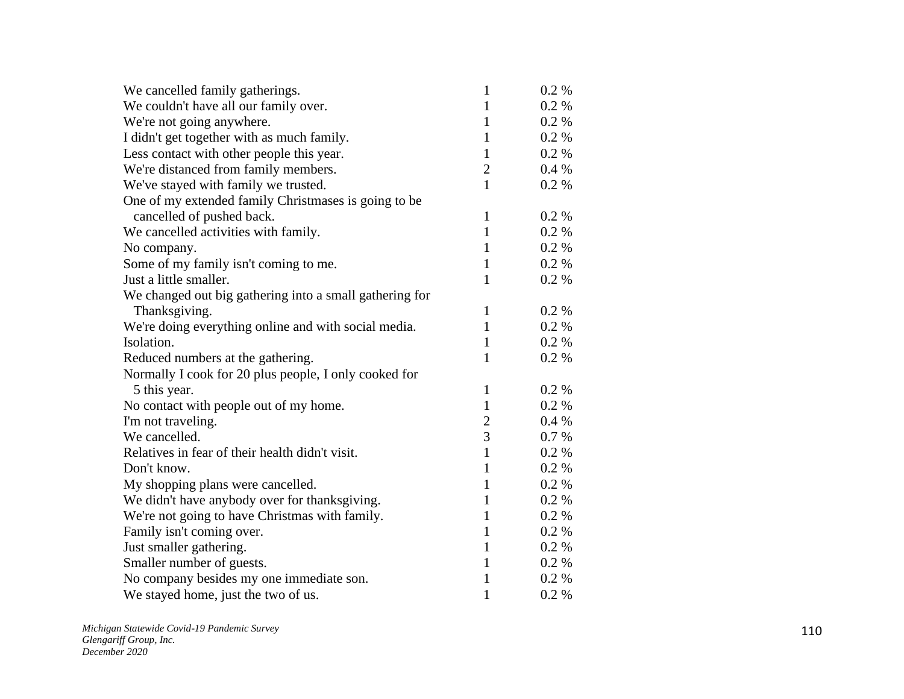| We cancelled family gatherings.                         | $\mathbf{1}$   | $0.2\%$  |
|---------------------------------------------------------|----------------|----------|
| We couldn't have all our family over.                   | $\mathbf{1}$   | $0.2 \%$ |
| We're not going anywhere.                               | $\mathbf{1}$   | 0.2 %    |
| I didn't get together with as much family.              | $\mathbf{1}$   | 0.2%     |
| Less contact with other people this year.               | $\mathbf{1}$   | $0.2 \%$ |
| We're distanced from family members.                    | $\overline{2}$ | 0.4%     |
| We've stayed with family we trusted.                    | $\mathbf{1}$   | $0.2\%$  |
| One of my extended family Christmases is going to be    |                |          |
| cancelled of pushed back.                               | $\mathbf{1}$   | 0.2 %    |
| We cancelled activities with family.                    | $\mathbf{1}$   | 0.2 %    |
| No company.                                             | $\mathbf{1}$   | $0.2 \%$ |
| Some of my family isn't coming to me.                   | $\mathbf{1}$   | $0.2 \%$ |
| Just a little smaller.                                  | $\mathbf{1}$   | 0.2 %    |
| We changed out big gathering into a small gathering for |                |          |
| Thanksgiving.                                           | $\mathbf{1}$   | 0.2 %    |
| We're doing everything online and with social media.    | $\mathbf{1}$   | $0.2\%$  |
| Isolation.                                              | $\mathbf{1}$   | $0.2 \%$ |
| Reduced numbers at the gathering.                       | $\mathbf{1}$   | $0.2 \%$ |
| Normally I cook for 20 plus people, I only cooked for   |                |          |
| 5 this year.                                            | $\mathbf{1}$   | 0.2 %    |
| No contact with people out of my home.                  | $\mathbf{1}$   | $0.2 \%$ |
| I'm not traveling.                                      | $\overline{c}$ | $0.4\%$  |
| We cancelled.                                           | 3              | $0.7\%$  |
| Relatives in fear of their health didn't visit.         | $\mathbf{1}$   | 0.2 %    |
| Don't know.                                             | $\mathbf{1}$   | 0.2 %    |
| My shopping plans were cancelled.                       | $\mathbf{1}$   | $0.2 \%$ |
| We didn't have anybody over for thanksgiving.           | $\mathbf{1}$   | $0.2 \%$ |
| We're not going to have Christmas with family.          | $\mathbf{1}$   | 0.2 %    |
| Family isn't coming over.                               | $\mathbf{1}$   | $0.2 \%$ |
| Just smaller gathering.                                 | $\mathbf{1}$   | 0.2 %    |
| Smaller number of guests.                               | $\mathbf{1}$   | 0.2 %    |
| No company besides my one immediate son.                | $\mathbf{1}$   | $0.2 \%$ |
| We stayed home, just the two of us.                     | $\mathbf{1}$   | 0.2 %    |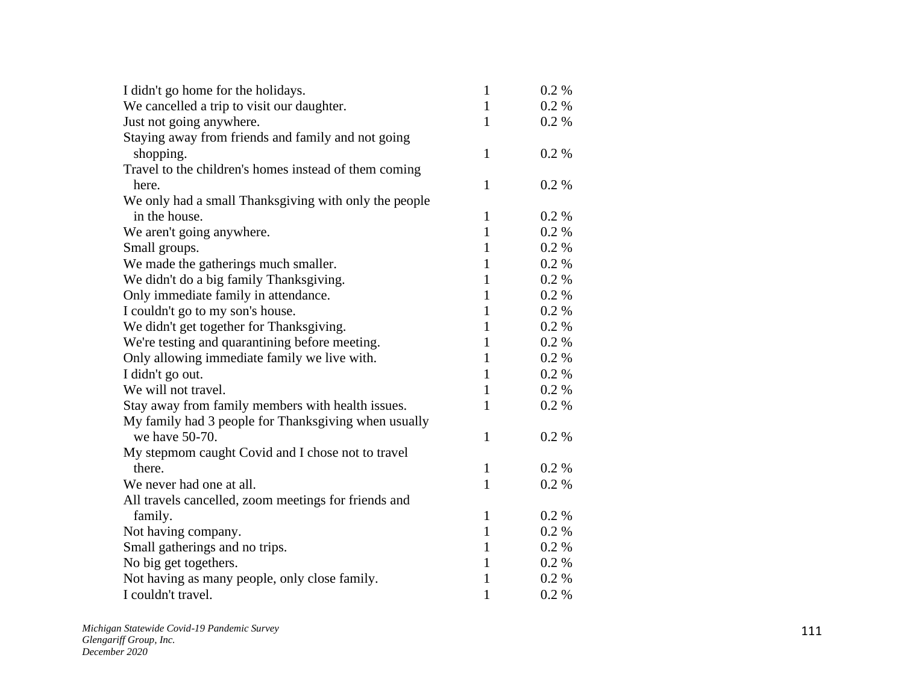| I didn't go home for the holidays.                    | $\mathbf{1}$ | 0.2 %   |
|-------------------------------------------------------|--------------|---------|
| We cancelled a trip to visit our daughter.            | $\mathbf{1}$ | 0.2 %   |
| Just not going anywhere.                              | 1            | 0.2 %   |
| Staying away from friends and family and not going    |              |         |
| shopping.                                             | $\mathbf{1}$ | 0.2 %   |
| Travel to the children's homes instead of them coming |              |         |
| here.                                                 | $\mathbf{1}$ | 0.2 %   |
| We only had a small Thanksgiving with only the people |              |         |
| in the house.                                         | 1            | 0.2 %   |
| We aren't going anywhere.                             | $\mathbf{1}$ | 0.2 %   |
| Small groups.                                         | $\mathbf{1}$ | 0.2 %   |
| We made the gatherings much smaller.                  | $\mathbf{1}$ | 0.2 %   |
| We didn't do a big family Thanksgiving.               | $\mathbf{1}$ | 0.2 %   |
| Only immediate family in attendance.                  | $\mathbf{1}$ | 0.2 %   |
| I couldn't go to my son's house.                      | 1            | 0.2 %   |
| We didn't get together for Thanksgiving.              | 1            | 0.2 %   |
| We're testing and quarantining before meeting.        | $\mathbf{1}$ | 0.2 %   |
| Only allowing immediate family we live with.          | 1            | 0.2 %   |
| I didn't go out.                                      | $\mathbf{1}$ | 0.2 %   |
| We will not travel.                                   | $\mathbf{1}$ | 0.2 %   |
| Stay away from family members with health issues.     | 1            | 0.2 %   |
| My family had 3 people for Thanksgiving when usually  |              |         |
| we have 50-70.                                        | $\mathbf{1}$ | 0.2%    |
| My stepmom caught Covid and I chose not to travel     |              |         |
| there.                                                | $\mathbf{1}$ | $0.2\%$ |
| We never had one at all.                              | $\mathbf{1}$ | 0.2 %   |
| All travels cancelled, zoom meetings for friends and  |              |         |
| family.                                               | 1            | 0.2 %   |
| Not having company.                                   | $\mathbf{1}$ | 0.2 %   |
| Small gatherings and no trips.                        | $\mathbf{1}$ | $0.2\%$ |
| No big get togethers.                                 | $\mathbf{1}$ | $0.2\%$ |
| Not having as many people, only close family.         | $\mathbf{1}$ | 0.2 %   |
| I couldn't travel.                                    | $\mathbf{1}$ | 0.2 %   |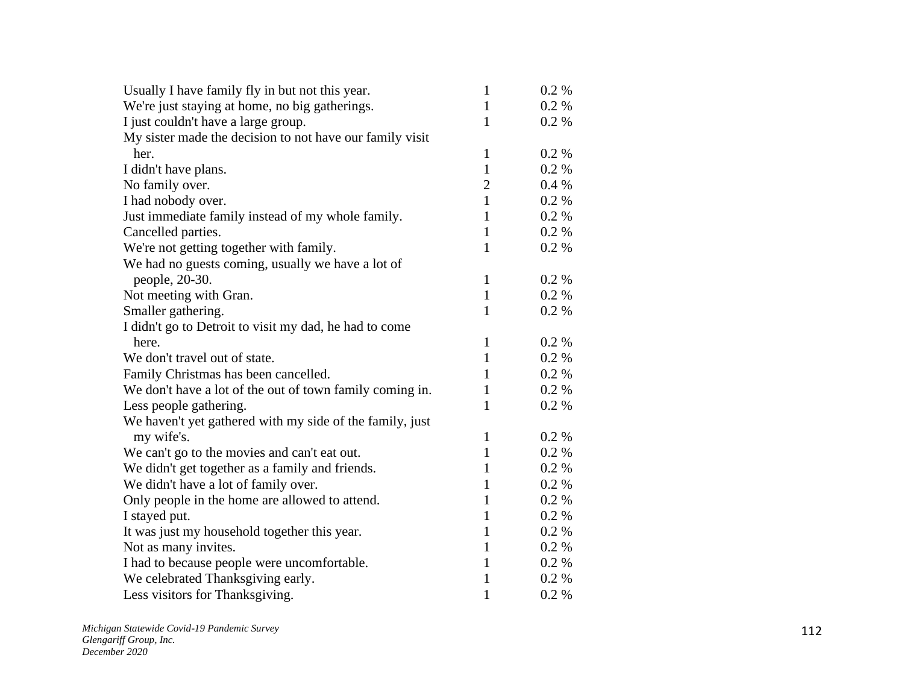| Usually I have family fly in but not this year.          | $\mathbf{1}$   | 0.2 %    |
|----------------------------------------------------------|----------------|----------|
| We're just staying at home, no big gatherings.           | $\mathbf{1}$   | 0.2 %    |
| I just couldn't have a large group.                      | 1              | 0.2 %    |
| My sister made the decision to not have our family visit |                |          |
| her.                                                     | $\mathbf{1}$   | 0.2 %    |
| I didn't have plans.                                     | $\mathbf{1}$   | 0.2 %    |
| No family over.                                          | $\overline{2}$ | 0.4%     |
| I had nobody over.                                       | $\mathbf{1}$   | 0.2 %    |
| Just immediate family instead of my whole family.        | $\mathbf{1}$   | 0.2 %    |
| Cancelled parties.                                       | $\mathbf{1}$   | 0.2 %    |
| We're not getting together with family.                  | 1              | 0.2 %    |
| We had no guests coming, usually we have a lot of        |                |          |
| people, 20-30.                                           | $\mathbf{1}$   | 0.2 %    |
| Not meeting with Gran.                                   | $\mathbf{1}$   | $0.2 \%$ |
| Smaller gathering.                                       | 1              | 0.2 %    |
| I didn't go to Detroit to visit my dad, he had to come   |                |          |
| here.                                                    | $\mathbf{1}$   | 0.2 %    |
| We don't travel out of state.                            | $\mathbf{1}$   | 0.2 %    |
| Family Christmas has been cancelled.                     | 1              | 0.2 %    |
| We don't have a lot of the out of town family coming in. | 1              | 0.2 %    |
| Less people gathering.                                   | $\mathbf{1}$   | 0.2 %    |
| We haven't yet gathered with my side of the family, just |                |          |
| my wife's.                                               | $\mathbf{1}$   | 0.2 %    |
| We can't go to the movies and can't eat out.             | $\mathbf{1}$   | 0.2 %    |
| We didn't get together as a family and friends.          | $\mathbf{1}$   | 0.2 %    |
| We didn't have a lot of family over.                     | 1              | 0.2 %    |
| Only people in the home are allowed to attend.           | 1              | 0.2 %    |
| I stayed put.                                            | $\mathbf{1}$   | 0.2 %    |
| It was just my household together this year.             | $\mathbf{1}$   | 0.2 %    |
| Not as many invites.                                     | 1              | 0.2 %    |
| I had to because people were uncomfortable.              | 1              | 0.2 %    |
| We celebrated Thanksgiving early.                        | $\mathbf{1}$   | 0.2 %    |
| Less visitors for Thanksgiving.                          | 1              | 0.2 %    |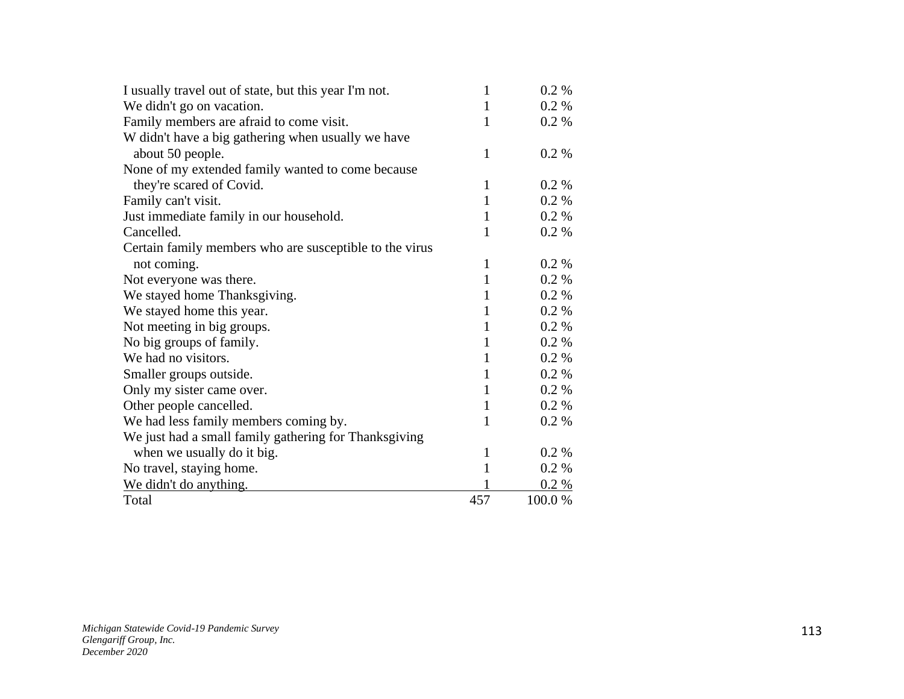| I usually travel out of state, but this year I'm not.   | 1            | 0.2 %    |
|---------------------------------------------------------|--------------|----------|
| We didn't go on vacation.                               | $\mathbf{1}$ | 0.2 %    |
| Family members are afraid to come visit.                | $\mathbf{1}$ | 0.2 %    |
| W didn't have a big gathering when usually we have      |              |          |
| about 50 people.                                        | 1            | $0.2\%$  |
| None of my extended family wanted to come because       |              |          |
| they're scared of Covid.                                | $\mathbf{1}$ | 0.2 %    |
| Family can't visit.                                     | $\mathbf{1}$ | $0.2 \%$ |
| Just immediate family in our household.                 | $\mathbf{1}$ | $0.2 \%$ |
| Cancelled.                                              | 1            | 0.2 %    |
| Certain family members who are susceptible to the virus |              |          |
| not coming.                                             | $\mathbf{1}$ | $0.2\%$  |
| Not everyone was there.                                 | $\mathbf{1}$ | $0.2 \%$ |
| We stayed home Thanksgiving.                            | 1            | 0.2 %    |
| We stayed home this year.                               | 1            | 0.2 %    |
| Not meeting in big groups.                              | $\mathbf{1}$ | $0.2\%$  |
| No big groups of family.                                | $\mathbf{1}$ | $0.2\%$  |
| We had no visitors.                                     | $\mathbf{1}$ | 0.2 %    |
| Smaller groups outside.                                 | $\mathbf{1}$ | $0.2\%$  |
| Only my sister came over.                               | $\mathbf{1}$ | 0.2 %    |
| Other people cancelled.                                 | $\mathbf{1}$ | $0.2 \%$ |
| We had less family members coming by.                   | 1            | $0.2\%$  |
| We just had a small family gathering for Thanksgiving   |              |          |
| when we usually do it big.                              | 1            | $0.2\%$  |
| No travel, staying home.                                | $\mathbf{1}$ | 0.2 %    |
| We didn't do anything.                                  |              | $0.2 \%$ |
| Total                                                   | 457          | 100.0 %  |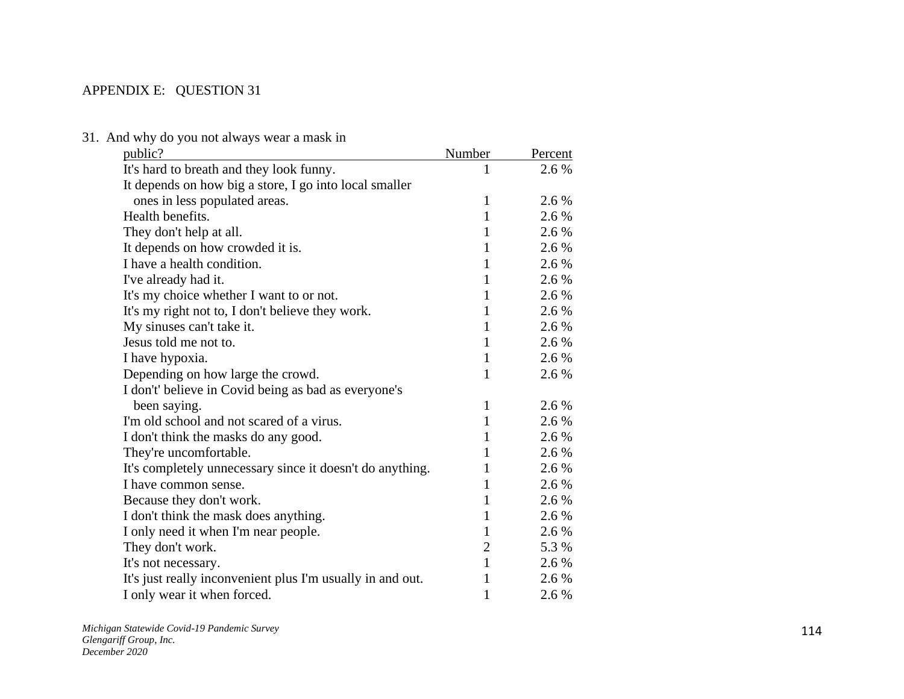## APPENDIX E: QUESTION 31

| public?                                                    | Number         | Percent |
|------------------------------------------------------------|----------------|---------|
| It's hard to breath and they look funny.                   | 1              | 2.6 %   |
| It depends on how big a store, I go into local smaller     |                |         |
| ones in less populated areas.                              | 1              | 2.6 %   |
| Health benefits.                                           | $\mathbf{1}$   | 2.6 %   |
| They don't help at all.                                    | $\mathbf{1}$   | 2.6 %   |
| It depends on how crowded it is.                           | $\mathbf{1}$   | 2.6 %   |
| I have a health condition.                                 | $\mathbf{1}$   | 2.6 %   |
| I've already had it.                                       | $\mathbf{1}$   | 2.6 %   |
| It's my choice whether I want to or not.                   | $\mathbf{1}$   | 2.6 %   |
| It's my right not to, I don't believe they work.           | $\mathbf{1}$   | 2.6 %   |
| My sinuses can't take it.                                  | $\mathbf{1}$   | 2.6 %   |
| Jesus told me not to.                                      | $\mathbf{1}$   | 2.6 %   |
| I have hypoxia.                                            | $\mathbf{1}$   | 2.6 %   |
| Depending on how large the crowd.                          | $\mathbf{1}$   | 2.6 %   |
| I don't' believe in Covid being as bad as everyone's       |                |         |
| been saying.                                               | $\mathbf{1}$   | 2.6 %   |
| I'm old school and not scared of a virus.                  | $\mathbf{1}$   | 2.6 %   |
| I don't think the masks do any good.                       | 1              | 2.6 %   |
| They're uncomfortable.                                     | 1              | 2.6 %   |
| It's completely unnecessary since it doesn't do anything.  | 1              | 2.6 %   |
| I have common sense.                                       | $\mathbf{1}$   | 2.6 %   |
| Because they don't work.                                   | 1              | 2.6 %   |
| I don't think the mask does anything.                      | $\mathbf{1}$   | 2.6 %   |
| I only need it when I'm near people.                       | $\mathbf{1}$   | 2.6 %   |
| They don't work.                                           | $\overline{2}$ | 5.3 %   |
| It's not necessary.                                        | $\mathbf{1}$   | 2.6 %   |
| It's just really inconvenient plus I'm usually in and out. | $\mathbf{1}$   | 2.6 %   |
| I only wear it when forced.                                | $\mathbf{1}$   | 2.6 %   |

31. And why do you not always wear a mask in

*Michigan Statewide Covid -19 Pandemic Survey Glengariff Group, Inc. December 2020*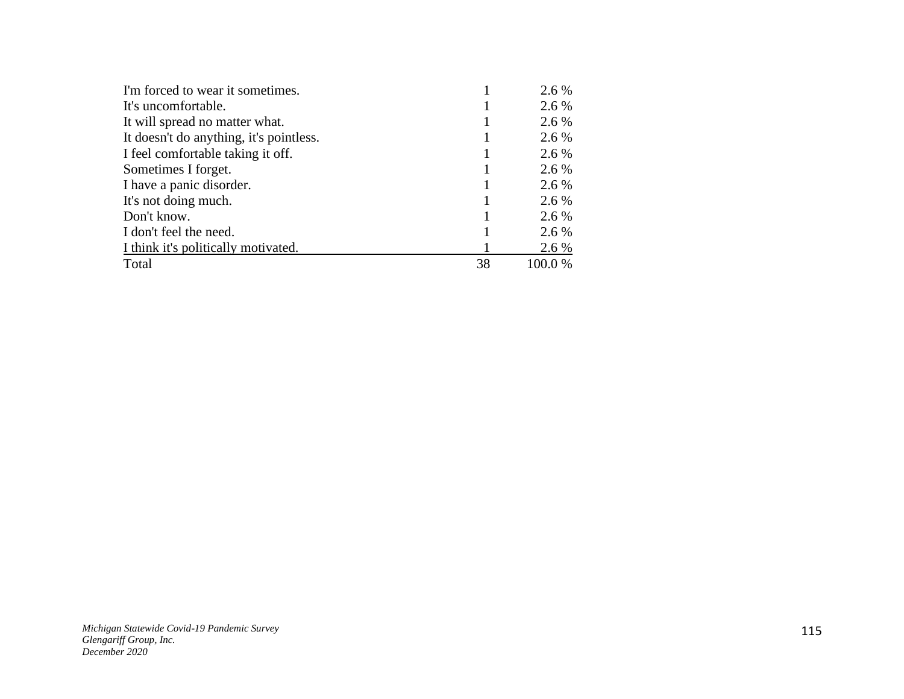| I'm forced to wear it sometimes.        |    | 2.6 %   |
|-----------------------------------------|----|---------|
| It's uncomfortable.                     |    | 2.6 %   |
| It will spread no matter what.          |    | 2.6 %   |
| It doesn't do anything, it's pointless. |    | 2.6 %   |
| I feel comfortable taking it off.       |    | 2.6 %   |
| Sometimes I forget.                     |    | 2.6 %   |
| I have a panic disorder.                |    | 2.6 %   |
| It's not doing much.                    |    | 2.6 %   |
| Don't know.                             |    | 2.6 %   |
| I don't feel the need.                  |    | 2.6 %   |
| I think it's politically motivated.     |    | 2.6 %   |
| Total                                   | 38 | 100.0 % |